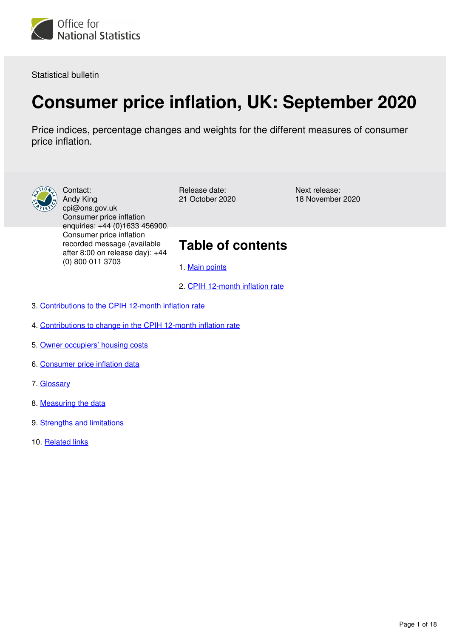

Statistical bulletin

# **Consumer price inflation, UK: September 2020**

Price indices, percentage changes and weights for the different measures of consumer price inflation.



Contact: Andy King cpi@ons.gov.uk Consumer price inflation enquiries: +44 (0)1633 456900. Consumer price inflation recorded message (available after 8:00 on release day): +44 (0) 800 011 3703

Release date: 21 October 2020 Next release: 18 November 2020

## **Table of contents**

- 1. [Main points](#page-1-0)
- 2. [CPIH 12-month inflation rate](#page-2-0)
- 3. [Contributions to the CPIH 12-month inflation rate](#page-4-0)
- 4. [Contributions to change in the CPIH 12-month inflation rate](#page-6-0)
- 5. [Owner occupiers' housing costs](#page-9-0)
- 6. [Consumer price inflation data](#page-10-0)
- 7. [Glossary](#page-10-1)
- 8. [Measuring the data](#page-11-0)
- 9. [Strengths and limitations](#page-16-0)
- 10. [Related links](#page-17-0)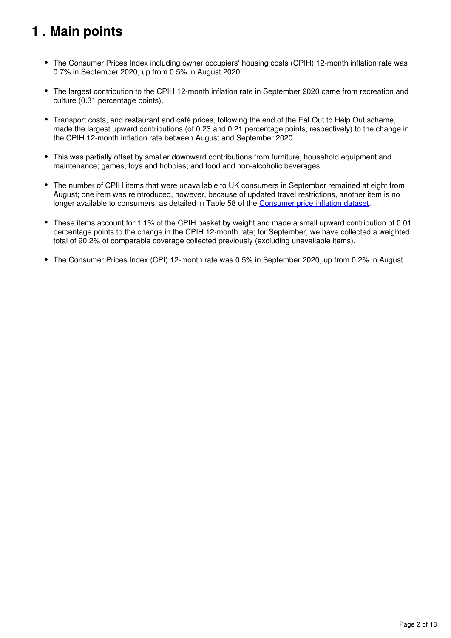# <span id="page-1-0"></span>**1 . Main points**

- The Consumer Prices Index including owner occupiers' housing costs (CPIH) 12-month inflation rate was 0.7% in September 2020, up from 0.5% in August 2020.
- The largest contribution to the CPIH 12-month inflation rate in September 2020 came from recreation and culture (0.31 percentage points).
- Transport costs, and restaurant and café prices, following the end of the Eat Out to Help Out scheme, made the largest upward contributions (of 0.23 and 0.21 percentage points, respectively) to the change in the CPIH 12-month inflation rate between August and September 2020.
- This was partially offset by smaller downward contributions from furniture, household equipment and maintenance; games, toys and hobbies; and food and non-alcoholic beverages.
- The number of CPIH items that were unavailable to UK consumers in September remained at eight from August; one item was reintroduced, however, because of updated travel restrictions, another item is no longeravailable to consumers, as detailed in Table 58 of the Consumer price inflation dataset.
- These items account for 1.1% of the CPIH basket by weight and made a small upward contribution of 0.01 percentage points to the change in the CPIH 12-month rate; for September, we have collected a weighted total of 90.2% of comparable coverage collected previously (excluding unavailable items).
- The Consumer Prices Index (CPI) 12-month rate was 0.5% in September 2020, up from 0.2% in August.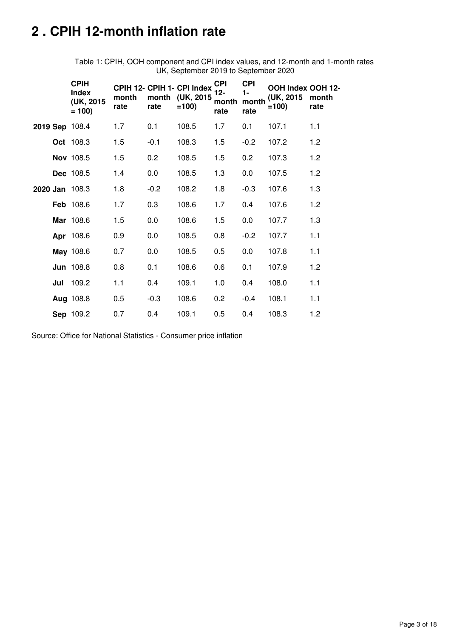# <span id="page-2-0"></span>**2 . CPIH 12-month inflation rate**

Table 1: CPIH, OOH component and CPI index values, and 12-month and 1-month rates UK, September 2019 to September 2020

|                | <b>CPIH</b><br><b>Index</b><br>(UK, 2015)<br>$= 100$ | month<br>rate | rate   | CPIH 12- CPIH 1- CPI Index<br>month (UK, 2015<br>$=100$ | <b>CPI</b><br>$12 -$<br>month<br>rate | <b>CPI</b><br>1-<br>month<br>rate | OOH Index OOH 12-<br>(UK, 2015)<br>$=100$ | month<br>rate |
|----------------|------------------------------------------------------|---------------|--------|---------------------------------------------------------|---------------------------------------|-----------------------------------|-------------------------------------------|---------------|
| 2019 Sep 108.4 |                                                      | 1.7           | 0.1    | 108.5                                                   | 1.7                                   | 0.1                               | 107.1                                     | 1.1           |
|                | Oct 108.3                                            | 1.5           | $-0.1$ | 108.3                                                   | 1.5                                   | $-0.2$                            | 107.2                                     | 1.2           |
|                | Nov 108.5                                            | 1.5           | 0.2    | 108.5                                                   | 1.5                                   | 0.2                               | 107.3                                     | 1.2           |
|                | Dec 108.5                                            | 1.4           | 0.0    | 108.5                                                   | 1.3                                   | 0.0                               | 107.5                                     | 1.2           |
| 2020 Jan 108.3 |                                                      | 1.8           | $-0.2$ | 108.2                                                   | 1.8                                   | $-0.3$                            | 107.6                                     | 1.3           |
|                | Feb 108.6                                            | 1.7           | 0.3    | 108.6                                                   | 1.7                                   | 0.4                               | 107.6                                     | 1.2           |
|                | Mar 108.6                                            | 1.5           | 0.0    | 108.6                                                   | 1.5                                   | 0.0                               | 107.7                                     | 1.3           |
|                | Apr 108.6                                            | 0.9           | 0.0    | 108.5                                                   | 0.8                                   | $-0.2$                            | 107.7                                     | 1.1           |
|                | May 108.6                                            | 0.7           | 0.0    | 108.5                                                   | 0.5                                   | 0.0                               | 107.8                                     | 1.1           |
|                | <b>Jun 108.8</b>                                     | 0.8           | 0.1    | 108.6                                                   | 0.6                                   | 0.1                               | 107.9                                     | 1.2           |
| Jul            | 109.2                                                | 1.1           | 0.4    | 109.1                                                   | 1.0                                   | 0.4                               | 108.0                                     | 1.1           |
|                | Aug 108.8                                            | 0.5           | $-0.3$ | 108.6                                                   | 0.2                                   | $-0.4$                            | 108.1                                     | 1.1           |
|                | Sep 109.2                                            | 0.7           | 0.4    | 109.1                                                   | 0.5                                   | 0.4                               | 108.3                                     | 1.2           |

Source: Office for National Statistics - Consumer price inflation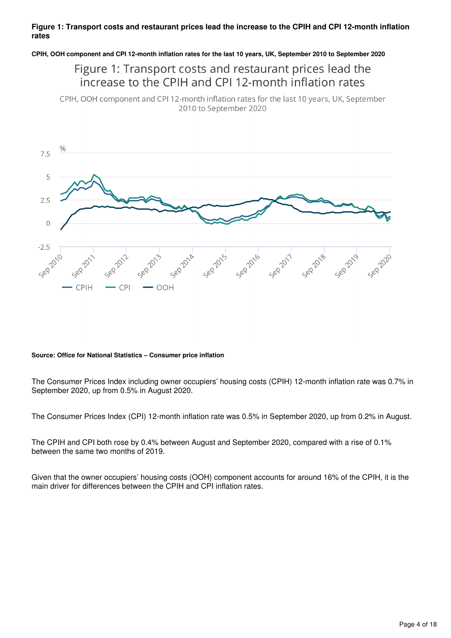### **Figure 1: Transport costs and restaurant prices lead the increase to the CPIH and CPI 12-month inflation rates**

**CPIH, OOH component and CPI 12-month inflation rates for the last 10 years, UK, September 2010 to September 2020**

## Figure 1: Transport costs and restaurant prices lead the increase to the CPIH and CPI 12-month inflation rates

CPIH, OOH component and CPI 12-month inflation rates for the last 10 years, UK, September 2010 to September 2020



#### **Source: Office for National Statistics – Consumer price inflation**

The Consumer Prices Index including owner occupiers' housing costs (CPIH) 12-month inflation rate was 0.7% in September 2020, up from 0.5% in August 2020.

The Consumer Prices Index (CPI) 12-month inflation rate was 0.5% in September 2020, up from 0.2% in August.

The CPIH and CPI both rose by 0.4% between August and September 2020, compared with a rise of 0.1% between the same two months of 2019.

Given that the owner occupiers' housing costs (OOH) component accounts for around 16% of the CPIH, it is the main driver for differences between the CPIH and CPI inflation rates.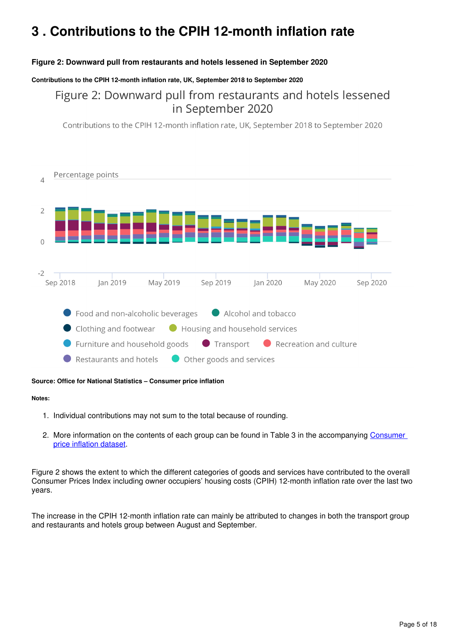# <span id="page-4-0"></span>**3 . Contributions to the CPIH 12-month inflation rate**

## **Figure 2: Downward pull from restaurants and hotels lessened in September 2020**

#### **Contributions to the CPIH 12-month inflation rate, UK, September 2018 to September 2020**

Figure 2: Downward pull from restaurants and hotels lessened in September 2020

Contributions to the CPIH 12-month inflation rate, UK, September 2018 to September 2020



#### **Source: Office for National Statistics – Consumer price inflation**

#### **Notes:**

- 1. Individual contributions may not sum to the total because of rounding.
- 2. More information on the contents of each group can be found in Table 3 in the accompanying Consumer [price inflation dataset.](https://www.ons.gov.uk/economy/inflationandpriceindices/datasets/consumerpriceinflation)

Figure 2 shows the extent to which the different categories of goods and services have contributed to the overall Consumer Prices Index including owner occupiers' housing costs (CPIH) 12-month inflation rate over the last two years.

The increase in the CPIH 12-month inflation rate can mainly be attributed to changes in both the transport group and restaurants and hotels group between August and September.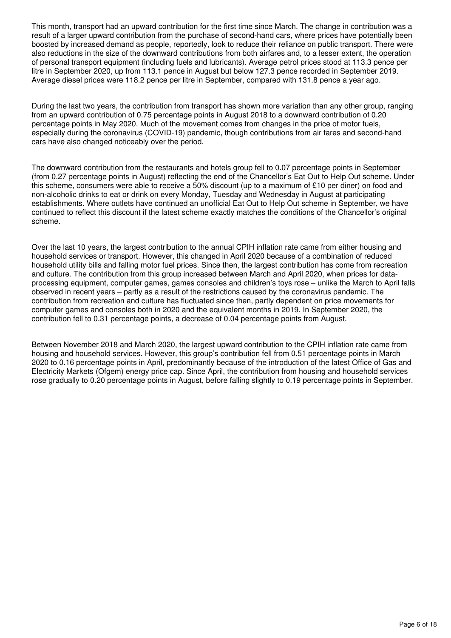This month, transport had an upward contribution for the first time since March. The change in contribution was a result of a larger upward contribution from the purchase of second-hand cars, where prices have potentially been boosted by increased demand as people, reportedly, look to reduce their reliance on public transport. There were also reductions in the size of the downward contributions from both airfares and, to a lesser extent, the operation of personal transport equipment (including fuels and lubricants). Average petrol prices stood at 113.3 pence per litre in September 2020, up from 113.1 pence in August but below 127.3 pence recorded in September 2019. Average diesel prices were 118.2 pence per litre in September, compared with 131.8 pence a year ago.

During the last two years, the contribution from transport has shown more variation than any other group, ranging from an upward contribution of 0.75 percentage points in August 2018 to a downward contribution of 0.20 percentage points in May 2020. Much of the movement comes from changes in the price of motor fuels, especially during the coronavirus (COVID-19) pandemic, though contributions from air fares and second-hand cars have also changed noticeably over the period.

The downward contribution from the restaurants and hotels group fell to 0.07 percentage points in September (from 0.27 percentage points in August) reflecting the end of the Chancellor's Eat Out to Help Out scheme. Under this scheme, consumers were able to receive a 50% discount (up to a maximum of £10 per diner) on food and non-alcoholic drinks to eat or drink on every Monday, Tuesday and Wednesday in August at participating establishments. Where outlets have continued an unofficial Eat Out to Help Out scheme in September, we have continued to reflect this discount if the latest scheme exactly matches the conditions of the Chancellor's original scheme.

Over the last 10 years, the largest contribution to the annual CPIH inflation rate came from either housing and household services or transport. However, this changed in April 2020 because of a combination of reduced household utility bills and falling motor fuel prices. Since then, the largest contribution has come from recreation and culture. The contribution from this group increased between March and April 2020, when prices for dataprocessing equipment, computer games, games consoles and children's toys rose – unlike the March to April falls observed in recent years – partly as a result of the restrictions caused by the coronavirus pandemic. The contribution from recreation and culture has fluctuated since then, partly dependent on price movements for computer games and consoles both in 2020 and the equivalent months in 2019. In September 2020, the contribution fell to 0.31 percentage points, a decrease of 0.04 percentage points from August.

Between November 2018 and March 2020, the largest upward contribution to the CPIH inflation rate came from housing and household services. However, this group's contribution fell from 0.51 percentage points in March 2020 to 0.16 percentage points in April, predominantly because of the introduction of the latest Office of Gas and Electricity Markets (Ofgem) energy price cap. Since April, the contribution from housing and household services rose gradually to 0.20 percentage points in August, before falling slightly to 0.19 percentage points in September.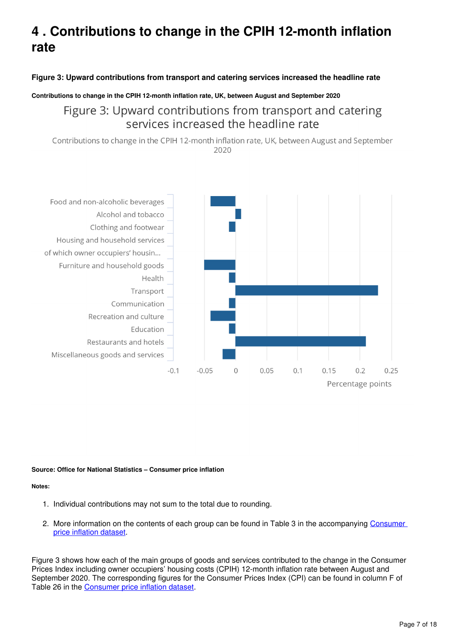# <span id="page-6-0"></span>**4 . Contributions to change in the CPIH 12-month inflation rate**

## **Figure 3: Upward contributions from transport and catering services increased the headline rate**

#### **Contributions to change in the CPIH 12-month inflation rate, UK, between August and September 2020**

## Figure 3: Upward contributions from transport and catering services increased the headline rate

Contributions to change in the CPIH 12-month inflation rate, UK, between August and September 2020



#### **Source: Office for National Statistics – Consumer price inflation**

#### **Notes:**

- 1. Individual contributions may not sum to the total due to rounding.
- 2. More information on the contents of each group can be found in Table 3 in the accompanying Consumer [price inflation dataset.](https://www.ons.gov.uk/economy/inflationandpriceindices/datasets/consumerpriceinflation)

Figure 3 shows how each of the main groups of goods and services contributed to the change in the Consumer Prices Index including owner occupiers' housing costs (CPIH) 12-month inflation rate between August and September 2020. The corresponding figures for the Consumer Prices Index (CPI) can be found in column F of Table26 in the Consumer price inflation dataset.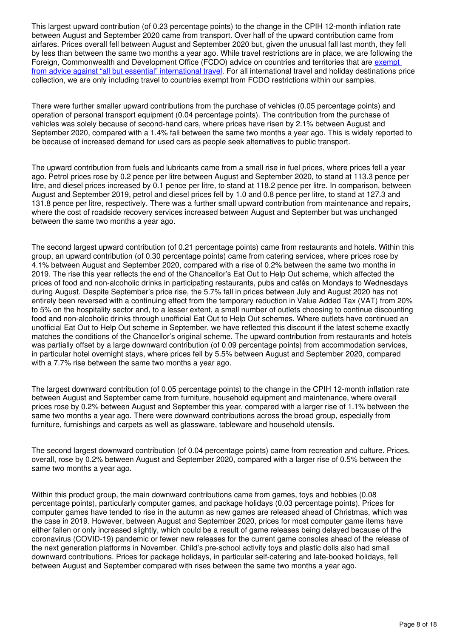This largest upward contribution (of 0.23 percentage points) to the change in the CPIH 12-month inflation rate between August and September 2020 came from transport. Over half of the upward contribution came from airfares. Prices overall fell between August and September 2020 but, given the unusual fall last month, they fell by less than between the same two months a year ago. While travel restrictions are in place, we are following the Foreign, Commonwealth and Development Office (FCDO) advice on countries and territories that are exempt [from advice against "all but essential" international travel.](https://www.gov.uk/guidance/coronavirus-covid-19-countries-and-territories-exempt-from-advice-against-all-but-essential-international-travel) For all international travel and holiday destinations price collection, we are only including travel to countries exempt from FCDO restrictions within our samples.

There were further smaller upward contributions from the purchase of vehicles (0.05 percentage points) and operation of personal transport equipment (0.04 percentage points). The contribution from the purchase of vehicles was solely because of second-hand cars, where prices have risen by 2.1% between August and September 2020, compared with a 1.4% fall between the same two months a year ago. This is widely reported to be because of increased demand for used cars as people seek alternatives to public transport.

The upward contribution from fuels and lubricants came from a small rise in fuel prices, where prices fell a year ago. Petrol prices rose by 0.2 pence per litre between August and September 2020, to stand at 113.3 pence per litre, and diesel prices increased by 0.1 pence per litre, to stand at 118.2 pence per litre. In comparison, between August and September 2019, petrol and diesel prices fell by 1.0 and 0.8 pence per litre, to stand at 127.3 and 131.8 pence per litre, respectively. There was a further small upward contribution from maintenance and repairs, where the cost of roadside recovery services increased between August and September but was unchanged between the same two months a year ago.

The second largest upward contribution (of 0.21 percentage points) came from restaurants and hotels. Within this group, an upward contribution (of 0.30 percentage points) came from catering services, where prices rose by 4.1% between August and September 2020, compared with a rise of 0.2% between the same two months in 2019. The rise this year reflects the end of the Chancellor's Eat Out to Help Out scheme, which affected the prices of food and non-alcoholic drinks in participating restaurants, pubs and cafés on Mondays to Wednesdays during August. Despite September's price rise, the 5.7% fall in prices between July and August 2020 has not entirely been reversed with a continuing effect from the temporary reduction in Value Added Tax (VAT) from 20% to 5% on the hospitality sector and, to a lesser extent, a small number of outlets choosing to continue discounting food and non-alcoholic drinks through unofficial Eat Out to Help Out schemes. Where outlets have continued an unofficial Eat Out to Help Out scheme in September, we have reflected this discount if the latest scheme exactly matches the conditions of the Chancellor's original scheme. The upward contribution from restaurants and hotels was partially offset by a large downward contribution (of 0.09 percentage points) from accommodation services, in particular hotel overnight stays, where prices fell by 5.5% between August and September 2020, compared with a 7.7% rise between the same two months a year ago.

The largest downward contribution (of 0.05 percentage points) to the change in the CPIH 12-month inflation rate between August and September came from furniture, household equipment and maintenance, where overall prices rose by 0.2% between August and September this year, compared with a larger rise of 1.1% between the same two months a year ago. There were downward contributions across the broad group, especially from furniture, furnishings and carpets as well as glassware, tableware and household utensils.

The second largest downward contribution (of 0.04 percentage points) came from recreation and culture. Prices, overall, rose by 0.2% between August and September 2020, compared with a larger rise of 0.5% between the same two months a year ago.

Within this product group, the main downward contributions came from games, toys and hobbies (0.08 percentage points), particularly computer games, and package holidays (0.03 percentage points). Prices for computer games have tended to rise in the autumn as new games are released ahead of Christmas, which was the case in 2019. However, between August and September 2020, prices for most computer game items have either fallen or only increased slightly, which could be a result of game releases being delayed because of the coronavirus (COVID-19) pandemic or fewer new releases for the current game consoles ahead of the release of the next generation platforms in November. Child's pre-school activity toys and plastic dolls also had small downward contributions. Prices for package holidays, in particular self-catering and late-booked holidays, fell between August and September compared with rises between the same two months a year ago.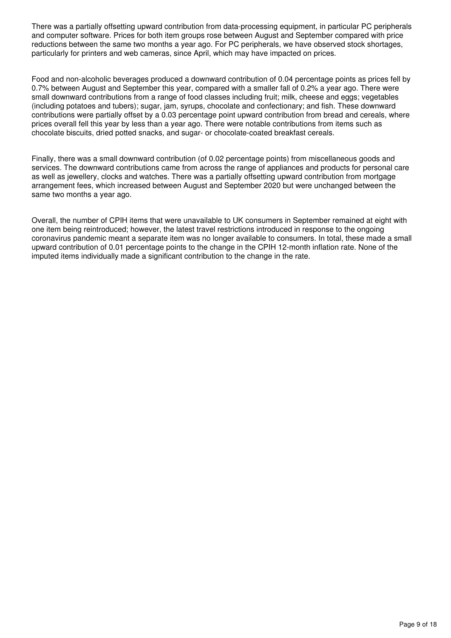There was a partially offsetting upward contribution from data-processing equipment, in particular PC peripherals and computer software. Prices for both item groups rose between August and September compared with price reductions between the same two months a year ago. For PC peripherals, we have observed stock shortages, particularly for printers and web cameras, since April, which may have impacted on prices.

Food and non-alcoholic beverages produced a downward contribution of 0.04 percentage points as prices fell by 0.7% between August and September this year, compared with a smaller fall of 0.2% a year ago. There were small downward contributions from a range of food classes including fruit; milk, cheese and eggs; vegetables (including potatoes and tubers); sugar, jam, syrups, chocolate and confectionary; and fish. These downward contributions were partially offset by a 0.03 percentage point upward contribution from bread and cereals, where prices overall fell this year by less than a year ago. There were notable contributions from items such as chocolate biscuits, dried potted snacks, and sugar- or chocolate-coated breakfast cereals.

Finally, there was a small downward contribution (of 0.02 percentage points) from miscellaneous goods and services. The downward contributions came from across the range of appliances and products for personal care as well as jewellery, clocks and watches. There was a partially offsetting upward contribution from mortgage arrangement fees, which increased between August and September 2020 but were unchanged between the same two months a year ago.

Overall, the number of CPIH items that were unavailable to UK consumers in September remained at eight with one item being reintroduced; however, the latest travel restrictions introduced in response to the ongoing coronavirus pandemic meant a separate item was no longer available to consumers. In total, these made a small upward contribution of 0.01 percentage points to the change in the CPIH 12-month inflation rate. None of the imputed items individually made a significant contribution to the change in the rate.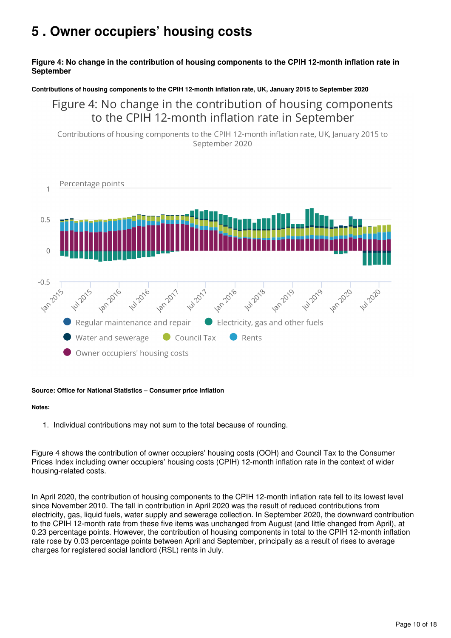## <span id="page-9-0"></span>**5 . Owner occupiers' housing costs**

## **Figure 4: No change in the contribution of housing components to the CPIH 12-month inflation rate in September**

### **Contributions of housing components to the CPIH 12-month inflation rate, UK, January 2015 to September 2020**

## Figure 4: No change in the contribution of housing components to the CPIH 12-month inflation rate in September

Contributions of housing components to the CPIH 12-month inflation rate, UK, January 2015 to September 2020



#### **Source: Office for National Statistics – Consumer price inflation**

#### **Notes:**

1. Individual contributions may not sum to the total because of rounding.

Figure 4 shows the contribution of owner occupiers' housing costs (OOH) and Council Tax to the Consumer Prices Index including owner occupiers' housing costs (CPIH) 12-month inflation rate in the context of wider housing-related costs.

In April 2020, the contribution of housing components to the CPIH 12-month inflation rate fell to its lowest level since November 2010. The fall in contribution in April 2020 was the result of reduced contributions from electricity, gas, liquid fuels, water supply and sewerage collection. In September 2020, the downward contribution to the CPIH 12-month rate from these five items was unchanged from August (and little changed from April), at 0.23 percentage points. However, the contribution of housing components in total to the CPIH 12-month inflation rate rose by 0.03 percentage points between April and September, principally as a result of rises to average charges for registered social landlord (RSL) rents in July.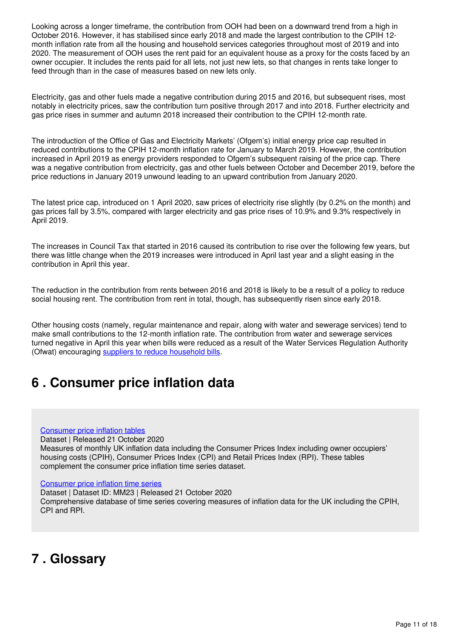Looking across a longer timeframe, the contribution from OOH had been on a downward trend from a high in October 2016. However, it has stabilised since early 2018 and made the largest contribution to the CPIH 12 month inflation rate from all the housing and household services categories throughout most of 2019 and into 2020. The measurement of OOH uses the rent paid for an equivalent house as a proxy for the costs faced by an owner occupier. It includes the rents paid for all lets, not just new lets, so that changes in rents take longer to feed through than in the case of measures based on new lets only.

Electricity, gas and other fuels made a negative contribution during 2015 and 2016, but subsequent rises, most notably in electricity prices, saw the contribution turn positive through 2017 and into 2018. Further electricity and gas price rises in summer and autumn 2018 increased their contribution to the CPIH 12-month rate.

The introduction of the Office of Gas and Electricity Markets' (Ofgem's) initial energy price cap resulted in reduced contributions to the CPIH 12-month inflation rate for January to March 2019. However, the contribution increased in April 2019 as energy providers responded to Ofgem's subsequent raising of the price cap. There was a negative contribution from electricity, gas and other fuels between October and December 2019, before the price reductions in January 2019 unwound leading to an upward contribution from January 2020.

The latest price cap, introduced on 1 April 2020, saw prices of electricity rise slightly (by 0.2% on the month) and gas prices fall by 3.5%, compared with larger electricity and gas price rises of 10.9% and 9.3% respectively in April 2019.

The increases in Council Tax that started in 2016 caused its contribution to rise over the following few years, but there was little change when the 2019 increases were introduced in April last year and a slight easing in the contribution in April this year.

The reduction in the contribution from rents between 2016 and 2018 is likely to be a result of a policy to reduce social housing rent. The contribution from rent in total, though, has subsequently risen since early 2018.

Other housing costs (namely, regular maintenance and repair, along with water and sewerage services) tend to make small contributions to the 12-month inflation rate. The contribution from water and sewerage services turned negative in April this year when bills were reduced as a result of the Water Services Regulation Authority (Ofwat) encouraging suppliers to reduce household bills[.](https://www.ofwat.gov.uk/pn-09-19-2019-price-review-water-bills-set-to-fall-according-to-water-regulator-ofwat/)

## <span id="page-10-0"></span>**6 . Consumer price inflation data**

#### [Consumer price inflation tables](https://www.ons.gov.uk/economy/inflationandpriceindices/datasets/consumerpriceinflation)

Dataset | Released 21 October 2020

Measures of monthly UK inflation data including the Consumer Prices Index including owner occupiers' housing costs (CPIH), Consumer Prices Index (CPI) and Retail Prices Index (RPI). These tables complement the consumer price inflation time series dataset.

#### [Consumer price inflation time series](https://www.ons.gov.uk/economy/inflationandpriceindices/datasets/consumerpriceindices)

Dataset | Dataset ID: MM23 | Released 21 October 2020 Comprehensive database of time series covering measures of inflation data for the UK including the CPIH, CPI and RPI.

## <span id="page-10-1"></span>**7 . Glossary**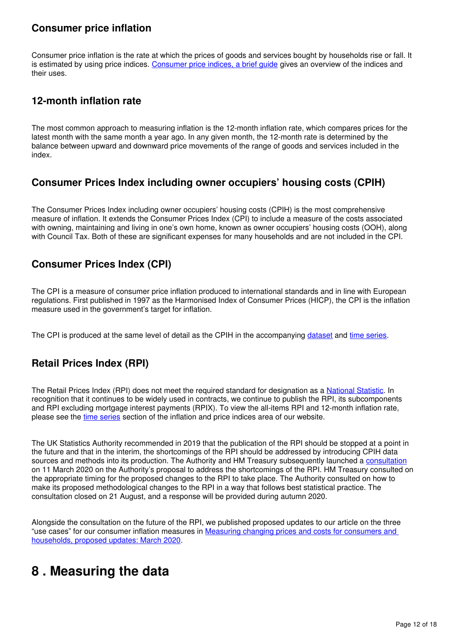## **Consumer price inflation**

Consumer price inflation is the rate at which the prices of goods and services bought by households rise or fall. It is estimated by using price indices. [Consumer price indices, a brief guide](https://www.ons.gov.uk/economy/inflationandpriceindices/articles/consumerpriceindicesabriefguide/2017) gives an overview of the indices and their uses.

## **12-month inflation rate**

The most common approach to measuring inflation is the 12-month inflation rate, which compares prices for the latest month with the same month a year ago. In any given month, the 12-month rate is determined by the balance between upward and downward price movements of the range of goods and services included in the index.

## **Consumer Prices Index including owner occupiers' housing costs (CPIH)**

The Consumer Prices Index including owner occupiers' housing costs (CPIH) is the most comprehensive measure of inflation. It extends the Consumer Prices Index (CPI) to include a measure of the costs associated with owning, maintaining and living in one's own home, known as owner occupiers' housing costs (OOH), along with Council Tax. Both of these are significant expenses for many households and are not included in the CPI.

## **Consumer Prices Index (CPI)**

The CPI is a measure of consumer price inflation produced to international standards and in line with European regulations. First published in 1997 as the Harmonised Index of Consumer Prices (HICP), the CPI is the inflation measure used in the government's target for inflation.

The CPI is produced at the same level of detail as the CPIH in the accompanying dataset and time series[.](https://www.ons.gov.uk/economy/inflationandpriceindices/datasets/consumerpriceindices)

## **Retail Prices Index (RPI)**

TheRetail Prices Index (RPI) does not meet the required standard for designation as a [National Statistic](https://www.statisticsauthority.gov.uk/about-the-authority/uk-statistical-system/types-of-official-statistics/). In recognition that it continues to be widely used in contracts, we continue to publish the RPI, its subcomponents and RPI excluding mortgage interest payments (RPIX). To view the all-items RPI and 12-month inflation rate, pleasesee the time series section of the inflation and price indices area of our website.

The UK Statistics Authority recommended in 2019 that the publication of the RPI should be stopped at a point in the future and that in the interim, the shortcomings of the RPI should be addressed by introducing CPIH data sources and methods into its production. The Authority and HM Treasury subsequently launched a [consultation](https://uksa.statisticsauthority.gov.uk/consultation-on-the-reform-to-retail-prices-index-rpi-methodology/) on 11 March 2020 on the Authority's proposal to address the shortcomings of the RPI. HM Treasury consulted on the appropriate timing for the proposed changes to the RPI to take place. The Authority consulted on how to make its proposed methodological changes to the RPI in a way that follows best statistical practice. The consultation closed on 21 August, and a response will be provided during autumn 2020.

Alongside the consultation on the future of the RPI, we published proposed updates to our article on the three "use cases" for our consumer inflation measures in [Measuring changing prices and costs for consumers and](https://www.ons.gov.uk/economy/inflationandpriceindices/articles/measuringchangingpricesandcostsforconsumersandhouseholdsproposedupdates/march2020)  [households, proposed updates: March 2020.](https://www.ons.gov.uk/economy/inflationandpriceindices/articles/measuringchangingpricesandcostsforconsumersandhouseholdsproposedupdates/march2020)

## <span id="page-11-0"></span>**8 . Measuring the data**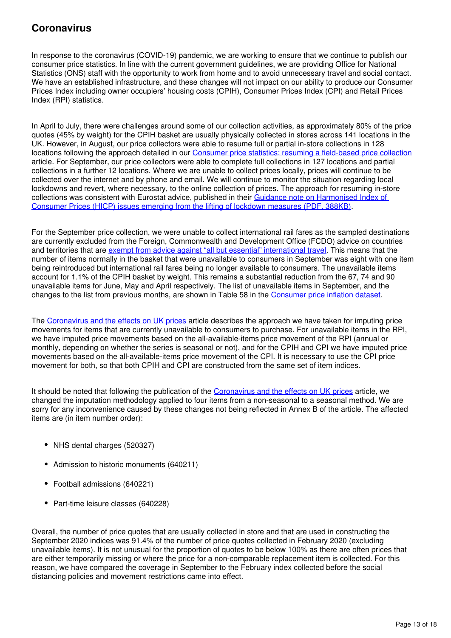## **Coronavirus**

In response to the coronavirus (COVID-19) pandemic, we are working to ensure that we continue to publish our consumer price statistics. In line with the current government guidelines, we are providing Office for National Statistics (ONS) staff with the opportunity to work from home and to avoid unnecessary travel and social contact. We have an established infrastructure, and these changes will not impact on our ability to produce our Consumer Prices Index including owner occupiers' housing costs (CPIH), Consumer Prices Index (CPI) and Retail Prices Index (RPI) statistics.

In April to July, there were challenges around some of our collection activities, as approximately 80% of the price quotes (45% by weight) for the CPIH basket are usually physically collected in stores across 141 locations in the UK. However, in August, our price collectors were able to resume full or partial in-store collections in 128 locations following the approach detailed in our [Consumer price statistics: resuming a field-based price collection](https://www.ons.gov.uk/releases/resumingafieldbasedpricecollectionforconsumerpricestatistics) article. For September, our price collectors were able to complete full collections in 127 locations and partial collections in a further 12 locations. Where we are unable to collect prices locally, prices will continue to be collected over the internet and by phone and email. We will continue to monitor the situation regarding local lockdowns and revert, where necessary, to the online collection of prices. The approach for resuming in-store collections was consistent with Eurostat advice, published in their [Guidance note on Harmonised Index of](https://ec.europa.eu/eurostat/documents/10186/10693286/HICP_lifting_lockdown_measures_guidance.pdf)  [Consumer Prices \(HICP\) issues emerging from the lifting of lockdown measures \(PDF, 388KB\).](https://ec.europa.eu/eurostat/documents/10186/10693286/HICP_lifting_lockdown_measures_guidance.pdf)

For the September price collection, we were unable to collect international rail fares as the sampled destinations are currently excluded from the Foreign, Commonwealth and Development Office (FCDO) advice on countries and territories that are [exempt from advice against "all but essential" international travel.](https://www.gov.uk/guidance/coronavirus-covid-19-countries-and-territories-exempt-from-advice-against-all-but-essential-international-travel) This means that the number of items normally in the basket that were unavailable to consumers in September was eight with one item being reintroduced but international rail fares being no longer available to consumers. The unavailable items account for 1.1% of the CPIH basket by weight. This remains a substantial reduction from the 67, 74 and 90 unavailable items for June, May and April respectively. The list of unavailable items in September, and the changes to the list from previous months, are shown in Table 58 in the Consumer price inflation dataset[.](https://www.ons.gov.uk/economy/inflationandpriceindices/datasets/consumerpriceinflation)

The [Coronavirus and the effects on UK prices](https://www.ons.gov.uk/economy/inflationandpriceindices/articles/coronavirusandtheeffectsonukprices/2020-05-06) article describes the approach we have taken for imputing price movements for items that are currently unavailable to consumers to purchase. For unavailable items in the RPI, we have imputed price movements based on the all-available-items price movement of the RPI (annual or monthly, depending on whether the series is seasonal or not), and for the CPIH and CPI we have imputed price movements based on the all-available-items price movement of the CPI. It is necessary to use the CPI price movement for both, so that both CPIH and CPI are constructed from the same set of item indices.

It should be noted that following the publication of the [Coronavirus and the effects on UK prices](https://www.ons.gov.uk/economy/inflationandpriceindices/articles/coronavirusandtheeffectsonukprices/2020-05-06) article, we changed the imputation methodology applied to four items from a non-seasonal to a seasonal method. We are sorry for any inconvenience caused by these changes not being reflected in Annex B of the article. The affected items are (in item number order):

- NHS dental charges (520327)
- Admission to historic monuments (640211)
- Football admissions (640221)
- Part-time leisure classes (640228)

Overall, the number of price quotes that are usually collected in store and that are used in constructing the September 2020 indices was 91.4% of the number of price quotes collected in February 2020 (excluding unavailable items). It is not unusual for the proportion of quotes to be below 100% as there are often prices that are either temporarily missing or where the price for a non-comparable replacement item is collected. For this reason, we have compared the coverage in September to the February index collected before the social distancing policies and movement restrictions came into effect.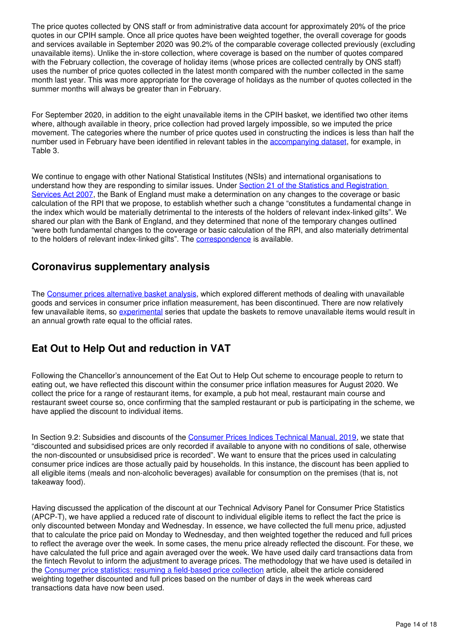The price quotes collected by ONS staff or from administrative data account for approximately 20% of the price quotes in our CPIH sample. Once all price quotes have been weighted together, the overall coverage for goods and services available in September 2020 was 90.2% of the comparable coverage collected previously (excluding unavailable items). Unlike the in-store collection, where coverage is based on the number of quotes compared with the February collection, the coverage of holiday items (whose prices are collected centrally by ONS staff) uses the number of price quotes collected in the latest month compared with the number collected in the same month last year. This was more appropriate for the coverage of holidays as the number of quotes collected in the summer months will always be greater than in February.

For September 2020, in addition to the eight unavailable items in the CPIH basket, we identified two other items where, although available in theory, price collection had proved largely impossible, so we imputed the price movement. The categories where the number of price quotes used in constructing the indices is less than half the number used in February have been identified in relevant tables in the accompanying dataset[,](https://www.ons.gov.uk/economy/inflationandpriceindices/datasets/consumerpriceinflation) for example, in Table 3.

We continue to engage with other National Statistical Institutes (NSIs) and international organisations to understand how they are responding to similar issues. Under Section 21 of the Statistics and Registration [Services Act 2007](http://www.legislation.gov.uk/ukpga/2007/18/section/21), the Bank of England must make a determination on any changes to the coverage or basic calculation of the RPI that we propose, to establish whether such a change "constitutes a fundamental change in the index which would be materially detrimental to the interests of the holders of relevant index-linked gilts". We shared our plan with the Bank of England, and they determined that none of the temporary changes outlined "were both fundamental changes to the coverage or basic calculation of the RPI, and also materially detrimental tothe holders of relevant index-linked gilts". The **correspondence** is available.

## **Coronavirus supplementary analysis**

The [Consumer prices alternative basket analysis](https://www.ons.gov.uk/economy/inflationandpriceindices/articles/consumerpricesalternativebasketanalysis/previousReleases), which explored different methods of dealing with unavailable goods and services in consumer price inflation measurement, has been discontinued. There are now relatively fewunavailable items, so [experimental](https://www.ons.gov.uk/methodology/methodologytopicsandstatisticalconcepts/guidetoexperimentalstatistics) series that update the baskets to remove unavailable items would result in an annual growth rate equal to the official rates.

## **Eat Out to Help Out and reduction in VAT**

Following the Chancellor's announcement of the Eat Out to Help Out scheme to encourage people to return to eating out, we have reflected this discount within the consumer price inflation measures for August 2020. We collect the price for a range of restaurant items, for example, a pub hot meal, restaurant main course and restaurant sweet course so, once confirming that the sampled restaurant or pub is participating in the scheme, we have applied the discount to individual items.

In Section 9.2: Subsidies and discounts of the [Consumer Prices Indices Technical Manual, 2019,](https://www.ons.gov.uk/economy/inflationandpriceindices/methodologies/consumerpricesindicestechnicalmanual2019#special-issues-principles-and-procedures) we state that "discounted and subsidised prices are only recorded if available to anyone with no conditions of sale, otherwise the non-discounted or unsubsidised price is recorded". We want to ensure that the prices used in calculating consumer price indices are those actually paid by households. In this instance, the discount has been applied to all eligible items (meals and non-alcoholic beverages) available for consumption on the premises (that is, not takeaway food).

Having discussed the application of the discount at our Technical Advisory Panel for Consumer Price Statistics (APCP-T), we have applied a reduced rate of discount to individual eligible items to reflect the fact the price is only discounted between Monday and Wednesday. In essence, we have collected the full menu price, adjusted that to calculate the price paid on Monday to Wednesday, and then weighted together the reduced and full prices to reflect the average over the week. In some cases, the menu price already reflected the discount. For these, we have calculated the full price and again averaged over the week. We have used daily card transactions data from the fintech Revolut to inform the adjustment to average prices. The methodology that we have used is detailed in the [Consumer price statistics: resuming a field-based price collection](https://www.ons.gov.uk/releases/resumingafieldbasedpricecollectionforconsumerpricestatistics) article, albeit the article considered weighting together discounted and full prices based on the number of days in the week whereas card transactions data have now been used.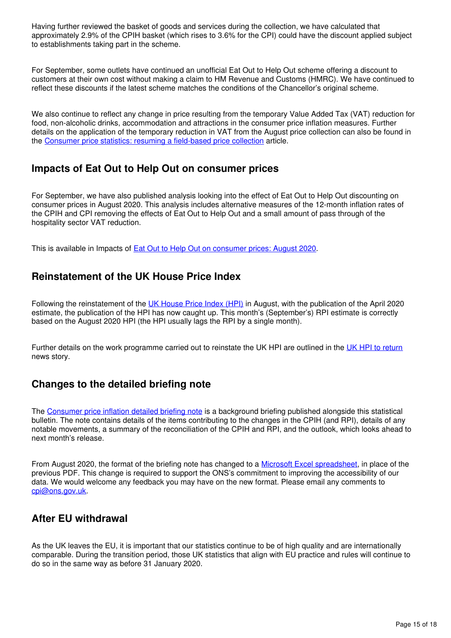Having further reviewed the basket of goods and services during the collection, we have calculated that approximately 2.9% of the CPIH basket (which rises to 3.6% for the CPI) could have the discount applied subject to establishments taking part in the scheme.

For September, some outlets have continued an unofficial Eat Out to Help Out scheme offering a discount to customers at their own cost without making a claim to HM Revenue and Customs (HMRC). We have continued to reflect these discounts if the latest scheme matches the conditions of the Chancellor's original scheme.

We also continue to reflect any change in price resulting from the temporary Value Added Tax (VAT) reduction for food, non-alcoholic drinks, accommodation and attractions in the consumer price inflation measures. Further details on the application of the temporary reduction in VAT from the August price collection can also be found in the [Consumer price statistics: resuming a field-based price collection](https://www.ons.gov.uk/releases/resumingafieldbasedpricecollectionforconsumerpricestatistics) article.

## **Impacts of Eat Out to Help Out on consumer prices**

For September, we have also published analysis looking into the effect of Eat Out to Help Out discounting on consumer prices in August 2020. This analysis includes alternative measures of the 12-month inflation rates of the CPIH and CPI removing the effects of Eat Out to Help Out and a small amount of pass through of the hospitality sector VAT reduction.

This is available in Impacts of [Eat Out to Help Out on consumer prices: August 2020](https://www.ons.gov.uk/economy/inflationandpriceindices/articles/priceseconomicanalysisquarterly/october2020).

## **Reinstatement of the UK House Price Index**

Following the reinstatement of the [UK House Price Index \(HPI\)](https://www.ons.gov.uk/economy/inflationandpriceindices/bulletins/housepriceindex/april2020) in August, with the publication of the April 2020 estimate, the publication of the HPI has now caught up. This month's (September's) RPI estimate is correctly based on the August 2020 HPI (the HPI usually lags the RPI by a single month).

Further details on the work programme carried out to reinstate the UK HPI are outlined in the [UK HPI to return](https://www.gov.uk/government/news/uk-house-price-index-to-return) news story.

## **Changes to the detailed briefing note**

The [Consumer price inflation detailed briefing note](https://www.ons.gov.uk/economy/inflationandpriceindices/articles/consumerpriceinflationdetailedbriefingnote/previousReleases) is a background briefing published alongside this statistical bulletin. The note contains details of the items contributing to the changes in the CPIH (and RPI), details of any notable movements, a summary of the reconciliation of the CPIH and RPI, and the outlook, which looks ahead to next month's release.

From August 2020[,](https://www.ons.gov.uk/economy/inflationandpriceindices/datasets/consumerpriceinflationdetailedbriefingnote) the format of the briefing note has changed to a [Microsoft Excel spreadsheet](https://www.ons.gov.uk/economy/inflationandpriceindices/datasets/consumerpriceinflationdetailedbriefingnote), in place of the previous PDF. This change is required to support the ONS's commitment to improving the accessibility of our data. We would welcome any feedback you may have on the new format. Please email any comments to [cpi@ons.gov.uk.](mailto:cpi@ons.gov.uk)

## **After EU withdrawal**

As the UK leaves the EU, it is important that our statistics continue to be of high quality and are internationally comparable. During the transition period, those UK statistics that align with EU practice and rules will continue to do so in the same way as before 31 January 2020.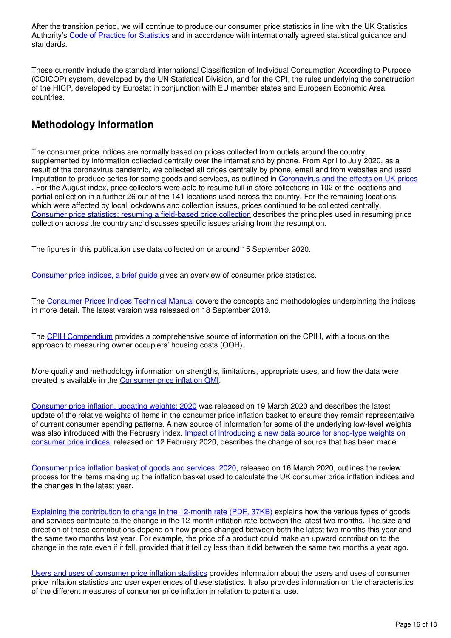After the transition period, we will continue to produce our consumer price statistics in line with the UK Statistics Authority's [Code of Practice for Statistics](https://code.statisticsauthority.gov.uk/) and in accordance with internationally agreed statistical guidance and standards.

These currently include the standard international Classification of Individual Consumption According to Purpose (COICOP) system, developed by the UN Statistical Division, and for the CPI, the rules underlying the construction of the HICP, developed by Eurostat in conjunction with EU member states and European Economic Area countries.

## **Methodology information**

The consumer price indices are normally based on prices collected from outlets around the country, supplemented by information collected centrally over the internet and by phone. From April to July 2020, as a result of the coronavirus pandemic, we collected all prices centrally by phone, email and from websites and used imputation to produce series for some goods and services, as outlined in [Coronavirus and the effects on UK prices](https://www.ons.gov.uk/economy/inflationandpriceindices/articles/coronavirusandtheeffectsonukprices/2020-05-06) . For the August index, price collectors were able to resume full in-store collections in 102 of the locations and partial collection in a further 26 out of the 141 locations used across the country. For the remaining locations, which were affected by local lockdowns and collection issues, prices continued to be collected centrally. [Consumer price statistics: resuming a field-based price collection](https://www.ons.gov.uk/releases/resumingafieldbasedpricecollectionforconsumerpricestatistics) describes the principles used in resuming price collection across the country and discusses specific issues arising from the resumption.

The figures in this publication use data collected on or around 15 September 2020.

[Consumer price indices, a brief guide](https://www.ons.gov.uk/economy/inflationandpriceindices/articles/consumerpriceindicesabriefguide/2017) gives an overview of consumer price statistics.

The [Consumer Prices Indices Technical Manual](https://www.ons.gov.uk/economy/inflationandpriceindices/methodologies/consumerpricesindicestechnicalmanual2019) covers the concepts and methodologies underpinning the indices in more detail. The latest version was released on 18 September 2019.

The [CPIH Compendium](https://www.ons.gov.uk/economy/inflationandpriceindices/articles/cpihcompendium/2016-10-13) provides a comprehensive source of information on the CPIH, with a focus on the approach to measuring owner occupiers' housing costs (OOH).

More quality and methodology information on strengths, limitations, appropriate uses, and how the data were created is available in the Consumer price inflation QMI.

[Consumer price inflation, updating weights: 2020](https://www.ons.gov.uk/economy/inflationandpriceindices/articles/consumerpriceinflationupdatingweights/previousReleases) was released on 19 March 2020 and describes the latest update of the relative weights of items in the consumer price inflation basket to ensure they remain representative of current consumer spending patterns. A new source of information for some of the underlying low-level weights was also introduced with the February index. Impact of introducing a new data source for shop-type weights on [consumer price indices,](https://www.ons.gov.uk/economy/inflationandpriceindices/articles/impactofintroducinganewdatasourceforshoptypeweightsonconsumerpriceindices/2020-02-12) released on 12 February 2020, describes the change of source that has been made.

[Consumer price inflation basket of goods and services: 2020](https://www.ons.gov.uk/economy/inflationandpriceindices/articles/ukconsumerpriceinflationbasketofgoodsandservices/previousReleases), released on 16 March 2020, outlines the review process for the items making up the inflation basket used to calculate the UK consumer price inflation indices and the changes in the latest year.

[Explaining the contribution to change in the 12-month rate \(PDF, 37KB\)](https://webarchive.nationalarchives.gov.uk/20160106041638/http:/www.ons.gov.uk/ons/guide-method/user-guidance/prices/cpi-and-rpi/explaining-the-contributions-to-change-in-12-month-rate.pdf) explains how the various types of goods and services contribute to the change in the 12-month inflation rate between the latest two months. The size and direction of these contributions depend on how prices changed between both the latest two months this year and the same two months last year. For example, the price of a product could make an upward contribution to the change in the rate even if it fell, provided that it fell by less than it did between the same two months a year ago.

[Users and uses of consumer price inflation statistics](https://www.ons.gov.uk/economy/inflationandpriceindices/methodologies/usersandusesofconsumerpriceinflationstatisticsjuly2018update) provides information about the users and uses of consumer price inflation statistics and user experiences of these statistics. It also provides information on the characteristics of the different measures of consumer price inflation in relation to potential use.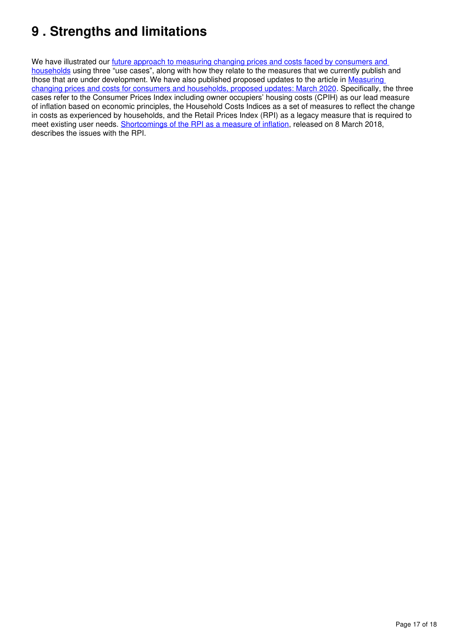# <span id="page-16-0"></span>**9 . Strengths and limitations**

We have illustrated our future approach to measuring changing prices and costs faced by consumers and [households](https://www.ons.gov.uk/economy/inflationandpriceindices/articles/measuringchangingpricesandcostsforconsumersandhouseholds/march2018) using three "use cases", along with how they relate to the measures that we currently publish and those that are under development. We have also published proposed updates to the article in Measuring [changing prices and costs for consumers and households, proposed updates: March 2020](https://www.ons.gov.uk/economy/inflationandpriceindices/articles/measuringchangingpricesandcostsforconsumersandhouseholdsproposedupdates/march2020). Specifically, the three cases refer to the Consumer Prices Index including owner occupiers' housing costs (CPIH) as our lead measure of inflation based on economic principles, the Household Costs Indices as a set of measures to reflect the change in costs as experienced by households, and the Retail Prices Index (RPI) as a legacy measure that is required to meet existing user needs. [Shortcomings of the RPI as a measure of inflation,](https://www.ons.gov.uk/economy/inflationandpriceindices/articles/shortcomingsoftheretailpricesindexasameasureofinflation/2018-03-08) released on 8 March 2018, describes the issues with the RPI.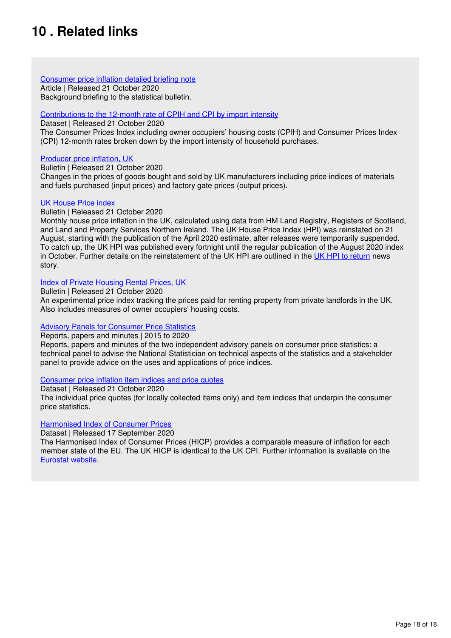# <span id="page-17-0"></span>**10 . Related links**

#### [Consumer price inflation detailed briefing note](https://www.ons.gov.uk/economy/inflationandpriceindices/articles/consumerpriceinflationdetailedbriefingnote/latest)

Article | Released 21 October 2020 Background briefing to the statistical bulletin.

### [Contributions to the 12-month rate of CPIH and CPI by import intensity](https://www.ons.gov.uk/economy/inflationandpriceindices/datasets/contributionstothe12monthrateofcpihbyimportintensity/current)

Dataset | Released 21 October 2020

The Consumer Prices Index including owner occupiers' housing costs (CPIH) and Consumer Prices Index (CPI) 12-month rates broken down by the import intensity of household purchases.

### [Producer price inflation, UK](https://www.ons.gov.uk/economy/inflationandpriceindices/bulletins/producerpriceinflation/latest)

Bulletin | Released 21 October 2020

Changes in the prices of goods bought and sold by UK manufacturers including price indices of materials and fuels purchased (input prices) and factory gate prices (output prices).

## [UK House Price index](https://www.ons.gov.uk/economy/inflationandpriceindices/bulletins/housepriceindex/latest)

#### Bulletin | Released 21 October 2020

Monthly house price inflation in the UK, calculated using data from HM Land Registry, Registers of Scotland, and Land and Property Services Northern Ireland. The UK House Price Index (HPI) was reinstated on 21 August, starting with the publication of the April 2020 estimate, after releases were temporarily suspended. To catch up, the UK HPI was published every fortnight until the regular publication of the August 2020 index in October. Further details on the reinstatement of the UK HPI are outlined in the [UK HPI to return](https://www.gov.uk/government/news/uk-house-price-index-to-return) news story.

## [Index of Private Housing Rental Prices, UK](https://www.ons.gov.uk/economy/inflationandpriceindices/bulletins/indexofprivatehousingrentalprices/latest)

Bulletin | Released 21 October 2020

An experimental price index tracking the prices paid for renting property from private landlords in the UK. Also includes measures of owner occupiers' housing costs.

### **[Advisory Panels for Consumer Price Statistics](https://www.statisticsauthority.gov.uk/about-the-authority/committees/advisory-panels-for-consumer-price-statistics/)**

Reports, papers and minutes | 2015 to 2020

Reports, papers and minutes of the two independent advisory panels on consumer price statistics: a technical panel to advise the National Statistician on technical aspects of the statistics and a stakeholder panel to provide advice on the uses and applications of price indices.

### [Consumer price inflation item indices and price quotes](https://www.ons.gov.uk/economy/inflationandpriceindices/datasets/consumerpriceindicescpiandretailpricesindexrpiitemindicesandpricequotes)

Dataset | Released 21 October 2020

The individual price quotes (for locally collected items only) and item indices that underpin the consumer price statistics.

### [Harmonised Index of Consumer Prices](http://ec.europa.eu/eurostat/tgm/refreshTableAction.do?tab=table&plugin=1&pcode=teicp000&language=en)

Dataset | Released 17 September 2020

The Harmonised Index of Consumer Prices (HICP) provides a comparable measure of inflation for each member state of the EU. The UK HICP is identical to the UK CPI. Further information is available on the [Eurostat website.](http://ec.europa.eu/eurostat/web/hicp/overview)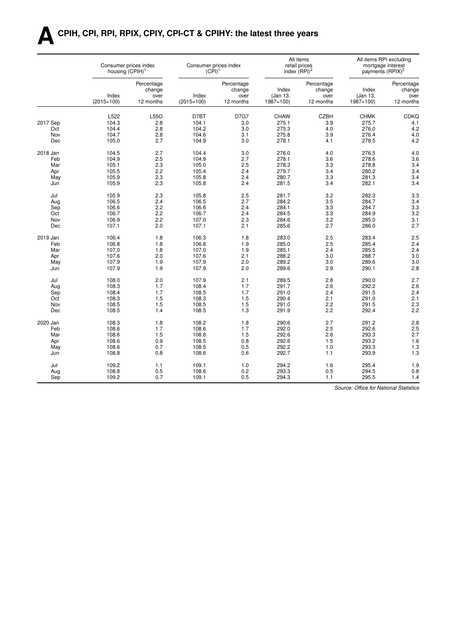# **ACPIH, CPI, RPI, RPIX, CPIY, CPI-CT & CPIHY: the latest three years**

|          |                       | Consumer prices index<br>housing (CPIH) <sup>1</sup> |                       | Consumer prices index<br>$(CPI)^1$        | index $(RPI)2$                    | All items<br>retail prices                |                                   | All items RPI excluding<br>mortgage interest<br>payments (RPIX) <sup>2</sup> |
|----------|-----------------------|------------------------------------------------------|-----------------------|-------------------------------------------|-----------------------------------|-------------------------------------------|-----------------------------------|------------------------------------------------------------------------------|
|          | Index<br>$(2015=100)$ | Percentage<br>change<br>over<br>12 months            | Index<br>$(2015=100)$ | Percentage<br>change<br>over<br>12 months | Index<br>(Jan 13,<br>$1987 = 100$ | Percentage<br>change<br>over<br>12 months | Index<br>(Jan 13,<br>$1987 = 100$ | Percentage<br>change<br>over<br>12 months                                    |
|          | L522                  | L55O                                                 | D7BT                  | <b>D7G7</b>                               | <b>CHAW</b>                       | <b>CZBH</b>                               | <b>CHMK</b>                       | <b>CDKQ</b>                                                                  |
| 2017 Sep | 104.3                 | 2.8                                                  | 104.1                 | 3.0                                       | 275.1                             | 3.9                                       | 275.7                             | 4.1                                                                          |
| Oct      | 104.4                 | 2.8                                                  | 104.2                 | 3.0                                       | 275.3                             | 4.0                                       | 276.0                             | 4.2                                                                          |
| Nov      | 104.7                 | 2.8                                                  | 104.6                 | 3.1                                       | 275.8                             | 3.9                                       | 276.4                             | 4.0                                                                          |
| Dec      | 105.0                 | 2.7                                                  | 104.9                 | 3.0                                       | 278.1                             | 4.1                                       | 278.5                             | 4.2                                                                          |
|          |                       |                                                      |                       |                                           |                                   |                                           |                                   |                                                                              |
| 2018 Jan | 104.5                 | 2.7                                                  | 104.4                 | 3.0                                       | 276.0                             | 4.0                                       | 276.5                             | 4.0                                                                          |
| Feb      | 104.9                 | 2.5                                                  | 104.9                 | 2.7                                       | 278.1                             | 3.6                                       | 278.6                             | 3.6                                                                          |
| Mar      | 105.1                 | 2.3                                                  | 105.0                 | 2.5                                       | 278.3                             | 3.3                                       | 278.8                             | 3.4                                                                          |
| Apr      | 105.5                 | 2.2                                                  | 105.4                 | 2.4                                       | 279.7                             | 3.4                                       | 280.2                             | 3.4                                                                          |
| May      | 105.9                 | 2.3                                                  | 105.8                 | 2.4                                       | 280.7                             | 3.3                                       | 281.3                             | 3.4                                                                          |
| Jun      | 105.9                 | 2.3                                                  | 105.8                 | 2.4                                       | 281.5                             | 3.4                                       | 282.1                             | 3.4                                                                          |
|          |                       |                                                      |                       |                                           |                                   |                                           |                                   |                                                                              |
| Jul      | 105.9                 | 2.3                                                  | 105.8                 | 2.5                                       | 281.7                             | 3.2                                       | 282.3                             | 3.3                                                                          |
| Aug      | 106.5                 | 2.4                                                  | 106.5                 | 2.7                                       | 284.2                             | 3.5                                       | 284.7                             | 3.4                                                                          |
| Sep      | 106.6                 | 2.2                                                  | 106.6                 | 2.4                                       | 284.1                             | 3.3                                       | 284.7                             | 3.3                                                                          |
| Oct      | 106.7                 | 2.2                                                  | 106.7                 | 2.4                                       | 284.5                             | 3.3                                       | 284.9                             | 3.2                                                                          |
| Nov      | 106.9                 | 2.2                                                  | 107.0                 | 2.3                                       | 284.6                             | 3.2                                       | 285.0                             | 3.1                                                                          |
| Dec      | 107.1                 | 2.0                                                  | 107.1                 | 2.1                                       | 285.6                             | 2.7                                       | 286.0                             | 2.7                                                                          |
|          |                       |                                                      |                       |                                           |                                   |                                           |                                   |                                                                              |
| 2019 Jan | 106.4                 | 1.8                                                  | 106.3                 | 1.8                                       | 283.0                             | 2.5                                       | 283.4                             | 2.5                                                                          |
| Feb      | 106.8                 | 1.8                                                  | 106.8                 | 1.9                                       | 285.0                             | 2.5                                       | 285.4                             | 2.4                                                                          |
| Mar      | 107.0                 | 1.8                                                  | 107.0                 | 1.9                                       | 285.1                             | 2.4                                       | 285.5                             | 2.4                                                                          |
| Apr      | 107.6                 | 2.0                                                  | 107.6                 | 2.1                                       | 288.2                             | 3.0                                       | 288.7                             | 3.0                                                                          |
| May      | 107.9                 | 1.9                                                  | 107.9                 | 2.0                                       | 289.2                             | 3.0                                       | 289.6                             | 3.0                                                                          |
| Jun      | 107.9                 | 1.9                                                  | 107.9                 | 2.0                                       | 289.6                             | 2.9                                       | 290.1                             | 2.8                                                                          |
| Jul      | 108.0                 | 2.0                                                  | 107.9                 | 2.1                                       | 289.5                             | 2.8                                       | 290.0                             | 2.7                                                                          |
| Aug      | 108.3                 | 1.7                                                  | 108.4                 | 1.7                                       | 291.7                             | 2.6                                       | 292.2                             | 2.6                                                                          |
| Sep      | 108.4                 | 1.7                                                  | 108.5                 | 1.7                                       | 291.0                             | 2.4                                       | 291.5                             | 2.4                                                                          |
| Oct      | 108.3                 | 1.5                                                  | 108.3                 | 1.5                                       | 290.4                             | 2.1                                       | 291.0                             | 2.1                                                                          |
| Nov      |                       | 1.5                                                  |                       | 1.5                                       |                                   |                                           |                                   | 2.3                                                                          |
|          | 108.5                 |                                                      | 108.5                 |                                           | 291.0                             | 2.2                                       | 291.5                             |                                                                              |
| Dec      | 108.5                 | 1.4                                                  | 108.5                 | 1.3                                       | 291.9                             | 2.2                                       | 292.4                             | 2.2                                                                          |
| 2020 Jan | 108.3                 | 1.8                                                  | 108.2                 | 1.8                                       | 290.6                             | 2.7                                       | 291.2                             | 2.8                                                                          |
| Feb      | 108.6                 | 1.7                                                  | 108.6                 | 1.7                                       | 292.0                             | 2.5                                       | 292.6                             | 2.5                                                                          |
| Mar      | 108.6                 | 1.5                                                  | 108.6                 | 1.5                                       | 292.6                             | 2.6                                       | 293.3                             | 2.7                                                                          |
| Apr      | 108.6                 | 0.9                                                  | 108.5                 | 0.8                                       | 292.6                             | 1.5                                       | 293.2                             | 1.6                                                                          |
| May      | 108.6                 | 0.7                                                  | 108.5                 | 0.5                                       | 292.2                             | 1.0                                       | 293.3                             | 1.3                                                                          |
| Jun      | 108.8                 | 0.8                                                  | 108.6                 | 0.6                                       | 292.7                             | 1.1                                       | 293.9                             | 1.3                                                                          |
|          |                       |                                                      |                       |                                           |                                   |                                           |                                   |                                                                              |
| Jul      | 109.2                 | 1.1                                                  | 109.1                 | 1.0                                       | 294.2                             | 1.6                                       | 295.4                             | 1.9                                                                          |
| Aug      | 108.8                 | 0.5                                                  | 108.6                 | 0.2                                       | 293.3                             | 0.5                                       | 294.5                             | 0.8                                                                          |
| Sep      | 109.2                 | 0.7                                                  | 109.1                 | 0.5                                       | 294.3                             | 1.1                                       | 295.5                             | 1.4                                                                          |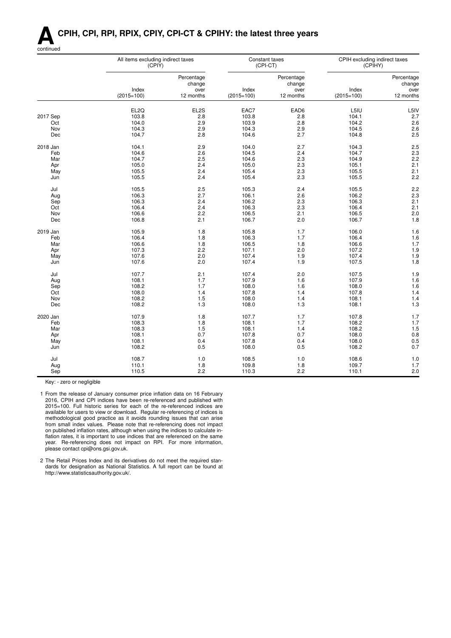## **ACPIH, CPI, RPI, RPIX, CPIY, CPI-CT & CPIHY: the latest three years**



|          | All items excluding indirect taxes<br>(CPIY) |                      |                       | Constant taxes<br>(CPI-CT) | CPIH excluding indirect taxes<br>(CPIHY) |                      |
|----------|----------------------------------------------|----------------------|-----------------------|----------------------------|------------------------------------------|----------------------|
|          |                                              | Percentage<br>change |                       | Percentage<br>change       |                                          | Percentage<br>change |
|          | Index<br>$(2015=100)$                        | over<br>12 months    | Index<br>$(2015=100)$ | over<br>12 months          | Index<br>$(2015=100)$                    | over<br>12 months    |
|          | EL2Q                                         | EL2S                 | EAC7                  | EAD6                       | L5IU                                     | L5IV                 |
| 2017 Sep | 103.8                                        | 2.8                  | 103.8                 | 2.8                        | 104.1                                    | 2.7                  |
| Oct      | 104.0                                        | 2.9                  | 103.9                 | 2.8                        | 104.2                                    | 2.6                  |
| Nov      | 104.3                                        | 2.9                  | 104.3                 | 2.9                        | 104.5                                    | 2.6                  |
| Dec      | 104.7                                        | 2.8                  | 104.6                 | 2.7                        | 104.8                                    | 2.5                  |
| 2018 Jan | 104.1                                        | 2.9                  | 104.0                 | 2.7                        | 104.3                                    | 2.5                  |
| Feb      | 104.6                                        | 2.6                  | 104.5                 | 2.4                        | 104.7                                    | 2.3                  |
| Mar      | 104.7                                        | 2.5                  | 104.6                 | 2.3                        | 104.9                                    | 2.2                  |
| Apr      | 105.0                                        | 2.4                  | 105.0                 | 2.3                        | 105.1                                    | 2.1                  |
| May      | 105.5                                        | 2.4                  | 105.4                 | 2.3                        | 105.5                                    | 2.1                  |
| Jun      | 105.5                                        | 2.4                  | 105.4                 | 2.3                        | 105.5                                    | 2.2                  |
| Jul      | 105.5                                        | 2.5                  | 105.3                 | 2.4                        | 105.5                                    | 2.2                  |
| Aug      | 106.3                                        | 2.7                  | 106.1                 | 2.6                        | 106.2                                    | 2.3                  |
| Sep      | 106.3                                        | 2.4                  | 106.2                 | 2.3                        | 106.3                                    | 2.1                  |
| Oct      | 106.4                                        | 2.4                  | 106.3                 | 2.3                        | 106.4                                    | 2.1                  |
| Nov      | 106.6                                        | 2.2                  | 106.5                 | 2.1                        | 106.5                                    | 2.0                  |
| Dec      | 106.8                                        | 2.1                  | 106.7                 | 2.0                        | 106.7                                    | 1.8                  |
| 2019 Jan | 105.9                                        | 1.8                  | 105.8                 | 1.7                        | 106.0                                    | 1.6                  |
| Feb      | 106.4                                        | 1.8                  | 106.3                 | 1.7                        | 106.4                                    | 1.6                  |
| Mar      | 106.6                                        | 1.8                  | 106.5                 | 1.8                        | 106.6                                    | 1.7                  |
| Apr      | 107.3                                        | 2.2                  | 107.1                 | 2.0                        | 107.2                                    | 1.9                  |
| May      | 107.6                                        | 2.0                  | 107.4                 | 1.9                        | 107.4                                    | 1.9                  |
| Jun      | 107.6                                        | 2.0                  | 107.4                 | 1.9                        | 107.5                                    | 1.8                  |
| Jul      | 107.7                                        | 2.1                  | 107.4                 | 2.0                        | 107.5                                    | 1.9                  |
| Aug      | 108.1                                        | 1.7                  | 107.9                 | 1.6                        | 107.9                                    | 1.6                  |
| Sep      | 108.2                                        | 1.7                  | 108.0                 | 1.6                        | 108.0                                    | 1.6                  |
| Oct      | 108.0                                        | 1.4                  | 107.8                 | 1.4                        | 107.8                                    | 1.4                  |
| Nov      | 108.2                                        | 1.5                  | 108.0                 | 1.4                        | 108.1                                    | 1.4                  |
| Dec      | 108.2                                        | 1.3                  | 108.0                 | 1.3                        | 108.1                                    | 1.3                  |
| 2020 Jan | 107.9                                        | 1.8                  | 107.7                 | 1.7                        | 107.8                                    | 1.7                  |
| Feb      | 108.3                                        | 1.8                  | 108.1                 | 1.7                        | 108.2                                    | 1.7                  |
| Mar      | 108.3                                        | 1.5                  | 108.1                 | 1.4                        | 108.2                                    | 1.5                  |
| Apr      | 108.1                                        | 0.7                  | 107.8                 | 0.7                        | 108.0                                    | 0.8                  |
| May      | 108.1                                        | 0.4                  | 107.8                 | 0.4                        | 108.0                                    | 0.5                  |
| Jun      | 108.2                                        | 0.5                  | 108.0                 | 0.5                        | 108.2                                    | 0.7                  |
| Jul      | 108.7                                        | 1.0                  | 108.5                 | 1.0                        | 108.6                                    | 1.0                  |
| Aug      | 110.1                                        | 1.8                  | 109.8                 | 1.8                        | 109.7                                    | 1.7                  |
| Sep      | 110.5                                        | 2.2                  | 110.3                 | 2.2                        | 110.1                                    | 2.0                  |

Key: - zero or negligible

1 From the release of January consumer price inflation data on 16 February 2016, CPIH and CPI indices have been re-referenced and published with 2015=100. Full historic series for each of the re-referenced indices are available for users to view or download. Regular re-referencing of indices is methodological good practice as it avoids rounding issues that can arise from small index values. Please note that re-referencing does not impact on published inflation rates, although when using the indices to calculate inflation rates, it is important to use indices that are referenced on the same year. Re-referencing does not impact on RPI. For more information, please contact cpi@ons.gsi.gov.uk.

2 The Retail Prices Index and its derivatives do not meet the required standards for designation as National Statistics. A full report can be found at http://www.statisticsauthority.gov.uk/.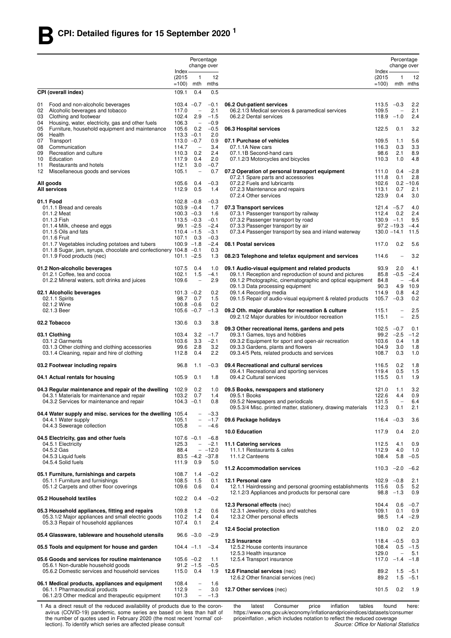|          |                                                                                                                      |                                | Percentage                                           | change over              |                                                                                            |                                 | Percentage<br>change over          |                     |
|----------|----------------------------------------------------------------------------------------------------------------------|--------------------------------|------------------------------------------------------|--------------------------|--------------------------------------------------------------------------------------------|---------------------------------|------------------------------------|---------------------|
|          |                                                                                                                      | Index-                         |                                                      |                          |                                                                                            | Index-                          |                                    |                     |
|          |                                                                                                                      | (2015)<br>$=100$               | -1                                                   | 12<br>mth mths           |                                                                                            | (2015)<br>$=100$                | 1                                  | 12<br>mth mths      |
|          | CPI (overall index)                                                                                                  | 109.1                          | 0.4                                                  | 0.5                      |                                                                                            |                                 |                                    |                     |
|          |                                                                                                                      |                                |                                                      |                          |                                                                                            |                                 |                                    |                     |
| 01       | Food and non-alcoholic beverages<br>02 Alcoholic beverages and tobacco                                               | $103.4 -0.7$<br>117.0          | $\overline{\phantom{a}}$                             | $-0.1$<br>2.1            | 06.2 Out-patient services<br>06.2.1/3 Medical services & paramedical services              | 113.5<br>109.5                  | $-0.3$<br>$\qquad \qquad -$        | 2.2<br>2.1          |
| 03       | Clothing and footwear                                                                                                | 102.4                          | 2.9                                                  | $-1.5$                   | 06.2.2 Dental services                                                                     | 118.9                           | $-1.0$                             | 2.4                 |
| 04<br>05 | Housing, water, electricity, gas and other fuels<br>Furniture, household equipment and maintenance                   | 106.3<br>105.6                 | $\overline{\phantom{a}}$<br>0.2                      | $-0.9$<br>$-0.5$         |                                                                                            | 122.5                           | 0.1                                | 3.2                 |
| 06       | Health                                                                                                               | $113.3 -0.1$                   |                                                      | 2.0                      | 06.3 Hospital services                                                                     |                                 |                                    |                     |
| 07       | Transport                                                                                                            | $113.0 - 0.7$                  | $\overline{\phantom{m}}$                             | 0.9<br>3.4               | 07.1 Purchase of vehicles<br>07.1.1A New cars                                              | 109.5                           | 1.1                                | 5.6                 |
| 08<br>09 | Communication<br>Recreation and culture                                                                              | 114.7<br>110.3                 | 0.2                                                  | 2.4                      | 07.1.1B Second-hand cars                                                                   | 116.3<br>98.6                   | 0.3<br>2.1                         | 3.3<br>8.9          |
| 10       | Education                                                                                                            | 117.9                          | 0.4                                                  | 2.0                      | 07.1.2/3 Motorcycles and bicycles                                                          | 110.3                           | 1.0                                | 4.8                 |
| 11<br>12 | Restaurants and hotels<br>Miscellaneous goods and services                                                           | 112.1<br>105.1                 | 3.0<br>$\qquad \qquad -$                             | $-0.7$<br>0.7            | 07.2 Operation of personal transport equipment                                             | 111.0                           | 0.4                                | $-2.8$              |
|          |                                                                                                                      |                                |                                                      |                          | 07.2.1 Spare parts and accessories                                                         | 111.8                           | 0.1                                | 2.8                 |
|          | All goods<br><b>All services</b>                                                                                     | 105.6<br>112.9                 | 0.4<br>0.5                                           | $-0.3$<br>1.4            | 07.2.2 Fuels and lubricants<br>07.2.3 Maintenance and repairs                              | 102.6<br>113.1                  | 0.7                                | $0.2 - 10.6$<br>2.1 |
|          |                                                                                                                      |                                |                                                      |                          | 07.2.4 Other services                                                                      | 123.9                           | 0.4                                | 3.0                 |
|          | 01.1 Food<br>01.1.1 Bread and cereals                                                                                | $102.8 - 0.8$<br>$103.9 - 0.4$ |                                                      | $-0.3$<br>1.7            | 07.3 Transport services                                                                    | $121.4 -5.7$                    |                                    | 4.0                 |
|          | 01.1.2 Meat                                                                                                          | $100.3 -0.3$                   |                                                      | 1.6                      | 07.3.1 Passenger transport by railway                                                      | 112.4                           | 0.2                                | 2.4                 |
|          | 01.1.3 Fish                                                                                                          | $113.5 - 0.3$                  |                                                      | $-0.1$                   | 07.3.2 Passenger transport by road                                                         | $130.9 - 1.1$                   |                                    | 9.5                 |
|          | 01.1.4 Milk, cheese and eggs<br>01.1.5 Oils and fats                                                                 | $110.4 -1.5$                   | $99.1 -2.5$                                          | $-2.4$<br>$-3.1$         | 07.3.3 Passenger transport by air<br>07.3.4 Passenger transport by sea and inland waterway | $97.2 - 19.3$<br>$130.0 - 14.1$ |                                    | $-4.4$<br>11.5      |
|          | 01.1.6 Fruit                                                                                                         | 107.1                          | 0.3                                                  | $-0.3$                   |                                                                                            |                                 |                                    |                     |
|          | 01.1.7 Vegetables including potatoes and tubers<br>01.1.8 Sugar, jam, syrups, chocolate and confectionery 104.8 -0.1 | $100.9 - 1.8$                  |                                                      | $-2.4$<br>0.3            | 08.1 Postal services                                                                       | 117.0                           | 0.2                                | 5.6                 |
|          | 01.1.9 Food products (nec)                                                                                           | $101.1 -2.5$                   |                                                      | 1.3                      | 08.2/3 Telephone and telefax equipment and services                                        | 114.6                           |                                    | 3.2                 |
|          | 01.2 Non-alcoholic beverages                                                                                         | 107.5                          | 0.4                                                  | 1.0                      | 09.1 Audio-visual equipment and related products                                           | 93.9                            | 2.0                                | 4.1                 |
|          | 01.2.1 Coffee, tea and cocoa                                                                                         | 102.1                          | 1.5                                                  | $-4.1$                   | 09.1.1 Reception and reproduction of sound and pictures                                    | 85.8                            | $-0.5$                             | $-2.4$              |
|          | 01.2.2 Mineral waters, soft drinks and juices                                                                        | 109.6                          | $\overline{\phantom{0}}$                             | 2.9                      | 09.1.2 Photographic, cinematographic and optical equipment                                 | 84.8                            | $\overline{\phantom{a}}$           | $-6.4$              |
|          | 02.1 Alcoholic beverages                                                                                             | $101.3 -0.2$                   |                                                      | 0.2                      | 09.1.3 Data processing equipment<br>09.1.4 Recording media                                 | 90.3<br>114.9                   | 4.9<br>0.8                         | 10.9<br>4.2         |
|          | 02.1.1 Spirits                                                                                                       | 98.7                           | 0.7                                                  | 1.5                      | 09.1.5 Repair of audio-visual equipment & related products                                 | 105.7                           | $-0.3$                             | 0.2                 |
|          | 02.1.2 Wine<br>02.1.3 Beer                                                                                           | $100.8 - 0.6$<br>$105.6 -0.7$  |                                                      | 0.2<br>-1.3              | 09.2 Oth. major durables for recreation & culture                                          | 115.1                           |                                    | 2.5                 |
|          |                                                                                                                      |                                |                                                      |                          | 09.2.1/2 Major durables for in/outdoor recreation                                          | 115.1                           | $\overline{\phantom{0}}$           | 2.5                 |
|          | 02.2 Tobacco                                                                                                         | 130.6                          | 0.3                                                  | 3.8                      | 09.3 Other recreational items, gardens and pets                                            | $102.5 -0.7$                    |                                    | 0.1                 |
|          | 03.1 Clothing                                                                                                        | 103.4                          | 3.2                                                  | $-1.7$                   | 09.3.1 Games, toys and hobbies                                                             |                                 | $99.2 -2.5$                        | $-1.2$              |
|          | 03.1.2 Garments                                                                                                      | 103.6                          | 3.3                                                  | $-2.1$                   | 09.3.2 Equipment for sport and open-air recreation                                         | 103.6                           | 0.4                                | 1.8                 |
|          | 03.1.3 Other clothing and clothing accessories<br>03.1.4 Cleaning, repair and hire of clothing                       | 99.6<br>112.8                  | 2.8<br>0.4                                           | 3.2<br>2.2               | 09.3.3 Gardens, plants and flowers<br>09.3.4/5 Pets, related products and services         | 104.9<br>108.7                  | 3.0<br>0.3                         | 1.8<br>1.0          |
|          |                                                                                                                      |                                |                                                      |                          |                                                                                            |                                 |                                    |                     |
|          | 03.2 Footwear including repairs                                                                                      | 96.8                           | 1.1                                                  | $-0.3$                   | 09.4 Recreational and cultural services<br>09.4.1 Recreational and sporting services       | 116.5<br>119.4                  | 0.2<br>0.5                         | 1.8<br>1.5          |
|          | 04.1 Actual rentals for housing                                                                                      | 105.9                          | 0.1                                                  | 1.8                      | 09.4.2 Cultural services                                                                   | 115.5                           | 0.1                                | 1.9                 |
|          | 04.3 Regular maintenance and repair of the dwelling                                                                  | 102.9                          | 0.2                                                  | 1.0                      | 09.5 Books, newspapers and stationery                                                      | 121.0                           | 1.1                                | 3.2                 |
|          | 04.3.1 Materials for maintenance and repair<br>04.3.2 Services for maintenance and repair                            | 103.2<br>$104.3 -0.1$          | 0.7                                                  | 1.4<br>0.8               | 09.5.1 Books<br>09.5.2 Newspapers and periodicals                                          | 122.6<br>131.5                  | 4.4<br>$\qquad \qquad -$           | 0.9<br>6.4          |
|          |                                                                                                                      |                                |                                                      |                          | 09.5.3/4 Misc. printed matter, stationery, drawing materials                               | 112.3                           | 0.1                                | 2.1                 |
|          | 04.4 Water supply and misc. services for the dwelling 105.4<br>04.4.1 Water supply                                   | 105.1                          | $\overline{\phantom{0}}$<br>$\overline{\phantom{0}}$ | $-3.3$                   |                                                                                            | $116.4 -0.3$                    |                                    |                     |
|          | 04.4.3 Sewerage collection                                                                                           | 105.8                          | $\overline{\phantom{0}}$                             | $-1.7$<br>$-4.6$         | 09.6 Package holidays                                                                      |                                 |                                    | 3.6                 |
|          |                                                                                                                      |                                |                                                      |                          | 10.0 Education                                                                             | 117.9                           | 0.4                                | 2.0                 |
|          | 04.5 Electricity, gas and other fuels<br>04.5.1 Electricity                                                          | $107.6 -0.1$<br>125.3          | $\overline{\phantom{a}}$                             | $-6.8$<br>$-2.1$         | 11.1 Catering services                                                                     | 112.5                           | 4.1                                | 0.9                 |
|          | 04.5.2 Gas                                                                                                           | 88.4                           |                                                      | $- -12.0$                | 11.1.1 Restaurants & cafes                                                                 | 112.9                           | 4.0                                | 1.0                 |
|          | 04.5.3 Liquid fuels<br>04.5.4 Solid fuels                                                                            | 111.9                          | 0.9                                                  | $83.5 -4.2 -37.8$<br>5.0 | 11.1.2 Canteens                                                                            | 108.4                           | 5.8                                | $-0.5$              |
|          |                                                                                                                      |                                |                                                      |                          | 11.2 Accommodation services                                                                | $110.3 -2.0$                    |                                    | $-6.2$              |
|          | 05.1 Furniture, furnishings and carpets                                                                              | 108.7                          | 1.4                                                  | $-0.2$                   | 12.1 Personal care                                                                         |                                 |                                    |                     |
|          | 05.1.1 Furniture and furnishings<br>05.1.2 Carpets and other floor coverings                                         | 108.5<br>109.6                 | 1.5<br>0.6                                           | 0.1<br>0.4               | 12.1.1 Hairdressing and personal grooming establishments                                   | $102.9 - 0.8$<br>115.6          | 0.5                                | 2.1<br>5.2          |
|          |                                                                                                                      |                                |                                                      |                          | 12.1.2/3 Appliances and products for personal care                                         | 98.8                            | $-1.3$                             | 0.9                 |
|          | 05.2 Household textiles                                                                                              | 102.2                          | 0.4                                                  | $-0.2$                   | 12.3 Personal effects (nec)                                                                | 104.4                           | 0.6                                | $-0.7$              |
|          | 05.3 Household appliances, fitting and repairs                                                                       | 109.8                          | 1.2                                                  | 0.6                      | 12.3.1 Jewellery, clocks and watches                                                       | 109.1                           | 0.1                                | 0.9                 |
|          | 05.3.1/2 Major appliances and small electric goods<br>05.3.3 Repair of household appliances                          | 110.2<br>107.4                 | 1.4<br>0.1                                           | 0.4<br>2.4               | 12.3.2 Other personal effects                                                              | 98.5                            | 1.4                                | $-2.9$              |
|          |                                                                                                                      |                                |                                                      |                          | 12.4 Social protection                                                                     | 118.0                           | 0.2                                | 2.0                 |
|          | 05.4 Glassware, tableware and household utensils                                                                     |                                | $96.6 -3.0$                                          | $-2.9$                   | 12.5 Insurance                                                                             | $118.4 -0.5$                    |                                    | 0.3                 |
|          | 05.5 Tools and equipment for house and garden                                                                        | $104.4 -1.1$                   |                                                      | $-3.4$                   | 12.5.2 House contents insurance                                                            | 108.4                           | 0.5                                | $-1.5$              |
|          | 05.6 Goods and services for routine maintenance                                                                      | $105.6 -0.2$                   |                                                      | 1.1                      | 12.5.3 Health insurance<br>12.5.4 Transport insurance                                      | 129.0<br>117.0                  | $\overline{\phantom{a}}$<br>$-1.4$ | 5.1<br>$-1.8$       |
|          | 05.6.1 Non-durable household goods                                                                                   |                                | $91.2 - 1.5$                                         | $-0.5$                   |                                                                                            |                                 |                                    |                     |
|          | 05.6.2 Domestic services and household services                                                                      | 115.0                          | 0.4                                                  | 1.9                      | 12.6 Financial services (nec)<br>12.6.2 Other financial services (nec)                     | 89.2<br>89.2                    | 1.5<br>1.5                         | $-5.1$<br>$-5.1$    |
|          | 06.1 Medical products, appliances and equipment                                                                      | 108.4                          | $\overline{\phantom{0}}$                             | 1.6                      |                                                                                            |                                 |                                    |                     |
|          | 06.1.1 Pharmaceutical products<br>06.1.2/3 Other medical and therapeutic equipment                                   | 112.9<br>101.3                 | $\overline{\phantom{0}}$<br>$\overline{\phantom{0}}$ | 3.0<br>$-1.3$            | 12.7 Other services (nec)                                                                  | 101.5                           | 0.2                                | 1.9                 |
|          |                                                                                                                      |                                |                                                      |                          |                                                                                            |                                 |                                    |                     |

1 As a direct result of the reduced availability of products due to the coronavirus (COVID-19) pandemic, some series are based on less than half of the number of quotes used in February 2020 (the most recent 'normal' collection). To identify which series are affected please consult

the latest Consumer price inflation tables found here: https://www.ons.gov.uk/economy/inflationandpriceindices/datasets/consumer priceinflation, which includes notation to reflect the reduced coverage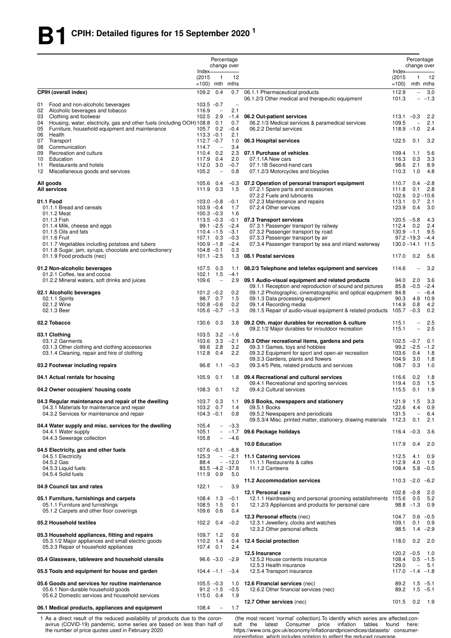|          |                                                                                                                              |                                | Percentage                      | change over                     |                                                                                                                            |                        |                          | Percentage<br>change over    |
|----------|------------------------------------------------------------------------------------------------------------------------------|--------------------------------|---------------------------------|---------------------------------|----------------------------------------------------------------------------------------------------------------------------|------------------------|--------------------------|------------------------------|
|          |                                                                                                                              | Index-<br>(2015)               | $\overline{1}$                  | 12                              |                                                                                                                            | Index-<br>(2015)       | 1                        | 12                           |
|          |                                                                                                                              | $=100$ ) mth mths              |                                 |                                 |                                                                                                                            | $=100$                 |                          | mth mths                     |
|          | <b>CPIH (overall index)</b>                                                                                                  | 109.2 0.4                      |                                 | 0.7                             | 06.1.1 Pharmaceutical products<br>06.1.2/3 Other medical and therapeutic equipment                                         | 112.9<br>101.3         | $\overline{\phantom{0}}$ | 3.0<br>$- -1.3$              |
| 01<br>02 | Food and non-alcoholic beverages<br>Alcoholic beverages and tobacco                                                          | $103.5 -0.7$<br>116.9          | $\overline{\phantom{a}}$        | $\overline{\phantom{a}}$<br>2.1 |                                                                                                                            |                        |                          |                              |
| 03       | Clothing and footwear                                                                                                        | 102.5 2.9                      |                                 | $-1.4$                          | 06.2 Out-patient services                                                                                                  | $113.1 -0.3$           |                          | 2.2                          |
| 04<br>05 | Housing, water, electricity, gas and other fuels (including OOH) 108.8 0.1<br>Furniture, household equipment and maintenance | 105.7 0.2                      |                                 | 0.7<br>$-0.4$                   | 06.2.1/3 Medical services & paramedical services<br>06.2.2 Dental services                                                 | 109.5<br>$118.9 - 1.0$ | $\overline{\phantom{0}}$ | 2.1<br>2.4                   |
| 06       | Health                                                                                                                       | $113.3 - 0.1$                  |                                 | 2.1                             |                                                                                                                            |                        |                          |                              |
| 07       | Transport                                                                                                                    | $112.7 - 0.7$                  |                                 | 1.0                             | 06.3 Hospital services                                                                                                     | 122.5                  | 0.1                      | 3.2                          |
| 08<br>09 | Communication<br>Recreation and culture                                                                                      | 114.7<br>110.4 0.2             | $\overline{\phantom{a}}$        | 3.4<br>2.3                      | 07.1 Purchase of vehicles                                                                                                  | 109.4                  | 1.1                      | 5.6                          |
| 10       | Education                                                                                                                    | 117.9 0.4                      |                                 | 2.0                             | 07.1.1A New cars                                                                                                           | 116.3                  | 0.3                      | 3.3                          |
| 11<br>12 | Restaurants and hotels<br>Miscellaneous goods and services                                                                   | 112.0<br>105.2                 | 3.0<br>$\overline{\phantom{0}}$ | $-0.7$<br>0.8                   | 07.1.1B Second-hand cars<br>07.1.2/3 Motorcycles and bicycles                                                              | 98.6<br>110.3          | 2.1<br>1.0               | 8.9<br>4.8                   |
|          | All goods                                                                                                                    | 105.6 0.4                      |                                 | $-0.3$                          | 07.2 Operation of personal transport equipment                                                                             | 110.7                  | 0.4                      | $-2.8$                       |
|          | <b>All services</b>                                                                                                          | 111.9 0.3                      |                                 | 1.5                             | 07.2.1 Spare parts and accessories                                                                                         | 111.8                  | 0.1                      | 2.8                          |
|          | 01.1 Food                                                                                                                    | $103.0 - 0.8$                  |                                 | $-0.1$                          | 07.2.2 Fuels and lubricants<br>07.2.3 Maintenance and repairs                                                              | 102.6<br>113.1         | 0.7                      | $0.2 - 10.6$<br>2.1          |
|          | 01.1.1 Bread and cereals                                                                                                     | $103.9 - 0.4$                  |                                 | 1.7                             | 07.2.4 Other services                                                                                                      | 123.9                  | 0.4                      | 3.0                          |
|          | 01.1.2 Meat<br>01.1.3 Fish                                                                                                   | $100.3 - 0.3$<br>$113.5 - 0.3$ |                                 | 1.6<br>$-0.1$                   | 07.3 Transport services                                                                                                    | $120.5 -5.8$           |                          | 4.3                          |
|          | 01.1.4 Milk, cheese and eggs                                                                                                 |                                | $99.1 - 2.5$                    | $-2.4$                          | 07.3.1 Passenger transport by railway                                                                                      | 112.4                  | 0.2                      | 2.4                          |
|          | 01.1.5 Oils and fats                                                                                                         | $110.4 - 1.5$                  |                                 | $-3.1$                          | 07.3.2 Passenger transport by road                                                                                         | $130.9 -1.1$           |                          | 9.5                          |
|          | 01.1.6 Fruit<br>01.1.7 Vegetables including potatoes and tubers                                                              | 107.1 0.3<br>$100.9 - 1.8$     |                                 | $-0.3$<br>$-2.4$                | 07.3.3 Passenger transport by air<br>07.3.4 Passenger transport by sea and inland waterway                                 | $130.0 - 14.1$ 11.5    | $97.2 - 19.3$            | $-4.4$                       |
|          | 01.1.8 Sugar, jam, syrups, chocolate and confectionery                                                                       | $104.8 - 0.1$                  |                                 | 0.3                             |                                                                                                                            |                        |                          |                              |
|          | 01.1.9 Food products (nec)                                                                                                   | $101.1 - 2.5$                  |                                 | 1.3                             | 08.1 Postal services                                                                                                       | 117.0                  | 0.2                      | 5.6                          |
|          | 01.2 Non-alcoholic beverages<br>01.2.1 Coffee, tea and cocoa                                                                 | 107.5 0.3<br>102.1             | 1.5                             | 1.1<br>$-4.1$                   | 08.2/3 Telephone and telefax equipment and services                                                                        | 114.6                  |                          | 3.2                          |
|          | 01.2.2 Mineral waters, soft drinks and juices                                                                                | 109.6                          | $\overline{\phantom{a}}$        | 2.9                             | 09.1 Audio-visual equipment and related products                                                                           | 94.0                   | 2.0                      | 3.6                          |
|          | 02.1 Alcoholic beverages                                                                                                     | $101.2 -0.2$                   |                                 | 0.2                             | 09.1.1 Reception and reproduction of sound and pictures<br>09.1.2 Photographic, cinematographic and optical equipment 84.8 |                        | $\overline{\phantom{a}}$ | $85.8 - 0.5 - 2.4$<br>$-6.4$ |
|          | 02.1.1 Spirits                                                                                                               |                                | 98.7 0.7                        | 1.5                             | 09.1.3 Data processing equipment                                                                                           | 90.3                   | 4.9                      | 10.9                         |
|          | 02.1.2 Wine<br>02.1.3 Beer                                                                                                   | $100.8 - 0.6$<br>$105.6 - 0.7$ |                                 | 0.2<br>$-1.3$                   | 09.1.4 Recording media<br>09.1.5 Repair of audio-visual equipment & related products                                       | 114.9<br>$105.7 -0.3$  | 0.8                      | 4.2<br>0.2                   |
|          | 02.2 Tobacco                                                                                                                 | 130.6 0.3                      |                                 | 3.8                             | 09.2 Oth. major durables for recreation & culture                                                                          | 115.1                  | $\overline{\phantom{a}}$ | 2.5                          |
|          | 03.1 Clothing                                                                                                                | 103.5 3.2                      |                                 | $-1.6$                          | 09.2.1/2 Major durables for in/outdoor recreation                                                                          | 115.1                  | $\overline{a}$           | 2.5                          |
|          | 03.1.2 Garments                                                                                                              | 103.6 3.3                      |                                 | $-2.1$                          | 09.3 Other recreational items, gardens and pets                                                                            | $102.5 -0.7$           |                          | 0.1                          |
|          | 03.1.3 Other clothing and clothing accessories<br>03.1.4 Cleaning, repair and hire of clothing                               | 112.8 0.4                      | 99.6 2.8                        | 3.2<br>2.2                      | 09.3.1 Games, toys and hobbies<br>09.3.2 Equipment for sport and open-air recreation                                       | 103.6                  | $99.2 -2.5$<br>0.4       | $-1.2$<br>1.8                |
|          |                                                                                                                              |                                |                                 |                                 | 09.3.3 Gardens, plants and flowers<br>09.3.4/5 Pets, related products and services                                         | 104.9<br>108.7         | 3.0<br>0.3               | 1.8                          |
|          | 03.2 Footwear including repairs                                                                                              | 96.8<br>105.9 0.1              | 1.1                             | $-0.3$                          |                                                                                                                            |                        |                          | 1.0                          |
|          | 04.1 Actual rentals for housing                                                                                              |                                |                                 |                                 | 1.8 09.4 Recreational and cultural services<br>09.4.1 Recreational and sporting services                                   | 116.6<br>119.4         | 0.2<br>0.5               | 1.8<br>1.5                   |
|          | 04.2 Owner occupiers' housing costs                                                                                          | 108.3 0.1                      |                                 | 1.2                             | 09.4.2 Cultural services                                                                                                   | 115.5                  | 0.1                      | 1.9                          |
|          | 04.3 Regular maintenance and repair of the dwelling<br>04.3.1 Materials for maintenance and repair                           | 103.7 0.3<br>103.2 0.7         |                                 | 1.1<br>1.4                      | 09.5 Books, newspapers and stationery<br>09.5.1 Books                                                                      | 121.9<br>122.6         | 1.5<br>4.4               | 3.3<br>0.9                   |
|          | 04.3.2 Services for maintenance and repair                                                                                   | $104.3 - 0.1$                  |                                 | 0.8                             | 09.5.2 Newspapers and periodicals                                                                                          | 131.5                  | $\overline{\phantom{0}}$ | 6.4                          |
|          |                                                                                                                              |                                |                                 |                                 | 09.5.3/4 Misc. printed matter, stationery, drawing materials                                                               | 112.3                  | 0.1                      | 2.1                          |
|          | 04.4 Water supply and misc. services for the dwelling<br>04.4.1 Water supply                                                 | 105.4<br>105.1                 | $-$                             | $-3.3$<br>$- -1.7$              | 09.6 Package holidays                                                                                                      | $116.4 -0.3$           |                          | 3.6                          |
|          | 04.4.3 Sewerage collection                                                                                                   | 105.8                          | $\overline{a}$                  | $-4.6$                          |                                                                                                                            |                        |                          |                              |
|          | 04.5 Electricity, gas and other fuels                                                                                        | $107.6 - 0.1 - 6.8$            |                                 |                                 | 10.0 Education                                                                                                             | 117.9                  | 0.4                      | 2.0                          |
|          | 04.5.1 Electricity                                                                                                           | 125.3                          | $ \,$                           |                                 | -2.1 11.1 Catering services                                                                                                | 112.5                  | 4.1                      | 0.9                          |
|          | 04.5.2 Gas                                                                                                                   | 88.4                           |                                 | $-12.0$                         | 11.1.1 Restaurants & cafes                                                                                                 | 112.9                  | 4.0                      | 1.0                          |
|          | 04.5.3 Liquid fuels<br>04.5.4 Solid fuels                                                                                    | 111.9 0.9                      |                                 | $83.5 - 4.2 - 37.8$<br>5.0      | 11.1.2 Canteens                                                                                                            | 108.4                  |                          | $5.8 - 0.5$                  |
|          |                                                                                                                              |                                |                                 |                                 | 11.2 Accommodation services                                                                                                | $110.3 -2.0 -6.2$      |                          |                              |
|          | 04.9 Council tax and rates                                                                                                   | 122.1                          | $\overline{\phantom{a}}$        | 3.9                             | 12.1 Personal care                                                                                                         | $102.8 - 0.8$          |                          | 2.0                          |
|          | 05.1 Furniture, furnishings and carpets                                                                                      | 108.4 1.3                      |                                 | $-0.1$                          | 12.1.1 Hairdressing and personal grooming establishments 115.6                                                             |                        | 0.5                      | 5.2                          |
|          | 05.1.1 Furniture and furnishings<br>05.1.2 Carpets and other floor coverings                                                 | 108.5 1.5<br>109.6 0.6         |                                 | 0.1<br>0.4                      | 12.1.2/3 Appliances and products for personal care                                                                         |                        | $98.8 - 1.3$             | 0.9                          |
|          |                                                                                                                              |                                |                                 |                                 | 12.3 Personal effects (nec)                                                                                                | 104.7                  |                          | $0.6 - 0.5$                  |
|          | 05.2 Household textiles                                                                                                      | 102.2 0.4                      |                                 | $-0.2$                          | 12.3.1 Jewellery, clocks and watches<br>12.3.2 Other personal effects                                                      | 109.1<br>98.5          | 0.1                      | 0.9<br>$1.4 -2.9$            |
|          | 05.3 Household appliances, fitting and repairs                                                                               | 109.7 1.2                      |                                 | 0.6                             |                                                                                                                            |                        |                          |                              |
|          | 05.3.1/2 Major appliances and small electric goods<br>05.3.3 Repair of household appliances                                  | 110.2 1.4<br>107.4 0.1         |                                 | 0.4<br>2.4                      | 12.4 Social protection                                                                                                     | 118.0                  | 0.2                      | 2.0                          |
|          | 05.4 Glassware, tableware and household utensils                                                                             |                                | $96.6 - 3.0$                    | $-2.9$                          | 12.5 Insurance<br>12.5.2 House contents insurance                                                                          | $120.2 -0.5$<br>108.4  |                          | 1.0<br>$0.5 -1.5$            |
|          |                                                                                                                              |                                |                                 |                                 | 12.5.3 Health insurance                                                                                                    | 129.0                  | $\overline{\phantom{0}}$ | 5.1                          |
|          | 05.5 Tools and equipment for house and garden                                                                                | $104.4 - 1.1$                  |                                 | $-3.4$                          | 12.5.4 Transport insurance                                                                                                 | $117.0 -1.4 -1.8$      |                          |                              |
|          | 05.6 Goods and services for routine maintenance                                                                              | $105.5 - 0.3$                  |                                 | 1.0                             | 12.6 Financial services (nec)                                                                                              | 89.2                   |                          | $1.5 - 5.1$                  |
|          | 05.6.1 Non-durable household goods<br>05.6.2 Domestic services and household services                                        | 115.0 0.4                      | $91.2 - 1.5$                    | $-0.5$<br>1.9                   | 12.6.2 Other financial services (nec)                                                                                      | 89.2                   |                          | $1.5 - 5.1$                  |
|          | 06.1 Medical products, appliances and equipment                                                                              | 108.4                          | $\overline{\phantom{a}}$        | 1.7                             | 12.7 Other services (nec)                                                                                                  | 101.5 0.2              |                          | 1.9                          |
|          |                                                                                                                              |                                |                                 |                                 |                                                                                                                            |                        |                          |                              |

1 As a direct result of the reduced availability of products due to the coron-<br>avirus (COVID-19) pandemic, some series are based on less than half of<br>the number of price quotes used in February 2020

(the most recent 'normal' collection). To identify which series are affected,con-<br>sult the latest Consumer price inflation tables found here:<br>https://www.ons.gov.uk/economy/inflationandpriceindices/datasets/ consumer-<br>pric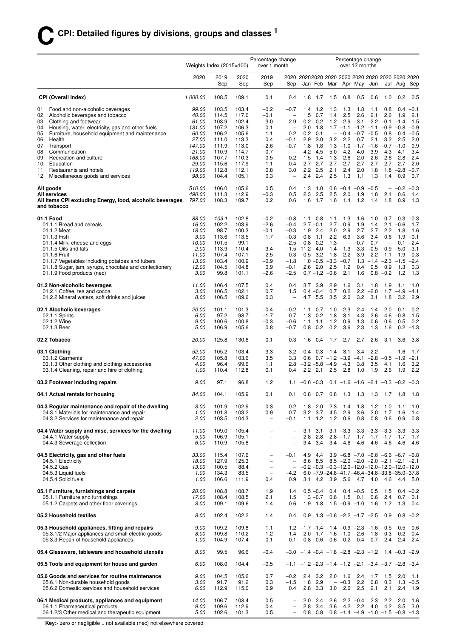|          |                                                                                                      | Weights Index $(2015=100)$ |                |                | Percentage change<br>over 1 month             |                                    |                                                                                        |                            |                                                                      |                          | Percentage change<br>over 12 months                                        |                         |                          |                      |                       |
|----------|------------------------------------------------------------------------------------------------------|----------------------------|----------------|----------------|-----------------------------------------------|------------------------------------|----------------------------------------------------------------------------------------|----------------------------|----------------------------------------------------------------------|--------------------------|----------------------------------------------------------------------------|-------------------------|--------------------------|----------------------|-----------------------|
|          |                                                                                                      | 2020                       | 2019<br>Sep    | 2020<br>Sep    | 2019<br>Sep                                   | Sep                                | 2020 20202020 2020 2020 2020 2020 2020 2020 2020                                       |                            | Jan Feb Mar                                                          |                          | Apr May                                                                    | Jun                     |                          | Jul Aug              | Sep                   |
|          | <b>CPI (Overall Index)</b>                                                                           | 1 000.00                   | 108.5          | 109.1          | 0.1                                           | 0.4                                | 1.8                                                                                    | 1.7                        | 1.5                                                                  | 0.8                      | 0.5                                                                        | 0.6                     | 1.0                      | 0.2                  | 0.5                   |
| 01       | Food and non-alcoholic beverages                                                                     | 99.00                      | 103.5          | 103.4          | $-0.2$                                        | $-0.7$                             | 1.4                                                                                    | 1.2                        | 1.3                                                                  | 1.3                      | 1.8                                                                        | 1.1                     | 0.8                      | 0.4                  | $-0.1$                |
| 02<br>03 | Alcoholic beverages and tobacco<br>Clothing and footwear                                             | 40.00<br>61.00             | 114.5<br>103.9 | 117.0<br>102.4 | $-0.1$<br>3.0                                 | $\equiv$<br>2.9                    | 1.5<br>0.2                                                                             | 0.7                        | 1.4<br>$0.2 -1.2 -2.9 -3.1 -2.2 -0.1 -1.4$                           | 2.5                      | 2.6                                                                        | 2.1                     | 2.6                      | 1.9                  | 2.1<br>$-1.5$         |
| 04       | Housing, water, electricity, gas and other fuels                                                     | 131.00                     | 107.2          | 106.3          | 0.1                                           |                                    | 2.0                                                                                    | 1.8                        |                                                                      |                          | $1.7 - 1.1 - 1.2 - 1.1 - 0.9$                                              |                         |                          | $-0.8$               | $-0.9$                |
| 05       | Furniture, household equipment and maintenance                                                       | 60.00                      | 106.2          | 105.6          | 1.1                                           | 0.2                                |                                                                                        | $0.2 \quad 0.1$            |                                                                      |                          | $-$ -0.4 -0.7 -0.5                                                         |                         | 0.8                      | 0.4                  | $-0.5$                |
| 06<br>07 | Health<br>Transport                                                                                  | 27.00<br>147.00            | 111.0<br>111.9 | 113.3<br>113.0 | 0.4<br>$-2.6$                                 | $-0.1$<br>$-0.7$                   | 2.9<br>1.8                                                                             | 3.0<br>1.8                 | 3.2                                                                  | 2.2<br>$1.3 - 1.0$       | 0.7<br>$-1.7 -1.6$                                                         | 2.1                     | 3.2<br>$-0.7 -1.0$       | 2.5                  | 2.0<br>0.9            |
| 08       | Communication                                                                                        | 21.00                      | 110.9          | 114.7          | 0.7                                           | $\overline{\phantom{a}}$           |                                                                                        | 4.2 4.5                    | 5.0                                                                  | 4.2                      | 4.0                                                                        | 3.9                     | 4.3                      | 4.1                  | 3.4                   |
| 09       | Recreation and culture                                                                               | 168.00                     | 107.7          | 110.3          | 0.5                                           | 0.2                                | 1.5                                                                                    | 1.4                        | 1.3                                                                  | 2.6                      | 2.0                                                                        | 2.6                     | 2.6                      | 2.8                  | 2.4                   |
| 10<br>11 | Education<br>Restaurants and hotels                                                                  | 29.00<br>119.00            | 115.6<br>112.8 | 117.9<br>112.1 | 1.1<br>0.8                                    | 0.4<br>3.0                         | 2.7                                                                                    | 2.7<br>$2.2$ 2.5           | 2.7<br>2.1                                                           | 2.7<br>2.4               | 2.7<br>2.0                                                                 | 2.7<br>1.8              | 2.7<br>1.8               | 2.7<br>$-2.8$ $-0.7$ | 2.0                   |
| 12       | Miscellaneous goods and services                                                                     | 98.00                      | 104.4          | 105.1          | 0.3                                           | $\overline{\phantom{0}}$           | 2.4                                                                                    | 2.4                        | 2.5                                                                  | 1.3                      | 1.1                                                                        | 1.3                     | 1.4                      | 0.9                  | 0.7                   |
|          | All goods<br><b>All services</b>                                                                     | 510.00<br>490.00           | 106.0<br>111.3 | 105.6<br>112.9 | 0.5<br>$-0.3$                                 | 0.4<br>0.5                         | 1.3<br>2.3                                                                             | 1.0<br>2.5                 | 2.5                                                                  | 2.0                      | $0.6 -0.4 -0.9 -0.5$<br>1.9                                                | 1.8                     | 2.1                      | $-$ -0.2 -0.3<br>0.6 | 1.4                   |
|          | All items CPI excluding Energy, food, alcoholic beverages<br>and tobacco                             | 797.00                     | 108.3          | 109.7          | 0.2                                           | 0.6                                | 1.6                                                                                    | 1.7                        | 1.6                                                                  | 1.4                      | 1.2                                                                        | 1.4                     | 1.8                      | 0.9                  | 1.3                   |
|          | 01.1 Food                                                                                            | 88.00                      | 103.1          | 102.8          | $-0.2$                                        | $-0.8$                             |                                                                                        | $1.1 \t0.8$                | 1.1                                                                  | 1.3                      | 1.6                                                                        | 1.0                     | 0.7                      | 0.3                  | $-0.3$                |
|          | 01.1.1 Bread and cereals<br>01.1.2 Meat                                                              | 16.00<br>18.00             | 102.2<br>98.7  | 103.9<br>100.3 | $-2.6$<br>$-0.1$                              | $-0.4$<br>$-0.3$                   |                                                                                        | $2.7 - 0.1$<br>$1.9$ 2.4   | 2.7<br>2.0                                                           | 0.9<br>2.9               | 1.9<br>2.7                                                                 | 1.4<br>2.7              | 2.1<br>2.2               | $-0.6$<br>1.8        | 1.7<br>1.6            |
|          | 01.1.3 Fish                                                                                          | 3.00                       | 113.6          | 113.5          | 1.7                                           | $-0.3$                             | 0.8                                                                                    | 1.1                        | 2.2                                                                  | 6.9                      | 3.6                                                                        | 3.4                     | 0.6                      | 1.9                  | $-0.1$                |
|          | 01.1.4 Milk, cheese and eggs                                                                         | 10.00                      | 101.5          | 99.1           | $\overline{\phantom{a}}$                      | $-2.5$                             |                                                                                        | $0.8$ 0.2                  | 1.3                                                                  | $\overline{\phantom{a}}$ | $-0.7$                                                                     | 0.7                     | $\overline{\phantom{a}}$ | 0.1                  | $-2.4$                |
|          | 01.1.5 Oils and fats<br>01.1.6 Fruit                                                                 | 2.00<br>11.00              | 113.9<br>107.4 | 110.4<br>107.1 | $-3.4$<br>2.5                                 | 0.3                                | $-1.5 - 11.2 - 4.0$                                                                    | $0.5$ 3.2                  | 1.4<br>1.8                                                           | 1.3<br>2.2               | 3.9                                                                        | $3.3 - 0.5$<br>2.2      | 0.9<br>1.1               | $-5.0 -3.1$<br>1.9   | $-0.3$                |
|          | 01.1.7 Vegetables including potatoes and tubers                                                      | 13.00                      | 103.4          | 100.9          | $-0.9$                                        | $-1.8$                             |                                                                                        |                            | $1.0 - 0.5 - 3.3 - 0.7$                                              |                          |                                                                            | $1.3 - 1.4 - 2.3 - 1.5$ |                          |                      | $-2.4$                |
|          | 01.1.8 Sugar, jam, syrups, chocolate and confectionery<br>01.1.9 Food products (nec)                 | 12.00<br>3.00              | 104.5<br>99.8  | 104.8<br>101.1 | 0.9<br>$-2.6$                                 | $-0.1$<br>-2.5                     |                                                                                        | $2.6$ 2.0                  | 2.5<br>$0.7 - 1.2 - 0.6$                                             | 1.2<br>2.1               | 0.4<br>1.6                                                                 | 0.5<br>0.8              | 0.9<br>$-0.2$            | 1.3<br>1.2           | 0.3<br>1.3            |
|          | 01.2 Non-alcoholic beverages                                                                         | 11.00                      | 106.4          | 107.5          | 0.4                                           | 0.4                                |                                                                                        | $3.7$ $3.9$                | 2.9                                                                  | 1.6                      | 3.1                                                                        | 1.8                     | 1.9                      | 1.1                  | 1.0                   |
|          | 01.2.1 Coffee, tea and cocoa<br>01.2.2 Mineral waters, soft drinks and juices                        | 3.00<br>8.00               | 106.5<br>106.5 | 102.1<br>109.6 | 0.7<br>0.3                                    | 1.5<br>$\overline{\phantom{a}}$    | 4.7                                                                                    | $0.4 - 0.4$<br>5.5         | 0.7<br>3.5                                                           | 0.2<br>2.0               | 2.2<br>3.2                                                                 | $-2.0$<br>3.1           | 1.8                      | $1.7 - 4.9$<br>3.2   | $-4.1$<br>2.9         |
|          | 02.1 Alcoholic beverages                                                                             | <i>20.00</i>               | 101.1          | 101.3          | $-0.4$                                        | $-0.2$                             | 1.1                                                                                    | 0.7                        | 1.0                                                                  | 2.3                      | 2.4                                                                        | 1.4                     | 2.0                      | 0.1                  | 0.2                   |
|          | 02.1.1 Spirits<br>02.1.2 Wine                                                                        | 6.00<br>9.00               | 97.2<br>100.6  | 98.7<br>100.8  | $-1.7$<br>$-0.3$                              | 0.7<br>$-0.6$                      | 1.3<br>1.1                                                                             | 0.2<br>1.1                 | 1.8<br>1.2                                                           | 3.1<br>0.9               | 4.3<br>1.3                                                                 | 2.6<br>0.6              | 4.6<br>0.6               | $-0.8$<br>0.5        | 1.5<br>0.2            |
|          | 02.1.3 Beer                                                                                          | 5.00                       | 106.9          | 105.6          | 0.8                                           | $-0.7$                             | 0.8                                                                                    | 0.2                        | 0.2                                                                  | 3.6                      | 2.3                                                                        | 1.3                     | 1.6                      |                      | $0.2 -1.3$            |
|          | 02.2 Tobacco                                                                                         | <i>20.00</i>               | 125.8          | 130.6          | 0.1                                           | 0.3                                | 1.6                                                                                    | 0.4                        | 1.7                                                                  | 2.7                      | 2.7                                                                        | 2.6                     | 3.1                      | 3.6                  | 3.8                   |
|          | 03.1 Clothing<br>03.1.2 Garments                                                                     | 52.00<br>47.00             | 105.2<br>105.8 | 103.4<br>103.6 | 3.3<br>3.5                                    | 3.2<br>3.3                         | 0.4<br>0.6                                                                             |                            | $0.3 -1.4 -3.1 -3.4 -2.2$<br>$0.7 -1.2 -3.9 -4.1 -2.8 -0.5 -1.9$     |                          |                                                                            |                         |                          | $-$ -1.6 -1.7        | $-2.1$                |
|          | 03.1.3 Other clothing and clothing accessories<br>03.1.4 Cleaning, repair and hire of clothing       | 4.00<br>1.00               | 96.4<br>110.4  | 99.6<br>112.8  | 1.1<br>0.1                                    | 2.8<br>0.4                         | $-3.2 - 5.8 - 4.9$                                                                     | $2.2$ $2.1$                | 2.5                                                                  | 4.3<br>2.8               | 3.8<br>1.0                                                                 | 3.5<br>1.9              | 4.1<br>2.6               | 1.6<br>1.9           | 3.2<br>2.2            |
|          | 03.2 Footwear including repairs                                                                      | 9.00                       | 97.1           | 96.8           | 1.2                                           | 1.1                                | $-0.6 - 0.3$                                                                           |                            |                                                                      |                          | $0.1 - 1.6 - 1.6 - 2.1 - 0.3 - 0.2 - 0.3$                                  |                         |                          |                      |                       |
|          | 04.1 Actual rentals for housing                                                                      | 84.00                      | 104.1          | 105.9          | 0.1                                           | 0.1                                |                                                                                        | $0.8\quad 0.7$             |                                                                      |                          | 0.8 1.3 1.3 1.3 1.7 1.8                                                    |                         |                          |                      | 1.8                   |
|          | 04.3 Regular maintenance and repair of the dwelling                                                  | 3.00                       | 101.9          | 102.9          | 0.3                                           | 0.2                                |                                                                                        | $1.8$ 2.0                  | 2.3                                                                  | 1.4                      | 1.8                                                                        | 1.2                     | 1.0                      | 1.1                  | 1.0                   |
|          | 04.3.1 Materials for maintenance and repair<br>04.3.2 Services for maintenance and repair            | 1.00<br>2.00               | 101.8<br>103.5 | 103.2<br>104.3 | 0.9<br>$\overline{\phantom{a}}$               | 0.7<br>$-0.1$                      |                                                                                        | 3.2 3.7<br>$1.1 \quad 1.2$ | 4.5<br>1.2                                                           | 2.9<br>0.6               | 3.6<br>0.8                                                                 | 2.0<br>0.8              | 1.7<br>0.6               | 1.6<br>0.9           | 1.4<br>0.8            |
|          | 04.4 Water supply and misc. services for the dwelling                                                | 11.00                      | 109.0          | 105.4          | $\qquad \qquad -$                             | $\overline{\phantom{a}}$           |                                                                                        | $3.1 \quad 3.1$            |                                                                      |                          | $3.1 - 3.3 - 3.3 - 3.3 - 3.3 - 3.3 - 3.3$                                  |                         |                          |                      |                       |
|          | 04.4.1 Water supply                                                                                  | 5.00                       | 106.9          | 105.1          | $\overline{\phantom{0}}$                      | $\overline{\phantom{0}}$           | 2.8                                                                                    | 2.8                        |                                                                      |                          | $2.8$ -1.7 -1.7 -1.7 -1.7 -1.7 -1.7                                        |                         |                          |                      |                       |
|          | 04.4.3 Sewerage collection                                                                           | 6.00                       | 110.9          | 105.8          | $\overline{\phantom{0}}$                      | $\overline{\phantom{0}}$           | 3.4                                                                                    | 3.4                        |                                                                      |                          | $3.4 -4.6 -4.6 -4.6 -4.6 -4.6 -4.6$                                        |                         |                          |                      |                       |
|          | 04.5 Electricity, gas and other fuels<br>04.5.1 Electricity                                          | <i>33.00</i><br>18.00      | 115.4<br>127.9 | 107.6<br>125.3 | $\qquad \qquad -$<br>$\overline{\phantom{m}}$ | $-0.1$<br>$\overline{\phantom{0}}$ | 4.9                                                                                    | 4.4<br>8.6 8.5             |                                                                      |                          | $3.9 -6.8 -7.0 -6.6 -6.6 -6.7 -6.8$<br>$8.5 -2.0 -2.0 -2.0 -2.1 -2.1 -2.1$ |                         |                          |                      |                       |
|          | 04.5.2 Gas                                                                                           | 13.00                      | 100.5          | 88.4           | $\overline{\phantom{a}}$                      | $\overline{\phantom{0}}$           |                                                                                        |                            | $-0.2$ $-0.3$ $-0.3$ $-12.0$ $-12.0$ $-12.0$ $-12.0$ $-12.0$ $-12.0$ |                          |                                                                            |                         |                          |                      |                       |
|          | 04.5.3 Liquid fuels<br>04.5.4 Solid fuels                                                            | 1.00<br>1.00               | 134.3<br>106.6 | 83.5<br>111.9  | $\overline{\phantom{a}}$<br>0.4               | $-4.2$<br>0.9                      |                                                                                        | $3.1 \quad 4.2$            | $6.0 - 7.9 - 24.8 - 41.7 - 46.4 - 34.8 - 33.8 - 35.0 - 37.8$<br>3.9  | 5.6                      |                                                                            | 4.7 4.0                 | 4.6                      | 4.4                  | - 5.0                 |
|          | 05.1 Furniture, furnishings and carpets                                                              | <i>20.00</i>               | 108.8          | 108.7          | 1.9                                           | 1.4                                |                                                                                        | $0.5 - 0.4$                | 0.4                                                                  |                          | $0.4 -0.5$                                                                 | 0.5                     | 1.5                      |                      | $0.4 -0.2$            |
|          | 05.1.1 Furniture and furnishings<br>05.1.2 Carpets and other floor coverings                         | 17.00<br>3.00              | 108.4<br>109.1 | 108.5<br>109.6 | 2.1<br>1.4                                    | 1.5<br>0.6                         |                                                                                        | $1.3 - 0.7$<br>$1.9$ 1.8   | 0.6                                                                  | 1.5                      | 0.1<br>$1.5 - 0.9 - 1.0$                                                   | 0.6<br>1.6              | 2.4<br>1.2               | 0.7<br>1.3           | 0.1<br>0.4            |
|          | 05.2 Household textiles                                                                              | 8.00                       | 102.4          | 102.2          | 1.4                                           | 0.4                                |                                                                                        |                            | $0.9$ 1.3 $-0.6$ $-2.2$ $-1.7$ $-2.5$                                |                          |                                                                            |                         | 0.9                      |                      | $0.8 - 0.2$           |
|          |                                                                                                      |                            |                |                |                                               |                                    |                                                                                        |                            |                                                                      |                          |                                                                            |                         |                          |                      |                       |
|          | 05.3 Household appliances, fitting and repairs<br>05.3.1/2 Major appliances and small electric goods | 9.00<br>8.00               | 109.2<br>109.8 | 109.8<br>110.2 | 1.1<br>1.2                                    |                                    | $1.2$ $-1.7$ $-1.4$ $-1.4$ $-0.9$ $-2.3$ $-1.6$<br>$1.4 -2.0 -1.7 -1.6 -1.0 -2.6 -1.8$ |                            |                                                                      |                          |                                                                            |                         | 0.5<br>0.3               | 0.5<br>0.2           | 0.6<br>0.4            |
|          | 05.3.3 Repair of household appliances                                                                | 1.00                       | 104.9          | 107.4          | 0.1                                           | 0.1                                |                                                                                        |                            | 0.8 0.6 0.6 0.2 0.4 0.7                                              |                          |                                                                            |                         | 2.4                      | 2.4                  | 2.4                   |
|          | 05.4 Glassware, tableware and household utensils                                                     | 8.00                       | 99.5           | 96.6           | $-0.4$                                        |                                    | $-3.0$ $-1.4$ $-0.4$ $-1.8$ $-2.8$ $-2.3$ $-1.2$ 1.4 $-0.3$ $-2.9$                     |                            |                                                                      |                          |                                                                            |                         |                          |                      |                       |
|          | 05.5 Tools and equipment for house and garden                                                        | 6.00                       | 108.0          | 104.4          | $-0.5$                                        |                                    | $-1.1$ $-1.2$ $-2.3$ $-1.4$ $-1.2$ $-2.1$ $-3.4$ $-3.7$ $-2.8$ $-3.4$                  |                            |                                                                      |                          |                                                                            |                         |                          |                      |                       |
|          | 05.6 Goods and services for routine maintenance<br>05.6.1 Non-durable household goods                | 9.00<br>3.00               | 104.5<br>91.7  | 105.6<br>91.2  | 0.7<br>0.3                                    | $-0.2$<br>$-1.5$                   | 1.8                                                                                    | 2.4 3.2<br>2.9             | 2.0                                                                  | 1.6<br>$- -0.3$          | 2.4<br>2.2                                                                 | 1.7<br>0.8              | 1.5<br>0.3               | 2.0                  | $-1.1$<br>$1.3 - 0.5$ |
|          | 05.6.2 Domestic services and household services                                                      | 6.00                       | 112.9          | 115.0          | 0.9                                           | 0.4                                | 2.8                                                                                    | 3.3                        | 3.0                                                                  | 2.6                      | 2.5                                                                        | 2.1                     | 2.1                      | 2.4                  | 1.9                   |
|          | 06.1 Medical products, appliances and equipment                                                      | 14.00                      | 106.7          | 108.4          | 0.5                                           |                                    |                                                                                        | $2.0$ 2.4                  | 2.6                                                                  |                          | $2.2 -0.4$                                                                 | 2.3                     | 2.2                      | 2.0                  | 1.6                   |
|          | 06.1.1 Pharmaceutical products<br>06.1.2/3 Other medical and therapeutic equipment                   | 9.00<br>5.00               | 109.6<br>102.6 | 112.9<br>101.3 | 0.4<br>0.5                                    | $\overline{\phantom{a}}$           | 2.8                                                                                    | 3.4<br>$0.8\quad 0.8$      | 3.6                                                                  | 4.2                      | 2.2<br>$0.8$ -1.4 -4.9 -1.0 -1.5 -0.8 -1.3                                 | 4.0                     | 4.2                      | 3.5                  | 3.0                   |

**Key:**- zero or negligible .. not available (nec) not elsewhere covered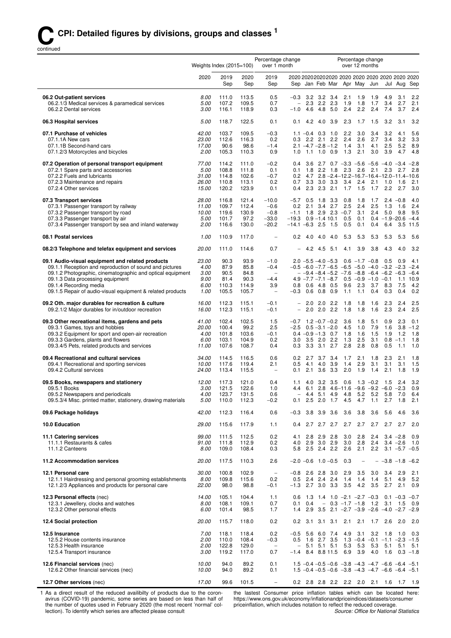continued

|                                                                                                                                                                                                                                                                                                       | Percentage change<br>Weights Index $(2015=100)$<br>over 1 month |                                                |                                                |                                                                                           |                                                   |                                                                                    |                                   |             |                                                       | Percentage change<br>over 12 months                                                                                                                                                |                                 |                                      |                                  |                                         |
|-------------------------------------------------------------------------------------------------------------------------------------------------------------------------------------------------------------------------------------------------------------------------------------------------------|-----------------------------------------------------------------|------------------------------------------------|------------------------------------------------|-------------------------------------------------------------------------------------------|---------------------------------------------------|------------------------------------------------------------------------------------|-----------------------------------|-------------|-------------------------------------------------------|------------------------------------------------------------------------------------------------------------------------------------------------------------------------------------|---------------------------------|--------------------------------------|----------------------------------|-----------------------------------------|
|                                                                                                                                                                                                                                                                                                       | 2020                                                            | 2019<br>Sep                                    | 2020<br>Sep                                    | 2019<br>Sep                                                                               |                                                   |                                                                                    |                                   |             |                                                       | 2020 2020 2020 2020 2020 2020 2020 2020 2020 2020<br>Sep Jan Feb Mar Apr May Jun                                                                                                   |                                 |                                      |                                  | Jul Aug Sep                             |
| 06.2 Out-patient services<br>06.2.1/3 Medical services & paramedical services<br>06.2.2 Dental services                                                                                                                                                                                               | 8.00<br>5.00<br>3.00                                            | 111.0<br>107.2<br>116.1                        | 113.5<br>109.5<br>118.9                        | 0.5<br>0.7<br>0.3                                                                         | $\overline{\phantom{0}}$<br>$-1.0$                | $-0.3$ 3.2 3.2 3.4<br>4.6                                                          | $2.3$ $2.2$ $2.3$<br>4.8          | 5.0         | 2.1<br>1.9<br>2.4                                     | 1.9<br>1.8<br>2.2                                                                                                                                                                  | 1.9<br>1.7<br>2.4               | 4.9<br>3.4<br>7.4                    | 3.1<br>2.7<br>3.7                | 2.2<br>2.1<br>2.4                       |
| 06.3 Hospital services                                                                                                                                                                                                                                                                                | 5.00                                                            | 118.7                                          | 122.5                                          | 0.1                                                                                       | 0.1                                               | 4.2                                                                                | 4.0 3.9                           |             | 2.3                                                   | 1.7                                                                                                                                                                                | 1.5                             | 3.2                                  | 3.1                              | 3.2                                     |
| 07.1 Purchase of vehicles<br>07.1.1A New cars<br>07.1.1B Second-hand cars<br>07.1.2/3 Motorcycles and bicycles                                                                                                                                                                                        | 42.00<br>23.00<br>17.00<br>2.00                                 | 103.7<br>112.6<br>90.6<br>105.3                | 109.5<br>116.3<br>98.6<br>110.3                | $-0.3$<br>0.2<br>$-1.4$<br>0.9                                                            | 0.3<br>1.0                                        | $1.1 - 0.4$ 0.3 1.0<br>$2.1 - 4.7 - 2.8 - 1.2$                                     | $2.2$ 2.1<br>$1.1$ 1.0 0.9        | 2.2         | 2.2<br>2.4<br>1.4<br>1.3                              | 3.0<br>2.6<br>3.1<br>2.1                                                                                                                                                           | 3.4<br>2.7<br>4.1<br>3.0        | 3.2<br>3.4<br>2.5<br>3.9             | 4.1<br>3.2<br>5.2<br>4.7         | 5.6<br>3.3<br>8.9<br>4.8                |
| 07.2 Operation of personal transport equipment<br>07.2.1 Spare parts and accessories<br>07.2.2 Fuels and lubricants<br>07.2.3 Maintenance and repairs<br>07.2.4 Other services                                                                                                                        | 77.00<br>5.00<br>31.00<br>26.00<br>15.00                        | 114.2<br>108.8<br>114.8<br>110.8<br>120.2      | 111.0<br>111.8<br>102.6<br>113.1<br>123.9      | $-0.2$<br>0.1<br>$-0.7$<br>0.2<br>0.1                                                     | 0.4<br>0.1<br>0.7                                 | 3.6<br>3.3<br>$0.4$ 2.3 2.3 2.1                                                    |                                   | $3.0$ $3.3$ | 1.8 2.2 1.8 2.3<br>3.4<br>1.7                         | 2.7 0.7 $-3.3$ $-5.6$ $-5.6$ $-4.0$ $-3.4$ $-2.8$<br>2.6<br>$0.2$ 4.7 $2.8 - 2.4 - 12.2 - 16.7 - 16.4 - 12.0 - 11.4 - 10.6$<br>2.4<br>1.5                                          | 2.1<br>2.1                      | 2.3<br>1.0<br>1.7 2.2 2.7            | 2.7<br>1.6                       | 2.8<br>2.1<br>3.0                       |
| 07.3 Transport services<br>07.3.1 Passenger transport by railway<br>07.3.2 Passenger transport by road<br>07.3.3 Passenger transport by air<br>07.3.4 Passenger transport by sea and inland waterway                                                                                                  | 28.00<br>11.00<br>10.00<br>5.00<br>2.00                         | 116.8<br>109.7<br>119.6<br>101.7<br>116.6      | 121.4<br>112.4<br>130.9<br>97.2<br>130.0       | $-10.0$<br>$-0.6$<br>$-0.8$<br>$-33.0$<br>$-20.2$                                         | $-5.7$<br>0.2<br>$-19.3$<br>$-14.1 - 6.3$ 2.5 1.5 | 0.5<br>2.1 3.4 2.7                                                                 | 1.8<br>$0.9 - 1.4$ 10.1           | 3.3         | 0.8<br>2.5<br>$-1.1$ 1.8 2.9 2.3 $-0.7$<br>0.5<br>0.5 | 1.8<br>2.4<br>3.1<br>0.1<br>0.1                                                                                                                                                    | 1.7<br>2.5<br>2.4<br>0.4        | 1.3<br>$0.4 -1.9 - 20.6 -4.4$<br>6.4 | $2.4 -0.8$<br>1.6<br>$5.0$ $9.8$ | 4.0<br>2.4<br>9.5<br>3.5 11.5           |
| 08.1 Postal services                                                                                                                                                                                                                                                                                  | 1.00                                                            | 110.9                                          | 117.0                                          | $\overline{\phantom{0}}$                                                                  | 0.2                                               | 4.0                                                                                | 4.0                               | 4.0         | 5.3                                                   | 5.3                                                                                                                                                                                | 5.3                             | 5.3                                  | 5.3                              | 5.6                                     |
| 08.2/3 Telephone and telefax equipment and services                                                                                                                                                                                                                                                   | 20.00                                                           | 111.0                                          | 114.6                                          | 0.7                                                                                       |                                                   |                                                                                    | 4.2 4.5 5.1                       |             | 4.1                                                   | 3.9                                                                                                                                                                                | 3.8                             | 4.3                                  | 4.0                              | 3.2                                     |
| 09.1 Audio-visual equipment and related products<br>09.1.1 Reception and reproduction of sound and pictures<br>09.1.2 Photographic, cinematographic and optical equipment<br>09.1.3 Data processing equipment<br>09.1.4 Recording media<br>09.1.5 Repair of audio-visual equipment & related products | 23.00<br>4.00<br>3.00<br>9.00<br>6.00<br>1.00                   | 90.3<br>87.9<br>90.5<br>81.4<br>110.3<br>105.5 | 93.9<br>85.8<br>84.8<br>90.3<br>114.9<br>105.7 | $-1.0$<br>$-0.4$<br>$\overline{\phantom{a}}$<br>$-4.4$<br>3.9<br>$\overline{\phantom{a}}$ | 0.8<br>$-0.3$                                     | $2.0 -5.5 -4.0 -5.3$<br>$4.9 - 7.7 - 7.1 - 8.7$<br>0.6                             | $0.6$ 4.8 0.5<br>$0.8\quad 0.9$   |             | 9.6<br>1.1                                            | $0.6 -1.7 -0.8$<br>$-0.5$ $-6.0$ $-7.7$ $-6.5$ $-6.5$ $-5.0$ $-4.0$ $-3.2$ $-2.3$ $-2.4$<br>$-$ -9.4 -8.4 -5.2 -7.6 -8.8 -6.4 -6.2 -6.3 -6.4<br>$0.5 -0.9 -1.0 -0.1$<br>2.3<br>1.1 | 3.7<br>0.4                      | 0.5<br>8.3<br>0.3                    | 0.9<br>7.5<br>0.4                | 4.1<br>1.1 10.9<br>4.2<br>0.2           |
| 09.2 Oth. major durables for recreation & culture<br>09.2.1/2 Major durables for in/outdoor recreation                                                                                                                                                                                                | 16.00<br>16.00                                                  | 112.3<br>112.3                                 | 115.1<br>115.1                                 | $-0.1$<br>-0.1                                                                            | $\qquad \qquad -$<br>$\overline{a}$               | 2.0<br>2.0                                                                         | $2.0$ 2.2<br>2.0                  | 2.2         | 1.8<br>1.8                                            | 1.8<br>1.8                                                                                                                                                                         | 1.6<br>1.6                      | 2.3<br>2.3                           | 2.4<br>2.4                       | 2.5<br>2.5                              |
| 09.3 Other recreational items, gardens and pets<br>09.3.1 Games, toys and hobbies<br>09.3.2 Equipment for sport and open-air recreation<br>09.3.3 Gardens, plants and flowers<br>09.3.4/5 Pets, related products and services                                                                         | 41.00<br>20.00<br>4.00<br>6.00<br>11.00                         | 102.4<br>100.4<br>101.8<br>103.1<br>107.6      | 102.5<br>99.2<br>103.6<br>104.9<br>108.7       | 1.5<br>2.5<br>-0.1<br>0.2<br>0.4                                                          | 3.0<br>0.3                                        | $-0.7$ 1.2 $-0.7$ $-0.2$<br>$-2.5$ 0.5 $-3.1$ $-2.0$<br>$0.4 -0.9 -1.3$ 0.7<br>3.3 | $3.5$ 2.0 2.2<br>$3.1$ 2.7        |             | 3.6<br>4.5<br>1.8<br>1.3<br>2.8                       | 1.8<br>1.0<br>1.6<br>2.5<br>2.8                                                                                                                                                    | 5.1<br>7.9<br>1.5<br>3.1<br>0.8 | 0.9<br>1.6<br>1.9<br>0.5             | 2.3<br>1.2<br>$0.8 - 1.1$<br>1.1 | 0.1<br>$3.8 - 1.2$<br>1.8<br>1.8<br>1.0 |
| 09.4 Recreational and cultural services<br>09.4.1 Recreational and sporting services<br>09.4.2 Cultural services                                                                                                                                                                                      | 34.00<br>10.00<br>24.00                                         | 114.5<br>117.6<br>113.4                        | 116.5<br>119.4<br>115.5                        | 0.6<br>2.1<br>$\overline{\phantom{0}}$                                                    | 0.2<br>0.5<br>0.1                                 | 4.1<br>2.1                                                                         | 2.7 3.7 3.4<br>4.0<br>$3.6$ $3.3$ | 3.9         | 1.7<br>1.4<br>2.0                                     | 2.1<br>2.9<br>1.9                                                                                                                                                                  | 1.8<br>3.1<br>1.4               | 2.3<br>3.1<br>2.1                    | 2.1<br>3.1<br>1.8                | 1.8<br>1.5<br>1.9                       |
| 09.5 Books, newspapers and stationery<br>09.5.1 Books<br>09.5.2 Newspapers and periodicals<br>09.5.3/4 Misc. printed matter, stationery, drawing materials                                                                                                                                            | 12.00<br>3.00<br>4.00<br>5.00                                   | 117.3<br>121.5<br>123.7<br>110.0               | 121.0<br>122.6<br>131.5<br>112.3               | 0.4<br>1.0<br>0.6<br>$-0.2$                                                               | 1.1<br>0.1                                        | 4.0                                                                                | $2.5$ 2.0 1.7                     | $3.2$ $3.5$ | 0.6<br>-4.5                                           | 4.4 6.1 2.8 4.6-11.6 -9.6 -9.2 -6.0 -2.3 0.9<br>4.4 5.1 4.9 4.8 5.2 5.2 5.8 7.0 6.4<br>4.7                                                                                         | $1.3 - 0.2$<br>1.1              | 1.5<br>2.7                           | 2.4<br>1.8                       | 3.2<br>2.1                              |
| 09.6 Package holidays                                                                                                                                                                                                                                                                                 | 42.00                                                           | 112.3                                          | 116.4                                          | 0.6                                                                                       | $-0.3$                                            |                                                                                    | 3.8 3.9 3.6                       |             | 3.6                                                   | 3.8                                                                                                                                                                                | 3.6                             | 5.6                                  | 4.6                              | 3.6                                     |
| 10.0 Education                                                                                                                                                                                                                                                                                        | 29.00                                                           | 115.6                                          | 117.9                                          | 1.1                                                                                       | 0.4                                               |                                                                                    | 2.7 2.7 2.7                       |             |                                                       | $2.7$ 2.7                                                                                                                                                                          | 2.7                             | 2.7                                  | 2.7                              | 2.0                                     |
| 11.1 Catering services<br>11.1.1 Restaurants & cafes<br>11.1.2 Canteens                                                                                                                                                                                                                               | 99.00<br>91.00<br>8.00                                          | 111.5<br>111.8<br>109.0                        | 112.5<br>112.9<br>108.4                        | 0.2<br>0.2<br>0.3                                                                         | 4.1<br>4.0<br>5.8                                 | 2.8                                                                                | $2.9$ $2.8$<br>2.9 3.0 2.9        |             | 3.0<br>3.0<br>2.5 2.4 2.2 2.6                         | 2.8<br>2.8<br>2.1                                                                                                                                                                  | 2.4<br>2.4                      | $2.2$ 3.1 $-5.7$ $-0.5$              | $3.4 -2.8$                       | 0.9<br>$3.4 -2.6$ 1.0                   |
| 11.2 Accommodation services                                                                                                                                                                                                                                                                           | 20.00                                                           | 117.5                                          | 110.3                                          | 2.6                                                                                       |                                                   | $-2.0$ $-0.6$ 1.0 $-0.5$                                                           |                                   |             | 0.3                                                   | $\qquad \qquad -$                                                                                                                                                                  |                                 | $-$ -3.8 -1.8 -6.2                   |                                  |                                         |
| 12.1 Personal care<br>12.1.1 Hairdressing and personal grooming establishments<br>12.1.2/3 Appliances and products for personal care                                                                                                                                                                  | 30.00<br>8.00<br>22.00                                          | 100.8<br>109.8<br>98.0                         | 102.9<br>115.6<br>98.8                         | $\overline{\phantom{a}}$<br>0.2<br>$-0.1$                                                 | $-1.3$                                            | $-0.8$ 2.6 2.8 3.0<br>$0.5$ 2.4 2.4 2.4                                            | 2.7 3.0 3.3                       |             | 2.9<br>1.4<br>3.5                                     | 3.5<br>1.4<br>4.2                                                                                                                                                                  | 3.0<br>1.4<br>3.5               | 3.4<br>2.7                           | 2.9<br>5.1 4.9<br>2.1            | 2.1<br>5.2<br>0.9                       |
| 12.3 Personal effects (nec)<br>12.3.1 Jewellery, clocks and watches<br>12.3.2 Other personal effects                                                                                                                                                                                                  | 14.00<br>8.00<br>6.00                                           | 105.1<br>108.1<br>101.4                        | 104.4<br>109.1<br>98.5                         | 1.1<br>0.7<br>1.7                                                                         | 0.1<br>1.4                                        | 0.4                                                                                |                                   |             |                                                       | 0.6 1.3 1.4 1.0 $-2.1$ $-2.7$ $-0.3$ 0.1 $-0.3$ $-0.7$<br>$-0.3$ $-1.7$ $-1.8$ 1.2 3.1 1.5 0.9<br>2.9 3.5 2.1 $-2.7$ $-3.9$ $-2.6$ $-4.0$ $-2.7$ $-2.9$                            |                                 |                                      |                                  |                                         |
| 12.4 Social protection                                                                                                                                                                                                                                                                                | 20.00                                                           | 115.7                                          | 118.0                                          | 0.2                                                                                       | 0.2                                               |                                                                                    | $3.1$ $3.1$ $3.1$                 |             | 2.1                                                   | 2.1                                                                                                                                                                                |                                 | 1.7 2.6                              | 2.0                              | 2.0                                     |
| 12.5 Insurance<br>12.5.2 House contents insurance<br>12.5.3 Health insurance<br>12.5.4 Transport insurance                                                                                                                                                                                            | 7.00<br>2.00<br>2.00<br>3.00                                    | 118.1<br>110.0<br>122.8<br>119.2               | 118.4<br>108.4<br>129.0<br>117.0               | 0.2<br>$-0.3$<br>$\overline{\phantom{a}}$<br>0.7                                          | $\overline{\phantom{0}}$                          | $-0.5$ 5.6 6.0 7.4<br>0.5 1.6 2.7 3.5<br>$-1.4$ 8.4 8.8 11.5                       | 5.1 5.1 5.1                       |             | 5.3<br>6.9                                            | 4.9 3.1<br>$1.3 -0.4 -0.1 -1.1 -2.3 -1.5$<br>5.3<br>3.9                                                                                                                            | 3.2<br>5.3<br>4.0               | 1.8<br>5.1                           | 5.1                              | 1.0 0.3<br>5.1<br>$1.6$ 0.3 $-1.8$      |
| 12.6 Financial services (nec)<br>12.6.2 Other financial services (nec)                                                                                                                                                                                                                                | 10.00<br>10.00                                                  | 94.0<br>94.0                                   | 89.2<br>89.2                                   | 0.1<br>0.1                                                                                |                                                   |                                                                                    |                                   |             |                                                       | $1.5 - 0.4 - 0.5 - 0.6 - 3.8 - 4.3 - 4.7 - 6.6 - 6.4 - 5.1$<br>$1.5 - 0.4 - 0.5 - 0.6 - 3.8 - 4.3 - 4.7 - 6.6 - 6.4 - 5.1$                                                         |                                 |                                      |                                  |                                         |
| 12.7 Other services (nec)                                                                                                                                                                                                                                                                             | 17.00                                                           | 99.6                                           | 101.5                                          | $\overline{\phantom{m}}$                                                                  |                                                   |                                                                                    |                                   |             |                                                       | 0.2 2.8 2.8 2.2 2.2 2.0 2.1 1.6 1.7 1.9                                                                                                                                            |                                 |                                      |                                  |                                         |

1 As a direct result of the reduced availibilty of products due to the coronavirus (COVID-19) pandemic, some series are based on less than half of the number of quotes used in February 2020 (the most recent 'normal' collection). To identify which series are affected please consult

the lastest Consumer price inflation tables which can be located here: https://www.ons.gov.uk/economy/inflationandpriceindices/datasets/consumer priceinflation, which includes notation to reflect the reduced coverage.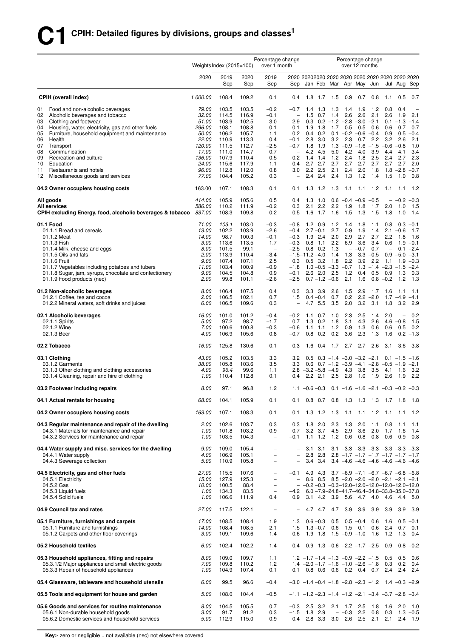|          |                                                                                                    | Weights Index (2015=100) |                |                | Percentage change<br>over 1 month             |                                               |                         |                    |                    |                                | Percentage change<br>over 12 months                                                 |               |                   |                                |                  |
|----------|----------------------------------------------------------------------------------------------------|--------------------------|----------------|----------------|-----------------------------------------------|-----------------------------------------------|-------------------------|--------------------|--------------------|--------------------------------|-------------------------------------------------------------------------------------|---------------|-------------------|--------------------------------|------------------|
|          |                                                                                                    | 2020                     | 2019<br>Sep    | 2020<br>Sep    | 2019<br>Sep                                   | Sep                                           |                         |                    |                    |                                | 2020 20202020 2020 2020 2020 2020 2020 2020 2020<br>Jan Feb Mar Apr May Jun         |               |                   | Jul Aug Sep                    |                  |
|          | <b>CPIH (overall index)</b>                                                                        | 1 000.00                 | 108.4          | 109.2          | 0.1                                           | 0.4                                           | 1.8                     | 1.7                | 1.5                | 0.9                            | 0.7                                                                                 | 0.8           | 1.1               | 0.5                            | 0.7              |
| 01       | Food and non-alcoholic beverages                                                                   | 79.00                    | 103.5          | 103.5          | $-0.2$                                        | $-0.7$                                        | 1.4                     | 1.3                | 1.3                | 1.4                            | 1.9                                                                                 | 1.2           | 0.8               | 0.4                            |                  |
| 02<br>03 | Alcoholic beverages and tobacco<br>Clothing and footwear                                           | <i>32.00</i><br>51.00    | 114.5<br>103.9 | 116.9<br>102.5 | $-0.1$<br>3.0                                 | $\qquad \qquad -$<br>2.9                      | 1.5<br>0.3              | 0.7                | 1.4                | 2.6                            | 2.6<br>$0.2 -1.2 -2.8 -3.0 -2.1$                                                    | 2.1           | 2.6               | 1.9<br>$0.1 - 1.3$             | 2.1<br>$-1.4$    |
| 04       | Housing, water, electricity, gas and other fuels                                                   | 296.00                   | 108.1          | 108.8          | 0.1                                           | 0.1                                           | 1.9                     | 1.8                | 1.7                | 0.5                            | 0.5                                                                                 | 0.6           | 0.6               | 0.7                            | 0.7              |
| 05       | Furniture, household equipment and maintenance                                                     | <i>50.00</i>             | 106.2          | 105.7          | 1.1                                           | 0.2                                           | 0.4                     | 0.2                |                    |                                | $0.1 - 0.2 - 0.6 - 0.4$                                                             |               | 0.9               | 0.5                            | $-0.4$           |
| 06       | Health                                                                                             | 22.00                    | 110.9          | 113.3          | 0.4                                           | $-0.1$                                        | 2.8                     | 3.0                | 3.2                | 2.3                            | 0.7                                                                                 | 2.2           | 3.2               | 2.6                            | 2.1              |
| 07<br>08 | Transport<br>Communication                                                                         | 120.00<br>17.00          | 111.5<br>111.0 | 112.7<br>114.7 | $-2.5$<br>0.7                                 | $-0.7$<br>$\qquad \qquad -$                   | 1.8<br>4.2              | 1.9<br>4.5         | 1.3<br>5.0         | $-0.9$<br>4.2                  | $-1.6$<br>4.0                                                                       | $-1.5$<br>3.9 | $-0.6$<br>4.4     | $-0.8$<br>4.1                  | 1.0<br>3.4       |
| 09       | Recreation and culture                                                                             | 136.00                   | 107.9          | 110.4          | 0.5                                           | 0.2                                           | 1.4                     | 1.4                | 1.2                | 2.4                            | 1.8                                                                                 | 2.5           | 2.4               | 2.7                            | 2.3              |
| 10       | Education                                                                                          | 24.00                    | 115.6          | 117.9          | 1.1                                           | 0.4                                           | 2.7                     | 2.7                | 2.7                | 2.7                            | 2.7                                                                                 | 2.7           | 2.7               | 2.7                            | 2.0              |
| 11<br>12 | Restaurants and hotels<br>Miscellaneous goods and services                                         | 96.00<br>77.00           | 112.8<br>104.4 | 112.0<br>105.2 | 0.8<br>0.3                                    | 3.0<br>$\overline{\phantom{0}}$               | 2.2<br>2.4              | 2.5<br>2.4         | 2.1<br>2.4         | 2.4<br>1.3                     | 2.0<br>1.2                                                                          | 1.8<br>1.4    | 1.5               | $1.8 - 2.8$<br>1.0             | $-0.7$<br>0.8    |
|          | 04.2 Owner occupiers housing costs                                                                 | 163.00                   | 107.1          | 108.3          | 0.1                                           | 0.1                                           | 1.3                     | $1.2$              | 1.3                | 1.1                            | 1.1                                                                                 | 1.2           | 1.1               | 1.1                            | 1.2              |
|          | All goods                                                                                          | 414.00                   | 105.9          | 105.6          | 0.5                                           | 0.4                                           | 1.3                     | 1.0                |                    | $0.6 - 0.4$                    | $-0.9$                                                                              | $-0.5$        |                   | $-0.2$                         | $-0.3$           |
|          | All services<br>CPIH excluding Energy, food, alcoholic beverages & tobacco                         | 586.00<br>837.00         | 110.2<br>108.3 | 111.9<br>109.8 | $-0.2$<br>0.2                                 | 0.3<br>0.5                                    | 2.1<br>1.6              | 2.2<br>1.7         | 2.2<br>1.6         | 1.9<br>1.5                     | 1.8<br>1.3                                                                          | 1.7<br>1.5    | 2.0<br>1.8        | 1.0<br>1.0                     | 1.5<br>1.4       |
|          | 01.1 Food                                                                                          | 71.00                    | 103.1          | 103.0          | $-0.3$                                        | $-0.8$                                        | 1.2                     | 0.9                | 1.2                | 1.4                            | 1.8                                                                                 | 1.1           | 0.8               | 0.3                            | $-0.1$           |
|          | 01.1.1 Bread and cereals<br>01.1.2 Meat                                                            | 13.00<br>14.00           | 102.2<br>98.7  | 103.9<br>100.3 | $-2.6$<br>$-0.1$                              | $-0.4$<br>$-0.3$                              | 1.9                     | $2.7 - 0.1$<br>2.4 | 2.7<br>2.0         | 0.9<br>2.9                     | 1.9<br>2.7                                                                          | 1.4<br>2.7    | 2.2               | $2.1 - 0.6$<br>1.8             | 1.7<br>1.6       |
|          | 01.1.3 Fish                                                                                        | 3.00                     | 113.6          | 113.5          | 1.7                                           | $-0.3$                                        | 0.8                     | 1.1                | 2.2                | 6.9                            | 3.6                                                                                 | 3.4           | 0.6               | 1.9                            | $-0.1$           |
|          | 01.1.4 Milk, cheese and eggs                                                                       | 8.00                     | 101.5          | 99.1           | $\qquad \qquad -$                             | $-2.5$                                        |                         | $0.8$ 0.2          | 1.3                |                                | $- -0.7$                                                                            | 0.7           | $\qquad \qquad -$ | 0.1                            | $-2.4$           |
|          | 01.1.5 Oils and fats                                                                               | 2.00                     | 113.9          | 110.4          | $-3.4$                                        |                                               | $-1.5 - 11.2 - 4.0$     |                    | 1.4                | 1.3                            | 3.3                                                                                 | $-0.5$        | 0.9               | $-5.0$                         | $-3.1$           |
|          | 01.1.6 Fruit<br>01.1.7 Vegetables including potatoes and tubers                                    | 9.00<br>11.00            | 107.4<br>103.4 | 107.1<br>100.9 | 2.5<br>$-0.9$                                 | 0.3<br>$-1.8$                                 |                         | $0.5$ 3.2          | 1.8                | 2.2<br>$1.0 - 0.5 - 3.3 - 0.7$ | 3.9                                                                                 | 2.2           | 1.1               | 1.9<br>$1.3 - 1.4 - 2.3 - 1.5$ | $-0.3$<br>$-2.4$ |
|          | 01.1.8 Sugar, jam, syrups, chocolate and confectionery                                             | 9.00                     | 104.5          | 104.8          | 0.9                                           | $-0.1$                                        | 2.6                     | 2.0                | 2.5                | 1.2                            | 0.4                                                                                 | 0.5           | 0.9               | 1.3                            | 0.3              |
|          | 01.1.9 Food products (nec)                                                                         | 2.00                     | 99.8           | 101.1          | -2.6                                          | -2.5                                          |                         |                    | $0.7 - 1.2 - 0.6$  | 2.1                            | 1.6                                                                                 | 0.8           | $-0.2$            | 1.2                            | 1.3              |
|          | 01.2 Non-alcoholic beverages                                                                       | 8.00                     | 106.4          | 107.5          | 0.4                                           | 0.3                                           | 3.3                     | 3.9                | 2.6                | 1.5                            | 2.9                                                                                 | 1.7           | 1.6               | 1.1                            | 1.1              |
|          | 01.2.1 Coffee, tea and cocoa<br>01.2.2 Mineral waters, soft drinks and juices                      | 2.00<br>6.00             | 106.5<br>106.5 | 102.1<br>109.6 | 0.7<br>0.3                                    | 1.5<br>$\overline{\phantom{0}}$               | 4.7                     | $0.4 - 0.4$<br>5.5 | 0.7<br>3.5         | 0.2<br>2.0                     | 2.2<br>3.2                                                                          | $-2.0$<br>3.1 | 1.7<br>1.8        | $-4.9$<br>3.2                  | $-4.1$<br>2.9    |
|          | 02.1 Alcoholic beverages                                                                           | 16.00                    | 101.0          | 101.2          | $-0.4$                                        | $-0.2$                                        | 1.1                     | 0.7                | 1.0                | 2.3                            | 2.5                                                                                 | 1.4           | 2.0               | $\overline{\phantom{0}}$       | 0.2              |
|          | 02.1.1 Spirits                                                                                     | 5.00                     | 97.2           | 98.7           | $-1.7$                                        | 0.7                                           | 1.3                     | 0.2                | 1.8                | 3.1                            | 4.3                                                                                 | 2.6           |                   | $4.6 - 0.8$                    | 1.5              |
|          | 02.1.2 Wine<br>02.1.3 Beer                                                                         | 7.00<br>4.00             | 100.6<br>106.9 | 100.8<br>105.6 | $-0.3$<br>0.8                                 | $-0.6$<br>$-0.7$                              | 1.1<br>0.8              | 1.1<br>0.2         | 1.2<br>0.2         | 0.9<br>3.6                     | 1.3<br>2.3                                                                          | 0.6<br>1.3    | 0.6<br>1.6        | 0.5<br>0.2                     | 0.2<br>$-1.3$    |
|          | 02.2 Tobacco                                                                                       | 16.00                    | 125.8          | 130.6          | 0.1                                           | 0.3                                           | 1.6                     | 0.4                | 1.7                | 2.7                            | 2.7                                                                                 | 2.6           | 3.1               | 3.6                            | 3.8              |
|          | 03.1 Clothing                                                                                      | 43.00                    | 105.2          | 103.5          | 3.3                                           | 3.2                                           | 0.5                     |                    |                    |                                | $0.3 -1.4 -3.0 -3.2 -2.1$                                                           |               |                   | $0.1 - 1.5$                    | $-1.6$           |
|          | 03.1.2 Garments                                                                                    | 38.00                    | 105.8          | 103.6          | 3.5                                           | 3.3                                           |                         |                    |                    | $0.6$ $0.7$ $-1.2$ $-3.9$      | $-4.1 -2.8$                                                                         |               |                   | $-0.5 -1.9$                    | $-2.1$           |
|          | 03.1.3 Other clothing and clothing accessories<br>03.1.4 Cleaning, repair and hire of clothing     | 4.00<br>1.00             | 96.4<br>110.4  | 99.6<br>112.8  | 1.1<br>0.1                                    | 0.4                                           | $2.8 - 3.2 - 5.8 - 4.9$ | $2.2$ $2.1$        | 2.5                | 4.3<br>2.8                     | 3.8<br>1.0                                                                          | 3.5<br>1.9    | 4.1<br>2.6        | 1.6<br>1.9                     | 3.2<br>2.2       |
|          | 03.2 Footwear including repairs                                                                    | 8.00                     | 97.1           | 96.8           | 1.2                                           |                                               |                         |                    |                    |                                | 1.1 $-0.6 - 0.3$ 0.1 $-1.6$ $-1.6$ $-2.1$ $-0.3$ $-0.2$ $-0.3$                      |               |                   |                                |                  |
|          | 04.1 Actual rentals for housing                                                                    | 68.00                    | 104.1          | 105.9          | 0.1                                           | 0.1                                           |                         |                    |                    | $0.8$ 0.7 0.8 1.3              |                                                                                     |               |                   | 1.3 1.3 1.7 1.8                | 1.8              |
|          | 04.2 Owner occupiers housing costs                                                                 | 163.00                   | 107.1          | 108.3          | 0.1                                           | 0.1                                           |                         | $1.3$ 1.2          | 1.3                | 1.1                            | 1.1                                                                                 | 1.2           |                   | $1.1$ 1.1                      | 1.2              |
|          | 04.3 Regular maintenance and repair of the dwelling<br>04.3.1 Materials for maintenance and repair | 2.00<br>1.00             | 102.6<br>101.8 | 103.7<br>103.2 | 0.3<br>0.9                                    | 0.3<br>0.7                                    | 1.8                     | 2.0                | 2.3<br>3.2 3.7 4.5 | 1.3<br>2.9                     | 2.0<br>3.6                                                                          | 1.1<br>2.0    | 0.8<br>1.7        | $-1.1$<br>1.6                  | 1.1<br>1.4       |
|          | 04.3.2 Services for maintenance and repair                                                         | 1.00                     | 103.5          | 104.3          | $\qquad \qquad -$                             | $-0.1$                                        |                         | $1.1$ 1.2          | 1.2                | 0.6                            | 0.8                                                                                 | 0.8           | 0.6               | 0.9                            | 0.8              |
|          | 04.4 Water supply and misc. services for the dwelling                                              | 9.00                     | 109.0          | 105.4          | $\overline{\phantom{0}}$                      | $\overline{\phantom{a}}$                      | 3.1                     | 3.1                |                    |                                | $3.1 - 3.3 - 3.3 - 3.3 - 3.3 - 3.3 - 3.3$                                           |               |                   |                                |                  |
|          | 04.4.1 Water supply<br>04.4.3 Sewerage collection                                                  | 4.00<br>5.00             | 106.9<br>110.9 | 105.1<br>105.8 | $\overline{\phantom{0}}$<br>$\qquad \qquad -$ | $\qquad \qquad -$<br>$\overline{\phantom{0}}$ | 3.4                     | $2.8$ 2.8<br>3.4   |                    |                                | $2.8$ -1.7 -1.7 -1.7 -1.7 -1.7 -1.7<br>$3.4 -4.6 -4.6 -4.6 -4.6 -4.6 -4.6$          |               |                   |                                |                  |
|          | 04.5 Electricity, gas and other fuels                                                              | 27.00                    | 115.5          | 107.6          | $\qquad \qquad -$                             | $-0.1$                                        |                         | 4.9 4.3            |                    |                                | $3.7 -6.9 -7.1 -6.7 -6.7 -6.8 -6.8$                                                 |               |                   |                                |                  |
|          | 04.5.1 Electricity                                                                                 | 15.00                    | 127.9          | 125.3          | $\overline{\phantom{0}}$                      | $\overline{\phantom{0}}$                      |                         |                    |                    |                                | 8.6 8.5 8.5 $-2.0$ $-2.0$ $-2.0$ $-2.1$ $-2.1$ $-2.1$                               |               |                   |                                |                  |
|          | 04.5.2 Gas                                                                                         | 10.00                    | 100.5          | 88.4           | $\overline{\phantom{a}}$                      | $\overline{\phantom{0}}$                      |                         |                    |                    |                                | $-0.2 - 0.3 - 0.3 - 12.0 - 12.0 - 12.0 - 12.0 - 12.0$                               |               |                   |                                |                  |
|          | 04.5.3 Liquid fuels<br>04.5.4 Solid fuels                                                          | 1.00<br>1.00             | 134.3<br>106.6 | 83.5<br>111.9  | $\qquad \qquad -$<br>0.4                      | $-4.2$<br>0.9                                 | 3.1                     |                    |                    |                                | $6.0 - 7.9 - 24.8 - 41.7 - 46.4 - 34.8 - 33.8 - 35.0 - 37.8$<br>4.2 3.9 5.6 4.7 4.0 |               | -4.6              | 4.4 5.0                        |                  |
|          | 04.9 Council tax and rates                                                                         | 27.00                    | 117.5          | 122.1          | $\overline{\phantom{0}}$                      |                                               |                         | 4.7 4.7            | 4.7                | 3.9                            | 3.9                                                                                 | 3.9           | 3.9               | 3.9                            | 3.9              |
|          | 05.1 Furniture, furnishings and carpets                                                            | 17.00                    | 108.5          | 108.4          | 1.9                                           | 1.3                                           |                         | $0.6 - 0.3$        | 0.5                |                                | $0.5 -0.4$                                                                          | 0.6           | 1.6               |                                | $0.5 -0.1$       |
|          | 05.1.1 Furniture and furnishings                                                                   | 14.00                    | 108.4          | 108.5          | 2.1                                           | 1.5                                           |                         | $1.3 - 0.7$        |                    | $0.6$ 1.5                      | 0.1                                                                                 | 0.6           | 2.4               | 0.7                            | 0.1              |
|          | 05.1.2 Carpets and other floor coverings                                                           | 3.00                     | 109.1          | 109.6          | 1.4                                           | 0.6                                           |                         | $1.9$ 1.8          |                    |                                | $1.5 - 0.9 - 1.0$                                                                   | 1.6           | 1.2               | 1.3                            | 0.4              |
|          | 05.2 Household textiles                                                                            | 6.00                     | 102.4          | 102.2          | 1.4                                           | 0.4                                           |                         |                    |                    |                                | $0.9$ 1.3 $-0.6$ $-2.2$ $-1.7$ $-2.5$                                               |               | 0.9               |                                | $0.8 - 0.2$      |
|          | 05.3 Household appliances, fitting and repairs                                                     | 8.00                     | 109.0          | 109.7          | 1.1                                           |                                               |                         |                    |                    |                                | $1.2$ $-1.7$ $-1.4$ $-1.3$ $-0.9$ $-2.2$ $-1.5$                                     |               | 0.5               | 0.5                            | 0.6              |
|          | 05.3.1/2 Major appliances and small electric goods<br>05.3.3 Repair of household appliances        | 7.00<br>1.00             | 109.8<br>104.9 | 110.2<br>107.4 | 1.2<br>0.1                                    | 0.1                                           |                         |                    |                    |                                | $1.4 -2.0 -1.7 -1.6 -1.0 -2.6 -1.8$<br>0.8 0.6 0.6 0.2 0.4 0.7                      |               | 0.3<br>2.4        | 0.2<br>2.4                     | 0.4<br>2.4       |
|          | 05.4 Glassware, tableware and household utensils                                                   | 6.00                     | 99.5           | 96.6           | $-0.4$                                        |                                               |                         |                    |                    |                                | $-3.0$ $-1.4$ $-0.4$ $-1.8$ $-2.8$ $-2.3$ $-1.2$ 1.4 $-0.3$ $-2.9$                  |               |                   |                                |                  |
|          | 05.5 Tools and equipment for house and garden                                                      | 5.00                     | 108.0          | 104.4          | $-0.5$                                        |                                               |                         |                    |                    |                                | $-1.1$ $-1.2$ $-2.3$ $-1.4$ $-1.2$ $-2.1$ $-3.4$ $-3.7$ $-2.8$ $-3.4$               |               |                   |                                |                  |
|          | 05.6 Goods and services for routine maintenance                                                    | 8.00                     | 104.5          | 105.5          | 0.7                                           | $-0.3$                                        |                         | $2.5$ 3.2          |                    | $2.1$ 1.7                      | 2.5                                                                                 | 1.8           | 1.6               | - 2.0                          | 1.0              |
|          | 05.6.1 Non-durable household goods                                                                 | 3.00                     | 91.7           | 91.2           | 0.3                                           | $-1.5$                                        |                         | $1.8$ 2.9          |                    |                                | $-$ -0.3 2.2 0.8                                                                    |               | 0.3               |                                | $1.3 - 0.5$      |
|          | 05.6.2 Domestic services and household services                                                    | 5.00                     | 112.9          | 115.0          | 0.9                                           | 0.4                                           |                         | $2.8$ 3.3          |                    |                                | $3.0$ 2.6 2.5                                                                       | 2.1           |                   | $2.1$ $2.4$ $1.9$              |                  |

**Key:**- zero or negligible .. not available (nec) not elsewhere covered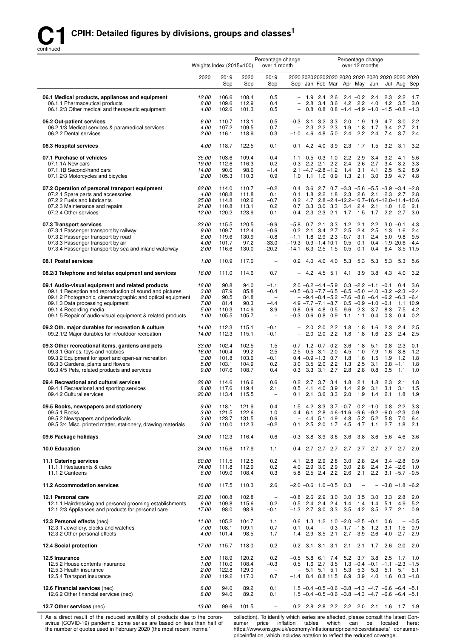

|                                                                                                                                                                                                                                                                                                       | Weights Index $(2015=100)$                    |                                                |                                                | Percentage change<br>over 1 month                                           |                                                                |                                                                                                                                                                                                              | Percentage change               | over 12 months                                             |                                 |                          |                                                        |                                     |
|-------------------------------------------------------------------------------------------------------------------------------------------------------------------------------------------------------------------------------------------------------------------------------------------------------|-----------------------------------------------|------------------------------------------------|------------------------------------------------|-----------------------------------------------------------------------------|----------------------------------------------------------------|--------------------------------------------------------------------------------------------------------------------------------------------------------------------------------------------------------------|---------------------------------|------------------------------------------------------------|---------------------------------|--------------------------|--------------------------------------------------------|-------------------------------------|
|                                                                                                                                                                                                                                                                                                       | 2020                                          | 2019<br>Sep                                    | 2020<br>Sep                                    | 2019<br>Sep                                                                 | 2020 2020 2020 2020 2020 2020 2020 2020 2020 2020              | Sep Jan Feb Mar Apr May Jun                                                                                                                                                                                  |                                 |                                                            |                                 |                          | Jul Aug Sep                                            |                                     |
| 06.1 Medical products, appliances and equipment<br>06.1.1 Pharmaceutical products<br>06.1.2/3 Other medical and therapeutic equipment                                                                                                                                                                 | 12.00<br>8.00<br>4.00                         | 106.6<br>109.6<br>102.6                        | 108.4<br>112.9<br>101.3                        | 0.5<br>0.4<br>0.5                                                           | 0.8<br>$\overline{\phantom{0}}$                                | $-1.9$ 2.4 2.6<br>2.8 3.4 3.6<br>$0.8$ $0.8$ $-1.4$ $-4.9$ $-1.0$ $-1.5$ $-0.8$ $-1.3$                                                                                                                       |                                 | $2.4 - 0.2$<br>4.2 2.2                                     | 2.4<br>4.0                      | 2.3<br>4.2               | - 2.2<br>3.5                                           | 1.7<br>3.0                          |
| 06.2 Out-patient services<br>06.2.1/3 Medical services & paramedical services<br>06.2.2 Dental services                                                                                                                                                                                               | 6.00<br>4.00<br>2.00                          | 110.7<br>107.2<br>116.1                        | 113.1<br>109.5<br>118.9                        | 0.5<br>0.7<br>0.3                                                           | 3.1<br>$-0.3$<br>2.3<br>$\overline{\phantom{0}}$<br>$-1.0$     | $3.2$ $3.3$<br>$2.2$ 2.3<br>4.6 4.8 5.0                                                                                                                                                                      | 2.0<br>1.9<br>2.4               | 1.9<br>1.8<br>2.2                                          | 1.9<br>1.7<br>2.4               | 4.7<br>3.4<br>7.4        | 3.0<br>2.7<br>3.7                                      | 2.2<br>2.1<br>2.4                   |
| 06.3 Hospital services                                                                                                                                                                                                                                                                                | 4.00                                          | 118.7                                          | 122.5                                          | 0.1                                                                         | 4.2<br>0.1                                                     | 4.0 3.9                                                                                                                                                                                                      | 2.3                             | 1.7                                                        | 1.5                             | 3.2                      | 3.1                                                    | 3.2                                 |
| 07.1 Purchase of vehicles<br>07.1.1A New cars<br>07.1.1B Second-hand cars<br>07.1.2/3 Motorcycles and bicycles                                                                                                                                                                                        | 35.00<br>19.00<br>14.00<br>2.00               | 103.6<br>112.6<br>90.6<br>105.3                | 109.4<br>116.3<br>98.6<br>110.3                | $-0.4$<br>0.2<br>$-1.4$<br>0.9                                              | $1.1 - 0.5$<br>0.3<br>1.0                                      | $0.3$ 1.0<br>$2.2$ $2.1$ $2.2$<br>$2.1 - 4.7 - 2.8 - 1.2$<br>$1.1$ 1.0 0.9                                                                                                                                   | 2.2<br>2.4<br>1.4<br>1.3        | 2.9<br>2.6<br>3.1<br>2.1                                   | 3.4<br>2.7<br>4.1<br>3.0        | 3.2<br>3.4<br>2.5<br>3.9 | 4.1<br>3.2<br>5.2<br>4.7                               | 5.6<br>3.3<br>8.9<br>4.8            |
| 07.2 Operation of personal transport equipment<br>07.2.1 Spare parts and accessories<br>07.2.2 Fuels and lubricants<br>07.2.3 Maintenance and repairs<br>07.2.4 Other services                                                                                                                        | 62.00<br>4.00<br>25.00<br>21.00<br>12.00      | 114.0<br>108.8<br>114.8<br>110.8<br>120.2      | 110.7<br>111.8<br>102.6<br>113.1<br>123.9      | $-0.2$<br>0.1<br>$-0.7$<br>0.2<br>0.1                                       | 0.4<br>1.8<br>0.1<br>0.7<br>0.4                                | 3.6 2.7 0.7 $-3.3$ $-5.6$ $-5.5$ $-3.9$ $-3.4$ $-2.8$<br>$2.2$ 1.8 $2.3$<br>$0.2$ 4.7 $2.8 - 2.4 - 12.2 - 16.7 - 16.4 - 12.0 - 11.4 - 10.6$<br>$3.3$ $3.0$ $3.3$<br>$2.3$ $2.3$ $2.1$                        | 3.4<br>1.7                      | 2.6<br>2.4<br>1.5                                          | 2.1<br>2.1<br>1.7               | 1.0<br>2.2               | $2.3$ 2.7<br>1.6<br>2.7                                | 2.8<br>2.1<br>3.0                   |
| 07.3 Transport services<br>07.3.1 Passenger transport by railway<br>07.3.2 Passenger transport by road<br>07.3.3 Passenger transport by air<br>07.3.4 Passenger transport by sea and inland waterway                                                                                                  | 23.00<br>9.00<br>8.00<br>4.00<br>2.00         | 115.5<br>109.7<br>119.6<br>101.7<br>116.6      | 120.5<br>112.4<br>130.9<br>97.2<br>130.0       | $-9.9$<br>$-0.6$<br>$-0.8$<br>$-33.0$<br>$-20.2$                            | 0.2<br>2.1<br>$-19.3$ 0.9 $-1.4$ 10.1<br>$-14.1 - 6.3$ 2.5 1.5 | $-5.8$ 0.7 2.1 3.3<br>3.4 2.7<br>$-1.1$ 1.8 2.9 2.3 $-0.7$                                                                                                                                                   | 1.2<br>2.5<br>0.5<br>0.5        | 2.1<br>2.4<br>3.1<br>0.1<br>0.1                            | 2.2<br>2.5<br>2.4<br>0.4        | 1.3<br>5.0<br>6.4        | $3.0 - 0.1$<br>1.6<br>9.8<br>$0.4 - 1.9 - 20.6$<br>3.5 | 4.3<br>2.4<br>9.5<br>$-4.4$<br>11.5 |
| 08.1 Postal services                                                                                                                                                                                                                                                                                  | 1.00                                          | 110.9                                          | 117.0                                          | $\overline{\phantom{a}}$                                                    | 0.2                                                            | 4.0 4.0 4.0                                                                                                                                                                                                  | 5.3                             | 5.3                                                        | 5.3                             | 5.3                      | 5.3                                                    | 5.6                                 |
| 08.2/3 Telephone and telefax equipment and services                                                                                                                                                                                                                                                   | 16.00                                         | 111.0                                          | 114.6                                          | 0.7                                                                         |                                                                | 4.2 4.5<br>5.1                                                                                                                                                                                               | 4.1                             | 3.9                                                        | 3.8                             | 4.3                      | 4.0                                                    | 3.2                                 |
| 09.1 Audio-visual equipment and related products<br>09.1.1 Reception and reproduction of sound and pictures<br>09.1.2 Photographic, cinematographic and optical equipment<br>09.1.3 Data processing equipment<br>09.1.4 Recording media<br>09.1.5 Repair of audio-visual equipment & related products | 18.00<br>3.00<br>2.00<br>7.00<br>5.00<br>1.00 | 90.8<br>87.9<br>90.5<br>81.4<br>110.3<br>105.5 | 94.0<br>85.8<br>84.8<br>90.3<br>114.9<br>105.7 | $-1.1$<br>$-0.4$<br>$\qquad \qquad -$<br>$-4.4$<br>3.9<br>$\qquad \qquad -$ | 0.8<br>$-0.3$                                                  | $2.0 - 6.2 - 4.4 - 5.9$<br>$-0.5$ $-6.0$ $-7.7$ $-6.5$ $-6.5$ $-5.0$ $-4.0$ $-3.2$ $-2.3$ $-2.4$<br>$-$ -9.4 -8.4 -5.2 -7.6 -8.8 -6.4 -6.2 -6.3<br>$4.9 - 7.7 - 7.1 - 8.7$<br>$0.6$ 4.8 0.5<br>$0.6$ 0.8 0.9 | 9.6<br>1.1                      | $0.3 -2.2 -1.1 -0.1$<br>$0.5 -0.9 -1.0 -0.1$<br>2.3<br>1.1 | 3.7<br>0.4                      | 8.3<br>0.3               | 0.4<br>1.1<br>-7.5<br>0.4                              | 3.6<br>$-6.4$<br>10.9<br>4.2<br>0.2 |
| 09.2 Oth. major durables for recreation & culture<br>09.2.1/2 Major durables for in/outdoor recreation                                                                                                                                                                                                | 14.00<br>14.00                                | 112.3<br>112.3                                 | 115.1<br>115.1                                 | $-0.1$<br>$-0.1$                                                            | 2.0<br>$\qquad \qquad -$<br>$\qquad \qquad -$                  | $2.0$ 2.2<br>$2.0$ $2.0$ $2.2$                                                                                                                                                                               | 1.8<br>1.8                      | 1.8<br>1.8                                                 | 1.6<br>1.6                      | 2.3<br>2.3               | 2.4<br>2.4                                             | 2.5<br>2.5                          |
| 09.3 Other recreational items, gardens and pets<br>09.3.1 Games, toys and hobbies<br>09.3.2 Equipment for sport and open-air recreation<br>09.3.3 Gardens, plants and flowers<br>09.3.4/5 Pets, related products and services                                                                         | 33.00<br>16.00<br>3.00<br>5.00<br>9.00        | 102.4<br>100.4<br>101.8<br>103.1<br>107.6      | 102.5<br>99.2<br>103.6<br>104.9<br>108.7       | 1.5<br>2.5<br>$-0.1$<br>0.2<br>0.4                                          | 0.3                                                            | $-0.7$ 1.2 $-0.7$ $-0.2$<br>$-2.5$ 0.5 $-3.1$ $-2.0$<br>$0.4 -0.9 -1.3$ 0.7<br>3.0 3.5 2.0 2.2<br>$3.3$ $3.1$ $2.7$                                                                                          | 3.6<br>4.5<br>1.8<br>1.3<br>2.8 | 1.8<br>1.0<br>1.6<br>2.5<br>2.8                            | 5.1<br>7.9<br>1.5<br>3.1<br>0.8 | 0.8<br>1.6<br>1.9<br>0.5 | 2.3<br>3.8<br>1.2<br>$0.8 - 1.1$<br>1.1                | 0.1<br>$-1.2$<br>1.8<br>1.8<br>1.0  |
| 09.4 Recreational and cultural services<br>09.4.1 Recreational and sporting services<br>09.4.2 Cultural services                                                                                                                                                                                      | 28.00<br>8.00<br>20.00                        | 114.6<br>117.6<br>113.4                        | 116.6<br>119.4<br>115.5                        | 0.6<br>2.1                                                                  | 0.2<br>0.5<br>0.1                                              | $2.7$ 3.7 3.4<br>4.1 4.0 3.9<br>2.1 3.6 3.3 2.0 1.9 1.4                                                                                                                                                      | 1.8<br>1.4                      | 2.1<br>2.9                                                 | 1.8<br>3.1                      | 2.3<br>3.1               | 2.1<br>3.1<br>$2.1$ 1.8 1.9                            | 1.8<br>1.5                          |
| 09.5 Books, newspapers and stationery<br>09.5.1 Books<br>09.5.2 Newspapers and periodicals<br>09.5.3/4 Misc. printed matter, stationery, drawing materials                                                                                                                                            | 9.00<br>3.00<br>3.00<br>3.00                  | 118.1<br>121.5<br>123.7<br>110.0               | 121.9<br>122.6<br>131.5<br>112.3               | 0.4<br>1.0<br>0.6<br>$-0.2$                                                 | 4.4<br>$\overline{\phantom{a}}$<br>0.1                         | 1.5 4.2 3.3 3.7 $-0.7$ 0.2 $-1.0$ 0.8 2.2<br>6.1 2.8 4.6-11.6 -9.6 -9.2 -6.0 -2.3<br>4.4 5.1<br>4.9<br>$2.5$ 2.0 1.7                                                                                         | -4.8<br>4.5                     | 5.2                                                        | 5.2<br>$4.7$ 1.1                | 5.8<br>2.7               | 7.0<br>1.8                                             | 3.3<br>0.9<br>6.4<br>2.1            |
| 09.6 Package holidays                                                                                                                                                                                                                                                                                 | 34.00                                         | 112.3                                          | 116.4                                          | 0.6                                                                         | $-0.3$                                                         | 3.8 3.9 3.6                                                                                                                                                                                                  | 3.6                             | 3.8                                                        | 3.6                             | 5.6                      | 4.6                                                    | 3.6                                 |
| 10.0 Education                                                                                                                                                                                                                                                                                        | 24.00                                         | 115.6                                          | 117.9                                          | 1.1                                                                         | 0.4                                                            | $2.7$ $2.7$ $2.7$                                                                                                                                                                                            | 2.7                             | 2.7                                                        | 2.7                             | 2.7                      | 2.7                                                    | 2.0                                 |
| 11.1 Catering services<br>11.1.1 Restaurants & cafes<br>11.1.2 Canteens                                                                                                                                                                                                                               | 80.00<br>74.00<br>6.00                        | 111.5<br>111.8<br>109.0                        | 112.5<br>112.9<br>108.4                        | 0.2<br>0.2<br>0.3                                                           | 4.1<br>4.0                                                     | $2.8$ $2.9$ $2.8$<br>2.9 3.0 2.9<br>5.8 2.5 2.4 2.2                                                                                                                                                          | 3.0<br>3.0<br>2.6               | 2.8<br>2.8<br>2.1                                          | 2.4<br>2.4                      |                          | $3.4 -2.8$<br>$3.4 -2.6$<br>$2.2$ 3.1 $-5.7$ $-0.5$    | 0.9<br>1.0                          |
| 11.2 Accommodation services                                                                                                                                                                                                                                                                           | 16.00                                         | 117.5                                          | 110.3                                          | 2.6                                                                         |                                                                | $-2.0$ $-0.6$ 1.0 $-0.5$                                                                                                                                                                                     | 0.3                             | $\overline{\phantom{0}}$                                   | $\overline{\phantom{a}}$        |                          | $-3.8$ $-1.8$ $-6.2$                                   |                                     |
| 12.1 Personal care<br>12.1.1 Hairdressing and personal grooming establishments<br>12.1.2/3 Appliances and products for personal care                                                                                                                                                                  | 23.00<br>6.00<br>17.00                        | 100.8<br>109.8<br>98.0                         | 102.8<br>115.6<br>98.8                         | $\overline{\phantom{a}}$<br>0.2<br>$-0.1$                                   | 0.5                                                            | $-0.8$ 2.6 2.9 3.0<br>2.4 2.4 2.4<br>$-1.3$ 2.7 3.0 3.3                                                                                                                                                      | 3.0<br>1.4<br>3.5               | 3.5<br>1.4<br>4.2                                          | 3.0<br>1.4<br>3.5               | 3.3<br>5.1<br>2.7        | 2.8<br>4.9<br>2.1                                      | 2.0<br>5.2<br>0.9                   |
| 12.3 Personal effects (nec)<br>12.3.1 Jewellery, clocks and watches<br>12.3.2 Other personal effects                                                                                                                                                                                                  | 11.00<br>7.00<br>4.00                         | 105.2<br>108.1<br>101.4                        | 104.7<br>109.1<br>98.5                         | 1.1<br>0.7<br>1.7                                                           | 0.6<br>0.4<br>0.1                                              | 1.3 1.2 1.0 $-2.0$ $-2.5$ $-0.1$<br>$-$ 0.3 $-1.7$ $-1.8$ 1.2<br>1.4 2.9 3.5 2.1 $-2.7$ $-3.9$ $-2.6$ $-4.0$ $-2.7$ $-2.9$                                                                                   |                                 |                                                            |                                 | 0.6                      | $\overline{\phantom{0}}$<br>$3.1$ 1.5                  | $-0.5$<br>0.9                       |
| 12.4 Social protection                                                                                                                                                                                                                                                                                | 17.00                                         | 115.7                                          | 118.0                                          | 0.2                                                                         | 0.2                                                            | $3.1$ $3.1$ $3.1$                                                                                                                                                                                            | 2.1                             | 2.1                                                        | 1.7                             | 2.6                      | 2.0                                                    | 2.0                                 |
| 12.5 Insurance<br>12.5.2 House contents insurance<br>12.5.3 Health insurance<br>12.5.4 Transport insurance                                                                                                                                                                                            | 5.00<br>1.00<br>2.00<br>2.00                  | 118.9<br>110.0<br>122.8<br>119.2               | 120.2<br>108.4<br>129.0<br>117.0               | 0.2<br>$-0.3$<br>$\overline{\phantom{a}}$<br>0.7                            | 0.5<br>$\qquad \qquad -$<br>$-1.4$                             | $-0.5$ 5.8 6.1 7.4<br>1.6 2.7 3.5<br>5.1 5.1 5.1<br>8.4 8.8 11.5                                                                                                                                             | 5.2<br>5.3<br>6.9               | 3.7<br>5.3<br>3.9                                          | 3.8<br>5.3<br>4.0               | 2.5<br>1.6               | 1.7<br>$1.3 -0.4 -0.1 -1.1 -2.3 -1.5$<br>$5.1$ $5.1$   | 1.0<br>5.1<br>$0.3 - 1.8$           |
| 12.6 Financial services (nec)<br>12.6.2 Other financial services (nec)                                                                                                                                                                                                                                | 8.00<br>8.00                                  | 94.0<br>94.0                                   | 89.2<br>89.2                                   | 0.1<br>0.1                                                                  |                                                                | $1.5 - 0.4 - 0.5 - 0.6 - 3.8 - 4.3 - 4.7 - 6.6 - 6.4 - 5.1$<br>$1.5 - 0.4 - 0.5 - 0.6 - 3.8 - 4.3 - 4.7 - 6.6 - 6.4 - 5.1$                                                                                   |                                 |                                                            |                                 |                          |                                                        |                                     |
| 12.7 Other services (nec)                                                                                                                                                                                                                                                                             | 13.00                                         | 99.6                                           | 101.5                                          | $\overline{\phantom{0}}$                                                    |                                                                | 0.2 2.8 2.8 2.2 2.2 2.0 2.1 1.6 1.7 1.9                                                                                                                                                                      |                                 |                                                            |                                 |                          |                                                        |                                     |

1 As a direct result of the reduced availibilty of products due to the coronavirus (COVID-19) pandemic, some series are based on less than half of the number of quotes used in February 2020 (the most recent 'normal'

collection). To identify which series are affected, please consult the latest Consumer price inflation tables which can be located here: https://www.ons.gov.uk/economy/inflationandpriceindices/datasets/ consumerpriceinflation, which includes notation to reflect the reduced coverage.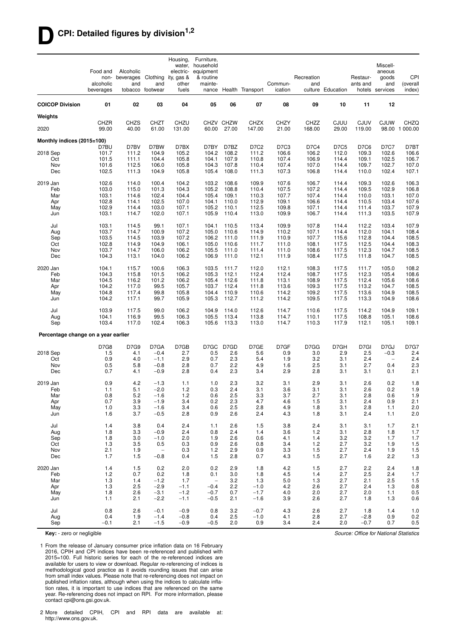## **DCPI: Detailed figures by division1,2**

| 02<br>03<br>12<br><b>COICOP Division</b><br>01<br>04<br>05<br>06<br>07<br>08<br>09<br>10<br>11<br>Weights<br><b>CJUW</b><br>CHZR<br><b>CHZS</b><br><b>CHZT</b><br>CHZU<br>CHZV CHZW<br><b>CHZX</b><br><b>CHZY</b><br>CHZZ<br>CJUU<br><b>CJUV</b><br>CHZQ<br>40.00<br>29.00<br>98.00 1 000.00<br>2020<br>99.00<br>61.00<br>131.00<br>60.00<br>27.00<br>147.00<br>21.00<br>168.00<br>119.00<br>Monthly indices (2015=100)<br>D7BW<br>D7BY<br>D7C2<br>D7BU<br>D7BV<br>D7BX<br>D7BZ<br>D7C3<br>D7C4<br>D7C5<br>D7C6<br>D7C7<br>D7BT<br>2018 Sep<br>104.9<br>105.2<br>108.2<br>112.0<br>102.6<br>106.6<br>101.7<br>111.2<br>104.2<br>111.2<br>106.6<br>106.2<br>109.3<br>106.7<br>107.9<br>106.9<br>101.5<br>111.1<br>104.4<br>105.8<br>104.1<br>110.8<br>107.4<br>114.4<br>109.1<br>102.5<br>Oct<br>107.0<br>Nov<br>101.6<br>112.5<br>106.0<br>105.8<br>104.3<br>107.8<br>110.4<br>107.4<br>107.0<br>114.4<br>109.7<br>102.7<br>105.4<br>107.3<br>107.1<br>Dec<br>102.5<br>111.3<br>104.9<br>105.8<br>108.0<br>111.3<br>106.8<br>114.4<br>110.0<br>102.4<br>2019 Jan<br>102.6<br>114.0<br>100.4<br>104.2<br>103.2<br>108.6<br>109.9<br>107.6<br>106.7<br>114.4<br>109.3<br>102.6<br>106.3<br>Feb<br>115.0<br>104.3<br>105.2<br>107.5<br>107.2<br>102.9<br>106.8<br>103.0<br>101.3<br>108.8<br>110.4<br>114.4<br>109.5<br>107.0<br>105.4<br>107.7<br>107.4<br>Mar<br>103.1<br>114.6<br>102.4<br>104.4<br>109.1<br>110.3<br>114.4<br>110.0<br>103.1<br>107.6<br>Apr<br>102.8<br>114.1<br>102.5<br>107.0<br>104.1<br>110.0<br>112.9<br>109.1<br>106.6<br>114.4<br>110.5<br>103.4<br>105.2<br>107.9<br>May<br>102.9<br>114.4<br>103.0<br>107.1<br>110.1<br>112.5<br>109.8<br>107.1<br>114.4<br>103.7<br>111.4<br>107.9<br>105.9<br>103.1<br>114.7<br>102.0<br>107.1<br>110.4<br>113.0<br>109.9<br>106.7<br>114.4<br>103.5<br>Jun<br>111.3<br>99.1<br>107.1<br>104.1<br>113.4<br>109.9<br>107.8<br>112.2<br>103.4<br>107.9<br>Jul<br>103.1<br>114.5<br>110.5<br>114.4<br>108.4<br>103.7<br>114.7<br>107.2<br>112.0<br>100.9<br>105.0<br>110.6<br>114.9<br>110.2<br>107.1<br>114.4<br>104.1<br>Aug<br>108.5<br>Sep<br>103.5<br>114.5<br>103.9<br>107.2<br>106.2<br>111.0<br>111.9<br>110.9<br>107.7<br>115.6<br>112.8<br>104.4<br>106.1<br>108.3<br>Oct<br>102.8<br>114.9<br>104.9<br>105.0<br>110.6<br>111.0<br>108.1<br>117.5<br>112.5<br>104.4<br>111.7<br>108.5<br>103.7<br>105.5<br>Nov<br>114.7<br>106.0<br>106.2<br>111.0<br>111.4<br>111.0<br>108.6<br>117.5<br>112.3<br>104.7<br>108.5<br>Dec<br>104.3<br>113.1<br>104.0<br>106.2<br>106.9<br>111.0<br>112.1<br>111.9<br>108.4<br>117.5<br>111.8<br>104.7<br>108.2<br>2020 Jan<br>115.7<br>100.6<br>106.3<br>103.5<br>111.7<br>112.0<br>112.1<br>108.3<br>117.5<br>111.7<br>105.0<br>104.1<br>108.6<br>Feb<br>104.3<br>115.8<br>101.5<br>106.2<br>105.3<br>112.1<br>112.4<br>112.4<br>108.7<br>117.5<br>112.3<br>105.4<br>106.2<br>108.6<br>Mar<br>104.5<br>116.2<br>101.2<br>105.4<br>112.6<br>113.1<br>108.9<br>117.5<br>112.4<br>105.6<br>111.8<br>108.5<br>103.7<br>Apr<br>104.2<br>117.0<br>99.5<br>105.7<br>112.4<br>111.8<br>113.6<br>109.3<br>117.5<br>113.2<br>104.7<br>108.5<br>104.8<br>117.4<br>99.8<br>105.8<br>104.4<br>110.9<br>110.6<br>114.2<br>109.2<br>117.5<br>113.6<br>104.9<br>May<br>105.9<br>105.3<br>112.7<br>117.5<br>108.6<br>Jun<br>104.2<br>117.1<br>99.7<br>111.2<br>114.2<br>109.5<br>113.3<br>104.9<br>Jul<br>103.9<br>117.5<br>99.0<br>106.2<br>104.9<br>114.0<br>112.6<br>114.7<br>110.6<br>117.5<br>114.2<br>104.9<br>109.1<br>99.5<br>106.3<br>105.5<br>108.6<br>Aug<br>104.1<br>116.9<br>113.4<br>113.8<br>114.7<br>110.1<br>117.5<br>108.8<br>105.1<br>109.1<br>103.4<br>117.0<br>102.4<br>106.3<br>105.6<br>113.3<br>113.0<br>114.7<br>110.3<br>117.9<br>112.1<br>105.1<br>Sep<br>Percentage change on a year earlier<br>D7G9<br>D7GA<br>D7GB<br>D7GC D7GD<br>D7GE<br>D7GF<br>D7GG<br>D7GH<br>D7GI<br>D7GJ<br><b>D7G7</b><br>D7G8<br>2018 Sep<br>4.1<br>2.7<br>0.5<br>2.6<br>5.6<br>0.9<br>3.0<br>2.9<br>2.5<br>2.4<br>1.5<br>$-0.4$<br>$-0.3$<br>2.3<br>2.4<br>Oct<br>0.9<br>4.0<br>2.9<br>0.7<br>5.4<br>1.9<br>3.2<br>3.1<br>2.4<br>$-1.1$<br>$\overline{\phantom{a}}$<br>2.8<br>2.2<br>2.3<br>Nov<br>0.5<br>5.8<br>$-0.8$<br>0.7<br>4.9<br>1.6<br>2.5<br>3.1<br>2.7<br>0.4<br>2.8<br>2.1<br>Dec<br>0.7<br>4.1<br>$-0.9$<br>0.4<br>2.3<br>3.4<br>2.9<br>2.8<br>3.1<br>3.1<br>0.1<br>2019 Jan<br>4.2<br>2.3<br>3.2<br>3.1<br>2.9<br>3.1<br>2.6<br>0.2<br>1.8<br>0.9<br>$-1.3$<br>1.1<br>1.0<br>2.4<br>2.6<br>0.2<br>1.9<br>Feb<br>5.1<br>$-2.0$<br>1.2<br>0.3<br>3.1<br>3.6<br>3.1<br>3.1<br>1.1<br>0.8<br>5.2<br>1.2<br>0.6<br>2.5<br>3.3<br>2.7<br>2.8<br>0.6<br>1.9<br>3.7<br>3.1<br>Mar<br>$-1.6$<br>2.1<br>Apr<br>0.7<br>3.9<br>$-1.9$<br>3.4<br>0.2<br>2.3<br>4.7<br>4.6<br>1.5<br>3.1<br>2.4<br>0.9<br>2.5<br>2.8<br>2.0<br>1.0<br>3.3<br>$-1.6$<br>3.4<br>0.6<br>2.8<br>4.9<br>1.8<br>3.1<br>1.1<br>May<br>2.0<br>1.6<br>3.7<br>$-0.5$<br>2.8<br>0.9<br>2.6<br>2.4<br>4.3<br>1.8<br>3.1<br>2.4<br>1.1<br>Jun<br>1.4<br>3.8<br>0.4<br>2.4<br>2.6<br>3.8<br>2.4<br>3.1<br>2.1<br>Jul<br>1.1<br>1.5<br>3.1<br>1.7<br>1.8<br>3.3<br>$-0.9$<br>2.4<br>2.4<br>3.6<br>1.2<br>3.1<br>2.8<br>1.8<br>1.7<br>Aug<br>0.8<br>1.4<br>3.2<br>Sep<br>1.8<br>3.0<br>$-1.0$<br>2.0<br>1.9<br>2.6<br>0.6<br>4.1<br>1.4<br>3.2<br>1.7<br>1.7<br>Oct<br>1.3<br>3.5<br>0.5<br>0.3<br>0.9<br>2.6<br>0.8<br>3.4<br>1.2<br>2.7<br>3.2<br>1.9<br>1.5<br>2.1<br>0.3<br>2.7<br>Nov<br>1.9<br>1.2<br>2.9<br>0.9<br>3.3<br>1.5<br>2.4<br>1.9<br>1.5<br>$\overline{\phantom{m}}$<br>1.7<br>2.2<br>Dec<br>1.5<br>$-0.8$<br>0.4<br>1.5<br>2.8<br>0.7<br>4.3<br>1.5<br>2.7<br>1.6<br>1.3<br>1.5<br>0.2<br>2.9<br>1.8<br>4.2<br>1.5<br>2.7<br>2.2<br>1.8<br>2020 Jan<br>1.4<br>2.0<br>0.2<br>2.4<br>$1.2$<br>0.7<br>0.2<br>4.5<br>2.7<br>Feb<br>1.8<br>0.1<br>3.0<br>1.8<br>1.4<br>2.5<br>2.4<br>1.7<br>Mar<br>1.3<br>1.4<br>$-1.2$<br>1.7<br>3.2<br>1.3<br>5.0<br>1.3<br>2.7<br>2.1<br>2.5<br>1.5<br>$\overline{\phantom{a}}$<br>1.3<br>2.5<br>$-2.9$<br>$-0.4$<br>2.2<br>$-1.0$<br>4.2<br>2.6<br>2.7<br>2.4<br>1.3<br>0.8<br>Apr<br>$-1.1$<br>$-1.7$<br>1.8<br>2.6<br>$-3.1$<br>$-1.2$<br>$-0.7$<br>0.7<br>4.0<br>2.0<br>2.7<br>2.0<br>1.1<br>0.5<br>May<br>2.1<br>$-2.2$<br>2.1<br>$-1.6$<br>3.9<br>2.6<br>2.7<br>0.6<br>Jun<br>1.1<br>$-1.1$<br>$-0.5$<br>1.8<br>1.3<br>Jul<br>0.8<br>2.6<br>$-0.1$<br>$-0.9$<br>0.8<br>3.2<br>$-0.7$<br>4.3<br>2.6<br>2.7<br>1.8<br>1.4<br>1.0<br>0.4<br>1.9<br>2.5<br>$-1.0$<br>4.1<br>2.7<br>$-2.8$<br>0.9<br>0.2<br>Aug<br>$-1.4$<br>$-0.8$<br>0.4<br>2.8<br>0.9<br>0.5<br>Sep<br>$-0.1$<br>2.1<br>$-1.5$<br>$-0.9$<br>$-0.5$<br>2.0<br>3.4<br>2.4<br>2.0<br>$-0.7$<br>0.7 | Food and<br>non-<br>alcoholic<br>beverages | Alcoholic<br>beverages<br>and | Clothing<br>and<br>tobacco footwear | Housing,<br>ity, gas &<br>other<br>fuels | Furniture,<br>water, household<br>electric- equipment<br>& routine<br>mainte-<br>nance | Health Transport | Commun-<br>ication | Recreation<br>and | culture Education | Restaur-<br>ants and | Miscell-<br>aneous<br>goods<br>and<br>hotels services | CPI<br>(overall<br>index) |
|--------------------------------------------------------------------------------------------------------------------------------------------------------------------------------------------------------------------------------------------------------------------------------------------------------------------------------------------------------------------------------------------------------------------------------------------------------------------------------------------------------------------------------------------------------------------------------------------------------------------------------------------------------------------------------------------------------------------------------------------------------------------------------------------------------------------------------------------------------------------------------------------------------------------------------------------------------------------------------------------------------------------------------------------------------------------------------------------------------------------------------------------------------------------------------------------------------------------------------------------------------------------------------------------------------------------------------------------------------------------------------------------------------------------------------------------------------------------------------------------------------------------------------------------------------------------------------------------------------------------------------------------------------------------------------------------------------------------------------------------------------------------------------------------------------------------------------------------------------------------------------------------------------------------------------------------------------------------------------------------------------------------------------------------------------------------------------------------------------------------------------------------------------------------------------------------------------------------------------------------------------------------------------------------------------------------------------------------------------------------------------------------------------------------------------------------------------------------------------------------------------------------------------------------------------------------------------------------------------------------------------------------------------------------------------------------------------------------------------------------------------------------------------------------------------------------------------------------------------------------------------------------------------------------------------------------------------------------------------------------------------------------------------------------------------------------------------------------------------------------------------------------------------------------------------------------------------------------------------------------------------------------------------------------------------------------------------------------------------------------------------------------------------------------------------------------------------------------------------------------------------------------------------------------------------------------------------------------------------------------------------------------------------------------------------------------------------------------------------------------------------------------------------------------------------------------------------------------------------------------------------------------------------------------------------------------------------------------------------------------------------------------------------------------------------------------------------------------------------------------------------------------------------------------------------------------------------------------------------------------------------------------------------------------------------------------------------------------------------------------------------------------------------------------------------------------------------------------------------------------------------------------------------------------------------------------------------------------------------------------------------------------------------------------------------------------------------------------------------------------------------------------------------------------------------------------------------------------------------------------------------------------------------------------------------------------------------------------------------------------------------------------------------------------------------------------------------------------------------------------------------------------------------------------------------------------------------------------------------------------------------------------------------------------------------------------------------------------------------------------------------------------------------------------------------------------------------------------------------------------------------------------------------------------------------------------------------------------------------------------------------------------------------------------------------------------------------------------------------------------------------------------------------------------------------------------------------------------------------------------------------------------------------------------------------------------------------------------------------------------------------------------------------------------------------------------------------------------------------------------------------------------------------------------------------------------------------------------------------------------------------------------------------------------------------------------------------------------------------------------------------------------------------------------------------------------------------------------------------------------------------------------------------------------------------------------------------------------------------------------------------------------------------------------------------|--------------------------------------------|-------------------------------|-------------------------------------|------------------------------------------|----------------------------------------------------------------------------------------|------------------|--------------------|-------------------|-------------------|----------------------|-------------------------------------------------------|---------------------------|
|                                                                                                                                                                                                                                                                                                                                                                                                                                                                                                                                                                                                                                                                                                                                                                                                                                                                                                                                                                                                                                                                                                                                                                                                                                                                                                                                                                                                                                                                                                                                                                                                                                                                                                                                                                                                                                                                                                                                                                                                                                                                                                                                                                                                                                                                                                                                                                                                                                                                                                                                                                                                                                                                                                                                                                                                                                                                                                                                                                                                                                                                                                                                                                                                                                                                                                                                                                                                                                                                                                                                                                                                                                                                                                                                                                                                                                                                                                                                                                                                                                                                                                                                                                                                                                                                                                                                                                                                                                                                                                                                                                                                                                                                                                                                                                                                                                                                                                                                                                                                                                                                                                                                                                                                                                                                                                                                                                                                                                                                                                                                                                                                                                                                                                                                                                                                                                                                                                                                                                                                                                                                                                                                                                                                                                                                                                                                                                                                                                                                                                                                                                                                                                                                                |                                            |                               |                                     |                                          |                                                                                        |                  |                    |                   |                   |                      |                                                       |                           |
|                                                                                                                                                                                                                                                                                                                                                                                                                                                                                                                                                                                                                                                                                                                                                                                                                                                                                                                                                                                                                                                                                                                                                                                                                                                                                                                                                                                                                                                                                                                                                                                                                                                                                                                                                                                                                                                                                                                                                                                                                                                                                                                                                                                                                                                                                                                                                                                                                                                                                                                                                                                                                                                                                                                                                                                                                                                                                                                                                                                                                                                                                                                                                                                                                                                                                                                                                                                                                                                                                                                                                                                                                                                                                                                                                                                                                                                                                                                                                                                                                                                                                                                                                                                                                                                                                                                                                                                                                                                                                                                                                                                                                                                                                                                                                                                                                                                                                                                                                                                                                                                                                                                                                                                                                                                                                                                                                                                                                                                                                                                                                                                                                                                                                                                                                                                                                                                                                                                                                                                                                                                                                                                                                                                                                                                                                                                                                                                                                                                                                                                                                                                                                                                                                |                                            |                               |                                     |                                          |                                                                                        |                  |                    |                   |                   |                      |                                                       |                           |
|                                                                                                                                                                                                                                                                                                                                                                                                                                                                                                                                                                                                                                                                                                                                                                                                                                                                                                                                                                                                                                                                                                                                                                                                                                                                                                                                                                                                                                                                                                                                                                                                                                                                                                                                                                                                                                                                                                                                                                                                                                                                                                                                                                                                                                                                                                                                                                                                                                                                                                                                                                                                                                                                                                                                                                                                                                                                                                                                                                                                                                                                                                                                                                                                                                                                                                                                                                                                                                                                                                                                                                                                                                                                                                                                                                                                                                                                                                                                                                                                                                                                                                                                                                                                                                                                                                                                                                                                                                                                                                                                                                                                                                                                                                                                                                                                                                                                                                                                                                                                                                                                                                                                                                                                                                                                                                                                                                                                                                                                                                                                                                                                                                                                                                                                                                                                                                                                                                                                                                                                                                                                                                                                                                                                                                                                                                                                                                                                                                                                                                                                                                                                                                                                                |                                            |                               |                                     |                                          |                                                                                        |                  |                    |                   |                   |                      |                                                       |                           |
|                                                                                                                                                                                                                                                                                                                                                                                                                                                                                                                                                                                                                                                                                                                                                                                                                                                                                                                                                                                                                                                                                                                                                                                                                                                                                                                                                                                                                                                                                                                                                                                                                                                                                                                                                                                                                                                                                                                                                                                                                                                                                                                                                                                                                                                                                                                                                                                                                                                                                                                                                                                                                                                                                                                                                                                                                                                                                                                                                                                                                                                                                                                                                                                                                                                                                                                                                                                                                                                                                                                                                                                                                                                                                                                                                                                                                                                                                                                                                                                                                                                                                                                                                                                                                                                                                                                                                                                                                                                                                                                                                                                                                                                                                                                                                                                                                                                                                                                                                                                                                                                                                                                                                                                                                                                                                                                                                                                                                                                                                                                                                                                                                                                                                                                                                                                                                                                                                                                                                                                                                                                                                                                                                                                                                                                                                                                                                                                                                                                                                                                                                                                                                                                                                |                                            |                               |                                     |                                          |                                                                                        |                  |                    |                   |                   |                      |                                                       |                           |
|                                                                                                                                                                                                                                                                                                                                                                                                                                                                                                                                                                                                                                                                                                                                                                                                                                                                                                                                                                                                                                                                                                                                                                                                                                                                                                                                                                                                                                                                                                                                                                                                                                                                                                                                                                                                                                                                                                                                                                                                                                                                                                                                                                                                                                                                                                                                                                                                                                                                                                                                                                                                                                                                                                                                                                                                                                                                                                                                                                                                                                                                                                                                                                                                                                                                                                                                                                                                                                                                                                                                                                                                                                                                                                                                                                                                                                                                                                                                                                                                                                                                                                                                                                                                                                                                                                                                                                                                                                                                                                                                                                                                                                                                                                                                                                                                                                                                                                                                                                                                                                                                                                                                                                                                                                                                                                                                                                                                                                                                                                                                                                                                                                                                                                                                                                                                                                                                                                                                                                                                                                                                                                                                                                                                                                                                                                                                                                                                                                                                                                                                                                                                                                                                                |                                            |                               |                                     |                                          |                                                                                        |                  |                    |                   |                   |                      |                                                       |                           |
|                                                                                                                                                                                                                                                                                                                                                                                                                                                                                                                                                                                                                                                                                                                                                                                                                                                                                                                                                                                                                                                                                                                                                                                                                                                                                                                                                                                                                                                                                                                                                                                                                                                                                                                                                                                                                                                                                                                                                                                                                                                                                                                                                                                                                                                                                                                                                                                                                                                                                                                                                                                                                                                                                                                                                                                                                                                                                                                                                                                                                                                                                                                                                                                                                                                                                                                                                                                                                                                                                                                                                                                                                                                                                                                                                                                                                                                                                                                                                                                                                                                                                                                                                                                                                                                                                                                                                                                                                                                                                                                                                                                                                                                                                                                                                                                                                                                                                                                                                                                                                                                                                                                                                                                                                                                                                                                                                                                                                                                                                                                                                                                                                                                                                                                                                                                                                                                                                                                                                                                                                                                                                                                                                                                                                                                                                                                                                                                                                                                                                                                                                                                                                                                                                |                                            |                               |                                     |                                          |                                                                                        |                  |                    |                   |                   |                      |                                                       |                           |
|                                                                                                                                                                                                                                                                                                                                                                                                                                                                                                                                                                                                                                                                                                                                                                                                                                                                                                                                                                                                                                                                                                                                                                                                                                                                                                                                                                                                                                                                                                                                                                                                                                                                                                                                                                                                                                                                                                                                                                                                                                                                                                                                                                                                                                                                                                                                                                                                                                                                                                                                                                                                                                                                                                                                                                                                                                                                                                                                                                                                                                                                                                                                                                                                                                                                                                                                                                                                                                                                                                                                                                                                                                                                                                                                                                                                                                                                                                                                                                                                                                                                                                                                                                                                                                                                                                                                                                                                                                                                                                                                                                                                                                                                                                                                                                                                                                                                                                                                                                                                                                                                                                                                                                                                                                                                                                                                                                                                                                                                                                                                                                                                                                                                                                                                                                                                                                                                                                                                                                                                                                                                                                                                                                                                                                                                                                                                                                                                                                                                                                                                                                                                                                                                                |                                            |                               |                                     |                                          |                                                                                        |                  |                    |                   |                   |                      |                                                       |                           |
|                                                                                                                                                                                                                                                                                                                                                                                                                                                                                                                                                                                                                                                                                                                                                                                                                                                                                                                                                                                                                                                                                                                                                                                                                                                                                                                                                                                                                                                                                                                                                                                                                                                                                                                                                                                                                                                                                                                                                                                                                                                                                                                                                                                                                                                                                                                                                                                                                                                                                                                                                                                                                                                                                                                                                                                                                                                                                                                                                                                                                                                                                                                                                                                                                                                                                                                                                                                                                                                                                                                                                                                                                                                                                                                                                                                                                                                                                                                                                                                                                                                                                                                                                                                                                                                                                                                                                                                                                                                                                                                                                                                                                                                                                                                                                                                                                                                                                                                                                                                                                                                                                                                                                                                                                                                                                                                                                                                                                                                                                                                                                                                                                                                                                                                                                                                                                                                                                                                                                                                                                                                                                                                                                                                                                                                                                                                                                                                                                                                                                                                                                                                                                                                                                |                                            |                               |                                     |                                          |                                                                                        |                  |                    |                   |                   |                      |                                                       |                           |
|                                                                                                                                                                                                                                                                                                                                                                                                                                                                                                                                                                                                                                                                                                                                                                                                                                                                                                                                                                                                                                                                                                                                                                                                                                                                                                                                                                                                                                                                                                                                                                                                                                                                                                                                                                                                                                                                                                                                                                                                                                                                                                                                                                                                                                                                                                                                                                                                                                                                                                                                                                                                                                                                                                                                                                                                                                                                                                                                                                                                                                                                                                                                                                                                                                                                                                                                                                                                                                                                                                                                                                                                                                                                                                                                                                                                                                                                                                                                                                                                                                                                                                                                                                                                                                                                                                                                                                                                                                                                                                                                                                                                                                                                                                                                                                                                                                                                                                                                                                                                                                                                                                                                                                                                                                                                                                                                                                                                                                                                                                                                                                                                                                                                                                                                                                                                                                                                                                                                                                                                                                                                                                                                                                                                                                                                                                                                                                                                                                                                                                                                                                                                                                                                                |                                            |                               |                                     |                                          |                                                                                        |                  |                    |                   |                   |                      |                                                       |                           |
|                                                                                                                                                                                                                                                                                                                                                                                                                                                                                                                                                                                                                                                                                                                                                                                                                                                                                                                                                                                                                                                                                                                                                                                                                                                                                                                                                                                                                                                                                                                                                                                                                                                                                                                                                                                                                                                                                                                                                                                                                                                                                                                                                                                                                                                                                                                                                                                                                                                                                                                                                                                                                                                                                                                                                                                                                                                                                                                                                                                                                                                                                                                                                                                                                                                                                                                                                                                                                                                                                                                                                                                                                                                                                                                                                                                                                                                                                                                                                                                                                                                                                                                                                                                                                                                                                                                                                                                                                                                                                                                                                                                                                                                                                                                                                                                                                                                                                                                                                                                                                                                                                                                                                                                                                                                                                                                                                                                                                                                                                                                                                                                                                                                                                                                                                                                                                                                                                                                                                                                                                                                                                                                                                                                                                                                                                                                                                                                                                                                                                                                                                                                                                                                                                |                                            |                               |                                     |                                          |                                                                                        |                  |                    |                   |                   |                      |                                                       |                           |
|                                                                                                                                                                                                                                                                                                                                                                                                                                                                                                                                                                                                                                                                                                                                                                                                                                                                                                                                                                                                                                                                                                                                                                                                                                                                                                                                                                                                                                                                                                                                                                                                                                                                                                                                                                                                                                                                                                                                                                                                                                                                                                                                                                                                                                                                                                                                                                                                                                                                                                                                                                                                                                                                                                                                                                                                                                                                                                                                                                                                                                                                                                                                                                                                                                                                                                                                                                                                                                                                                                                                                                                                                                                                                                                                                                                                                                                                                                                                                                                                                                                                                                                                                                                                                                                                                                                                                                                                                                                                                                                                                                                                                                                                                                                                                                                                                                                                                                                                                                                                                                                                                                                                                                                                                                                                                                                                                                                                                                                                                                                                                                                                                                                                                                                                                                                                                                                                                                                                                                                                                                                                                                                                                                                                                                                                                                                                                                                                                                                                                                                                                                                                                                                                                |                                            |                               |                                     |                                          |                                                                                        |                  |                    |                   |                   |                      |                                                       |                           |
|                                                                                                                                                                                                                                                                                                                                                                                                                                                                                                                                                                                                                                                                                                                                                                                                                                                                                                                                                                                                                                                                                                                                                                                                                                                                                                                                                                                                                                                                                                                                                                                                                                                                                                                                                                                                                                                                                                                                                                                                                                                                                                                                                                                                                                                                                                                                                                                                                                                                                                                                                                                                                                                                                                                                                                                                                                                                                                                                                                                                                                                                                                                                                                                                                                                                                                                                                                                                                                                                                                                                                                                                                                                                                                                                                                                                                                                                                                                                                                                                                                                                                                                                                                                                                                                                                                                                                                                                                                                                                                                                                                                                                                                                                                                                                                                                                                                                                                                                                                                                                                                                                                                                                                                                                                                                                                                                                                                                                                                                                                                                                                                                                                                                                                                                                                                                                                                                                                                                                                                                                                                                                                                                                                                                                                                                                                                                                                                                                                                                                                                                                                                                                                                                                |                                            |                               |                                     |                                          |                                                                                        |                  |                    |                   |                   |                      |                                                       |                           |
|                                                                                                                                                                                                                                                                                                                                                                                                                                                                                                                                                                                                                                                                                                                                                                                                                                                                                                                                                                                                                                                                                                                                                                                                                                                                                                                                                                                                                                                                                                                                                                                                                                                                                                                                                                                                                                                                                                                                                                                                                                                                                                                                                                                                                                                                                                                                                                                                                                                                                                                                                                                                                                                                                                                                                                                                                                                                                                                                                                                                                                                                                                                                                                                                                                                                                                                                                                                                                                                                                                                                                                                                                                                                                                                                                                                                                                                                                                                                                                                                                                                                                                                                                                                                                                                                                                                                                                                                                                                                                                                                                                                                                                                                                                                                                                                                                                                                                                                                                                                                                                                                                                                                                                                                                                                                                                                                                                                                                                                                                                                                                                                                                                                                                                                                                                                                                                                                                                                                                                                                                                                                                                                                                                                                                                                                                                                                                                                                                                                                                                                                                                                                                                                                                |                                            |                               |                                     |                                          |                                                                                        |                  |                    |                   |                   |                      |                                                       |                           |
|                                                                                                                                                                                                                                                                                                                                                                                                                                                                                                                                                                                                                                                                                                                                                                                                                                                                                                                                                                                                                                                                                                                                                                                                                                                                                                                                                                                                                                                                                                                                                                                                                                                                                                                                                                                                                                                                                                                                                                                                                                                                                                                                                                                                                                                                                                                                                                                                                                                                                                                                                                                                                                                                                                                                                                                                                                                                                                                                                                                                                                                                                                                                                                                                                                                                                                                                                                                                                                                                                                                                                                                                                                                                                                                                                                                                                                                                                                                                                                                                                                                                                                                                                                                                                                                                                                                                                                                                                                                                                                                                                                                                                                                                                                                                                                                                                                                                                                                                                                                                                                                                                                                                                                                                                                                                                                                                                                                                                                                                                                                                                                                                                                                                                                                                                                                                                                                                                                                                                                                                                                                                                                                                                                                                                                                                                                                                                                                                                                                                                                                                                                                                                                                                                |                                            |                               |                                     |                                          |                                                                                        |                  |                    |                   |                   |                      |                                                       |                           |
|                                                                                                                                                                                                                                                                                                                                                                                                                                                                                                                                                                                                                                                                                                                                                                                                                                                                                                                                                                                                                                                                                                                                                                                                                                                                                                                                                                                                                                                                                                                                                                                                                                                                                                                                                                                                                                                                                                                                                                                                                                                                                                                                                                                                                                                                                                                                                                                                                                                                                                                                                                                                                                                                                                                                                                                                                                                                                                                                                                                                                                                                                                                                                                                                                                                                                                                                                                                                                                                                                                                                                                                                                                                                                                                                                                                                                                                                                                                                                                                                                                                                                                                                                                                                                                                                                                                                                                                                                                                                                                                                                                                                                                                                                                                                                                                                                                                                                                                                                                                                                                                                                                                                                                                                                                                                                                                                                                                                                                                                                                                                                                                                                                                                                                                                                                                                                                                                                                                                                                                                                                                                                                                                                                                                                                                                                                                                                                                                                                                                                                                                                                                                                                                                                |                                            |                               |                                     |                                          |                                                                                        |                  |                    |                   |                   |                      |                                                       |                           |
|                                                                                                                                                                                                                                                                                                                                                                                                                                                                                                                                                                                                                                                                                                                                                                                                                                                                                                                                                                                                                                                                                                                                                                                                                                                                                                                                                                                                                                                                                                                                                                                                                                                                                                                                                                                                                                                                                                                                                                                                                                                                                                                                                                                                                                                                                                                                                                                                                                                                                                                                                                                                                                                                                                                                                                                                                                                                                                                                                                                                                                                                                                                                                                                                                                                                                                                                                                                                                                                                                                                                                                                                                                                                                                                                                                                                                                                                                                                                                                                                                                                                                                                                                                                                                                                                                                                                                                                                                                                                                                                                                                                                                                                                                                                                                                                                                                                                                                                                                                                                                                                                                                                                                                                                                                                                                                                                                                                                                                                                                                                                                                                                                                                                                                                                                                                                                                                                                                                                                                                                                                                                                                                                                                                                                                                                                                                                                                                                                                                                                                                                                                                                                                                                                |                                            |                               |                                     |                                          |                                                                                        |                  |                    |                   |                   |                      |                                                       |                           |
|                                                                                                                                                                                                                                                                                                                                                                                                                                                                                                                                                                                                                                                                                                                                                                                                                                                                                                                                                                                                                                                                                                                                                                                                                                                                                                                                                                                                                                                                                                                                                                                                                                                                                                                                                                                                                                                                                                                                                                                                                                                                                                                                                                                                                                                                                                                                                                                                                                                                                                                                                                                                                                                                                                                                                                                                                                                                                                                                                                                                                                                                                                                                                                                                                                                                                                                                                                                                                                                                                                                                                                                                                                                                                                                                                                                                                                                                                                                                                                                                                                                                                                                                                                                                                                                                                                                                                                                                                                                                                                                                                                                                                                                                                                                                                                                                                                                                                                                                                                                                                                                                                                                                                                                                                                                                                                                                                                                                                                                                                                                                                                                                                                                                                                                                                                                                                                                                                                                                                                                                                                                                                                                                                                                                                                                                                                                                                                                                                                                                                                                                                                                                                                                                                |                                            |                               |                                     |                                          |                                                                                        |                  |                    |                   |                   |                      |                                                       |                           |
|                                                                                                                                                                                                                                                                                                                                                                                                                                                                                                                                                                                                                                                                                                                                                                                                                                                                                                                                                                                                                                                                                                                                                                                                                                                                                                                                                                                                                                                                                                                                                                                                                                                                                                                                                                                                                                                                                                                                                                                                                                                                                                                                                                                                                                                                                                                                                                                                                                                                                                                                                                                                                                                                                                                                                                                                                                                                                                                                                                                                                                                                                                                                                                                                                                                                                                                                                                                                                                                                                                                                                                                                                                                                                                                                                                                                                                                                                                                                                                                                                                                                                                                                                                                                                                                                                                                                                                                                                                                                                                                                                                                                                                                                                                                                                                                                                                                                                                                                                                                                                                                                                                                                                                                                                                                                                                                                                                                                                                                                                                                                                                                                                                                                                                                                                                                                                                                                                                                                                                                                                                                                                                                                                                                                                                                                                                                                                                                                                                                                                                                                                                                                                                                                                |                                            |                               |                                     |                                          |                                                                                        |                  |                    |                   |                   |                      |                                                       |                           |
|                                                                                                                                                                                                                                                                                                                                                                                                                                                                                                                                                                                                                                                                                                                                                                                                                                                                                                                                                                                                                                                                                                                                                                                                                                                                                                                                                                                                                                                                                                                                                                                                                                                                                                                                                                                                                                                                                                                                                                                                                                                                                                                                                                                                                                                                                                                                                                                                                                                                                                                                                                                                                                                                                                                                                                                                                                                                                                                                                                                                                                                                                                                                                                                                                                                                                                                                                                                                                                                                                                                                                                                                                                                                                                                                                                                                                                                                                                                                                                                                                                                                                                                                                                                                                                                                                                                                                                                                                                                                                                                                                                                                                                                                                                                                                                                                                                                                                                                                                                                                                                                                                                                                                                                                                                                                                                                                                                                                                                                                                                                                                                                                                                                                                                                                                                                                                                                                                                                                                                                                                                                                                                                                                                                                                                                                                                                                                                                                                                                                                                                                                                                                                                                                                |                                            |                               |                                     |                                          |                                                                                        |                  |                    |                   |                   |                      |                                                       |                           |
|                                                                                                                                                                                                                                                                                                                                                                                                                                                                                                                                                                                                                                                                                                                                                                                                                                                                                                                                                                                                                                                                                                                                                                                                                                                                                                                                                                                                                                                                                                                                                                                                                                                                                                                                                                                                                                                                                                                                                                                                                                                                                                                                                                                                                                                                                                                                                                                                                                                                                                                                                                                                                                                                                                                                                                                                                                                                                                                                                                                                                                                                                                                                                                                                                                                                                                                                                                                                                                                                                                                                                                                                                                                                                                                                                                                                                                                                                                                                                                                                                                                                                                                                                                                                                                                                                                                                                                                                                                                                                                                                                                                                                                                                                                                                                                                                                                                                                                                                                                                                                                                                                                                                                                                                                                                                                                                                                                                                                                                                                                                                                                                                                                                                                                                                                                                                                                                                                                                                                                                                                                                                                                                                                                                                                                                                                                                                                                                                                                                                                                                                                                                                                                                                                |                                            |                               |                                     |                                          |                                                                                        |                  |                    |                   |                   |                      |                                                       |                           |
|                                                                                                                                                                                                                                                                                                                                                                                                                                                                                                                                                                                                                                                                                                                                                                                                                                                                                                                                                                                                                                                                                                                                                                                                                                                                                                                                                                                                                                                                                                                                                                                                                                                                                                                                                                                                                                                                                                                                                                                                                                                                                                                                                                                                                                                                                                                                                                                                                                                                                                                                                                                                                                                                                                                                                                                                                                                                                                                                                                                                                                                                                                                                                                                                                                                                                                                                                                                                                                                                                                                                                                                                                                                                                                                                                                                                                                                                                                                                                                                                                                                                                                                                                                                                                                                                                                                                                                                                                                                                                                                                                                                                                                                                                                                                                                                                                                                                                                                                                                                                                                                                                                                                                                                                                                                                                                                                                                                                                                                                                                                                                                                                                                                                                                                                                                                                                                                                                                                                                                                                                                                                                                                                                                                                                                                                                                                                                                                                                                                                                                                                                                                                                                                                                |                                            |                               |                                     |                                          |                                                                                        |                  |                    |                   |                   |                      |                                                       |                           |
|                                                                                                                                                                                                                                                                                                                                                                                                                                                                                                                                                                                                                                                                                                                                                                                                                                                                                                                                                                                                                                                                                                                                                                                                                                                                                                                                                                                                                                                                                                                                                                                                                                                                                                                                                                                                                                                                                                                                                                                                                                                                                                                                                                                                                                                                                                                                                                                                                                                                                                                                                                                                                                                                                                                                                                                                                                                                                                                                                                                                                                                                                                                                                                                                                                                                                                                                                                                                                                                                                                                                                                                                                                                                                                                                                                                                                                                                                                                                                                                                                                                                                                                                                                                                                                                                                                                                                                                                                                                                                                                                                                                                                                                                                                                                                                                                                                                                                                                                                                                                                                                                                                                                                                                                                                                                                                                                                                                                                                                                                                                                                                                                                                                                                                                                                                                                                                                                                                                                                                                                                                                                                                                                                                                                                                                                                                                                                                                                                                                                                                                                                                                                                                                                                |                                            |                               |                                     |                                          |                                                                                        |                  |                    |                   |                   |                      |                                                       |                           |
|                                                                                                                                                                                                                                                                                                                                                                                                                                                                                                                                                                                                                                                                                                                                                                                                                                                                                                                                                                                                                                                                                                                                                                                                                                                                                                                                                                                                                                                                                                                                                                                                                                                                                                                                                                                                                                                                                                                                                                                                                                                                                                                                                                                                                                                                                                                                                                                                                                                                                                                                                                                                                                                                                                                                                                                                                                                                                                                                                                                                                                                                                                                                                                                                                                                                                                                                                                                                                                                                                                                                                                                                                                                                                                                                                                                                                                                                                                                                                                                                                                                                                                                                                                                                                                                                                                                                                                                                                                                                                                                                                                                                                                                                                                                                                                                                                                                                                                                                                                                                                                                                                                                                                                                                                                                                                                                                                                                                                                                                                                                                                                                                                                                                                                                                                                                                                                                                                                                                                                                                                                                                                                                                                                                                                                                                                                                                                                                                                                                                                                                                                                                                                                                                                |                                            |                               |                                     |                                          |                                                                                        |                  |                    |                   |                   |                      |                                                       |                           |
|                                                                                                                                                                                                                                                                                                                                                                                                                                                                                                                                                                                                                                                                                                                                                                                                                                                                                                                                                                                                                                                                                                                                                                                                                                                                                                                                                                                                                                                                                                                                                                                                                                                                                                                                                                                                                                                                                                                                                                                                                                                                                                                                                                                                                                                                                                                                                                                                                                                                                                                                                                                                                                                                                                                                                                                                                                                                                                                                                                                                                                                                                                                                                                                                                                                                                                                                                                                                                                                                                                                                                                                                                                                                                                                                                                                                                                                                                                                                                                                                                                                                                                                                                                                                                                                                                                                                                                                                                                                                                                                                                                                                                                                                                                                                                                                                                                                                                                                                                                                                                                                                                                                                                                                                                                                                                                                                                                                                                                                                                                                                                                                                                                                                                                                                                                                                                                                                                                                                                                                                                                                                                                                                                                                                                                                                                                                                                                                                                                                                                                                                                                                                                                                                                |                                            |                               |                                     |                                          |                                                                                        |                  |                    |                   |                   |                      |                                                       |                           |
|                                                                                                                                                                                                                                                                                                                                                                                                                                                                                                                                                                                                                                                                                                                                                                                                                                                                                                                                                                                                                                                                                                                                                                                                                                                                                                                                                                                                                                                                                                                                                                                                                                                                                                                                                                                                                                                                                                                                                                                                                                                                                                                                                                                                                                                                                                                                                                                                                                                                                                                                                                                                                                                                                                                                                                                                                                                                                                                                                                                                                                                                                                                                                                                                                                                                                                                                                                                                                                                                                                                                                                                                                                                                                                                                                                                                                                                                                                                                                                                                                                                                                                                                                                                                                                                                                                                                                                                                                                                                                                                                                                                                                                                                                                                                                                                                                                                                                                                                                                                                                                                                                                                                                                                                                                                                                                                                                                                                                                                                                                                                                                                                                                                                                                                                                                                                                                                                                                                                                                                                                                                                                                                                                                                                                                                                                                                                                                                                                                                                                                                                                                                                                                                                                |                                            |                               |                                     |                                          |                                                                                        |                  |                    |                   |                   |                      |                                                       |                           |
|                                                                                                                                                                                                                                                                                                                                                                                                                                                                                                                                                                                                                                                                                                                                                                                                                                                                                                                                                                                                                                                                                                                                                                                                                                                                                                                                                                                                                                                                                                                                                                                                                                                                                                                                                                                                                                                                                                                                                                                                                                                                                                                                                                                                                                                                                                                                                                                                                                                                                                                                                                                                                                                                                                                                                                                                                                                                                                                                                                                                                                                                                                                                                                                                                                                                                                                                                                                                                                                                                                                                                                                                                                                                                                                                                                                                                                                                                                                                                                                                                                                                                                                                                                                                                                                                                                                                                                                                                                                                                                                                                                                                                                                                                                                                                                                                                                                                                                                                                                                                                                                                                                                                                                                                                                                                                                                                                                                                                                                                                                                                                                                                                                                                                                                                                                                                                                                                                                                                                                                                                                                                                                                                                                                                                                                                                                                                                                                                                                                                                                                                                                                                                                                                                |                                            |                               |                                     |                                          |                                                                                        |                  |                    |                   |                   |                      |                                                       |                           |
|                                                                                                                                                                                                                                                                                                                                                                                                                                                                                                                                                                                                                                                                                                                                                                                                                                                                                                                                                                                                                                                                                                                                                                                                                                                                                                                                                                                                                                                                                                                                                                                                                                                                                                                                                                                                                                                                                                                                                                                                                                                                                                                                                                                                                                                                                                                                                                                                                                                                                                                                                                                                                                                                                                                                                                                                                                                                                                                                                                                                                                                                                                                                                                                                                                                                                                                                                                                                                                                                                                                                                                                                                                                                                                                                                                                                                                                                                                                                                                                                                                                                                                                                                                                                                                                                                                                                                                                                                                                                                                                                                                                                                                                                                                                                                                                                                                                                                                                                                                                                                                                                                                                                                                                                                                                                                                                                                                                                                                                                                                                                                                                                                                                                                                                                                                                                                                                                                                                                                                                                                                                                                                                                                                                                                                                                                                                                                                                                                                                                                                                                                                                                                                                                                |                                            |                               |                                     |                                          |                                                                                        |                  |                    |                   |                   |                      |                                                       |                           |
|                                                                                                                                                                                                                                                                                                                                                                                                                                                                                                                                                                                                                                                                                                                                                                                                                                                                                                                                                                                                                                                                                                                                                                                                                                                                                                                                                                                                                                                                                                                                                                                                                                                                                                                                                                                                                                                                                                                                                                                                                                                                                                                                                                                                                                                                                                                                                                                                                                                                                                                                                                                                                                                                                                                                                                                                                                                                                                                                                                                                                                                                                                                                                                                                                                                                                                                                                                                                                                                                                                                                                                                                                                                                                                                                                                                                                                                                                                                                                                                                                                                                                                                                                                                                                                                                                                                                                                                                                                                                                                                                                                                                                                                                                                                                                                                                                                                                                                                                                                                                                                                                                                                                                                                                                                                                                                                                                                                                                                                                                                                                                                                                                                                                                                                                                                                                                                                                                                                                                                                                                                                                                                                                                                                                                                                                                                                                                                                                                                                                                                                                                                                                                                                                                |                                            |                               |                                     |                                          |                                                                                        |                  |                    |                   |                   |                      |                                                       |                           |
|                                                                                                                                                                                                                                                                                                                                                                                                                                                                                                                                                                                                                                                                                                                                                                                                                                                                                                                                                                                                                                                                                                                                                                                                                                                                                                                                                                                                                                                                                                                                                                                                                                                                                                                                                                                                                                                                                                                                                                                                                                                                                                                                                                                                                                                                                                                                                                                                                                                                                                                                                                                                                                                                                                                                                                                                                                                                                                                                                                                                                                                                                                                                                                                                                                                                                                                                                                                                                                                                                                                                                                                                                                                                                                                                                                                                                                                                                                                                                                                                                                                                                                                                                                                                                                                                                                                                                                                                                                                                                                                                                                                                                                                                                                                                                                                                                                                                                                                                                                                                                                                                                                                                                                                                                                                                                                                                                                                                                                                                                                                                                                                                                                                                                                                                                                                                                                                                                                                                                                                                                                                                                                                                                                                                                                                                                                                                                                                                                                                                                                                                                                                                                                                                                |                                            |                               |                                     |                                          |                                                                                        |                  |                    |                   |                   |                      |                                                       |                           |
|                                                                                                                                                                                                                                                                                                                                                                                                                                                                                                                                                                                                                                                                                                                                                                                                                                                                                                                                                                                                                                                                                                                                                                                                                                                                                                                                                                                                                                                                                                                                                                                                                                                                                                                                                                                                                                                                                                                                                                                                                                                                                                                                                                                                                                                                                                                                                                                                                                                                                                                                                                                                                                                                                                                                                                                                                                                                                                                                                                                                                                                                                                                                                                                                                                                                                                                                                                                                                                                                                                                                                                                                                                                                                                                                                                                                                                                                                                                                                                                                                                                                                                                                                                                                                                                                                                                                                                                                                                                                                                                                                                                                                                                                                                                                                                                                                                                                                                                                                                                                                                                                                                                                                                                                                                                                                                                                                                                                                                                                                                                                                                                                                                                                                                                                                                                                                                                                                                                                                                                                                                                                                                                                                                                                                                                                                                                                                                                                                                                                                                                                                                                                                                                                                |                                            |                               |                                     |                                          |                                                                                        |                  |                    |                   |                   |                      |                                                       |                           |
|                                                                                                                                                                                                                                                                                                                                                                                                                                                                                                                                                                                                                                                                                                                                                                                                                                                                                                                                                                                                                                                                                                                                                                                                                                                                                                                                                                                                                                                                                                                                                                                                                                                                                                                                                                                                                                                                                                                                                                                                                                                                                                                                                                                                                                                                                                                                                                                                                                                                                                                                                                                                                                                                                                                                                                                                                                                                                                                                                                                                                                                                                                                                                                                                                                                                                                                                                                                                                                                                                                                                                                                                                                                                                                                                                                                                                                                                                                                                                                                                                                                                                                                                                                                                                                                                                                                                                                                                                                                                                                                                                                                                                                                                                                                                                                                                                                                                                                                                                                                                                                                                                                                                                                                                                                                                                                                                                                                                                                                                                                                                                                                                                                                                                                                                                                                                                                                                                                                                                                                                                                                                                                                                                                                                                                                                                                                                                                                                                                                                                                                                                                                                                                                                                |                                            |                               |                                     |                                          |                                                                                        |                  |                    |                   |                   |                      |                                                       |                           |
|                                                                                                                                                                                                                                                                                                                                                                                                                                                                                                                                                                                                                                                                                                                                                                                                                                                                                                                                                                                                                                                                                                                                                                                                                                                                                                                                                                                                                                                                                                                                                                                                                                                                                                                                                                                                                                                                                                                                                                                                                                                                                                                                                                                                                                                                                                                                                                                                                                                                                                                                                                                                                                                                                                                                                                                                                                                                                                                                                                                                                                                                                                                                                                                                                                                                                                                                                                                                                                                                                                                                                                                                                                                                                                                                                                                                                                                                                                                                                                                                                                                                                                                                                                                                                                                                                                                                                                                                                                                                                                                                                                                                                                                                                                                                                                                                                                                                                                                                                                                                                                                                                                                                                                                                                                                                                                                                                                                                                                                                                                                                                                                                                                                                                                                                                                                                                                                                                                                                                                                                                                                                                                                                                                                                                                                                                                                                                                                                                                                                                                                                                                                                                                                                                |                                            |                               |                                     |                                          |                                                                                        |                  |                    |                   |                   |                      |                                                       |                           |
|                                                                                                                                                                                                                                                                                                                                                                                                                                                                                                                                                                                                                                                                                                                                                                                                                                                                                                                                                                                                                                                                                                                                                                                                                                                                                                                                                                                                                                                                                                                                                                                                                                                                                                                                                                                                                                                                                                                                                                                                                                                                                                                                                                                                                                                                                                                                                                                                                                                                                                                                                                                                                                                                                                                                                                                                                                                                                                                                                                                                                                                                                                                                                                                                                                                                                                                                                                                                                                                                                                                                                                                                                                                                                                                                                                                                                                                                                                                                                                                                                                                                                                                                                                                                                                                                                                                                                                                                                                                                                                                                                                                                                                                                                                                                                                                                                                                                                                                                                                                                                                                                                                                                                                                                                                                                                                                                                                                                                                                                                                                                                                                                                                                                                                                                                                                                                                                                                                                                                                                                                                                                                                                                                                                                                                                                                                                                                                                                                                                                                                                                                                                                                                                                                |                                            |                               |                                     |                                          |                                                                                        |                  |                    |                   |                   |                      |                                                       |                           |
|                                                                                                                                                                                                                                                                                                                                                                                                                                                                                                                                                                                                                                                                                                                                                                                                                                                                                                                                                                                                                                                                                                                                                                                                                                                                                                                                                                                                                                                                                                                                                                                                                                                                                                                                                                                                                                                                                                                                                                                                                                                                                                                                                                                                                                                                                                                                                                                                                                                                                                                                                                                                                                                                                                                                                                                                                                                                                                                                                                                                                                                                                                                                                                                                                                                                                                                                                                                                                                                                                                                                                                                                                                                                                                                                                                                                                                                                                                                                                                                                                                                                                                                                                                                                                                                                                                                                                                                                                                                                                                                                                                                                                                                                                                                                                                                                                                                                                                                                                                                                                                                                                                                                                                                                                                                                                                                                                                                                                                                                                                                                                                                                                                                                                                                                                                                                                                                                                                                                                                                                                                                                                                                                                                                                                                                                                                                                                                                                                                                                                                                                                                                                                                                                                |                                            |                               |                                     |                                          |                                                                                        |                  |                    |                   |                   |                      |                                                       |                           |
|                                                                                                                                                                                                                                                                                                                                                                                                                                                                                                                                                                                                                                                                                                                                                                                                                                                                                                                                                                                                                                                                                                                                                                                                                                                                                                                                                                                                                                                                                                                                                                                                                                                                                                                                                                                                                                                                                                                                                                                                                                                                                                                                                                                                                                                                                                                                                                                                                                                                                                                                                                                                                                                                                                                                                                                                                                                                                                                                                                                                                                                                                                                                                                                                                                                                                                                                                                                                                                                                                                                                                                                                                                                                                                                                                                                                                                                                                                                                                                                                                                                                                                                                                                                                                                                                                                                                                                                                                                                                                                                                                                                                                                                                                                                                                                                                                                                                                                                                                                                                                                                                                                                                                                                                                                                                                                                                                                                                                                                                                                                                                                                                                                                                                                                                                                                                                                                                                                                                                                                                                                                                                                                                                                                                                                                                                                                                                                                                                                                                                                                                                                                                                                                                                |                                            |                               |                                     |                                          |                                                                                        |                  |                    |                   |                   |                      |                                                       |                           |
|                                                                                                                                                                                                                                                                                                                                                                                                                                                                                                                                                                                                                                                                                                                                                                                                                                                                                                                                                                                                                                                                                                                                                                                                                                                                                                                                                                                                                                                                                                                                                                                                                                                                                                                                                                                                                                                                                                                                                                                                                                                                                                                                                                                                                                                                                                                                                                                                                                                                                                                                                                                                                                                                                                                                                                                                                                                                                                                                                                                                                                                                                                                                                                                                                                                                                                                                                                                                                                                                                                                                                                                                                                                                                                                                                                                                                                                                                                                                                                                                                                                                                                                                                                                                                                                                                                                                                                                                                                                                                                                                                                                                                                                                                                                                                                                                                                                                                                                                                                                                                                                                                                                                                                                                                                                                                                                                                                                                                                                                                                                                                                                                                                                                                                                                                                                                                                                                                                                                                                                                                                                                                                                                                                                                                                                                                                                                                                                                                                                                                                                                                                                                                                                                                |                                            |                               |                                     |                                          |                                                                                        |                  |                    |                   |                   |                      |                                                       |                           |
|                                                                                                                                                                                                                                                                                                                                                                                                                                                                                                                                                                                                                                                                                                                                                                                                                                                                                                                                                                                                                                                                                                                                                                                                                                                                                                                                                                                                                                                                                                                                                                                                                                                                                                                                                                                                                                                                                                                                                                                                                                                                                                                                                                                                                                                                                                                                                                                                                                                                                                                                                                                                                                                                                                                                                                                                                                                                                                                                                                                                                                                                                                                                                                                                                                                                                                                                                                                                                                                                                                                                                                                                                                                                                                                                                                                                                                                                                                                                                                                                                                                                                                                                                                                                                                                                                                                                                                                                                                                                                                                                                                                                                                                                                                                                                                                                                                                                                                                                                                                                                                                                                                                                                                                                                                                                                                                                                                                                                                                                                                                                                                                                                                                                                                                                                                                                                                                                                                                                                                                                                                                                                                                                                                                                                                                                                                                                                                                                                                                                                                                                                                                                                                                                                |                                            |                               |                                     |                                          |                                                                                        |                  |                    |                   |                   |                      |                                                       |                           |
|                                                                                                                                                                                                                                                                                                                                                                                                                                                                                                                                                                                                                                                                                                                                                                                                                                                                                                                                                                                                                                                                                                                                                                                                                                                                                                                                                                                                                                                                                                                                                                                                                                                                                                                                                                                                                                                                                                                                                                                                                                                                                                                                                                                                                                                                                                                                                                                                                                                                                                                                                                                                                                                                                                                                                                                                                                                                                                                                                                                                                                                                                                                                                                                                                                                                                                                                                                                                                                                                                                                                                                                                                                                                                                                                                                                                                                                                                                                                                                                                                                                                                                                                                                                                                                                                                                                                                                                                                                                                                                                                                                                                                                                                                                                                                                                                                                                                                                                                                                                                                                                                                                                                                                                                                                                                                                                                                                                                                                                                                                                                                                                                                                                                                                                                                                                                                                                                                                                                                                                                                                                                                                                                                                                                                                                                                                                                                                                                                                                                                                                                                                                                                                                                                |                                            |                               |                                     |                                          |                                                                                        |                  |                    |                   |                   |                      |                                                       |                           |
|                                                                                                                                                                                                                                                                                                                                                                                                                                                                                                                                                                                                                                                                                                                                                                                                                                                                                                                                                                                                                                                                                                                                                                                                                                                                                                                                                                                                                                                                                                                                                                                                                                                                                                                                                                                                                                                                                                                                                                                                                                                                                                                                                                                                                                                                                                                                                                                                                                                                                                                                                                                                                                                                                                                                                                                                                                                                                                                                                                                                                                                                                                                                                                                                                                                                                                                                                                                                                                                                                                                                                                                                                                                                                                                                                                                                                                                                                                                                                                                                                                                                                                                                                                                                                                                                                                                                                                                                                                                                                                                                                                                                                                                                                                                                                                                                                                                                                                                                                                                                                                                                                                                                                                                                                                                                                                                                                                                                                                                                                                                                                                                                                                                                                                                                                                                                                                                                                                                                                                                                                                                                                                                                                                                                                                                                                                                                                                                                                                                                                                                                                                                                                                                                                |                                            |                               |                                     |                                          |                                                                                        |                  |                    |                   |                   |                      |                                                       |                           |
|                                                                                                                                                                                                                                                                                                                                                                                                                                                                                                                                                                                                                                                                                                                                                                                                                                                                                                                                                                                                                                                                                                                                                                                                                                                                                                                                                                                                                                                                                                                                                                                                                                                                                                                                                                                                                                                                                                                                                                                                                                                                                                                                                                                                                                                                                                                                                                                                                                                                                                                                                                                                                                                                                                                                                                                                                                                                                                                                                                                                                                                                                                                                                                                                                                                                                                                                                                                                                                                                                                                                                                                                                                                                                                                                                                                                                                                                                                                                                                                                                                                                                                                                                                                                                                                                                                                                                                                                                                                                                                                                                                                                                                                                                                                                                                                                                                                                                                                                                                                                                                                                                                                                                                                                                                                                                                                                                                                                                                                                                                                                                                                                                                                                                                                                                                                                                                                                                                                                                                                                                                                                                                                                                                                                                                                                                                                                                                                                                                                                                                                                                                                                                                                                                |                                            |                               |                                     |                                          |                                                                                        |                  |                    |                   |                   |                      |                                                       |                           |
|                                                                                                                                                                                                                                                                                                                                                                                                                                                                                                                                                                                                                                                                                                                                                                                                                                                                                                                                                                                                                                                                                                                                                                                                                                                                                                                                                                                                                                                                                                                                                                                                                                                                                                                                                                                                                                                                                                                                                                                                                                                                                                                                                                                                                                                                                                                                                                                                                                                                                                                                                                                                                                                                                                                                                                                                                                                                                                                                                                                                                                                                                                                                                                                                                                                                                                                                                                                                                                                                                                                                                                                                                                                                                                                                                                                                                                                                                                                                                                                                                                                                                                                                                                                                                                                                                                                                                                                                                                                                                                                                                                                                                                                                                                                                                                                                                                                                                                                                                                                                                                                                                                                                                                                                                                                                                                                                                                                                                                                                                                                                                                                                                                                                                                                                                                                                                                                                                                                                                                                                                                                                                                                                                                                                                                                                                                                                                                                                                                                                                                                                                                                                                                                                                |                                            |                               |                                     |                                          |                                                                                        |                  |                    |                   |                   |                      |                                                       |                           |
|                                                                                                                                                                                                                                                                                                                                                                                                                                                                                                                                                                                                                                                                                                                                                                                                                                                                                                                                                                                                                                                                                                                                                                                                                                                                                                                                                                                                                                                                                                                                                                                                                                                                                                                                                                                                                                                                                                                                                                                                                                                                                                                                                                                                                                                                                                                                                                                                                                                                                                                                                                                                                                                                                                                                                                                                                                                                                                                                                                                                                                                                                                                                                                                                                                                                                                                                                                                                                                                                                                                                                                                                                                                                                                                                                                                                                                                                                                                                                                                                                                                                                                                                                                                                                                                                                                                                                                                                                                                                                                                                                                                                                                                                                                                                                                                                                                                                                                                                                                                                                                                                                                                                                                                                                                                                                                                                                                                                                                                                                                                                                                                                                                                                                                                                                                                                                                                                                                                                                                                                                                                                                                                                                                                                                                                                                                                                                                                                                                                                                                                                                                                                                                                                                |                                            |                               |                                     |                                          |                                                                                        |                  |                    |                   |                   |                      |                                                       |                           |
|                                                                                                                                                                                                                                                                                                                                                                                                                                                                                                                                                                                                                                                                                                                                                                                                                                                                                                                                                                                                                                                                                                                                                                                                                                                                                                                                                                                                                                                                                                                                                                                                                                                                                                                                                                                                                                                                                                                                                                                                                                                                                                                                                                                                                                                                                                                                                                                                                                                                                                                                                                                                                                                                                                                                                                                                                                                                                                                                                                                                                                                                                                                                                                                                                                                                                                                                                                                                                                                                                                                                                                                                                                                                                                                                                                                                                                                                                                                                                                                                                                                                                                                                                                                                                                                                                                                                                                                                                                                                                                                                                                                                                                                                                                                                                                                                                                                                                                                                                                                                                                                                                                                                                                                                                                                                                                                                                                                                                                                                                                                                                                                                                                                                                                                                                                                                                                                                                                                                                                                                                                                                                                                                                                                                                                                                                                                                                                                                                                                                                                                                                                                                                                                                                |                                            |                               |                                     |                                          |                                                                                        |                  |                    |                   |                   |                      |                                                       |                           |
|                                                                                                                                                                                                                                                                                                                                                                                                                                                                                                                                                                                                                                                                                                                                                                                                                                                                                                                                                                                                                                                                                                                                                                                                                                                                                                                                                                                                                                                                                                                                                                                                                                                                                                                                                                                                                                                                                                                                                                                                                                                                                                                                                                                                                                                                                                                                                                                                                                                                                                                                                                                                                                                                                                                                                                                                                                                                                                                                                                                                                                                                                                                                                                                                                                                                                                                                                                                                                                                                                                                                                                                                                                                                                                                                                                                                                                                                                                                                                                                                                                                                                                                                                                                                                                                                                                                                                                                                                                                                                                                                                                                                                                                                                                                                                                                                                                                                                                                                                                                                                                                                                                                                                                                                                                                                                                                                                                                                                                                                                                                                                                                                                                                                                                                                                                                                                                                                                                                                                                                                                                                                                                                                                                                                                                                                                                                                                                                                                                                                                                                                                                                                                                                                                |                                            |                               |                                     |                                          |                                                                                        |                  |                    |                   |                   |                      |                                                       |                           |
|                                                                                                                                                                                                                                                                                                                                                                                                                                                                                                                                                                                                                                                                                                                                                                                                                                                                                                                                                                                                                                                                                                                                                                                                                                                                                                                                                                                                                                                                                                                                                                                                                                                                                                                                                                                                                                                                                                                                                                                                                                                                                                                                                                                                                                                                                                                                                                                                                                                                                                                                                                                                                                                                                                                                                                                                                                                                                                                                                                                                                                                                                                                                                                                                                                                                                                                                                                                                                                                                                                                                                                                                                                                                                                                                                                                                                                                                                                                                                                                                                                                                                                                                                                                                                                                                                                                                                                                                                                                                                                                                                                                                                                                                                                                                                                                                                                                                                                                                                                                                                                                                                                                                                                                                                                                                                                                                                                                                                                                                                                                                                                                                                                                                                                                                                                                                                                                                                                                                                                                                                                                                                                                                                                                                                                                                                                                                                                                                                                                                                                                                                                                                                                                                                |                                            |                               |                                     |                                          |                                                                                        |                  |                    |                   |                   |                      |                                                       |                           |
|                                                                                                                                                                                                                                                                                                                                                                                                                                                                                                                                                                                                                                                                                                                                                                                                                                                                                                                                                                                                                                                                                                                                                                                                                                                                                                                                                                                                                                                                                                                                                                                                                                                                                                                                                                                                                                                                                                                                                                                                                                                                                                                                                                                                                                                                                                                                                                                                                                                                                                                                                                                                                                                                                                                                                                                                                                                                                                                                                                                                                                                                                                                                                                                                                                                                                                                                                                                                                                                                                                                                                                                                                                                                                                                                                                                                                                                                                                                                                                                                                                                                                                                                                                                                                                                                                                                                                                                                                                                                                                                                                                                                                                                                                                                                                                                                                                                                                                                                                                                                                                                                                                                                                                                                                                                                                                                                                                                                                                                                                                                                                                                                                                                                                                                                                                                                                                                                                                                                                                                                                                                                                                                                                                                                                                                                                                                                                                                                                                                                                                                                                                                                                                                                                |                                            |                               |                                     |                                          |                                                                                        |                  |                    |                   |                   |                      |                                                       |                           |
|                                                                                                                                                                                                                                                                                                                                                                                                                                                                                                                                                                                                                                                                                                                                                                                                                                                                                                                                                                                                                                                                                                                                                                                                                                                                                                                                                                                                                                                                                                                                                                                                                                                                                                                                                                                                                                                                                                                                                                                                                                                                                                                                                                                                                                                                                                                                                                                                                                                                                                                                                                                                                                                                                                                                                                                                                                                                                                                                                                                                                                                                                                                                                                                                                                                                                                                                                                                                                                                                                                                                                                                                                                                                                                                                                                                                                                                                                                                                                                                                                                                                                                                                                                                                                                                                                                                                                                                                                                                                                                                                                                                                                                                                                                                                                                                                                                                                                                                                                                                                                                                                                                                                                                                                                                                                                                                                                                                                                                                                                                                                                                                                                                                                                                                                                                                                                                                                                                                                                                                                                                                                                                                                                                                                                                                                                                                                                                                                                                                                                                                                                                                                                                                                                |                                            |                               |                                     |                                          |                                                                                        |                  |                    |                   |                   |                      |                                                       |                           |
|                                                                                                                                                                                                                                                                                                                                                                                                                                                                                                                                                                                                                                                                                                                                                                                                                                                                                                                                                                                                                                                                                                                                                                                                                                                                                                                                                                                                                                                                                                                                                                                                                                                                                                                                                                                                                                                                                                                                                                                                                                                                                                                                                                                                                                                                                                                                                                                                                                                                                                                                                                                                                                                                                                                                                                                                                                                                                                                                                                                                                                                                                                                                                                                                                                                                                                                                                                                                                                                                                                                                                                                                                                                                                                                                                                                                                                                                                                                                                                                                                                                                                                                                                                                                                                                                                                                                                                                                                                                                                                                                                                                                                                                                                                                                                                                                                                                                                                                                                                                                                                                                                                                                                                                                                                                                                                                                                                                                                                                                                                                                                                                                                                                                                                                                                                                                                                                                                                                                                                                                                                                                                                                                                                                                                                                                                                                                                                                                                                                                                                                                                                                                                                                                                |                                            |                               |                                     |                                          |                                                                                        |                  |                    |                   |                   |                      |                                                       |                           |
|                                                                                                                                                                                                                                                                                                                                                                                                                                                                                                                                                                                                                                                                                                                                                                                                                                                                                                                                                                                                                                                                                                                                                                                                                                                                                                                                                                                                                                                                                                                                                                                                                                                                                                                                                                                                                                                                                                                                                                                                                                                                                                                                                                                                                                                                                                                                                                                                                                                                                                                                                                                                                                                                                                                                                                                                                                                                                                                                                                                                                                                                                                                                                                                                                                                                                                                                                                                                                                                                                                                                                                                                                                                                                                                                                                                                                                                                                                                                                                                                                                                                                                                                                                                                                                                                                                                                                                                                                                                                                                                                                                                                                                                                                                                                                                                                                                                                                                                                                                                                                                                                                                                                                                                                                                                                                                                                                                                                                                                                                                                                                                                                                                                                                                                                                                                                                                                                                                                                                                                                                                                                                                                                                                                                                                                                                                                                                                                                                                                                                                                                                                                                                                                                                |                                            |                               |                                     |                                          |                                                                                        |                  |                    |                   |                   |                      |                                                       |                           |
|                                                                                                                                                                                                                                                                                                                                                                                                                                                                                                                                                                                                                                                                                                                                                                                                                                                                                                                                                                                                                                                                                                                                                                                                                                                                                                                                                                                                                                                                                                                                                                                                                                                                                                                                                                                                                                                                                                                                                                                                                                                                                                                                                                                                                                                                                                                                                                                                                                                                                                                                                                                                                                                                                                                                                                                                                                                                                                                                                                                                                                                                                                                                                                                                                                                                                                                                                                                                                                                                                                                                                                                                                                                                                                                                                                                                                                                                                                                                                                                                                                                                                                                                                                                                                                                                                                                                                                                                                                                                                                                                                                                                                                                                                                                                                                                                                                                                                                                                                                                                                                                                                                                                                                                                                                                                                                                                                                                                                                                                                                                                                                                                                                                                                                                                                                                                                                                                                                                                                                                                                                                                                                                                                                                                                                                                                                                                                                                                                                                                                                                                                                                                                                                                                |                                            |                               |                                     |                                          |                                                                                        |                  |                    |                   |                   |                      |                                                       |                           |
|                                                                                                                                                                                                                                                                                                                                                                                                                                                                                                                                                                                                                                                                                                                                                                                                                                                                                                                                                                                                                                                                                                                                                                                                                                                                                                                                                                                                                                                                                                                                                                                                                                                                                                                                                                                                                                                                                                                                                                                                                                                                                                                                                                                                                                                                                                                                                                                                                                                                                                                                                                                                                                                                                                                                                                                                                                                                                                                                                                                                                                                                                                                                                                                                                                                                                                                                                                                                                                                                                                                                                                                                                                                                                                                                                                                                                                                                                                                                                                                                                                                                                                                                                                                                                                                                                                                                                                                                                                                                                                                                                                                                                                                                                                                                                                                                                                                                                                                                                                                                                                                                                                                                                                                                                                                                                                                                                                                                                                                                                                                                                                                                                                                                                                                                                                                                                                                                                                                                                                                                                                                                                                                                                                                                                                                                                                                                                                                                                                                                                                                                                                                                                                                                                |                                            |                               |                                     |                                          |                                                                                        |                  |                    |                   |                   |                      |                                                       |                           |
|                                                                                                                                                                                                                                                                                                                                                                                                                                                                                                                                                                                                                                                                                                                                                                                                                                                                                                                                                                                                                                                                                                                                                                                                                                                                                                                                                                                                                                                                                                                                                                                                                                                                                                                                                                                                                                                                                                                                                                                                                                                                                                                                                                                                                                                                                                                                                                                                                                                                                                                                                                                                                                                                                                                                                                                                                                                                                                                                                                                                                                                                                                                                                                                                                                                                                                                                                                                                                                                                                                                                                                                                                                                                                                                                                                                                                                                                                                                                                                                                                                                                                                                                                                                                                                                                                                                                                                                                                                                                                                                                                                                                                                                                                                                                                                                                                                                                                                                                                                                                                                                                                                                                                                                                                                                                                                                                                                                                                                                                                                                                                                                                                                                                                                                                                                                                                                                                                                                                                                                                                                                                                                                                                                                                                                                                                                                                                                                                                                                                                                                                                                                                                                                                                |                                            |                               |                                     |                                          |                                                                                        |                  |                    |                   |                   |                      |                                                       |                           |
|                                                                                                                                                                                                                                                                                                                                                                                                                                                                                                                                                                                                                                                                                                                                                                                                                                                                                                                                                                                                                                                                                                                                                                                                                                                                                                                                                                                                                                                                                                                                                                                                                                                                                                                                                                                                                                                                                                                                                                                                                                                                                                                                                                                                                                                                                                                                                                                                                                                                                                                                                                                                                                                                                                                                                                                                                                                                                                                                                                                                                                                                                                                                                                                                                                                                                                                                                                                                                                                                                                                                                                                                                                                                                                                                                                                                                                                                                                                                                                                                                                                                                                                                                                                                                                                                                                                                                                                                                                                                                                                                                                                                                                                                                                                                                                                                                                                                                                                                                                                                                                                                                                                                                                                                                                                                                                                                                                                                                                                                                                                                                                                                                                                                                                                                                                                                                                                                                                                                                                                                                                                                                                                                                                                                                                                                                                                                                                                                                                                                                                                                                                                                                                                                                |                                            |                               |                                     |                                          |                                                                                        |                  |                    |                   |                   |                      |                                                       |                           |

**Key:** - zero or negligible

1 From the release of January consumer price inflation data on 16 February 2016, CPIH and CPI indices have been re-referenced and published with 2015=100. Full historic series for each of the re-referenced indices are available for users to view or download. Regular re-referencing of indices is methodological good practice as it avoids rounding issues that can arise from small index values. Please note that re-referencing does not impact on published inflation rates, although when using the indices to calculate inflation rates, it is important to use indices that are referenced on the same year. Re-referencing does not impact on RPI. For more information, please contact cpi@ons.gsi.gov.uk.

2 More detailed CPIH, CPI and RPI data are available at: http://www.ons.gov.uk.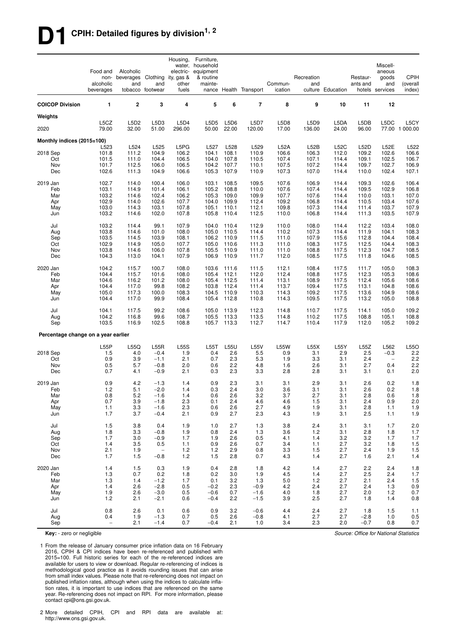# **D1 CPIH: Detailed figures by division1, 2**

|                                     | Food and<br>non-<br>alcoholic<br>beverages | Alcoholic<br>beverages Clothing<br>and | and<br>tobacco footwear            | Housing,<br>water,<br>electric-<br>ity, gas &<br>other<br>fuels | Furniture,<br>household<br>equipment<br>& routine<br>mainte- |                | nance Health Transport | Commun-<br>ication   | Recreation<br>and | culture Education | Restaur-<br>ants and | Miscell-<br>aneous<br>goods<br>and<br>hotels services | <b>CPIH</b><br>(overall<br>index) |
|-------------------------------------|--------------------------------------------|----------------------------------------|------------------------------------|-----------------------------------------------------------------|--------------------------------------------------------------|----------------|------------------------|----------------------|-------------------|-------------------|----------------------|-------------------------------------------------------|-----------------------------------|
| <b>COICOP Division</b>              | 1                                          | $\overline{\mathbf{2}}$                | 3                                  | $\overline{4}$                                                  | 5                                                            | 6              | $\overline{7}$         | 8                    | 9                 | 10                | 11                   | 12                                                    |                                   |
| Weights                             |                                            |                                        |                                    |                                                                 |                                                              |                |                        |                      |                   |                   |                      |                                                       |                                   |
| 2020                                | L5CZ<br>79.00                              | L5D <sub>2</sub><br>32.00              | L5D3<br>51.00                      | L5D4<br>296.00                                                  | <b>L5D5</b><br>50.00                                         | L5D6<br>22.00  | <b>L5D7</b><br>120.00  | L5D8<br>17.00        | L5D9<br>136.00    | L5DA<br>24.00     | L5DB<br>96.00        | L5DC                                                  | L5CY<br>77.00 1 000.00            |
| Monthly indices (2015=100)          |                                            |                                        |                                    |                                                                 |                                                              |                |                        |                      |                   |                   |                      |                                                       |                                   |
| 2018 Sep                            | L523<br>101.8                              | L524<br>111.2                          | L525<br>104.9                      | L5PG<br>106.2                                                   | L527<br>104.1                                                | L528<br>108.1  | L529<br>110.9          | <b>L52A</b><br>106.6 | L52B<br>106.3     | L52C<br>112.0     | <b>L52D</b><br>109.2 | L52E<br>102.6                                         | L522<br>106.6                     |
| Oct                                 | 101.5                                      | 111.0                                  | 104.4                              | 106.5                                                           | 104.0                                                        | 107.8          | 110.5                  | 107.4                | 107.1             | 114.4             | 109.1                | 102.5                                                 | 106.7                             |
| Nov                                 | 101.7                                      | 112.5                                  | 106.0                              | 106.5                                                           | 104.2                                                        | 107.7          | 110.1                  | 107.5                | 107.2             | 114.4             | 109.7                | 102.7                                                 | 106.9                             |
| Dec                                 | 102.6                                      | 111.3                                  | 104.9                              | 106.6                                                           | 105.3                                                        | 107.9          | 110.9                  | 107.3                | 107.0             | 114.4             | 110.0                | 102.4                                                 | 107.1                             |
| 2019 Jan                            | 102.7                                      | 114.0                                  | 100.4                              | 106.0                                                           | 103.1                                                        | 108.5          | 109.5                  | 107.6                | 106.9             | 114.4             | 109.3                | 102.6                                                 | 106.4                             |
| Feb                                 | 103.1                                      | 114.9                                  | 101.4                              | 106.1                                                           | 105.2                                                        | 108.8          | 110.0                  | 107.6                | 107.4             | 114.4             | 109.5                | 102.9                                                 | 106.8                             |
| Mar<br>Apr                          | 103.2<br>102.9                             | 114.6<br>114.0                         | 102.4<br>102.6                     | 106.2<br>107.7                                                  | 105.3<br>104.0                                               | 109.0<br>109.9 | 109.9<br>112.4         | 107.7<br>109.2       | 107.6<br>106.8    | 114.4<br>114.4    | 110.0<br>110.5       | 103.1<br>103.4                                        | 107.0<br>107.6                    |
| May                                 | 103.0                                      | 114.3                                  | 103.1                              | 107.8                                                           | 105.1                                                        | 110.1          | 112.1                  | 109.8                | 107.3             | 114.4             | 111.4                | 103.7                                                 | 107.9                             |
| Jun                                 | 103.2                                      | 114.6                                  | 102.0                              | 107.8                                                           | 105.8                                                        | 110.4          | 112.5                  | 110.0                | 106.8             | 114.4             | 111.3                | 103.5                                                 | 107.9                             |
| Jul                                 | 103.2                                      | 114.4                                  | 99.1                               | 107.9                                                           | 104.0                                                        | 110.4          | 112.9                  | 110.0                | 108.0             | 114.4             | 112.2                | 103.4                                                 | 108.0                             |
| Aug                                 | 103.8                                      | 114.6                                  | 101.0                              | 108.0                                                           | 105.0                                                        | 110.5          | 114.4                  | 110.2                | 107.3             | 114.4             | 111.9                | 104.1                                                 | 108.3                             |
| Sep                                 | 103.5                                      | 114.5                                  | 103.9                              | 108.1                                                           | 106.2                                                        | 110.9          | 111.5                  | 111.0                | 107.9             | 115.6             | 112.8                | 104.4                                                 | 108.4                             |
| Oct                                 | 102.9                                      | 114.9                                  | 105.0                              | 107.7                                                           | 105.0                                                        | 110.6          | 111.3                  | 111.0                | 108.3             | 117.5             | 112.5                | 104.4                                                 | 108.3                             |
| Nov<br>Dec                          | 103.8<br>104.3                             | 114.6<br>113.0                         | 106.0<br>104.1                     | 107.8<br>107.9                                                  | 105.5<br>106.9                                               | 110.9<br>110.9 | 111.0<br>111.7         | 111.0<br>112.0       | 108.8<br>108.5    | 117.5<br>117.5    | 112.3<br>111.8       | 104.7<br>104.6                                        | 108.5<br>108.5                    |
|                                     |                                            |                                        |                                    |                                                                 |                                                              |                |                        |                      |                   |                   |                      |                                                       |                                   |
| 2020 Jan                            | 104.2                                      | 115.7                                  | 100.7                              | 108.0                                                           | 103.6                                                        | 111.6          | 111.5                  | 112.1                | 108.4             | 117.5             | 111.7                | 105.0                                                 | 108.3                             |
| Feb<br>Mar                          | 104.4<br>104.6                             | 115.7<br>116.2                         | 101.6<br>101.2                     | 108.0<br>108.0                                                  | 105.4<br>105.4                                               | 112.1<br>112.5 | 112.0<br>111.4         | 112.4<br>113.1       | 108.8<br>108.9    | 117.5<br>117.5    | 112.3<br>112.4       | 105.3<br>105.6                                        | 108.6<br>108.6                    |
| Apr                                 | 104.4                                      | 117.0                                  | 99.8                               | 108.2                                                           | 103.8                                                        | 112.4          | 111.4                  | 113.7                | 109.4             | 117.5             | 113.1                | 104.8                                                 | 108.6                             |
| May                                 | 105.0                                      | 117.3                                  | 100.0                              | 108.3                                                           | 104.5                                                        | 110.9          | 110.3                  | 114.3                | 109.2             | 117.5             | 113.6                | 104.9                                                 | 108.6                             |
| Jun                                 | 104.4                                      | 117.0                                  | 99.9                               | 108.4                                                           | 105.4                                                        | 112.8          | 110.8                  | 114.3                | 109.5             | 117.5             | 113.2                | 105.0                                                 | 108.8                             |
| Jul                                 | 104.1                                      | 117.5                                  | 99.2                               | 108.6                                                           | 105.0                                                        | 113.9          | 112.3                  | 114.8                | 110.7             | 117.5             | 114.1                | 105.0                                                 | 109.2                             |
| Aug                                 | 104.2                                      | 116.8                                  | 99.6                               | 108.7                                                           | 105.5                                                        | 113.3          | 113.5                  | 114.8                | 110.2             | 117.5             | 108.8                | 105.1                                                 | 108.8                             |
| Sep                                 | 103.5                                      | 116.9                                  | 102.5                              | 108.8                                                           | 105.7                                                        | 113.3          | 112.7                  | 114.7                | 110.4             | 117.9             | 112.0                | 105.2                                                 | 109.2                             |
| Percentage change on a year earlier |                                            |                                        |                                    |                                                                 |                                                              |                |                        |                      |                   |                   |                      |                                                       |                                   |
|                                     | L55P                                       | L55Q                                   | L55R                               | <b>L55S</b>                                                     | L55T                                                         | L55U           | <b>L55V</b>            | <b>L55W</b>          | L55X              | L55Y              | L55Z                 | L562                                                  | L55O                              |
| 2018 Sep                            | 1.5                                        | 4.0                                    | $-0.4$                             | 1.9                                                             | 0.4                                                          | 2.6            | 5.5                    | 0.9                  | 3.1               | 2.9               | 2.5                  | $-0.3$                                                | 2.2                               |
| Oct                                 | 0.9                                        | 3.9                                    | $-1.1$                             | 2.1                                                             | 0.7                                                          | 2.3            | 5.3                    | 1.9                  | 3.3               | 3.1               | 2.4                  | $\overline{\phantom{a}}$                              | 2.2                               |
| Nov<br>Dec                          | 0.5<br>0.7                                 | 5.7<br>4.1                             | $-0.8$<br>$-0.9$                   | 2.0<br>2.1                                                      | 0.6<br>0.3                                                   | 2.2<br>2.3     | 4.8<br>3.3             | 1.6<br>2.8           | 2.6<br>2.8        | 3.1<br>3.1        | 2.7<br>3.1           | 0.4<br>0.1                                            | $2.2\,$<br>2.0                    |
|                                     |                                            |                                        |                                    |                                                                 |                                                              |                |                        |                      |                   |                   |                      |                                                       |                                   |
| 2019 Jan                            | 0.9                                        | 4.2                                    | $-1.3$                             | 1.4                                                             | 0.9                                                          | 2.3            | 3.1                    | 3.1                  | 2.9               | 3.1               | 2.6                  | 0.2                                                   | 1.8                               |
| Feb<br>Mar                          | 1.2<br>0.8                                 | 5.1<br>5.2                             | $-2.0$<br>$-1.6$                   | 1.4<br>1.4                                                      | 0.3<br>0.6                                                   | 2.4<br>2.6     | 3.0<br>3.2             | 3.6<br>3.7           | 3.1<br>2.7        | 3.1<br>3.1        | 2.6<br>2.8           | 0.2<br>0.6                                            | 1.8<br>1.8                        |
| Apr                                 | 0.7                                        | 3.9                                    | $-1.8$                             | 2.3                                                             | 0.1                                                          | 2.4            | 4.6                    | 4.6                  | 1.5               | 3.1               | 2.4                  | 0.9                                                   | 2.0                               |
| May                                 | 1.1                                        | 3.3                                    | $-1.6$                             | 2.3                                                             | 0.6                                                          | 2.6            | 2.7                    | 4.9                  | 1.9               | 3.1               | 2.8                  | 1.1                                                   | 1.9                               |
| Jun                                 | 1.7                                        | 3.7                                    | $-0.4$                             | 2.1                                                             | 0.9                                                          | 2.7            | 2.3                    | 4.3                  | 1.9               | 3.1               | 2.5                  | 1.1                                                   | 1.9                               |
| Jul                                 | 1.5                                        | 3.8                                    | 0.4                                | 1.9                                                             | 1.0                                                          | 2.7            | 1.3                    | 3.8                  | 2.4               | 3.1               | 3.1                  | 1.7                                                   | 2.0                               |
| Aug                                 | 1.8                                        | 3.3                                    | $-0.8$                             | 1.9                                                             | 0.8                                                          | 2.4            | 1.3                    | 3.6                  | 1.2               | 3.1               | 2.8                  | 1.8                                                   | 1.7                               |
| Sep                                 | 1.7                                        | 3.0                                    | $-0.9$                             | 1.7                                                             | 1.9                                                          | 2.6            | 0.5                    | 4.1                  | 1.4               | 3.2               | 3.2                  | 1.7                                                   | 1.7                               |
| Oct                                 | 1.4                                        | 3.5                                    | 0.5                                | 1.1                                                             | 0.9                                                          | 2.6            | 0.7                    | 3.4                  | 1.1               | 2.7               | 3.2                  | 1.8                                                   | $1.5$                             |
| Nov<br>Dec                          | 2.1<br>1.7                                 | 1.9<br>1.5                             | $\overline{\phantom{a}}$<br>$-0.8$ | 1.2<br>1.2                                                      | $1.2$<br>1.5                                                 | 2.9<br>2.8     | 0.8<br>0.7             | 3.3<br>4.3           | 1.5<br>1.4        | 2.7<br>2.7        | 2.4<br>1.6           | 1.9<br>2.1                                            | $1.5$<br>1.4                      |
|                                     |                                            |                                        |                                    |                                                                 |                                                              |                |                        |                      |                   |                   |                      |                                                       |                                   |
| 2020 Jan<br>Feb                     | 1.4<br>1.3                                 | 1.5<br>0.7                             | 0.3<br>0.2                         | 1.9<br>1.8                                                      | 0.4<br>0.2                                                   | 2.8<br>3.0     | 1.8<br>1.9             | 4.2<br>4.5           | 1.4<br>1.4        | 2.7<br>2.7        | 2.2<br>2.5           | 2.4<br>2.4                                            | 1.8                               |
| Mar                                 | 1.3                                        | 1.4                                    | $-1.2$                             | 1.7                                                             | 0.1                                                          | 3.2            | 1.3                    | 5.0                  | 1.2               | 2.7               | 2.1                  | 2.4                                                   | 1.7<br>1.5                        |
| Apr                                 | 1.4                                        | 2.6                                    | $-2.8$                             | 0.5                                                             | $-0.2$                                                       | 2.3            | $-0.9$                 | 4.2                  | 2.4               | 2.7               | 2.4                  | 1.3                                                   | 0.9                               |
| May                                 | 1.9                                        | 2.6                                    | $-3.0$                             | 0.5                                                             | $-0.6$                                                       | 0.7            | $-1.6$                 | 4.0                  | 1.8               | 2.7               | 2.0                  | 1.2                                                   | 0.7                               |
| Jun                                 | 1.2                                        | 2.1                                    | $-2.1$                             | 0.6                                                             | $-0.4$                                                       | 2.2            | $-1.5$                 | 3.9                  | 2.5               | 2.7               | 1.8                  | 1.4                                                   | $0.8\,$                           |
| Jul                                 | 0.8                                        | 2.6                                    | 0.1                                | 0.6                                                             | 0.9                                                          | 3.2            | $-0.6$                 | 4.4                  | 2.4               | 2.7               | 1.8                  | 1.5                                                   | $1.1$                             |
| Aug                                 | 0.4                                        | 1.9                                    | $-1.3$                             | 0.7                                                             | 0.5                                                          | 2.6            | $-0.8$                 | 4.1                  | 2.7               | 2.7               | $-2.8$               | 1.0                                                   | 0.5                               |
| Sep                                 | $\bar{ }$                                  | 2.1                                    | $-1.4$                             | 0.7                                                             | $-0.4$                                                       | 2.1            | 1.0                    | 3.4                  | 2.3               | 2.0               | $-0.7$               | 0.8                                                   | 0.7                               |

**Key:** - zero or negligible

1 From the release of January consumer price inflation data on 16 February 2016, CPIH & CPI indices have been re-referenced and published with 2015=100. Full historic series for each of the re-referenced indices are available for users to view or download. Regular re-referencing of indices is methodological good practice as it avoids rounding issues that can arise from small index values. Please note that re-referencing does not impact on published inflation rates, although when using the indices to calculate inflation rates, it is important to use indices that are referenced on the same year. Re-referencing does not impact on RPI. For more information, please contact cpi@ons.gsi.gov.uk.

2 More detailed CPIH, CPI and RPI data are available at: http://www.ons.gsi.gov.uk.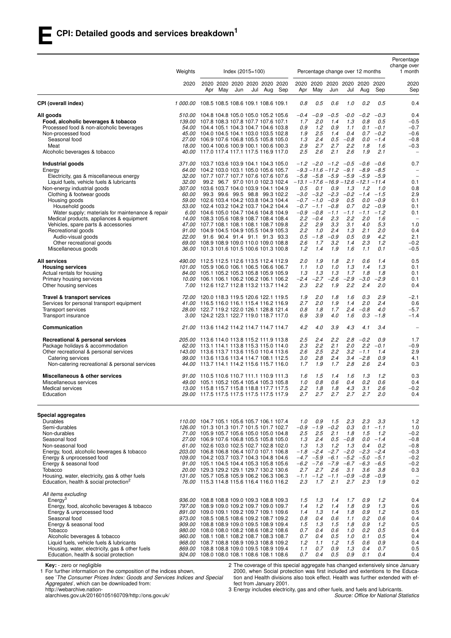|                                                                                     | Weights       | $Index (2015 = 100)$                                                                     |     |     |     |     |     |                                            |                  | Percentage change over 12 months             |                  |                    |                  | Percentage<br>change over<br>1 month |
|-------------------------------------------------------------------------------------|---------------|------------------------------------------------------------------------------------------|-----|-----|-----|-----|-----|--------------------------------------------|------------------|----------------------------------------------|------------------|--------------------|------------------|--------------------------------------|
|                                                                                     | 2020          | 2020 2020 2020 2020 2020 2020<br>Apr                                                     | May | Jun | Jul | Aug | Sep | 2020<br>Apr                                | May              | 2020 2020 2020 2020 2020<br>Jun              | Jul              | Aug                | Sep              | 2020<br>Sep                          |
| CPI (overall index)                                                                 |               | 1 000.00 108.5 108.5 108.6 109.1 108.6 109.1                                             |     |     |     |     |     | 0.8                                        | 0.5              | 0.6                                          | 1.0              | 0.2                | 0.5              | 0.4                                  |
| All goods                                                                           |               | 510.00 104.8 104.8 105.0 105.0 105.2 105.6                                               |     |     |     |     |     | $-0.4$                                     | $-0.9$           | $-0.5$                                       | $-0.0$           | $-0.2$             | $-0.3$           | 0.4                                  |
| Food, alcoholic beverages & tobacco                                                 |               | 139.00 107.8 108.3 107.8 107.7 107.6 107.1                                               |     |     |     |     |     | 1.7                                        | 2.0              | 1.4                                          | 1.3              | 0.8                | 0.5              | $-0.5$                               |
| Processed food & non-alcoholic beverages                                            |               | 54.00 104.4 105.1 104.3 104.7 104.6 103.8                                                |     |     |     |     |     | 0.9                                        | 1.2              | 0.9                                          | 1.1              | 0.1                | $-0.1$           | $-0.7$                               |
| Non-processed food                                                                  |               | 45.00 104.0 104.5 104.1 103.0 103.5 102.8                                                |     |     |     |     |     | 1.9                                        | 2.5              | 1.4                                          | 0.4              |                    | $0.7 - 0.2$      | $-0.6$                               |
| Seasonal food                                                                       |               | 27.00 106.9 107.6 106.8 105.5 105.8 105.0                                                |     |     |     |     |     | 1.3                                        | 2.4              | 0.5                                          | $-0.8$           | 0.0                | $-1.4$           | $-0.8$                               |
| Meat<br>Alcoholic beverages & tobacco                                               |               | 18.00 100.4 100.6 100.9 100.1 100.6 100.3<br>40.00 117.0 117.4 117.1 117.5 116.9 117.0   |     |     |     |     |     | 2.9<br>2.5                                 | 2.7<br>2.6       | 2.7<br>2.1                                   | 2.2<br>2.6       | 1.8<br>1.9         | 1.6<br>2.1       | $-0.3$                               |
| Industrial goods                                                                    | 371.00        | 103.7 103.6 103.9 104.1 104.3 105.0                                                      |     |     |     |     |     |                                            |                  | $-1.2$ $-2.0$ $-1.2$ $-0.5$                  |                  | -0.6               | $-0.6$           | 0.7                                  |
| Energy                                                                              | 64.00         | 104.2 103.0 103.1 105.0 105.6 105.7                                                      |     |     |     |     |     |                                            |                  | $-9.3 - 11.6 - 11.2$                         | $-9.1 - 8.9$     |                    | $-8.5$           |                                      |
| Electricity, gas & miscellaneous energy<br>Liquid fuels, vehicle fuels & lubricants | <i>32.00</i>  | 32.00 107.7 107.7 107.7 107.6 107.6 107.6<br>99.2 96.7 97.0 101.0 102.3 102.4            |     |     |     |     |     | $-13.1 - 17.6 - 16.9 - 12.6 - 12.1 - 11.4$ |                  | $-5.8$ $-5.8$ $-5.9$ $-5.9$ $-5.9$ $-5.9$    |                  |                    |                  | $\overline{\phantom{0}}$<br>0.1      |
| Non-energy industrial goods                                                         |               | 307.00 103.6 103.7 104.0 103.9 104.1 104.9                                               |     |     |     |     |     | 0.5                                        | 0.1              | 0.9                                          | 1.3              | 1.2                | 1.0              | 0.8                                  |
| Clothing & footwear goods                                                           | 60.00         | 99.3 99.6 99.5 98.8 99.3 102.2                                                           |     |     |     |     |     |                                            |                  | $-3.0$ $-3.2$ $-2.3$                         | $-0.2$           | $-1.4$             | $-1.5$           | 2.9                                  |
| Housing goods                                                                       |               | 59.00 102.6 103.4 104.2 103.8 104.3 104.4                                                |     |     |     |     |     |                                            | $-0.7 -1.0$      | $-0.9$                                       | 0.5              | 0.0                | $-0.9$           | 0.1                                  |
| Household goods                                                                     |               | 53.00 102.4 103.2 104.2 103.7 104.2 104.4                                                |     |     |     |     |     |                                            | $-0.7 -1.1 -0.8$ |                                              | 0.7              | 0.2                | $-0.9$           | 0.1                                  |
| Water supply; materials for maintenance & repair                                    |               | 6.00 104.6 105.0 104.7 104.6 104.8 104.9                                                 |     |     |     |     |     |                                            | $-0.9 - 0.8$     | $-1.1$                                       | $-1.1$           | $-1.1$             | $-1.2$           | 0.1                                  |
| Medical products, appliances & equipment                                            |               | 14.00 108.3 105.6 108.9 108.7 108.4 108.4                                                |     |     |     |     |     |                                            | $2.2 -0.4$       | 2.3                                          | 2.2              | 2.0                | 1.6              | $\overline{\phantom{0}}$             |
| Vehicles, spare parts & accessories                                                 |               | 47.00 107.7 108.1 108.1 108.1 108.7 109.8                                                |     |     |     |     |     | 2.2                                        | 2.9              | 3.3                                          | 3.1              | 4.0                | 5.3              | 1.0                                  |
| Recreational goods                                                                  |               | 91.00 104.9 104.5 104.9 105.5 104.9 105.3                                                |     |     |     |     |     | 2.2                                        | 1.0              | 2.4                                          | 1.3              | 2.1                | 2.0              | 0.4                                  |
| Audio-visual goods                                                                  | <i>22.00</i>  | 91.6 90.4 91.4 91.1 91.3 93.3                                                            |     |     |     |     |     | 0.5                                        | $-1.8$           | $-0.9$                                       | 0.5              | 0.9                | 4.2              | 2.1                                  |
| Other recreational goods<br>Miscellaneous goods                                     |               | 69.00 108.9 108.9 109.0 110.0 109.0 108.8<br>36.00 101.3 101.6 101.5 100.6 101.3 100.8   |     |     |     |     |     | 2.6<br>1.2                                 | 1.7<br>1.4       | 3.2<br>1.9                                   | 1.4<br>1.6       | 2.3<br>1.1         | 1.2<br>0.1       | $-0.2$<br>$-0.5$                     |
| <b>All services</b>                                                                 |               | 490.00 112.5 112.5 112.6 113.5 112.4 112.9                                               |     |     |     |     |     | 2.0                                        | 1.9              | 1.8                                          | 2.1              | 0.6                | 1.4              | 0.5                                  |
| <b>Housing services</b>                                                             |               | 101.00 105.9 106.0 106.1 106.5 106.6 106.7                                               |     |     |     |     |     | 1.1                                        | 1.0              | 1.0                                          | 1.3              | 1.4                | 1.3              | 0.1                                  |
| Actual rentals for housing                                                          |               | 84.00 105.1 105.2 105.3 105.8 105.9 105.9                                                |     |     |     |     |     | 1.3                                        | 1.3              | 1.3                                          | 1.7              | 1.8                | 1.8              | 0.1                                  |
| Primary housing services<br>Other housing services                                  | 7.00          | 10.00 106.1 106.1 106.2 106.2 106.1 106.2<br>112.6 112.7 112.8 113.2 113.7 114.2         |     |     |     |     |     | $-2.4$<br>2.3                              | $-2.7$<br>2.2    | $-2.6$<br>1.9                                | $-2.9$<br>2.2    | $-3.0$<br>2.4      | $-2.9$<br>2.0    | 0.1<br>0.4                           |
| Travel & transport services                                                         |               | 72.00 120.0 118.3 119.5 120.6 122.1 119.5                                                |     |     |     |     |     | 1.9                                        | 2.0              | 1.8                                          | 1.6              | 0.3                | 2.9              | $-2.1$                               |
| Services for personal transport equipment                                           |               | 41.00 116.5 116.0 116.1 115.4 116.2 116.9                                                |     |     |     |     |     | 2.7                                        | 2.0              | 1.9                                          | 1.4              | 2.0                | 2.4              | 0.6                                  |
| Transport services                                                                  |               | 28.00 122.7 119.2 122.0 126.1 128.8 121.4                                                |     |     |     |     |     | 0.8                                        | 1.8              | 1.7                                          | 2.4              | $-0.8$             | 4.0              | $-5.7$                               |
| Transport insurance                                                                 |               | 3.00 124.2 123.1 122.7 119.0 118.7 117.0                                                 |     |     |     |     |     | 6.9                                        | 3.9              | 4.0                                          | 1.6              | 0.3                | $-1.8$           | $-1.4$                               |
| Communication                                                                       | 21.00         | 113.6 114.2 114.2 114.7 114.7 114.7                                                      |     |     |     |     |     | 4.2                                        | 4.0              | 3.9                                          | 4.3              | 4.1                | 3.4              | $\overline{\phantom{a}}$             |
| Recreational & personal services                                                    | <i>205.00</i> | 113.6 114.0 113.8 115.2 111.9 113.8                                                      |     |     |     |     |     | 2.5                                        | 2.4              | 2.2                                          | 2.8              | $-0.2$             | 0.9              | 1.7                                  |
| Package holidays & accommodation                                                    |               | 62.00 113.1 114.1 113.8 115.3 115.0 114.0<br>143.00 113.6 113.7 113.6 115.0 110.4 113.6  |     |     |     |     |     | 2.3                                        | 2.2              | 2.1<br>2.2                                   | 2.0              | 2.2<br>$3.2 - 1.1$ | $-0.1$           | $-0.9$                               |
| Other recreational & personal services<br>Catering services                         | 99.00         | 113.6 113.6 113.4 114.7 108.1 112.5                                                      |     |     |     |     |     | 2.6<br>3.0                                 | 2.5<br>2.8       | 2.4                                          | 3.4              | $-2.8$             | 1.4<br>0.9       | 2.9<br>4.1                           |
| Non-catering recreational & personal services                                       |               | 44.00 113.7 114.1 114.2 115.6 115.7 116.0                                                |     |     |     |     |     | 1.7                                        | 1.9              | 1.7                                          | 2.8              | 2.6                | 2.4              | 0.3                                  |
| Miscellaneous & other services                                                      | 91.00         | 110.5 110.6 110.7 111.1 110.9 111.3                                                      |     |     |     |     |     | 1.6                                        | 1.5              | 1.4                                          | 1.6              | 1.3                | 1.2              | 0.3                                  |
| Miscellaneous services                                                              |               | 49.00 105.1 105.2 105.4 105.4 105.3 105.8                                                |     |     |     |     |     | 1.0                                        | 0.8              | 0.6                                          | 0.4              | 0.2                | 0.6              | 0.4                                  |
| Medical services<br>Education                                                       |               | 13.00 115.8 115.7 115.8 118.8 117.7 117.5<br>29.00 117.5 117.5 117.5 117.5 117.5 117.9   |     |     |     |     |     | 2.2<br>2.7                                 | 1.8<br>2.7       | 1.8<br>2.7                                   | 4.3<br>2.7       | 3.1<br>2.7         | 2.6<br>2.0       | $-0.2$<br>0.4                        |
|                                                                                     |               |                                                                                          |     |     |     |     |     |                                            |                  |                                              |                  |                    |                  |                                      |
| Special aggregates<br>Durables                                                      |               | 110.00 104.7 105.1 105.6 105.7 106.1 107.4                                               |     |     |     |     |     | 1.0                                        | 0.9              | 1.5                                          | 2.3              | 2.3                | 3.3              | 1.2                                  |
| Semi-durables                                                                       |               | 126.00 101.3 101.3 101.7 101.5 101.7 102.7                                               |     |     |     |     |     | $-0.9$                                     | $-1.9$           | $-0.2$                                       | 0.3              | 0.1                | $-1.1$           | 1.0                                  |
| Non-durables                                                                        |               | 71.00 105.9 105.7 105.6 105.0 105.0 104.8                                                |     |     |     |     |     | 2.5                                        | 2.5              | 2.1                                          | 1.8              | 1.5                | 1.2              | $-0.2$                               |
| Seasonal food                                                                       |               | 27.00 106.9 107.6 106.8 105.5 105.8 105.0                                                |     |     |     |     |     | 1.3                                        | 2.4              | 0.5                                          | $-0.8$           | 0.0                | $-1.4$           | $-0.8$                               |
| Non-seasonal food                                                                   |               | 61.00 102.6 103.0 102.5 102.7 102.8 102.0                                                |     |     |     |     |     | 1.3                                        | 1.3              | 1.2                                          | 1.3              | 0.4                | 0.2              | $-0.8$                               |
| Energy, food, alcoholic beverages & tobacco                                         |               | 203.00 106.8 106.8 106.4 107.0 107.1 106.8                                               |     |     |     |     |     | $-1.8$                                     |                  | $-2.4$ $-2.7$ $-2.0$ $-2.3$                  |                  |                    | $-2.4$           | $-0.3$                               |
| Energy & unprocessed food                                                           |               | 109.00 104.2 103.7 103.7 104.3 104.8 104.6                                               |     |     |     |     |     |                                            |                  | $-4.7$ $-5.9$ $-6.1$<br>$-6.2$ $-7.6$ $-7.9$ | $-5.2$<br>$-6.7$ | $-5.0$<br>$-6.3$   | $-5.1$<br>$-6.5$ | $-0.2$<br>$-0.2$                     |
| Energy & seasonal food<br>Tobacco                                                   |               | 91.00 105.1 104.5 104.4 105.3 105.8 105.6<br>20.00 129.3 129.2 129.1 129.7 130.2 130.6   |     |     |     |     |     | 2.7                                        | 2.7              | 2.6                                          | 3.1              | 3.6                | 3.8              | 0.3                                  |
| Housing, water, electricity, gas & other fuels                                      |               | 131.00 105.7 105.8 105.9 106.2 106.3 106.3                                               |     |     |     |     |     | $-1.1$                                     |                  | $-1.2 -1.1$                                  | $-0.9$           | $-0.8$             | $-0.9$           |                                      |
| Education, health & social protection <sup>2</sup>                                  |               | 76.00 115.3 114.8 115.6 116.4 116.0 116.2                                                |     |     |     |     |     | 2.3                                        | 1.7              | 2.1                                          | 2.7              | 2.3                | 1.9              | 0.2                                  |
| All items excluding                                                                 |               |                                                                                          |     |     |     |     |     |                                            |                  |                                              |                  |                    |                  |                                      |
| $E$ nergy <sup>3</sup>                                                              |               | 936.00 108.8 108.8 109.0 109.3 108.8 109.3                                               |     |     |     |     |     | 1.5                                        | 1.3              | 1.4                                          | 1.7              | 0.9                | 1.2              | 0.4                                  |
| Energy, food, alcoholic beverages & tobacco<br>Energy & unprocessed food            |               | 797.00 108.9 109.0 109.2 109.7 109.0 109.7<br>891.00 109.0 109.1 109.2 109.7 109.1 109.6 |     |     |     |     |     | 1.4<br>1.4                                 | 1.2<br>1.3       | 1.4<br>1.4                                   | 1.8<br>1.8       | 0.9<br>0.9         | 1.3<br>1.2       | 0.6<br>0.5                           |
| Seasonal food                                                                       |               | 973.00 108.5 108.5 108.6 109.2 108.7 109.2                                               |     |     |     |     |     | 0.8                                        | 0.4              | 0.6                                          | 1.1              | 0.2                | 0.6              | 0.4                                  |
| Energy & seasonal food                                                              |               | 909.00 108.8 108.9 109.0 109.5 108.9 109.4                                               |     |     |     |     |     | 1.5                                        | 1.3              | 1.5                                          | 1.8              | 0.9                | 1.2              | 0.5                                  |
| Tobacco                                                                             |               | 980.00 108.0 108.0 108.2 108.6 108.2 108.6                                               |     |     |     |     |     | 0.7                                        | 0.4              | 0.6                                          | 1.0              | 0.2                | 0.5              | 0.4                                  |
| Alcoholic beverages & tobacco                                                       |               | 960.00 108.1 108.1 108.2 108.7 108.3 108.7                                               |     |     |     |     |     | 0.7                                        | 0.4              | 0.5                                          | 1.0              | 0.1                | 0.5              | 0.4                                  |
| Liquid fuels, vehicle fuels & lubricants                                            |               | 968.00 108.7 108.8 108.9 109.3 108.8 109.2                                               |     |     |     |     |     | 1.2                                        | 1.1              | 1.2                                          | 1.5              | 0.6                | 0.9              | 0.4                                  |
| Housing, water, electricity, gas & other fuels                                      |               | 869.00 108.8 108.8 109.0 109.5 108.9 109.4                                               |     |     |     |     |     | 1.1                                        | 0.7              | 0.9                                          | 1.3              | 0.4                | 0.7              | 0.5                                  |
| Education, health & social protection                                               |               | 924.00 108.0 108.0 108.1 108.6 108.1 108.6                                               |     |     |     |     |     | 0.7                                        | 0.4              | 0.5                                          | 0.9              | 0.1                | 0.4              | 0.4                                  |

**Key:** - zero or negligible

1 For further information on the composition of the indices shown,

see '*The Consumer Prices Index: Goods and Services Indices and Special Aggregates*', which can be downloaded from: http://webarchive.nation-

alarchives.gov.uk/20160105160709/http://ons.gov.uk/

2 The coverage of this special aggregate has changed extensively since January 2000, when Social protection was first included and extentions to the Education and Health divisions also took effect. Health was further extended with effect from January 2001.

3 Energy includes electricity, gas and other fuels, and fuels and lubricants.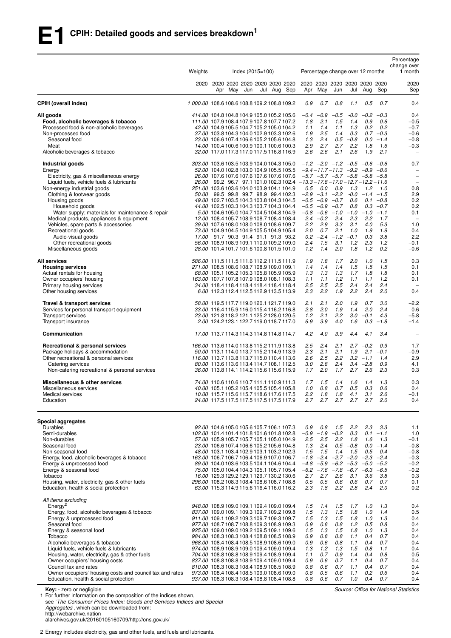|                                                                | Weights                                                                                                                        |                                                                                          | $Index (2015 = 100)$ |  |  |  |                                            |                                              |                    | Percentage change over 12 months                                                       |                           |                    | Percentage<br>change over<br>1 month |
|----------------------------------------------------------------|--------------------------------------------------------------------------------------------------------------------------------|------------------------------------------------------------------------------------------|----------------------|--|--|--|--------------------------------------------|----------------------------------------------|--------------------|----------------------------------------------------------------------------------------|---------------------------|--------------------|--------------------------------------|
|                                                                | 2020 2020 2020 2020 2020 2020 2020<br>2020 2020 2020 2020 2020 2020<br>Apr May<br>Apr May Jun<br>Jul Aug Sep<br>Jun<br>Jul Aug |                                                                                          |                      |  |  |  |                                            |                                              | Sep                | 2020<br>Sep                                                                            |                           |                    |                                      |
| CPIH (overall index)                                           |                                                                                                                                | 1000.00 108.6108.6108.8109.2108.8109.2                                                   |                      |  |  |  | 0.9                                        | 0.7                                          | 0.8                | 1.1                                                                                    | 0.5                       | 0.7                | 0.4                                  |
| All goods                                                      |                                                                                                                                | 414.00 104.8 104.8 104.9 105.0 105.2 105.6                                               |                      |  |  |  |                                            | $-0.4$ $-0.9$ $-0.5$                         |                    |                                                                                        | $-0.0$ $-0.2$ $-0.3$      |                    | 0.4                                  |
| Food, alcoholic beverages & tobacco                            |                                                                                                                                | 111.00 107.9 108.4 107.9 107.8 107.7 107.2                                               |                      |  |  |  | 1.8                                        | 2.1                                          | 1.5                | 1.4                                                                                    | 0.9                       | 0.6                | $-0.5$                               |
| Processed food & non-alcoholic beverages<br>Non-processed food |                                                                                                                                | 42.00 104.9 105.5 104.7 105.2 105.0 104.2<br>37.00 103.8 104.3 104.0 102.9 103.3 102.6   |                      |  |  |  | 1.1<br>1.9                                 | 1.4<br>2.5                                   | 1.1<br>1.4         | 1.3<br>0.3                                                                             | 0.2                       | 0.2<br>$0.7 - 0.3$ | $-0.7$<br>$-0.6$                     |
| Seasonal food                                                  |                                                                                                                                | 23.00 106.6 107.4 106.6 105.2 105.6 104.8                                                |                      |  |  |  | 1.3                                        | 2.4                                          |                    | $0.5 -0.8$                                                                             |                           | $0.0 - 1.4$        | $-0.8$                               |
| Meat<br>Alcoholic beverages & tobacco                          |                                                                                                                                | 14.00 100.4 100.6 100.9 100.1 100.6 100.3<br>32.00 117.0 117.3 117.0 117.5 116.8 116.9   |                      |  |  |  | 2.9<br>2.6                                 | 2.7<br>2.6                                   | 2.7<br>2.1         | 2.2<br>2.6                                                                             | 1.8<br>1.9                | 1.6<br>2.1         | $-0.3$                               |
|                                                                |                                                                                                                                |                                                                                          |                      |  |  |  |                                            |                                              |                    |                                                                                        |                           |                    |                                      |
| Industrial goods<br>Energy                                     |                                                                                                                                | 303.00 103.6 103.5 103.9 104.0 104.3 105.0<br>52.00 104.0 102.8 103.0 104.9 105.5 105.5  |                      |  |  |  |                                            |                                              |                    | $-1.2$ $-2.0$ $-1.2$ $-0.5$ $-0.6$ $-0.6$<br>$-9.4 - 11.7 - 11.3 - 9.2 - 8.9 - 8.6$    |                           |                    | 0.7                                  |
| Electricity, gas & miscellaneous energy                        |                                                                                                                                | 26.00 107.6 107.6 107.6 107.6 107.6 107.6                                                |                      |  |  |  |                                            |                                              |                    | $-5.7$ $-5.7$ $-5.7$ $-5.8$ $-5.8$ $-5.8$                                              |                           |                    | $\overline{\phantom{0}}$             |
| Liquid fuels, vehicle fuels & lubricants                       |                                                                                                                                | 26.00 99.2 96.7 97.1 101.0 102.3 102.4                                                   |                      |  |  |  | $-13.3 - 17.8 - 17.0 - 12.7 - 12.2 - 11.6$ |                                              |                    |                                                                                        |                           |                    | $\equiv$                             |
| Non-energy industrial goods                                    |                                                                                                                                | 251.00 103.6 103.6 104.0 103.9 104.1 104.9                                               |                      |  |  |  | 0.5                                        | 0.0                                          | 0.9                | 1.3                                                                                    | 1.2                       | - 1.0              | 0.8                                  |
| Clothing & footwear goods<br>Housing goods                     |                                                                                                                                | 50.00 99.5 99.8 99.7 98.9 99.4 102.3<br>49.00 102.7 103.5 104.3 103.8 104.3 104.5        |                      |  |  |  |                                            | $-2.9$ $-3.1$ $-2.2$<br>$-0.5$ $-0.9$ $-0.7$ |                    | 0.6                                                                                    | $-0.0 -1.4 -1.5$          | $0.1 - 0.8$        | 2.9<br>0.2                           |
| Household goods                                                |                                                                                                                                | 44.00 102.5 103.3 104.3 103.7 104.3 104.4                                                |                      |  |  |  |                                            | $-0.5$ $-0.9$ $-0.7$                         |                    | 0.8                                                                                    |                           | $0.3 -0.7$         | 0.2                                  |
| Water supply; materials for maintenance & repair               |                                                                                                                                | 5.00 104.6 105.0 104.7 104.5 104.8 104.9                                                 |                      |  |  |  |                                            |                                              |                    | $-0.8$ $-0.6$ $-1.0$ $-1.0$                                                            |                           | $-1.0 - 1.1$       | 0.1                                  |
| Medical products, appliances & equipment                       |                                                                                                                                | 12.00 108.4 105.7 108.9 108.7 108.4 108.4                                                |                      |  |  |  |                                            | $2.4 -0.2$                                   | 2.4                | 2.3                                                                                    | 2.2                       | 1.7                |                                      |
| Vehicles, spare parts & accessories<br>Recreational goods      |                                                                                                                                | 39.00 107.6 108.0 108.0 108.0 108.6 109.7<br>73.00 104.9 104.5 104.9 105.5 104.9 105.4   |                      |  |  |  | 2.2<br>2.0                                 | 2.9<br>0.7                                   | 3.3<br>2.1         | 3.1<br>1.0                                                                             | 4.0<br>1.9                | 5.3<br>1.9         | 1.0<br>0.4                           |
| Audio-visual goods                                             |                                                                                                                                | 17.00 91.7 90.3 91.4 91.1 91.3 93.2                                                      |                      |  |  |  |                                            | $0.2 -2.4 -1.2$                              |                    | $-0.1$                                                                                 | 0.3                       | 3.8                | 2.2                                  |
| Other recreational goods                                       |                                                                                                                                | 56.00 108.9 108.9 109.1 110.0 109.2 109.0                                                |                      |  |  |  | 2.4                                        | 1.5                                          | 3.1                | 1.2                                                                                    | 2.3                       | 1.2                | $-0.1$                               |
| Miscellaneous goods                                            |                                                                                                                                | 28.00 101.4 101.7 101.6 100.8 101.5 101.0                                                |                      |  |  |  | 1.2                                        | 1.4                                          | 2.0                | 1.8                                                                                    | 1.2                       | 0.2                | $-0.6$                               |
| All services                                                   |                                                                                                                                | 586.00 111.5 111.5 111.6 112.2 111.5 111.9                                               |                      |  |  |  | 1.9                                        | 1.8                                          | 1.7                | 2.0                                                                                    | 1.0                       | 1.5                | 0.3                                  |
| <b>Housing services</b>                                        |                                                                                                                                | 271.00 108.5 108.6 108.7 108.9 109.0 109.1                                               |                      |  |  |  | 1.4                                        | 1.4                                          | 1.4                | 1.5                                                                                    | 1.5                       | 1.5                | 0.1<br>0.1                           |
| Actual rentals for housing<br>Owner occupiers' housing         |                                                                                                                                | 68.00 105.1 105.2 105.3 105.8 105.9 105.9<br>163.00 107.7 107.8 107.9 108.0 108.1 108.3  |                      |  |  |  | 1.3<br>1.1                                 | 1.3<br>1.1                                   | 1.3<br>1.2         | 1.7<br>1.1                                                                             | 1.8<br>1.1                | 1.8<br>1.2         | 0.1                                  |
| Primary housing services                                       |                                                                                                                                | 34.00 118.4 118.4 118.4 118.4 118.4 118.4                                                |                      |  |  |  | 2.5                                        | 2.5                                          | 2.5                | 2.4                                                                                    | 2.4                       | 2.4                |                                      |
| Other housing services                                         |                                                                                                                                | 6.00 112.3 112.4 112.5 112.9 113.5 113.9                                                 |                      |  |  |  | 2.3                                        | 2.2                                          | 1.9                | 2.2                                                                                    | 2.4                       | 2.0                | 0.4                                  |
| Travel & transport services                                    |                                                                                                                                | 58.00 119.5 117.7 119.0 120.1 121.7 119.0                                                |                      |  |  |  | 2.1                                        | 2.1                                          | 2.0                | 1.9                                                                                    | 0.7                       | 3.0                | $-2.2$                               |
| Services for personal transport equipment                      |                                                                                                                                | 33.00 116.4 115.9 116.0 115.4 116.2 116.8                                                |                      |  |  |  | 2.8<br>1.2                                 | 2.0<br>2.1                                   | 1.9<br>2.2         | 1.4<br>3.0                                                                             | 2.0<br>$-0.1$             | 2.4<br>4.3         | 0.6<br>$-5.8$                        |
| Transport services<br>Transport insurance                      |                                                                                                                                | 23.00 121.8 118.2 121.1 125.2 128.0 120.5<br>2.00 124.2 123.1 122.7 119.0 118.7 117.0    |                      |  |  |  | 6.9                                        | 3.9                                          | 4.0                | 1.6                                                                                    |                           | $0.3 - 1.8$        | $-1.4$                               |
| Communication                                                  |                                                                                                                                | 17.00 113.7 114.3 114.3 114.8 114.8 114.7                                                |                      |  |  |  | 4.2                                        | 4.0                                          | 3.9                | 4.4                                                                                    | 4.1                       | 3.4                |                                      |
| Recreational & personal services                               |                                                                                                                                | 166.00 113.6 114.0 113.8 115.2 111.9 113.8                                               |                      |  |  |  | 2.5                                        | 2.4                                          | 2.1                |                                                                                        | $2.7 -0.2$                | 0.9                | 1.7                                  |
| Package holidays & accommodation                               |                                                                                                                                | 50.00 113.1 114.0 113.7 115.2 114.9 113.9                                                |                      |  |  |  | 2.3                                        | 2.1                                          | 2.1                | 1.9                                                                                    |                           | $2.1 - 0.1$        | $-0.9$                               |
| Other recreational & personal services<br>Catering services    |                                                                                                                                | 116.00 113.7 113.8 113.7 115.0 110.4 113.6<br>80.00 113.6 113.6 113.4 114.7 108.1 112.5  |                      |  |  |  | $2.6^{\circ}$<br>3.0                       | 2.5<br>2.8                                   | 2.2<br>2.4         |                                                                                        | $3.2 - 1.1$<br>$3.4 -2.8$ | 1.4<br>0.9         | 2.9<br>4.1                           |
| Non-catering recreational & personal services                  |                                                                                                                                | 36.00 113.8 114.1 114.2 115.6 115.6 115.9                                                |                      |  |  |  | 1.7                                        | 2.0                                          | 1.7                | 2.7                                                                                    | 2.6                       | 2.3                | 0.3                                  |
| Miscellaneous & other services                                 |                                                                                                                                | 74.00 110.6 110.6 110.7 111.1 110.9 111.3                                                |                      |  |  |  | 1.7                                        | 1.5                                          | 1.4                | 1.6                                                                                    | 1.4                       | 1.3                | 0.3                                  |
| Miscellaneous services                                         |                                                                                                                                | 40.00 105.1 105.2 105.4 105.5 105.4 105.8                                                |                      |  |  |  | 1.0                                        | 0.8                                          | 0.7                | 0.5                                                                                    | 0.3                       | 0.6                | 0.4                                  |
| Medical services<br>Education                                  |                                                                                                                                | 10.00 115.7 115.6 115.7 118.6 117.6 117.5<br>24.00 117.5 117.5 117.5 117.5 117.5 117.9   |                      |  |  |  | 2.2<br>2.7                                 | 1.8                                          | 1.8<br>$2.7$ $2.7$ | 4.1<br>2.7                                                                             | 3.1<br>2.7                | 2.6<br>2.0         | $-0.1$<br>0.4                        |
|                                                                |                                                                                                                                |                                                                                          |                      |  |  |  |                                            |                                              |                    |                                                                                        |                           |                    |                                      |
| <b>Special aggregates</b>                                      |                                                                                                                                |                                                                                          |                      |  |  |  |                                            |                                              |                    |                                                                                        |                           |                    |                                      |
| <b>Durables</b>                                                |                                                                                                                                | 92.00 104.6 105.0 105.6 105.7 106.1 107.3                                                |                      |  |  |  | 0.9                                        | 0.8                                          | 1.5                | 2.2                                                                                    | 2.3                       | 3.3                | 1.1                                  |
| Semi-durables<br>Non-durables                                  |                                                                                                                                | 102.00 101.4 101.4 101.8 101.6 101.8 102.8<br>57.00 105.9 105.7 105.7 105.1 105.0 104.9  |                      |  |  |  | 2.5                                        | $-0.9$ $-1.9$ $-0.2$<br>2.5                  | 2.2                | 0.3<br>1.8                                                                             | 1.6                       | $0.1 - 1.1$<br>1.3 | 1.0<br>$-0.1$                        |
| Seasonal food                                                  |                                                                                                                                | 23.00 106.6 107.4 106.6 105.2 105.6 104.8                                                |                      |  |  |  | 1.3                                        | 2.4                                          |                    | $0.5 -0.8$                                                                             |                           | $0.0 - 1.4$        | $-0.8$                               |
| Non-seasonal food                                              |                                                                                                                                | 48.00 103.1 103.4 102.9 103.1 103.2 102.3                                                |                      |  |  |  | 1.5                                        | 1.5                                          | 1.4                | 1.5                                                                                    | 0.5                       | 0.4                | $-0.8$                               |
| Energy, food, alcoholic beverages & tobacco                    |                                                                                                                                | 163.00 106.7 106.7 106.4 106.9 107.0 106.7                                               |                      |  |  |  |                                            |                                              |                    | $-1.8$ $-2.4$ $-2.7$ $-2.0$ $-2.3$ $-2.4$                                              |                           |                    | $-0.3$                               |
| Energy & unprocessed food<br>Energy & seasonal food            |                                                                                                                                | 89.00 104.0 103.6 103.5 104.1 104.6 104.4<br>75.00 105.0104.4 104.3 105.1 105.7 105.4    |                      |  |  |  |                                            |                                              |                    | $-4.8$ $-5.9$ $-6.2$ $-5.3$ $-5.0$ $-5.2$<br>$-6.2$ $-7.6$ $-7.8$ $-6.7$ $-6.3$ $-6.5$ |                           |                    | $-0.2$<br>$-0.2$                     |
| Tobacco                                                        |                                                                                                                                | 16.00 129.3 129.2 129.1 129.7 130.2 130.6                                                |                      |  |  |  | 2.7                                        | 2.7                                          | 2.6                | 3.1                                                                                    | 3.6                       | 3.8                | 0.3                                  |
| Housing, water, electricity, gas & other fuels                 |                                                                                                                                | 296.00 108.2 108.3 108.4 108.6 108.7 108.8                                               |                      |  |  |  | 0.5                                        | 0.5                                          | 0.6                | 0.6                                                                                    | 0.7                       | 0.7                | 0.1                                  |
| Education, health & social protection                          |                                                                                                                                | 63.00 115.3 114.9 115.6 116.4 116.0 116.2                                                |                      |  |  |  | 2.3                                        | 1.8                                          | 2.2                | 2.8                                                                                    | 2.4                       | 2.0                | 0.2                                  |
| All items excluding<br>Energy <sup>2</sup>                     |                                                                                                                                | 948.00 108.9 109.0 109.1 109.4 109.0 109.4                                               |                      |  |  |  | 1.5                                        | 1.4                                          | 1.5                | 1.7                                                                                    | 1.0                       | 1.3                | 0.4                                  |
| Energy, food, alcoholic beverages & tobacco                    |                                                                                                                                | 837.00 109.0 109.1 109.3 109.7 109.2 109.8                                               |                      |  |  |  | 1.5                                        | 1.3                                          | 1.5                | 1.8                                                                                    | 1.0                       | 1.4                | 0.5                                  |
| Energy & unprocessed food                                      |                                                                                                                                | 911.00 109.1 109.2 109.3 109.7 109.3 109.7                                               |                      |  |  |  | 1.5                                        | 1.3                                          | 1.5                | 1.8                                                                                    | 1.0                       | 1.3                | 0.4                                  |
| Seasonal food                                                  |                                                                                                                                | 977.00 108.7 108.7 108.8 109.3 108.9 109.3                                               |                      |  |  |  | 0.9                                        | 0.6                                          | 0.8                | 1.2                                                                                    | 0.5                       | 0.8                | 0.4                                  |
| Energy & seasonal food<br>Tobacco                              |                                                                                                                                | 925.00 109.0 109.0 109.2 109.5 109.1 109.6<br>984.00 108.3 108.3 108.4 108.8 108.5 108.9 |                      |  |  |  | 1.5<br>0.9                                 | 1.3<br>0.6                                   | 1.5<br>0.8         | 1.8<br>1.1                                                                             | 1.0<br>0.4                | 1.3<br>0.7         | 0.4<br>0.4                           |
| Alcoholic beverages & tobacco                                  |                                                                                                                                | 968.00 108.4 108.4 108.5 108.9 108.6 109.0                                               |                      |  |  |  | 0.9                                        | 0.6                                          | 0.8                | 1.1                                                                                    | 0.4                       | 0.7                | 0.4                                  |
| Liquid fuels, vehicle fuels & lubricants                       |                                                                                                                                | 974.00 108.9 108.9 109.0 109.4 109.0 109.4                                               |                      |  |  |  | 1.3                                        | 1.2                                          | 1.3                | 1.5                                                                                    | 0.8                       | 1.1                | 0.4                                  |
| Housing, water, electricity, gas & other fuels                 |                                                                                                                                | 704.00 108.8 108.8 108.9 109.4 108.9 109.4                                               |                      |  |  |  | 1.1                                        | 0.7                                          | 0.9                | 1.4                                                                                    | 0.4                       | 0.8                | 0.5                                  |
| Owner occupiers' housing costs<br>Council tax and rates        |                                                                                                                                | 837.00 108.8 108.8 108.9 109.4 109.0 109.4<br>810.00 108.3 108.3 108.4 108.9 108.5 108.9 |                      |  |  |  | 0.9<br>0.8                                 | 0.6<br>0.6                                   | 0.7<br>0.7         | 1.1<br>1.1                                                                             | 0.4<br>0.4                | 0.7<br>0.7         | 0.4<br>0.4                           |
| Owner occupiers' housing costs and council tax and rates       |                                                                                                                                | 973.00 108.4 108.4 108.5 109.0 108.6 109.0                                               |                      |  |  |  | 0.8                                        | 0.5                                          | 0.6                | 1.1                                                                                    | 0.2                       | 0.6                | 0.4                                  |
| Education, health & social protection                          |                                                                                                                                | 937.00 108.3 108.3 108.4 108.8 108.4 108.8                                               |                      |  |  |  | 0.8                                        | 0.6                                          | 0.7                | 1.0                                                                                    | 0.4                       | 0.7                | 0.4                                  |

**Key:** - zero or negligible<br>1 For further information on the composition of the indices shown,

see '*The Consumer Prices Index: Goods and Services Indices and Special Aggregates*', which can be downloaded from:

http://webarchive.nation-

alarchives.gov.uk/20160105160709/http://ons.gov.uk/

2 Energy includes electricity, gas and other fuels, and fuels and lubricants.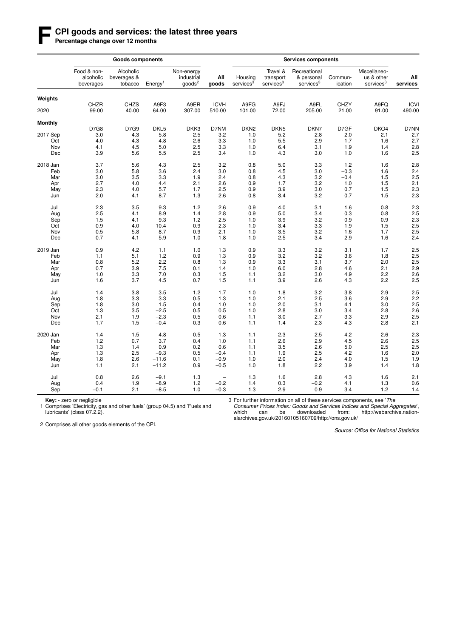#### **F CPI goods and services: the latest three years**

Percentage change over 12 months

|                |                                       | <b>Goods components</b>             |                     |                                               |                          |                                  |                                                |                                                     |                      |                                                     |                       |
|----------------|---------------------------------------|-------------------------------------|---------------------|-----------------------------------------------|--------------------------|----------------------------------|------------------------------------------------|-----------------------------------------------------|----------------------|-----------------------------------------------------|-----------------------|
|                | Food & non-<br>alcoholic<br>beverages | Alcoholic<br>beverages &<br>tobacco | Energy <sup>1</sup> | Non-energy<br>industrial<br>$q$ oods ${}^{2}$ | All<br>goods             | Housing<br>services <sup>3</sup> | Travel &<br>transport<br>services <sup>3</sup> | Recreational<br>& personal<br>services <sup>3</sup> | Commun-<br>ication   | Miscellaneo-<br>us & other<br>services <sup>3</sup> | All<br>services       |
| Weights        |                                       |                                     |                     |                                               |                          |                                  |                                                |                                                     |                      |                                                     |                       |
| 2020           | <b>CHZR</b><br>99.00                  | <b>CHZS</b><br>40.00                | A9F3<br>64.00       | A9ER<br>307.00                                | <b>ICVH</b><br>510.00    | A9FG<br>101.00                   | A9FJ<br>72.00                                  | A9FL<br>205.00                                      | <b>CHZY</b><br>21.00 | A9FQ<br>91.00                                       | <b>ICVI</b><br>490.00 |
| <b>Monthly</b> |                                       |                                     |                     |                                               |                          |                                  |                                                |                                                     |                      |                                                     |                       |
|                | <b>D7G8</b>                           | D7G9                                | DKL5                | DKK3                                          | D7NM                     | DKN <sub>2</sub>                 | DKN <sub>5</sub>                               | DKN7                                                | D7GF                 | DKO4                                                | D7NN                  |
| 2017 Sep       | 3.0                                   | 4.3                                 | 5.8                 | 2.5                                           | 3.2                      | 1.0                              | 5.2                                            | 2.8                                                 | 2.0                  | 2.1                                                 | 2.7                   |
| Oct            | 4.0                                   | 4.3                                 | 4.8                 | 2.6                                           | 3.3                      | 1.0                              | 5.5                                            | 2.9                                                 | 1.7                  | 1.6                                                 | 2.7                   |
| Nov            | 4.1                                   | 4.5                                 | 5.0                 | 2.5                                           | 3.3                      | 1.0                              | 6.4                                            | 3.1                                                 | 1.9                  | 1.4                                                 | 2.8                   |
| Dec            | 3.9                                   | 5.6                                 | 5.5                 | 2.5                                           | 3.4                      | 1.0                              | 4.3                                            | 3.0                                                 | 1.0                  | 1.6                                                 | 2.5                   |
| 2018 Jan       | 3.7                                   | 5.6                                 | 4.3                 | 2.5                                           | 3.2                      | 0.8                              | 5.0                                            | 3.3                                                 | 1.2                  | 1.6                                                 | 2.8                   |
| Feb            | 3.0                                   | 5.8                                 | 3.6                 | 2.4                                           | 3.0                      | 0.8                              | 4.5                                            | 3.0                                                 | $-0.3$               | 1.6                                                 | 2.4                   |
| Mar            | 3.0                                   | 3.5                                 | 3.3                 | 1.9                                           | 2.4                      | 0.8                              | 4.3                                            | 3.2                                                 | $-0.4$               | 1.5                                                 | 2.5                   |
| Apr            | 2.7                                   | 4.0                                 | 4.4                 | 2.1                                           | 2.6                      | 0.9                              | 1.7                                            | 3.2                                                 | 1.0                  | 1.5                                                 | 2.1                   |
| May            | 2.3                                   | 4.0                                 | 5.7                 | 1.7                                           | 2.5                      | 0.9                              | 3.9                                            | 3.0                                                 | 0.7                  | 1.5                                                 | 2.3                   |
| Jun            | 2.0                                   | 4.1                                 | 8.7                 | 1.3                                           | 2.6                      | 0.8                              | 3.4                                            | 3.2                                                 | 0.7                  | 1.5                                                 | 2.3                   |
| Jul            | 2.3                                   | 3.5                                 | 9.3                 | 1.2                                           | 2.6                      | 0.9                              | 4.0                                            | 3.1                                                 | 1.6                  | 0.8                                                 | 2.3                   |
| Aug            | 2.5                                   | 4.1                                 | 8.9                 | 1.4                                           | 2.8                      | 0.9                              | 5.0                                            | 3.4                                                 | 0.3                  | 0.8                                                 | 2.5                   |
| Sep            | 1.5                                   | 4.1                                 | 9.3                 | 1.2                                           | 2.5                      | 1.0                              | 3.9                                            | 3.2                                                 | 0.9                  | 0.9                                                 | $2.\overline{3}$      |
| Oct            | 0.9                                   | 4.0                                 | 10.4                | 0.9                                           | 2.3                      | 1.0                              | 3.4                                            | 3.3                                                 | 1.9                  | 1.5                                                 | 2.5                   |
| Nov            | 0.5                                   | 5.8                                 | 8.7                 | 0.9                                           | 2.1                      | 1.0                              | 3.5                                            | 3.2                                                 | 1.6                  | 1.7                                                 | 2.5                   |
| Dec            | 0.7                                   | 4.1                                 | 5.9                 | 1.0                                           | 1.8                      | 1.0                              | 2.5                                            | 3.4                                                 | 2.9                  | 1.6                                                 | 2.4                   |
| 2019 Jan       | 0.9                                   | 4.2                                 | 1.1                 | 1.0                                           | 1.3                      | 0.9                              | 3.3                                            | 3.2                                                 | 3.1                  | 1.7                                                 | 2.5                   |
| Feb            | 1.1                                   | 5.1                                 | 1.2                 | 0.9                                           | 1.3                      | 0.9                              | 3.2                                            | 3.2                                                 | 3.6                  | 1.8                                                 | 2.5                   |
| Mar            | 0.8                                   | 5.2                                 | 2.2                 | 0.8                                           | 1.3                      | 0.9                              | 3.3                                            | 3.1                                                 | 3.7                  | 2.0                                                 | 2.5                   |
| Apr            | 0.7                                   | 3.9                                 | 7.5                 | 0.1                                           | 1.4                      | 1.0                              | 6.0                                            | 2.8                                                 | 4.6                  | 2.1                                                 | 2.9                   |
| May            | 1.0                                   | 3.3                                 | 7.0                 | 0.3                                           | 1.5                      | 1.1                              | 3.2                                            | 3.0                                                 | 4.9                  | 2.2                                                 | 2.6                   |
|                |                                       |                                     |                     |                                               |                          |                                  |                                                |                                                     |                      |                                                     |                       |
| Jun            | 1.6                                   | 3.7                                 | 4.5                 | 0.7                                           | 1.5                      | 1.1                              | 3.9                                            | 2.6                                                 | 4.3                  | 2.2                                                 | 2.5                   |
| Jul            | 1.4                                   | 3.8                                 | 3.5                 | 1.2                                           | 1.7                      | 1.0                              | 1.8                                            | 3.2                                                 | 3.8                  | 2.9                                                 | 2.5                   |
| Aug            | 1.8                                   | 3.3                                 | 3.3                 | 0.5                                           | 1.3                      | 1.0                              | 2.1                                            | 2.5                                                 | 3.6                  | 2.9                                                 | 2.2                   |
| Sep            | 1.8                                   | 3.0                                 | 1.5                 | 0.4                                           | 1.0                      | 1.0                              | 2.0                                            | 3.1                                                 | 4.1                  | 3.0                                                 | 2.5                   |
| Oct            | 1.3                                   | 3.5                                 | $-2.5$              | 0.5                                           | 0.5                      | 1.0                              | 2.8                                            | 3.0                                                 | 3.4                  | 2.8                                                 | 2.6                   |
| Nov            | 2.1                                   | 1.9                                 | $-2.3$              | 0.5                                           | 0.6                      | 1.1                              | 3.0                                            | 2.7                                                 | 3.3                  | 2.9                                                 | 2.5                   |
| Dec            | 1.7                                   | 1.5                                 | $-0.4$              | 0.3                                           | 0.6                      | 1.1                              | 1.4                                            | 2.3                                                 | 4.3                  | 2.8                                                 | 2.1                   |
| 2020 Jan       | 1.4                                   | 1.5                                 | 4.8                 | 0.5                                           | 1.3                      | 1.1                              | 2.3                                            | 2.5                                                 | 4.2                  | 2.6                                                 | 2.3                   |
| Feb            | 1.2                                   | 0.7                                 | 3.7                 | 0.4                                           | 1.0                      | 1.1                              | 2.6                                            | 2.9                                                 | 4.5                  | 2.6                                                 | 2.5                   |
| Mar            | 1.3                                   | 1.4                                 | 0.9                 | 0.2                                           | 0.6                      | 1.1                              | 3.5                                            | 2.6                                                 | 5.0                  | 2.5                                                 | 2.5                   |
| Apr            | 1.3                                   | 2.5                                 | $-9.3$              | 0.5                                           | $-0.4$                   | 1.1                              | 1.9                                            | 2.5                                                 | 4.2                  | 1.6                                                 | 2.0                   |
| May            | 1.8                                   | 2.6                                 | $-11.6$             | 0.1                                           | $-0.9$                   | 1.0                              | 2.0                                            | 2.4                                                 | 4.0                  | 1.5                                                 | 1.9                   |
| Jun            | 1.1                                   | 2.1                                 | $-11.2$             | 0.9                                           | $-0.5$                   | 1.0                              | 1.8                                            | 2.2                                                 | 3.9                  | 1.4                                                 | 1.8                   |
| Jul            | 0.8                                   | 2.6                                 | $-9.1$              | 1.3                                           | $\overline{\phantom{0}}$ | 1.3                              | 1.6                                            | 2.8                                                 | 4.3                  | 1.6                                                 | 2.1                   |
| Aug            | 0.4                                   | 1.9                                 | $-8.9$              | $1.2$                                         | $-0.2$                   | 1.4                              | 0.3                                            | $-0.2$                                              | 4.1                  | 1.3                                                 | 0.6                   |
| Sep            | $-0.1$                                | 2.1                                 | $-8.5$              | 1.0                                           | $-0.3$                   | 1.3                              | 2.9                                            | 0.9                                                 | 3.4                  | 1.2                                                 | 1.4                   |

**Key:** - zero or negligible<br>1 Comprises 'Electricity, gas and other fuels' (group 04.5) and 'Fuels and lubricants' (class 07.2.2).

3 For further information on all of these services components, see 'The

*Consumer Prices Index: Goods and Services Indices and Special Aggregates*', which can be downloaded from: http://webarchive.nationalarchives.gov.uk/20160105160709/http://ons.gov.uk/

2 Comprises all other goods elements of the CPI.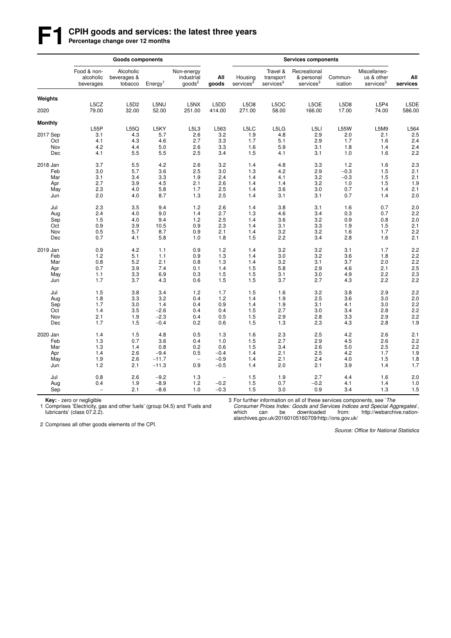# **F1 CPIH goods and services: the latest three years**<br>Percentage change over 12 months

|                |                                       | <b>Goods components</b>             |                     |                                          |                          |                                  |                                                |                                                     |                    |                                                     |                 |
|----------------|---------------------------------------|-------------------------------------|---------------------|------------------------------------------|--------------------------|----------------------------------|------------------------------------------------|-----------------------------------------------------|--------------------|-----------------------------------------------------|-----------------|
|                | Food & non-<br>alcoholic<br>beverages | Alcoholic<br>beverages &<br>tobacco | Eneray <sup>1</sup> | Non-energy<br>industrial<br>$q$ oods $2$ | All<br>goods             | Housing<br>services <sup>3</sup> | Travel &<br>transport<br>services <sup>3</sup> | Recreational<br>& personal<br>services <sup>3</sup> | Commun-<br>ication | Miscellaneo-<br>us & other<br>services <sup>3</sup> | All<br>services |
| Weights        |                                       |                                     |                     |                                          |                          |                                  |                                                |                                                     |                    |                                                     |                 |
|                | L5CZ                                  | L5D2                                | L5NU                | L5NX                                     | L5DD                     | L5O8                             | L5OC                                           | L5OE                                                | L5D8               | L5P4                                                | L5DE            |
| 2020           | 79.00                                 | 32.00                               | 52.00               | 251.00                                   | 414.00                   | 271.00                           | 58.00                                          | 166.00                                              | 17.00              | 74.00                                               | 586.00          |
| <b>Monthly</b> |                                       |                                     |                     |                                          |                          |                                  |                                                |                                                     |                    |                                                     |                 |
|                | L55P                                  | L55Q                                | L5KY                | L5L3                                     | L563                     | L5LC                             | L5LG                                           | L <sub>5LI</sub>                                    | <b>L55W</b>        | L5M9                                                | L564            |
| 2017 Sep       | 3.1                                   | 4.3                                 | 5.7                 | 2.6                                      | 3.2                      | 1.9                              | 4.8                                            | 2.9                                                 | 2.0                | 2.1                                                 | 2.5             |
| Oct            | 4.1                                   | 4.3                                 | 4.6                 | 2.7                                      | 3.3                      | 1.7                              | 5.1                                            | 2.9                                                 | 1.7                | 1.6                                                 | 2.4             |
| Nov            | 4.2                                   | 4.4                                 | 5.0                 | 2.6                                      | 3.3                      | 1.6                              | 5.9                                            | 3.1                                                 | 1.8                | 1.4                                                 | 2.4             |
| Dec            | 4.1                                   | 5.5                                 | 5.5                 | 2.5                                      | 3.4                      | 1.5                              | 4.1                                            | 3.1                                                 | 1.0                | 1.6                                                 | 2.2             |
| 2018 Jan       | 3.7                                   | 5.5                                 | 4.2                 | 2.6                                      | 3.2                      | 1.4                              | 4.8                                            | 3.3                                                 | 1.2                | 1.6                                                 | 2.3             |
| Feb            | 3.0                                   | 5.7                                 | 3.6                 | 2.5                                      | 3.0                      | 1.3                              | 4.2                                            | 2.9                                                 | $-0.3$             | 1.5                                                 | 2.1             |
| Mar            | 3.1                                   | 3.4                                 | 3.3                 | 1.9                                      | 2.4                      | 1.4                              | 4.1                                            | 3.2                                                 | $-0.3$             | 1.5                                                 | 2.1             |
| Apr            | 2.7                                   | 3.9                                 | 4.5                 | 2.1                                      | 2.6                      | 1.4                              | 1.4                                            | 3.2                                                 | 1.0                | 1.5                                                 | 1.9             |
| May            | 2.3                                   | 4.0                                 | 5.8                 | 1.7                                      | 2.5                      | 1.4                              | 3.6                                            | 3.0                                                 | 0.7                | 1.4                                                 | 2.1             |
| Jun            | 2.0                                   | 4.0                                 | 8.7                 | 1.3                                      | 2.5                      | 1.4                              | 3.1                                            | 3.1                                                 | 0.7                | 1.4                                                 | 2.0             |
| Jul            | 2.3                                   | 3.5                                 | 9.4                 | 1.2                                      | 2.6                      | 1.4                              | 3.8                                            | 3.1                                                 | 1.6                | 0.7                                                 | 2.0             |
| Aug            | 2.4                                   | 4.0                                 | 9.0                 | 1.4                                      | 2.7                      | 1.3                              | 4.6                                            | 3.4                                                 | 0.3                | 0.7                                                 | 2.2             |
| Sep            | 1.5                                   | 4.0                                 | 9.4                 | 1.2                                      | 2.5                      | 1.4                              | 3.6                                            | 3.2                                                 | 0.9                | 0.8                                                 | 2.0             |
| Oct            | 0.9                                   | 3.9                                 | 10.5                | 0.9                                      | 2.3                      | 1.4                              | 3.1                                            | 3.3                                                 | 1.9                | 1.5                                                 | 2.1             |
| Nov            | 0.5                                   | 5.7                                 | 8.7                 | 0.9                                      | 2.1                      | 1.4                              | 3.2                                            | 3.2                                                 | 1.6                | 1.7                                                 | 2.2             |
| Dec            | 0.7                                   | 4.1                                 | 5.8                 | 1.0                                      | 1.8                      | 1.5                              | 2.2                                            | 3.4                                                 | 2.8                | 1.6                                                 | 2.1             |
| 2019 Jan       | 0.9                                   | 4.2                                 | 1.1                 | 0.9                                      | 1.2                      | 1.4                              | 3.2                                            | 3.2                                                 | 3.1                | 1.7                                                 | 2.2             |
| Feb            | 1.2                                   | 5.1                                 | 1.1                 | 0.9                                      | 1.3                      | 1.4                              | 3.0                                            | 3.2                                                 | 3.6                | 1.8                                                 | 2.2             |
| Mar            | 0.8                                   | 5.2                                 | 2.1                 | 0.8                                      | 1.3                      | 1.4                              | 3.2                                            | 3.1                                                 | 3.7                | 2.0                                                 | 2.2             |
| Apr            | 0.7                                   | 3.9                                 | 7.4                 | 0.1                                      | 1.4                      | 1.5                              | 5.8                                            | 2.9                                                 | 4.6                | 2.1                                                 | 2.5             |
| May            | 1.1                                   | 3.3                                 | 6.9                 | 0.3                                      | 1.5                      | 1.5                              | 3.1                                            | 3.0                                                 | 4.9                | 2.2                                                 | 2.3             |
| Jun            | 1.7                                   | 3.7                                 | 4.3                 | 0.6                                      | 1.5                      | 1.5                              | 3.7                                            | 2.7                                                 | 4.3                | 2.2                                                 | 2.2             |
|                |                                       |                                     |                     |                                          |                          |                                  |                                                |                                                     |                    |                                                     |                 |
| Jul            | 1.5                                   | 3.8                                 | 3.4                 | 1.2                                      | 1.7                      | 1.5                              | 1.6                                            | 3.2                                                 | 3.8                | 2.9                                                 | 2.2             |
| Aug            | 1.8                                   | 3.3                                 | 3.2                 | 0.4                                      | 1.2                      | 1.4                              | 1.9                                            | 2.5                                                 | 3.6                | 3.0                                                 | 2.0             |
| Sep            | 1.7                                   | 3.0                                 | 1.4                 | 0.4                                      | 0.9                      | 1.4                              | 1.9                                            | 3.1                                                 | 4.1                | 3.0                                                 | 2.2             |
| Oct            | 1.4                                   | 3.5                                 | $-2.6$              | 0.4                                      | 0.4                      | 1.5                              | 2.7                                            | 3.0                                                 | 3.4                | 2.8                                                 | 2.2             |
| Nov            | 2.1                                   | 1.9                                 | $-2.3$              | 0.4                                      | 0.5                      | 1.5                              | 2.9                                            | 2.8                                                 | 3.3                | 2.9                                                 | 2.2             |
| Dec            | 1.7                                   | 1.5                                 | $-0.4$              | 0.2                                      | 0.6                      | 1.5                              | 1.3                                            | 2.3                                                 | 4.3                | 2.8                                                 | 1.9             |
| 2020 Jan       | 1.4                                   | 1.5                                 | 4.8                 | 0.5                                      | 1.3                      | 1.6                              | 2.3                                            | 2.5                                                 | 4.2                | 2.6                                                 | 2.1             |
| Feb            | 1.3                                   | 0.7                                 | 3.6                 | 0.4                                      | 1.0                      | 1.5                              | 2.7                                            | 2.9                                                 | 4.5                | 2.6                                                 | 2.2             |
| Mar            | 1.3                                   | 1.4                                 | 0.8                 | 0.2                                      | 0.6                      | 1.5                              | 3.4                                            | 2.6                                                 | 5.0                | 2.5                                                 | 2.2             |
| Apr            | 1.4                                   | 2.6                                 | $-9.4$              | 0.5                                      | $-0.4$                   | 1.4                              | 2.1                                            | 2.5                                                 | 4.2                | 1.7                                                 | 1.9             |
| May            | 1.9                                   | 2.6                                 | $-11.7$             | $\overline{\phantom{a}}$                 | $-0.9$                   | 1.4                              | 2.1                                            | 2.4                                                 | 4.0                | 1.5                                                 | 1.8             |
| Jun            | 1.2                                   | 2.1                                 | $-11.3$             | 0.9                                      | $-0.5$                   | 1.4                              | 2.0                                            | 2.1                                                 | 3.9                | 1.4                                                 | 1.7             |
|                |                                       |                                     |                     |                                          |                          |                                  |                                                |                                                     |                    |                                                     |                 |
| Jul            | 0.8                                   | 2.6                                 | $-9.2$              | 1.3                                      | $\overline{\phantom{m}}$ | 1.5                              | 1.9                                            | 2.7                                                 | 4.4                | 1.6                                                 | 2.0             |
| Aug            | 0.4                                   | 1.9                                 | $-8.9$              | 1.2                                      | $-0.2$                   | 1.5                              | 0.7                                            | $-0.2$                                              | 4.1                | 1.4                                                 | 1.0             |
| Sep            | $\overline{\phantom{m}}$              | 2.1                                 | $-8.6$              | 1.0                                      | $-0.3$                   | 1.5                              | 3.0                                            | 0.9                                                 | 3.4                | 1.3                                                 | 1.5             |

**Key:** - zero or negligible<br>1 Comprises 'Electricity, gas and other fuels' (group 04.5) and 'Fuels and lubricants' (class 07.2.2).

3 For further information on all of these services components, see 'The

*Consumer Prices Index: Goods and Services Indices and Special Aggregates*', which can be downloaded from: http://webarchive.nationalarchives.gov.uk/20160105160709/http://ons.gov.uk/

2 Comprises all other goods elements of the CPI.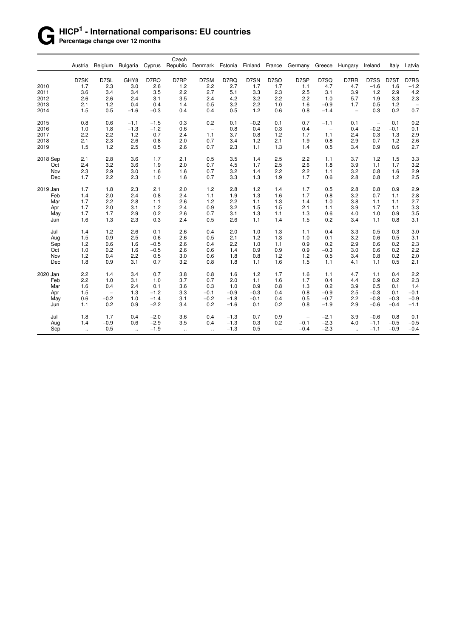# **G HICP<sup>1</sup> - International comparisons: EU countries**

**Percentage change over 12 months** 

|          | Austria | Belgium           | Bulgaria             | Cyprus | Czech<br>Republic | Denmark Estonia Finland |        |        | France            | Germany           | Greece                   | Hungary                  | Ireland                  | Italy  | Latvia            |
|----------|---------|-------------------|----------------------|--------|-------------------|-------------------------|--------|--------|-------------------|-------------------|--------------------------|--------------------------|--------------------------|--------|-------------------|
|          | D7SK    | D7SL              | GHY8                 | D7RO   | D7RP              | D7SM                    | D7RQ   | D7SN   | D7SO              | D7SP              | D7SQ                     | D7RR                     | D7SS                     | D7ST   | D7RS              |
| 2010     | 1.7     | 2.3               | 3.0                  | 2.6    | 1.2               | 2.2                     | 2.7    | 1.7    | 1.7               | 1.1               | 4.7                      | 4.7                      | $-1.6$                   | 1.6    | $-1.2$            |
| 2011     | 3.6     | 3.4               | 3.4                  | 3.5    | 2.2               | 2.7                     | 5.1    | 3.3    | 2.3               | 2.5               | 3.1                      | 3.9                      | 1.2                      | 2.9    | 4.2               |
| 2012     | 2.6     | 2.6               | 2.4                  | 3.1    | 3.5               | 2.4                     | 4.2    | 3.2    | 2.2               | 2.2               | 1.0                      | 5.7                      | 1.9                      | 3.3    | 2.3               |
| 2013     | 2.1     | 1.2               | 0.4                  | 0.4    | 1.4               | 0.5                     | 3.2    | 2.2    | 1.0               | 1.6               | $-0.9$                   | 1.7                      | 0.5                      | 1.2    | $\qquad \qquad -$ |
| 2014     | 1.5     | 0.5               | $-1.6$               | $-0.3$ | 0.4               | 0.4                     | 0.5    | 1.2    | 0.6               | 0.8               | $-1.4$                   | $\overline{\phantom{a}}$ | 0.3                      | 0.2    | 0.7               |
| 2015     | 0.8     | 0.6               | $-1.1$               | $-1.5$ | 0.3               | 0.2                     | 0.1    | $-0.2$ | 0.1               | 0.7               | $-1.1$                   | 0.1                      | $\overline{\phantom{a}}$ | 0.1    | 0.2               |
| 2016     | 1.0     | 1.8               | $-1.3$               | $-1.2$ | 0.6               | $\qquad \qquad -$       | 0.8    | 0.4    | 0.3               | 0.4               | $\overline{\phantom{0}}$ | 0.4                      | $-0.2$                   | $-0.1$ | 0.1               |
| 2017     | 2.2     | 2.2               | 1.2                  | 0.7    | 2.4               | 1.1                     | 3.7    | 0.8    | 1.2               | 1.7               | 1.1                      | 2.4                      | 0.3                      | 1.3    | 2.9               |
| 2018     | 2.1     | 2.3               | 2.6                  | 0.8    | 2.0               | 0.7                     | 3.4    | 1.2    | 2.1               | 1.9               | 0.8                      | 2.9                      | 0.7                      | 1.2    | 2.6               |
| 2019     | 1.5     | 1.2               | 2.5                  | 0.5    | 2.6               | 0.7                     | 2.3    | 1.1    | 1.3               | 1.4               | 0.5                      | 3.4                      | 0.9                      | 0.6    | 2.7               |
| 2018 Sep | 2.1     | 2.8               | 3.6                  | 1.7    | 2.1               | 0.5                     | 3.5    | 1.4    | 2.5               | 2.2               | 1.1                      | 3.7                      | 1.2                      | 1.5    | 3.3               |
| Oct      | 2.4     | 3.2               | 3.6                  | 1.9    | 2.0               | 0.7                     | 4.5    | 1.7    | 2.5               | 2.6               | 1.8                      | 3.9                      | 1.1                      | 1.7    | 3.2               |
| Nov      | 2.3     | 2.9               | 3.0                  | 1.6    | 1.6               | 0.7                     | 3.2    | 1.4    | 2.2               | 2.2               | 1.1                      | 3.2                      | 0.8                      | 1.6    | 2.9               |
| Dec      | 1.7     | 2.2               | 2.3                  | 1.0    | 1.6               | 0.7                     | 3.3    | 1.3    | 1.9               | 1.7               | 0.6                      | 2.8                      | 0.8                      | 1.2    | 2.5               |
| 2019 Jan | 1.7     | 1.8               | 2.3                  | 2.1    | 2.0               | 1.2                     | 2.8    | 1.2    | 1.4               | 1.7               | 0.5                      | 2.8                      | 0.8                      | 0.9    | 2.9               |
| Feb      | 1.4     | 2.0               | 2.4                  | 0.8    | 2.4               | 1.1                     | 1.9    | 1.3    | 1.6               | 1.7               | 0.8                      | 3.2                      | 0.7                      | 1.1    | 2.8               |
| Mar      | 1.7     | 2.2               | 2.8                  | 1.1    | 2.6               | 1.2                     | 2.2    | 1.1    | 1.3               | 1.4               | 1.0                      | 3.8                      | 1.1                      | 1.1    | 2.7               |
| Apr      | 1.7     | 2.0               | 3.1                  | 1.2    | 2.4               | 0.9                     | 3.2    | 1.5    | 1.5               | 2.1               | 1.1                      | 3.9                      | 1.7                      | 1.1    | 3.3               |
| May      | 1.7     | 1.7               | 2.9                  | 0.2    | 2.6               | 0.7                     | 3.1    | 1.3    | 1.1               | 1.3               | 0.6                      | 4.0                      | 1.0                      | 0.9    | 3.5               |
| Jun      | 1.6     | 1.3               | 2.3                  | 0.3    | 2.4               | 0.5                     | 2.6    | 1.1    | 1.4               | 1.5               | 0.2                      | 3.4                      | 1.1                      | 0.8    | 3.1               |
| Jul      | 1.4     | 1.2               | 2.6                  | 0.1    | 2.6               | 0.4                     | 2.0    | 1.0    | 1.3               | 1.1               | 0.4                      | 3.3                      | 0.5                      | 0.3    | 3.0               |
| Aug      | 1.5     | 0.9               | 2.5                  | 0.6    | 2.6               | 0.5                     | 2.1    | 1.2    | 1.3               | 1.0               | 0.1                      | 3.2                      | 0.6                      | 0.5    | 3.1               |
| Sep      | 1.2     | 0.6               | 1.6                  | $-0.5$ | 2.6               | 0.4                     | 2.2    | 1.0    | 1.1               | 0.9               | 0.2                      | 2.9                      | 0.6                      | 0.2    | 2.3               |
| Oct      | 1.0     | 0.2               | 1.6                  | $-0.5$ | 2.6               | 0.6                     | 1.4    | 0.9    | 0.9               | 0.9               | $-0.3$                   | 3.0                      | 0.6                      | 0.2    | 2.2               |
| Nov      | 1.2     | 0.4               | 2.2                  | 0.5    | 3.0               | 0.6                     | 1.8    | 0.8    | 1.2               | 1.2               | 0.5                      | 3.4                      | 0.8                      | 0.2    | 2.0               |
| Dec      | 1.8     | 0.9               | 3.1                  | 0.7    | 3.2               | 0.8                     | 1.8    | 1.1    | 1.6               | 1.5               | 1.1                      | 4.1                      | 1.1                      | 0.5    | 2.1               |
| 2020 Jan | 2.2     | 1.4               | 3.4                  | 0.7    | 3.8               | 0.8                     | 1.6    | 1.2    | 1.7               | 1.6               | 1.1                      | 4.7                      | 1.1                      | 0.4    | 2.2               |
| Feb      | 2.2     | 1.0               | 3.1                  | 1.0    | 3.7               | 0.7                     | 2.0    | 1.1    | 1.6               | 1.7               | 0.4                      | 4.4                      | 0.9                      | 0.2    | 2.3               |
| Mar      | 1.6     | 0.4               | 2.4                  | 0.1    | 3.6               | 0.3                     | 1.0    | 0.9    | 0.8               | 1.3               | 0.2                      | 3.9                      | 0.5                      | 0.1    | 1.4               |
| Apr      | 1.5     | $\qquad \qquad -$ | 1.3                  | $-1.2$ | 3.3               | $-0.1$                  | $-0.9$ | $-0.3$ | 0.4               | 0.8               | $-0.9$                   | 2.5                      | $-0.3$                   | 0.1    | $-0.1$            |
| May      | 0.6     | $-0.2$            | 1.0                  | $-1.4$ | 3.1               | $-0.2$                  | $-1.8$ | $-0.1$ | 0.4               | 0.5               | $-0.7$                   | 2.2                      | $-0.8$                   | $-0.3$ | $-0.9$            |
| Jun      | 1.1     | 0.2               | 0.9                  | $-2.2$ | 3.4               | 0.2                     | $-1.6$ | 0.1    | 0.2               | 0.8               | $-1.9$                   | 2.9                      | $-0.6$                   | $-0.4$ | $-1.1$            |
| Jul      | 1.8     | 1.7               | 0.4                  | $-2.0$ | 3.6               | 0.4                     | $-1.3$ | 0.7    | 0.9               | $\qquad \qquad -$ | $-2.1$                   | 3.9                      | $-0.6$                   | 0.8    | 0.1               |
| Aug      | 1.4     | $-0.9$            | 0.6                  | $-2.9$ | 3.5               | 0.4                     | $-1.3$ | 0.3    | 0.2               | $-0.1$            | $-2.3$                   | 4.0                      | $-1.1$                   | $-0.5$ | $-0.5$            |
| Sep      | ÷.      | 0.5               | $\ddot{\phantom{a}}$ | $-1.9$ | u,                | $\ddotsc$               | $-1.3$ | 0.5    | $\qquad \qquad -$ | $-0.4$            | $-2.3$                   | $\ddot{\phantom{1}}$     | $-1.1$                   | $-0.9$ | $-0.4$            |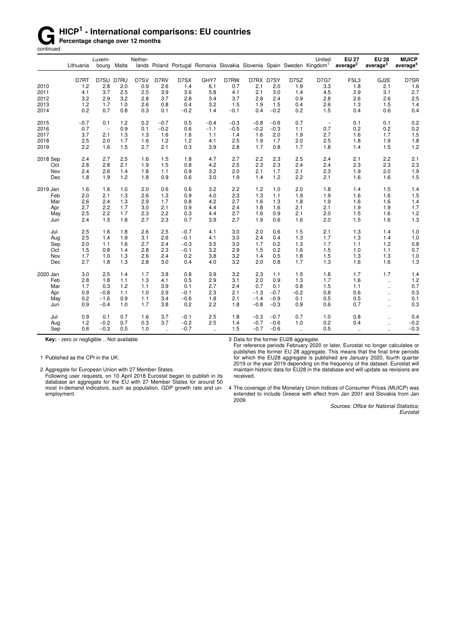# **G** HICP<sup>1</sup> - International comparisons: EU countries<br> **Gontinued**<br> **Gontinued**

**Percentage change over 12 months** 

continued

|          | Lithuania | Luxem-                   | bourg Malta | Nether- |                      |        |        |        |           |        |                | United<br>lands Poland Portugal Romania Slovakia Slovenia Spain Sweden Kingdom <sup>1</sup> | <b>EU 27</b><br>average <sup>2</sup> | <b>EU 28</b><br>average <sup>3</sup> | <b>MUICP</b><br>average <sup>4</sup> |
|----------|-----------|--------------------------|-------------|---------|----------------------|--------|--------|--------|-----------|--------|----------------|---------------------------------------------------------------------------------------------|--------------------------------------|--------------------------------------|--------------------------------------|
|          | D7RT      | D7SU D7RU                |             | D7SV    | D7RV                 | D7SX   | GHY7   | D7RW   | D7RX D7SY |        | D7SZ           | <b>D7G7</b>                                                                                 | FSL3                                 | GJ2E                                 | D7SR                                 |
| 2010     | 1.2       | 2.8                      | 2.0         | 0.9     | 2.6                  | 1.4    | 6.1    | 0.7    | 2.1       | 2.0    | 1.9            | 3.3                                                                                         | 1.8                                  | 2.1                                  | 1.6                                  |
| 2011     | 4.1       | 3.7                      | 2.5         | 2.5     | 3.9                  | 3.6    | 5.8    | 4.1    | 2.1       | 3.0    | 1.4            | 4.5                                                                                         | 2.9                                  | 3.1                                  | 2.7                                  |
| 2012     | 3.2       | 2.9                      | 3.2         | 2.8     | 3.7                  | 2.8    | 3.4    | 3.7    | 2.8       | 2.4    | 0.9            | 2.8                                                                                         | 2.6                                  | 2.6                                  | 2.5                                  |
| 2013     | 1.2       | 1.7                      | 1.0         | 2.6     | 0.8                  | 0.4    | 3.2    | 1.5    | 1.9       | 1.5    | 0.4            | 2.6                                                                                         | 1.3                                  | 1.5                                  | 1.4                                  |
| 2014     | 0.2       | 0.7                      | 0.8         | 0.3     | 0.1                  | $-0.2$ | 1.4    | $-0.1$ | 0.4       | $-0.2$ | 0.2            | 1.5                                                                                         | 0.4                                  | 0.6                                  | 0.4                                  |
| 2015     | $-0.7$    | 0.1                      | 1.2         | 0.2     | $-0.7$               | 0.5    | $-0.4$ | $-0.3$ | $-0.8$    | $-0.6$ | 0.7            | $\overline{\phantom{a}}$                                                                    | 0.1                                  | 0.1                                  | 0.2                                  |
| 2016     | 0.7       | $\overline{\phantom{a}}$ | 0.9         | 0.1     | $-0.2$               | 0.6    | $-1.1$ | $-0.5$ | $-0.2$    | $-0.3$ | 1.1            | 0.7                                                                                         | 0.2                                  | 0.2                                  | 0.2                                  |
| 2017     | 3.7       | 2.1                      | 1.3         | 1.3     | 1.6                  | 1.6    | 1.1    | 1.4    | 1.6       | 2.0    | 1.9            | 2.7                                                                                         | 1.6                                  | 1.7                                  | 1.5                                  |
| 2018     | 2.5       | 2.0                      | 1.7         | 1.6     | 1.2                  | 1.2    | 4.1    | 2.5    | 1.9       | 1.7    | 2.0            | 2.5                                                                                         | 1.8                                  | 1.9                                  | 1.8                                  |
| 2019     | 2.2       | 1.6                      | 1.5         | 2.7     | 2.1                  | 0.3    | 3.9    | 2.8    | 1.7       | 0.8    | 1.7            | 1.8                                                                                         | 1.4                                  | 1.5                                  | 1.2                                  |
| 2018 Sep | 2.4       | 2.7                      | 2.5         | 1.6     | 1.5                  | 1.8    | 4.7    | 2.7    | 2.2       | 2.3    | 2.5            | 2.4                                                                                         | 2.1                                  | 2.2                                  | 2.1                                  |
| Oct      | 2.8       | 2.8                      | 2.1         | 1.9     | 1.5                  | 0.8    | 4.2    | 2.5    | 2.3       | 2.3    | 2.4            | 2.4                                                                                         | 2.3                                  | 2.3                                  | 2.3                                  |
| Nov      | 2.4       | 2.6                      | 1.4         | 1.8     | 1.1                  | 0.9    | 3.2    | 2.0    | 2.1       | 1.7    | 2.1            | 2.3                                                                                         | 1.9                                  | 2.0                                  | 1.9                                  |
| Dec      | 1.8       | 1.9                      | 1.2         | 1.8     | 0.9                  | 0.6    | 3.0    | 1.9    | 1.4       | 1.2    | 2.2            | 2.1                                                                                         | 1.6                                  | 1.6                                  | 1.5                                  |
| 2019 Jan | 1.6       | 1.6                      | 1.0         | 2.0     | 0.6                  | 0.6    | 3.2    | 2.2    | 1.2       | 1.0    | 2.0            | 1.8                                                                                         | 1.4                                  | 1.5                                  | 1.4                                  |
| Feb      | 2.0       | 2.1                      | 1.3         | 2.6     | 1.3                  | 0.9    | 4.0    | 2.3    | 1.3       | 1.1    | 1.9            | 1.9                                                                                         | 1.6                                  | 1.6                                  | 1.5                                  |
| Mar      | 2.6       | 2.4                      | 1.3         | 2.9     | 1.7                  | 0.8    | 4.2    | 2.7    | 1.6       | 1.3    | 1.8            | 1.9                                                                                         | 1.6                                  | 1.6                                  | 1.4                                  |
| Apr      | 2.7       | 2.2                      | 1.7         | 3.0     | 2.1                  | 0.9    | 4.4    | 2.4    | 1.8       | 1.6    | 2.1            | 2.1                                                                                         | 1.9                                  | 1.9                                  | 1.7                                  |
| May      | 2.5       | 2.2                      | 1.7         | 2.3     | 2.2                  | 0.3    | 4.4    | 2.7    | 1.6       | 0.9    | 2.1            | 2.0                                                                                         | 1.5                                  | 1.6                                  | 1.2                                  |
| Jun      | 2.4       | 1.5                      | 1.8         | 2.7     | 2.3                  | 0.7    | 3.9    | 2.7    | 1.9       | 0.6    | 1.6            | 2.0                                                                                         | 1.5                                  | 1.6                                  | 1.3                                  |
| Jul      | 2.5       | 1.6                      | 1.8         | 2.6     | 2.5                  | $-0.7$ | 4.1    | 3.0    | 2.0       | 0.6    | 1.5            | 2.1                                                                                         | 1.3                                  | 1.4                                  | 1.0                                  |
| Aug      | 2.5       | 1.4                      | 1.9         | 3.1     | 2.6                  | $-0.1$ | 4.1    | 3.0    | 2.4       | 0.4    | 1.3            | 1.7                                                                                         | 1.3                                  | 1.4                                  | 1.0                                  |
| Sep      | 2.0       | 1.1                      | 1.6         | 2.7     | 2.4                  | $-0.3$ | 3.5    | 3.0    | 1.7       | 0.2    | 1.3            | 1.7                                                                                         | 1.1                                  | 1.2                                  | 0.8                                  |
| Oct      | 1.5       | 0.8                      | 1.4         | 2.8     | 2.3                  | $-0.1$ | 3.2    | 2.9    | 1.5       | 0.2    | 1.6            | 1.5                                                                                         | 1.0                                  | 1.1                                  | 0.7                                  |
| Nov      | 1.7       | 1.0                      | 1.3         | 2.6     | 2.4                  | 0.2    | 3.8    | 3.2    | 1.4       | 0.5    | 1.8            | 1.5                                                                                         | 1.3                                  | 1.3                                  | 1.0                                  |
| Dec      | 2.7       | 1.8                      | 1.3         | 2.8     | 3.0                  | 0.4    | 4.0    | 3.2    | 2.0       | 0.8    | 1.7            | 1.3                                                                                         | 1.6                                  | 1.6                                  | 1.3                                  |
| 2020 Jan | 3.0       | 2.5                      | 1.4         | 1.7     | 3.8                  | 0.8    | 3.9    | 3.2    | 2.3       | 1.1    | 1.5            | 1.8                                                                                         | 1.7                                  | 1.7                                  | 1.4                                  |
| Feb      | 2.8       | 1.8                      | 1.1         | 1.3     | 4.1                  | 0.5    | 2.9    | 3.1    | 2.0       | 0.9    | 1.3            | 1.7                                                                                         | 1.6                                  | $\ddot{\phantom{a}}$                 | 1.2                                  |
| Mar      | 1.7       | 0.3                      | 1.2         | 1.1     | 3.9                  | 0.1    | 2.7    | 2.4    | 0.7       | 0.1    | 0.8            | 1.5                                                                                         | 1.1                                  | à.                                   | 0.7                                  |
| Apr      | 0.9       | $-0.8$                   | 1.1         | 1.0     | 2.9                  | $-0.1$ | 2.3    | 2.1    | $-1.3$    | $-0.7$ | $-0.2$         | 0.8                                                                                         | 0.6                                  | à.                                   | 0.3                                  |
| May      | 0.2       | $-1.6$                   | 0.9         | 1.1     | 3.4                  | $-0.6$ | 1.8    | 2.1    | $-1.4$    | $-0.9$ | 0.1            | 0.5                                                                                         | 0.5                                  | $\ddot{\phantom{a}}$                 | 0.1                                  |
| Jun      | 0.9       | $-0.4$                   | 1.0         | 1.7     | 3.8                  | 0.2    | 2.2    | 1.8    | $-0.8$    | $-0.3$ | 0.9            | 0.6                                                                                         | 0.7                                  | $\ddotsc$                            | 0.3                                  |
| Jul      | 0.9       | 0.1                      | 0.7         | 1.6     | 3.7                  | $-0.1$ | 2.5    | 1.8    | $-0.3$    | $-0.7$ | 0.7            | 1.0                                                                                         | 0.8                                  | $\ddot{\phantom{a}}$                 | 0.4                                  |
| Aug      | 1.2       | $-0.2$                   | 0.7         | 0.3     | 3.7                  | $-0.2$ | 2.5    | 1.4    | $-0.7$    | $-0.6$ | 1.0            | 0.2                                                                                         | 0.4                                  | ä.                                   | $-0.2$                               |
| Sep      | 0.6       | $-0.3$                   | 0.5         | 1.0     | $\ddot{\phantom{a}}$ | $-0.7$ | $\sim$ | 1.5    | $-0.7$    | $-0.6$ | $\bar{\Omega}$ | 0.5                                                                                         | $\ddotsc$                            | ä.                                   | $-0.3$                               |

**Key:** - zero or negligible .. Not available

1 Published as the CPI in the UK.

2 Aggregate for European Union with 27 Member States. Following user requests, on 10 April 2018 Eurostat began to publish in its database an aggregate for the EU with 27 Member States for around 50 most in-demand indicators, such as population, GDP growth rate and unemployment.

3 Data for the former EU28 aggregate.

For reference periods February 2020 or later, Eurostat no longer calculates or publishes the former EU 28 aggregate. This means that the final time periods for which the EU28 aggregate is published are January 2020, fourth quarter 2019 or the year 2019 depending on the frequency of the dataset. Eurostat will maintain historic data for EU28 in the database and will update as revisions are received.

4 The coverage of the Monetary Union Indices of Consumer Prices (MUICP) was extended to include Greece with effect from Jan 2001 and Slovakia from Jan 2009.

*Sources: Office for National Statistics; Eurostat*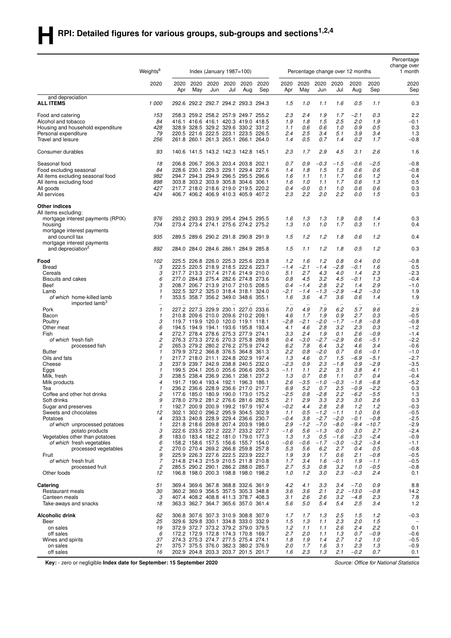# **HRPI:** Detailed figures for various groups, sub-groups and sections<sup>1,2,4</sup>

|                                                             |                              |      |      |                                       |      |                                                                            |      |                  |                                                          |                                        |                             |                  |                  | Percentage<br>change over<br>1 month |  |
|-------------------------------------------------------------|------------------------------|------|------|---------------------------------------|------|----------------------------------------------------------------------------|------|------------------|----------------------------------------------------------|----------------------------------------|-----------------------------|------------------|------------------|--------------------------------------|--|
|                                                             | Weights <sup>6</sup><br>2020 | 2020 | 2020 | Index (January $1987 = 100$ )<br>2020 | 2020 | 2020                                                                       | 2020 | 2020             | Percentage change over 12 months<br>2020<br>2020<br>2020 |                                        |                             | 2020             | 2020             | 2020                                 |  |
|                                                             |                              | Apr  | May  | Jun                                   | Jul  | Aug                                                                        | Sep  | Apr              | May                                                      | Jun                                    | Jul                         | Aug              | Sep              | Sep                                  |  |
| and depreciation<br><b>ALL ITEMS</b>                        | 1000                         |      |      |                                       |      | 292.6 292.2 292.7 294.2 293.3 294.3                                        |      | 1.5              | 1.0                                                      | 1.1                                    | 1.6                         | 0.5              | 1.1              | 0.3                                  |  |
| Food and catering                                           | 153                          |      |      |                                       |      | 258.3 259.2 258.2 257.9 249.7 255.2                                        |      | 2.3              | 2.4                                                      | 1.9                                    | 1.7                         | $-2.1$           | 0.3              | 2.2                                  |  |
| Alcohol and tobacco                                         | 84                           |      |      |                                       |      | 416.1 416.6 416.1 420.3 419.0 418.5                                        |      | 1.9              | 1.8                                                      | 1.5                                    | 2.5                         | 2.0              | 1.9              | $-0.1$                               |  |
| Housing and household expenditure                           | 428                          |      |      |                                       |      | 328.9 328.5 329.2 329.6 330.2 331.2                                        |      | 1.1              | 0.6                                                      | 0.6                                    | 1.0                         | 0.9              | 0.5              | 0.3                                  |  |
| Personal expenditure<br>Travel and leisure                  | 79<br>256                    |      |      |                                       |      | 220.5 221.6 222.5 223.1 223.5 226.5<br>261.8 260.1 261.3 265.1 266.1 264.0 |      | 2.4<br>1.4       | 2.5<br>0.5                                               | 3.4<br>0.7                             | 5.1<br>1.4                  | 3.9<br>0.2       | 3.4<br>1.7       | 1.3<br>$-0.8$                        |  |
| Consumer durables                                           | 93                           |      |      |                                       |      | 140.6 141.5 143.2 142.3 142.8 145.1                                        |      | 2.3              | 1.7                                                      | 2.9                                    | 4.5                         | 3.1              | 2.6              | 1.6                                  |  |
| Seasonal food                                               | 18                           |      |      |                                       |      | 206.8 206.7 206.3 203.4 203.8 202.1                                        |      | 0.7              | 0.9                                                      | $-0.3$                                 | $-1.5$                      | $-0.6$           | -2.5             | $-0.8$                               |  |
| Food excluding seasonal                                     | 84                           |      |      |                                       |      | 228.6 230.1 229.3 229.1 229.4 227.6                                        |      | 1.4              | 1.8                                                      | 1.5                                    | 1.3                         | 0.6              | 0.6              | $-0.8$                               |  |
| All items excluding seasonal food                           | 982                          |      |      |                                       |      | 294.7 294.3 294.9 296.5 295.5 296.6                                        |      | 1.6              | 1.1                                                      | 1.1                                    | 1.7                         | 0.6              | 1.2              | 0.4                                  |  |
| All items excluding food                                    | 898                          |      |      |                                       |      | 303.8 303.2 303.9 305.8 304.6 306.1                                        |      | 1.6              | 1.0                                                      | 1.1                                    | 1.7                         | 0.6              | 1.3              | 0.5                                  |  |
| All goods                                                   | 427                          |      |      |                                       |      | 217.7 218.0 218.6 219.0 219.5 220.2                                        |      | 0.4              | $-0.0$                                                   | 0.1                                    | 1.0                         | 0.6              | 0.6              | 0.3                                  |  |
| All services                                                | 424                          |      |      |                                       |      | 406.7 406.2 406.9 410.3 405.9 407.2                                        |      | 2.3              | 2.2                                                      | 2.0                                    | 2.2                         | 0.0              | 1.5              | 0.3                                  |  |
| <b>Other indices</b><br>All items excluding:                |                              |      |      |                                       |      |                                                                            |      |                  |                                                          |                                        |                             |                  |                  |                                      |  |
| mortgage interest payments (RPIX)                           | 976                          |      |      |                                       |      | 293.2 293.3 293.9 295.4 294.5 295.5                                        |      | 1.6              | 1.3                                                      | 1.3                                    | 1.9                         | 0.8              | 1.4              | 0.3                                  |  |
| housing                                                     | 734                          |      |      |                                       |      | 273.4 273.4 274.1 275.6 274.2 275.2                                        |      | 1.3              | 1.0                                                      | 1.0                                    | 1.7                         | 0.3              | 1.1              | 0.4                                  |  |
| mortgage interest payments<br>and council tax               | 935                          |      |      |                                       |      | 289.5 289.6 290.2 291.8 290.8 291.9                                        |      | 1.5              | 1.2                                                      | 1.2                                    | 1.8                         | 0.6              | 1.2              | 0.4                                  |  |
| mortgage interest payments<br>and depreciation <sup>2</sup> | 892                          |      |      |                                       |      | 284.0 284.0 284.6 286.1 284.9 285.8                                        |      | 1.5              | 1.1                                                      | 1.2                                    | 1.8                         | 0.5              | 1.2              | 0.3                                  |  |
| Food                                                        | 102                          |      |      |                                       |      | 225.5 226.8 226.0 225.3 225.6 223.8                                        |      | 1.2              | 1.6                                                      | 1.2                                    | 0.8                         | 0.4              | 0.0              | $-0.8$                               |  |
| <b>Bread</b>                                                | 3                            |      |      |                                       |      | 222.5 220.5 218.9 218.5 222.6 223.7                                        |      | $-1.4$           | $-2.1$                                                   | $-1.4$                                 | $-2.8$                      | $-0.1$           | 1.6              | 0.5                                  |  |
| Cereals                                                     | 3                            |      |      |                                       |      | 217.7 213.3 217.4 217.6 214.9 210.0                                        |      | 5.1              | 2.7                                                      | 4.3                                    | 4.0                         | 1.4              | 2.3              | $-2.3$                               |  |
| Biscuits and cakes                                          | 6                            |      |      |                                       |      | 277.0 284.8 275.4 282.6 274.8 273.6                                        |      | 0.8              | 4.5                                                      | 3.2                                    | 4.5                         | $-0.1$           | 1.3              | $-0.4$                               |  |
| Beef                                                        | 3                            |      |      |                                       |      | 208.7 206.7 213.9 210.7 210.5 208.5                                        |      | 0.4              | $-1.4$                                                   | 2.8                                    | 2.2                         | 1.4              | 2.9              | $-1.0$                               |  |
| Lamb                                                        | 1                            |      |      |                                       |      | 322.5 327.2 325.0 318.4 318.1 324.0                                        |      | $-2.1$           | $-1.4$                                                   | $-1.3$                                 | $-2.9$                      | $-4.2$           | $-3.0$           | 1.9                                  |  |
| of which home-killed lamb<br>imported lamb <sup>3</sup>     | 1<br>$\ddot{\phantom{0}}$    |      |      |                                       |      | 353.5 358.7 356.2 349.0 348.6 355.1                                        |      | 1.6<br>$\ddotsc$ | 3.6<br>$\ddotsc$                                         | 4.7<br>$\ddot{\phantom{a}}$            | 3.6<br>$\ddot{\phantom{a}}$ | 0.6<br>$\ddotsc$ | 1.4              | 1.9                                  |  |
| Pork                                                        | 1                            |      |      |                                       |      | 227.2 227.3 229.9 230.1 227.0 233.6                                        |      | 7.0              | 4.9                                                      | 7.9                                    | 6.2                         | 5.7              | 9.6              | 2.9                                  |  |
| Bacon                                                       | 1                            |      |      |                                       |      | 210.8 209.6 210.0 209.6 210.2 209.1                                        |      | 4.6              | 1.7                                                      | 1.9                                    | 0.9                         | 2.7              | 0.3              | $-0.5$                               |  |
| Poultry                                                     | 3                            |      |      |                                       |      | 119.7 119.9 120.0 120.0 119.1 118.1                                        |      | $-2.8$           | $-2.1$                                                   | $-2.0$                                 | $-1.7$                      | $-1.8$           | $-0.8$           | $-0.8$                               |  |
| Other meat                                                  | 6                            |      |      |                                       |      | 194.5 194.9 194.1 193.6 195.8 193.4                                        |      | 4.1              | 4.6                                                      | 2.8                                    | 3.2                         | 2.3              | 0.3              | $-1.2$                               |  |
| Fish<br>of which fresh fish                                 | 4<br>2                       |      |      |                                       |      | 272.7 278.4 278.6 275.3 277.9 274.1<br>276.3 273.3 272.6 270.3 275.8 269.8 |      | 3.3<br>0.4       | 2.4<br>$-3.0$                                            | 1.9<br>$-2.7$                          | 0.1<br>$-2.9$               | 2.6<br>0.6       | $-0.9$<br>$-5.1$ | $-1.4$<br>$-2.2$                     |  |
| processed fish                                              | 2                            |      |      |                                       |      | 265.3 279.2 280.2 276.2 275.9 274.2                                        |      | 6.2              | 7.8                                                      | 6.4                                    | 3.2                         | 4.6              | 3.4              | $-0.6$                               |  |
| <b>Butter</b>                                               | 1                            |      |      |                                       |      | 379.9 372.2 366.8 376.5 364.8 361.3                                        |      | 2.2              | 0.8                                                      | $-2.0$                                 | 0.7                         | 0.6              | $-0.1$           | $-1.0$                               |  |
| Oils and fats                                               | 1                            |      |      |                                       |      | 217.7 218.0 211.1 224.8 202.9 197.4                                        |      | 1.3              | 4.6                                                      | 0.7                                    | 1.5                         | $-6.9$           | $-5.1$           | $-2.7$                               |  |
| Cheese                                                      | 3                            |      |      |                                       |      | 237.9 239.7 242.9 238.8 240.5 232.0                                        |      | $-2.3$           | 0.9                                                      | 2.3                                    | $-1.8$                      | 0.9              | $-2.9$           | $-3.5$                               |  |
| Eggs                                                        | 1                            |      |      |                                       |      | 199.5 204.1 205.0 205.6 206.6 206.3                                        |      | $-1.1$           | 1.1                                                      | 2.2                                    | 3.1                         | 3.8              | 4.1              | $-0.1$                               |  |
| Milk, fresh                                                 | 3                            |      |      |                                       |      | 238.5 238.4 236.9 236.1 238.1 237.2                                        |      | 1.3              | 0.7                                                      | 0.8                                    | 1.1                         | 0.7              | 0.4              | $-0.4$                               |  |
| Milk products                                               | 4                            |      |      |                                       |      | 191.7 190.4 193.4 192.1 196.3 186.1                                        |      | 2.6              | $-3.5$                                                   | $-1.0$                                 | $-0.3$                      | $-1.8$           | $-6.8$           | $-5.2$                               |  |
| Tea                                                         | 1                            |      |      |                                       |      | 236.2 236.6 228.9 236.6 217.0 217.7                                        |      | 6.9              | 5.2                                                      | 0.7                                    | 2.5                         | $-0.9$           | $-2.2$           | 0.3                                  |  |
| Coffee and other hot drinks<br>Soft drinks                  | 2<br>9                       |      |      |                                       |      | 177.6 185.0 180.9 190.0 173.0 175.2<br>278.0 279.2 281.2 276.6 281.6 282.5 |      | $-2.5$<br>2.1    | 0.8<br>2.9                                               | 2.8<br>$\overline{\phantom{a}}$<br>3.3 | 2.2<br>2.3                  | $-6.2$<br>3.0    | $-5.5$<br>2.6    | 1.3<br>0.3                           |  |
| Sugar and preserves                                         | 1                            |      |      |                                       |      | 192.7 200.9 200.9 199.2 197.9 197.4                                        |      | $-0.2$           | 4.4                                                      | 2.8                                    | 2.8                         | 1.2              | 1.2              | $-0.3$                               |  |
| Sweets and chocolates                                       | 12                           |      |      |                                       |      | 302.1 302.0 296.2 295.9 304.5 302.9                                        |      | 1.1              | 0.5                                                      | $-1.2$                                 | $-1.1$                      | 1.0              | 0.6              | $-0.5$                               |  |
| Potatoes                                                    | 4                            |      |      |                                       |      | 233.3 240.8 228.9 229.4 236.6 230.7                                        |      | $-0.4$           | 3.8                                                      | $-2.7$                                 | $-2.0$                      | $-0.1$           | $-0.8$           | $-2.5$                               |  |
| of which unprocessed potatoes                               | 1                            |      |      |                                       |      | 221.8 218.6 209.8 207.4 203.9 198.0                                        |      | 2.9              | $-1.2$                                                   | $-7.0$                                 | $-8.0$                      | $-9.4$           | $-10.7$          | $-2.9$                               |  |
| potato products                                             | 3                            |      |      |                                       |      | 222.6 233.5 221.2 222.7 233.2 227.7                                        |      | $-1.6$           | 5.6                                                      | $-1.3$                                 | -0.0                        | 3.0              | 2.7              | $-2.4$                               |  |
| Vegetables other than potatoes                              | 8                            |      |      |                                       |      | 183.0 183.4 182.2 181.0 179.0 177.3                                        |      | 1.3              | 1.3                                                      | 0.5                                    | $-1.6$                      | $-2.3$           | $-2.4$           | $-0.9$                               |  |
| of which fresh vegetables                                   | 6                            |      |      |                                       |      | 158.2 158.6 157.5 156.6 155.7 154.0                                        |      | $-0.6$           | $-0.6$                                                   | $-1.7$                                 | $-3.0$                      | $-3.2$           | $-3.4$           | $-1.1$                               |  |
| processed vegetables                                        | 2                            |      |      |                                       |      | 270.0 270.4 269.2 266.8 259.8 257.8                                        |      | 5.3              | 5.6                                                      | 6.2                                    | 2.7                         | 0.4              | 0.5              | $-0.8$                               |  |
| Fruit<br>of which fresh fruit                               | 9<br>7                       |      |      |                                       |      | 225.9 226.3 227.6 222.5 223.9 222.7<br>214.8 214.3 215.9 210.5 211.8 210.8 |      | 1.9<br>1.7       | 3.9<br>3.4                                               | 1.7<br>1.6                             | 0.6<br>$-0.1$               | 2.1<br>1.9       | $-0.8$<br>$-1.1$ | $-0.5$<br>$-0.5$                     |  |
| processed fruit                                             | 2                            |      |      |                                       |      | 285.5 290.2 290.1 286.2 288.0 285.7                                        |      | 2.7              | 5.3                                                      | 0.8                                    | 3.2                         | 1.0              | $-0.5$           | $-0.8$                               |  |
| Other foods                                                 | 12                           |      |      |                                       |      | 196.8 198.0 200.3 198.8 198.0 198.2                                        |      | 1.0              | 1.2                                                      | 3.0                                    | 2.3                         | $-0.3$           | 2.4              | 0.1                                  |  |
| Catering                                                    | 51                           |      |      |                                       |      | 369.4 369.6 367.8 368.8 332.6 361.9                                        |      | 4.2              | 4.1                                                      | 3.3                                    | 3.4                         | $-7.0$           | 0.9              | 8.8                                  |  |
| Restaurant meals                                            | 30                           |      |      |                                       |      | 360.2 360.9 356.5 357.5 305.3 348.8                                        |      | 3.6              | 3.6                                                      | 2.1                                    | 2.2                         | $-13.0$          | $-0.8$           | 14.2                                 |  |
| Canteen meals<br>Take-aways and snacks                      | 3<br>18                      |      |      |                                       |      | 407.4 408.2 408.8 411.3 378.7 408.3<br>363.3 362.7 364.7 365.6 357.0 361.4 |      | 3.1<br>5.6       | 2.6<br>5.0                                               | 2.6<br>5.4                             | 3.2<br>5.4                  | $-4.8$<br>2.5    | 2.3<br>3.4       | 7.8<br>1.2                           |  |
| Alcoholic drink                                             | 62                           |      |      |                                       |      | 306.8 307.6 307.3 310.9 308.8 307.9                                        |      | 1.7              | 1.7                                                      | 1.3                                    | 2.5                         | 1.5              | 1.2              | $-0.3$                               |  |
| Beer                                                        | 25                           |      |      |                                       |      | 329.6 329.8 330.1 334.8 333.0 332.9                                        |      | 1.5              | 1.3                                                      | 1.1                                    | 2.3                         | 2.0              | 1.5              |                                      |  |
| on sales                                                    | 19                           |      |      |                                       |      | 372.9 372.7 373.2 379.2 379.0 379.5                                        |      | 1.2              | 1.1                                                      | 1.1                                    | 2.6                         | 2.4              | 2.2              | 0.1                                  |  |
| off sales                                                   | 6                            |      |      |                                       |      | 172.2 172.9 172.8 174.3 170.8 169.7                                        |      | 2.7              | 2.0                                                      | 1.1                                    | 1.3                         | 0.7              | $-0.9$           | $-0.6$                               |  |
| Wines and spirits                                           | 37                           |      |      |                                       |      | 274.3 275.3 274.7 277.5 275.4 274.1                                        |      | 1.8              | 1.9                                                      | 1.4                                    | 2.7                         | 1.2              | 1.0              | $-0.5$                               |  |
| on sales<br>off sales                                       | 21<br>16                     |      |      |                                       |      | 375.7 375.5 376.0 382.3 380.2 376.9<br>202.9 204.8 203.3 203.7 201.5 201.7 |      | 2.0<br>1.6       | 1.7<br>2.3                                               | 1.6<br>1.3                             | 3.1<br>2.1                  | 2.3<br>$-0.2$    | 1.3<br>0.7       | $-0.9$<br>0.1                        |  |
|                                                             |                              |      |      |                                       |      |                                                                            |      |                  |                                                          |                                        |                             |                  |                  |                                      |  |

**Key:** - zero or negligible **Index date for September: 15 September 2020** *Source: Office for National Statistics*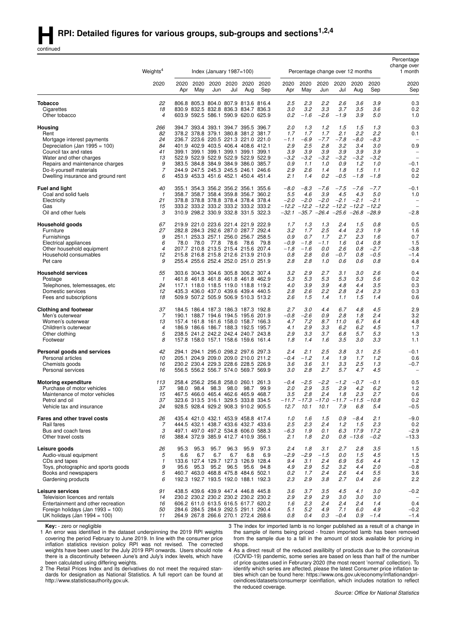continued

| 2020<br>2020<br>2020<br>2020<br>2020<br>2020<br>2020<br>2020<br>2020<br>2020<br>2020<br>2020<br>2020<br>2020<br>May<br>Aug<br>Sep<br>May<br>Jun<br>Jul<br>Aug<br>Sep<br>Sep<br>Apr<br>Jun<br>Jul<br>Apr<br><b>Tobacco</b><br>22<br>806.8 805.3 804.0 807.9 813.6 816.4<br>2.5<br>2.3<br>2.2<br>2.6<br>3.6<br>3.9<br>0.3<br>18<br>3.2<br>3.3<br>3.7<br>3.6<br>0.2<br>830.9 832.5 832.8 836.3 834.7 836.3<br>3.0<br>3.5<br>Cigarettes<br>0.2<br>$-1.6$<br>$-2.6$<br>$-1.9$<br>3.9<br>5.0<br>1.0<br>Other tobacco<br>4<br>603.9 592.5 586.1 590.9 620.0 625.9<br>0.3<br>2.0<br>1.3<br>1.2<br>1.5<br>1.5<br>1.3<br>Housing<br>266<br>393.4 393.1 394.7 395.5 396.7<br>394.7<br>2.1<br>82<br>1.7<br>1.7<br>2.2<br>2.2<br>Rent<br>378.2 378.8 379.1 380.8 381.2 381.7<br>1.7<br>0.1<br>24<br>236.7 223.6 220.5 221.3 221.0 221.0<br>-6.9<br>$-7.7$<br>$-7.8$<br>$-8.0$<br>$-8.3$<br>$-1.1$<br>Mortgage interest payments<br>$\overline{\phantom{a}}$<br>2.5<br>2.8<br>3.0<br>0.9<br>84<br>401.9 402.9 403.5 406.4 408.6 412.1<br>2.9<br>3.2<br>3.4<br>Depreciation (Jan $1995 = 100$ )<br>3.9<br>3.9<br>3.9<br>3.9<br>Council tax and rates<br>41<br>399.1 399.1 399.1 399.1 399.1 399.1<br>3.9<br>3.9<br>13<br>522.9 522.9 522.9 522.9 522.9 522.9<br>$-3.2$<br>-3.2<br>$-3.2$<br>$-3.2$<br>$-3.2$<br>$-3.2$<br>Water and other charges<br>$\overline{\phantom{0}}$<br>9<br>384.8 384.9 384.9 386.0 385.7<br>0.9<br>1.0<br>0.9<br>1.2<br>1.0<br>$-0.1$<br>Repairs and maintenance charges<br>383.5<br>1.1<br>7<br>244.9 247.5 245.3 245.5 246.1 246.6<br>2.9<br>2.6<br>1.1<br>0.2<br>Do-it-yourself materials<br>1.4<br>1.8<br>1.5<br>0.2<br>6<br>453.9 453.3 451.6 452.1 450.4 451.4<br>2.1<br>1.4<br>0.2<br>$-0.5$<br>$-1.8$<br>$-1.8$<br>Dwelling insurance and ground rent<br>$-0.1$<br><b>Fuel and light</b><br>40<br>355.1 354.3 356.2 356.2 356.1 355.6<br>$-8.0$<br>$-8.3$<br>$-7.6$<br>$-7.5$<br>$-7.6$<br>$-7.7$<br>5.0<br>358.7 358.7 358.4 359.8 356.7 360.2<br>5.5<br>4.6<br>3.9<br>4.5<br>4.3<br>1.0<br>Coal and solid fuels<br>$\mathbf{1}$<br>21<br>378.8 378.8 378.8 378.4 378.4 378.4<br>$-2.0$<br>$-2.0$<br>$-2.0$<br>$-2.1$<br>$-2.1$<br>$-2.1$<br>Electricity<br>$\overline{\phantom{m}}$<br>-12.2 -12.2 -12.2 -12.2 -12.2 -12.2<br>15<br>333.2 333.2 333.2 333.2 333.2 333.2<br>Gas<br>$\overline{\phantom{m}}$<br>$-32.1$ $-35.7$ $-26.4$ $-25.6$ $-26.8$ $-28.9$<br>3<br>310.9 298.2 330.9 332.8 331.5 322.3<br>$-2.8$<br>Oil and other fuels<br>0.5<br>67<br>219.9 221.0 223.6 221.4 221.9 222.9<br>2.4<br>1.5<br>Household goods<br>1.7<br>1.3<br>1.3<br>0.8<br>2.5<br>27<br>282.8 284.3 292.6 287.0 287.7 292.4<br>3.2<br>1.7<br>4.4<br>2.3<br>1.9<br>1.6<br>Furniture<br>9<br>0.7<br>253.3 257.1 256.0 256.7 258.5<br>0.9<br>0.7<br>1.7<br>2.7<br>2.3<br>1.6<br>Furnishings<br>251.1<br>6<br>$-1.1$<br>0.8<br>1.5<br>Electrical appliances<br>78.0<br>78.0<br>77.8<br>78.6<br>78.6<br>79.8<br>-0.9<br>$-1.8$<br>1.6<br>0.4<br>$\overline{4}$<br>207.7 210.8 213.5 215.4 215.6 207.4<br>$-1.8$<br>$-1.6$<br>0.0<br>2.6<br>0.8<br>$-2.7$<br>$-3.8$<br>Other household equipment<br>2.8<br>$-0.5$<br>12<br>216.8 215.8 212.6 213.9 210.9<br>0.8<br>0.6<br>$-0.7$<br>0.8<br>$-1.4$<br>Household consumables<br>215.8<br>9<br>0.6<br>0.8<br>0.4<br>Pet care<br>255.4 255.6 252.4 252.0 251.0 251.9<br>2.8<br>2.8<br>1.0<br>0.6<br>55<br>3.2<br>2.9<br>2.7<br>3.1<br>3.0<br>2.6<br>0.4<br><b>Household services</b><br>303.6 304.3 304.6 305.8 306.2 307.4<br>5.3<br>5.3<br>5.3<br>5.3<br>5.3<br>5.6<br>0.2<br>Postage<br>$\mathbf{1}$<br>461.8 461.8 461.8 461.8 461.8 462.9<br>24<br>4.0<br>3.9<br>3.9<br>4.8<br>4.4<br>3.5<br>0.3<br>Telephones, telemessages, etc<br>117.1 118.0 118.5 119.0 118.8 119.2<br>2.2<br>2.3<br>12<br>2.8<br>2.6<br>2.8<br>2.4<br>0.3<br>Domestic services<br>435.3 436.0 437.0 439.6 439.4 440.5<br>0.6<br>Fees and subscriptions<br>18<br>509.9 507.2 505.9 506.9 510.3 513.2<br>2.6<br>1.5<br>1.4<br>1.1<br>1.5<br>1.4<br>2.9<br><b>Clothing and footwear</b><br>37<br>2.7<br>3.0<br>4.4<br>6.7<br>4.8<br>4.5<br>184.5 186.4 187.3 186.3 187.3 192.8<br>7<br>190.1 188.7 194.6 194.5 195.6 201.9<br>$-0.8$<br>$-2.6$<br>0.9<br>2.8<br>1.8<br>2.4<br>3.2<br>Men's outerwear<br>13<br>4.7<br>7.2<br>8.7<br>11.0<br>6.7<br>6.4<br>4.8<br>Women's outerwear<br>157.4 161.8 161.6 158.0 158.7 166.3<br>$\overline{4}$<br>2.9<br>3.3<br>6.2<br>6.2<br>4.5<br>1.7<br>Children's outerwear<br>186.9 186.6 186.7 188.3 192.5 195.7<br>4.1<br>5<br>238.5 241.2 242.2 242.4 240.7 243.8<br>2.9<br>3.3<br>3.7<br>6.8<br>5.7<br>5.3<br>1.3<br>Other clothing<br>8<br>157.8 158.0 157.1 158.6 159.6 161.4<br>1.8<br>1.6<br>3.5<br>3.0<br>3.3<br>1.1<br>Footwear<br>1.4<br>42<br>2.4<br>2.1<br>2.5<br>3.8<br>3.1<br>2.5<br>$-0.1$<br>Personal goods and services<br>294.1 294.1 295.0 298.2 297.6 297.3<br>Personal articles<br>10<br>205.1 204.9 209.0 209.0 210.0 211.2<br>$-0.4$<br>$-1.2$<br>1.4<br>1.9<br>1.7<br>1.2<br>0.6<br>$-0.7$<br>16<br>230.2 230.4 229.3 228.6 228.5 226.9<br>3.6<br>3.1<br>3.3<br>2.5<br>1.3<br>Chemists goods<br>3.6<br>Personal services<br>556.5 556.2 556.7 574.0 569.7 569.9<br>3.0<br>2.8<br>2.7<br>5.7<br>4.7<br>4.5<br>16<br>$\overline{\phantom{0}}$<br>$-2.5$<br>$-2.2$<br>$-1.2$<br>$-0.7$<br>$-0.1$<br>0.5<br><b>Motoring expenditure</b><br>113<br>256.2 256.8 258.0 260.1 261.3<br>$-0.4$<br>258.4<br>37<br>2.0<br>2.9<br>3.5<br>2.9<br>4.2<br>6.2<br>1.2<br>Purchase of motor vehicles<br>98.0<br>98.4<br>98.3<br>98.0<br>98.7<br>99.9<br>15<br>467.5 466.0 465.4 462.6 465.9 468.7<br>3.5<br>2.8<br>2.4<br>1.8<br>2.3<br>2.7<br>0.6<br>Maintenance of motor vehicles<br>0.2<br>Petrol and oil<br>37<br>323.6 313.5 316.1 329.5 333.8 334.5<br>$-11.7$ $-17.3$ $-17.0$ $-11.7$ $-11.5$ $-10.8$<br>Vehicle tax and insurance<br>24<br>928.5 928.4 929.2 908.3 910.2 905.5<br>12.7<br>10.1<br>10.1<br>7.9<br>6.8<br>5.4<br>$-0.5$<br>1.5<br>2.1<br>$-9.0$<br>Fares and other travel costs<br>26<br>435.4 421.0 432.1 453.9 458.8 417.4<br>1.0<br>1.6<br>0.9<br>$-8.4$<br>Rail fares<br>444.5 432.1 438.7 433.6 432.7 433.6<br>2.5<br>2.3<br>2.4<br>1.2<br>2.3<br>0.2<br>7<br>1.5<br>Bus and coach fares<br>3<br>497.1 497.0 497.2 534.8 606.0 588.3<br>$-6.3$<br>1.9<br>0.1<br>6.3<br>17.9<br>17.2<br>$-2.9$<br>Other travel costs<br>388.4 372.9 385.9 412.7 410.9 356.1<br>2.0<br>$0.8 - 13.6$<br>$-0.2$<br>$-13.3$<br>16<br>2.1<br>1.8<br>Leisure goods<br>95.3<br>96.3<br>95.9<br>97.3<br>2.4<br>3.5<br>1.5<br>26<br>95.3<br>95.7<br>1.8<br>3.1<br>2.7<br>2.8<br>Audio-visual equipment<br>5<br>6.6<br>6.7<br>6.7<br>6.7<br>6.8<br>6.9<br>-2.9<br>$-2.9$<br>$-1.5$<br>0.0<br>4.5<br>1.5<br>1.5<br>CDs and tapes<br>133.6 127.4 129.7 127.3 126.9 128.4<br>9.4<br>3.1<br>2.4<br>6.9<br>5.6<br>4.4<br>$1.2$<br>1<br>5.2<br>Toys, photographic and sports goods<br>9<br>95.3<br>95.2<br>96.5<br>95.6<br>94.8<br>4.9<br>2.9<br>3.2<br>4.4<br>2.0<br>$-0.8$<br>95.6<br>5<br>Books and newspapers<br>460.7 463.0 468.8 475.8 484.6 502.1<br>1.7<br>2.4<br>2.6<br>5.5<br>3.6<br>0.2<br>4.4<br>Gardening products<br>192.3 192.7 193.5 192.0 188.1 192.3<br>2.3<br>2.9<br>3.8<br>2.7<br>2.6<br>2.2<br>6<br>0.4<br>Leisure services<br>3.5<br>91<br>438.5 439.6 439.9 447.4 446.8 445.8<br>3.6<br>3.7<br>4.5<br>3.0<br>$-0.2$<br>4.1<br>Television licences and rentals<br>14<br>230.2 230.2 230.2 230.2 230.2 230.2<br>2.9<br>2.9<br>2.9<br>3.0<br>3.0<br>3.0<br>0.4<br>Entertainment and other recreation<br>2.3<br>2.4<br>2.4<br>2.4<br>1.4<br>16<br>606.2 611.0 613.5 616.5 617.7 620.2<br>1.6<br>Foreign holidays (Jan 1993 = 100)<br>5.2<br>4.9<br>7.1<br>4.9<br>$-0.2$<br>50<br>284.6 284.5 284.9 292.5 291.1 290.4<br>5.1<br>6.0<br>UK holidays (Jan 1994 = 100)<br>264.9 267.8 266.6 270.1 272.4 268.6<br>0.3<br>$-0.4$<br>0.9<br>$-1.4$<br>$-1.4$<br>11<br>0.8<br>0.4 | Weights <sup>4</sup> |  | Index (January $1987 = 100$ ) |  |  | Percentage change over 12 months |  | Percentage<br>change over<br>1 month |
|----------------------------------------------------------------------------------------------------------------------------------------------------------------------------------------------------------------------------------------------------------------------------------------------------------------------------------------------------------------------------------------------------------------------------------------------------------------------------------------------------------------------------------------------------------------------------------------------------------------------------------------------------------------------------------------------------------------------------------------------------------------------------------------------------------------------------------------------------------------------------------------------------------------------------------------------------------------------------------------------------------------------------------------------------------------------------------------------------------------------------------------------------------------------------------------------------------------------------------------------------------------------------------------------------------------------------------------------------------------------------------------------------------------------------------------------------------------------------------------------------------------------------------------------------------------------------------------------------------------------------------------------------------------------------------------------------------------------------------------------------------------------------------------------------------------------------------------------------------------------------------------------------------------------------------------------------------------------------------------------------------------------------------------------------------------------------------------------------------------------------------------------------------------------------------------------------------------------------------------------------------------------------------------------------------------------------------------------------------------------------------------------------------------------------------------------------------------------------------------------------------------------------------------------------------------------------------------------------------------------------------------------------------------------------------------------------------------------------------------------------------------------------------------------------------------------------------------------------------------------------------------------------------------------------------------------------------------------------------------------------------------------------------------------------------------------------------------------------------------------------------------------------------------------------------------------------------------------------------------------------------------------------------------------------------------------------------------------------------------------------------------------------------------------------------------------------------------------------------------------------------------------------------------------------------------------------------------------------------------------------------------------------------------------------------------------------------------------------------------------------------------------------------------------------------------------------------------------------------------------------------------------------------------------------------------------------------------------------------------------------------------------------------------------------------------------------------------------------------------------------------------------------------------------------------------------------------------------------------------------------------------------------------------------------------------------------------------------------------------------------------------------------------------------------------------------------------------------------------------------------------------------------------------------------------------------------------------------------------------------------------------------------------------------------------------------------------------------------------------------------------------------------------------------------------------------------------------------------------------------------------------------------------------------------------------------------------------------------------------------------------------------------------------------------------------------------------------------------------------------------------------------------------------------------------------------------------------------------------------------------------------------------------------------------------------------------------------------------------------------------------------------------------------------------------------------------------------------------------------------------------------------------------------------------------------------------------------------------------------------------------------------------------------------------------------------------------------------------------------------------------------------------------------------------------------------------------------------------------------------------------------------------------------------------------------------------------------------------------------------------------------------------------------------------------------------------------------------------------------------------------------------------------------------------------------------------------------------------------------------------------------------------------------------------------------------------------------------------------------------------------------------------------------------------------------------------------------------------------------------------------------------------------------------------------------------------------------------------------------------------------------------------------------------------------------------------------------------------------------------------------------------------------------------------------------------------------------------------------------------------------------------------------------------------------------------------------------------------------------------------------------------------------------------------------------------------------------------------------------------------------------------------------------------------------------------------------------------------------------------------------------------------------------------------------------------------------------------------------------------------------------------------------------------------------------------------------------------------------------------------------------------------------------------------------------------------------------------------------------------------------------------------------------------------------------------------------------------------------------------------------------------------------------------------------------------------------------------------------|----------------------|--|-------------------------------|--|--|----------------------------------|--|--------------------------------------|
|                                                                                                                                                                                                                                                                                                                                                                                                                                                                                                                                                                                                                                                                                                                                                                                                                                                                                                                                                                                                                                                                                                                                                                                                                                                                                                                                                                                                                                                                                                                                                                                                                                                                                                                                                                                                                                                                                                                                                                                                                                                                                                                                                                                                                                                                                                                                                                                                                                                                                                                                                                                                                                                                                                                                                                                                                                                                                                                                                                                                                                                                                                                                                                                                                                                                                                                                                                                                                                                                                                                                                                                                                                                                                                                                                                                                                                                                                                                                                                                                                                                                                                                                                                                                                                                                                                                                                                                                                                                                                                                                                                                                                                                                                                                                                                                                                                                                                                                                                                                                                                                                                                                                                                                                                                                                                                                                                                                                                                                                                                                                                                                                                                                                                                                                                                                                                                                                                                                                                                                                                                                                                                                                                                                                                                                                                                                                                                                                                                                                                                                                                                                                                                                                                                                                                                                                                                                                                                                                                                                                                                                                                                                                                                                                                                                                                                                                                                                                                                                                                                                                                                                                                                                                                                                                                                                                                                                          |                      |  |                               |  |  |                                  |  |                                      |
|                                                                                                                                                                                                                                                                                                                                                                                                                                                                                                                                                                                                                                                                                                                                                                                                                                                                                                                                                                                                                                                                                                                                                                                                                                                                                                                                                                                                                                                                                                                                                                                                                                                                                                                                                                                                                                                                                                                                                                                                                                                                                                                                                                                                                                                                                                                                                                                                                                                                                                                                                                                                                                                                                                                                                                                                                                                                                                                                                                                                                                                                                                                                                                                                                                                                                                                                                                                                                                                                                                                                                                                                                                                                                                                                                                                                                                                                                                                                                                                                                                                                                                                                                                                                                                                                                                                                                                                                                                                                                                                                                                                                                                                                                                                                                                                                                                                                                                                                                                                                                                                                                                                                                                                                                                                                                                                                                                                                                                                                                                                                                                                                                                                                                                                                                                                                                                                                                                                                                                                                                                                                                                                                                                                                                                                                                                                                                                                                                                                                                                                                                                                                                                                                                                                                                                                                                                                                                                                                                                                                                                                                                                                                                                                                                                                                                                                                                                                                                                                                                                                                                                                                                                                                                                                                                                                                                                                          |                      |  |                               |  |  |                                  |  |                                      |
|                                                                                                                                                                                                                                                                                                                                                                                                                                                                                                                                                                                                                                                                                                                                                                                                                                                                                                                                                                                                                                                                                                                                                                                                                                                                                                                                                                                                                                                                                                                                                                                                                                                                                                                                                                                                                                                                                                                                                                                                                                                                                                                                                                                                                                                                                                                                                                                                                                                                                                                                                                                                                                                                                                                                                                                                                                                                                                                                                                                                                                                                                                                                                                                                                                                                                                                                                                                                                                                                                                                                                                                                                                                                                                                                                                                                                                                                                                                                                                                                                                                                                                                                                                                                                                                                                                                                                                                                                                                                                                                                                                                                                                                                                                                                                                                                                                                                                                                                                                                                                                                                                                                                                                                                                                                                                                                                                                                                                                                                                                                                                                                                                                                                                                                                                                                                                                                                                                                                                                                                                                                                                                                                                                                                                                                                                                                                                                                                                                                                                                                                                                                                                                                                                                                                                                                                                                                                                                                                                                                                                                                                                                                                                                                                                                                                                                                                                                                                                                                                                                                                                                                                                                                                                                                                                                                                                                                          |                      |  |                               |  |  |                                  |  |                                      |
|                                                                                                                                                                                                                                                                                                                                                                                                                                                                                                                                                                                                                                                                                                                                                                                                                                                                                                                                                                                                                                                                                                                                                                                                                                                                                                                                                                                                                                                                                                                                                                                                                                                                                                                                                                                                                                                                                                                                                                                                                                                                                                                                                                                                                                                                                                                                                                                                                                                                                                                                                                                                                                                                                                                                                                                                                                                                                                                                                                                                                                                                                                                                                                                                                                                                                                                                                                                                                                                                                                                                                                                                                                                                                                                                                                                                                                                                                                                                                                                                                                                                                                                                                                                                                                                                                                                                                                                                                                                                                                                                                                                                                                                                                                                                                                                                                                                                                                                                                                                                                                                                                                                                                                                                                                                                                                                                                                                                                                                                                                                                                                                                                                                                                                                                                                                                                                                                                                                                                                                                                                                                                                                                                                                                                                                                                                                                                                                                                                                                                                                                                                                                                                                                                                                                                                                                                                                                                                                                                                                                                                                                                                                                                                                                                                                                                                                                                                                                                                                                                                                                                                                                                                                                                                                                                                                                                                                          |                      |  |                               |  |  |                                  |  |                                      |
|                                                                                                                                                                                                                                                                                                                                                                                                                                                                                                                                                                                                                                                                                                                                                                                                                                                                                                                                                                                                                                                                                                                                                                                                                                                                                                                                                                                                                                                                                                                                                                                                                                                                                                                                                                                                                                                                                                                                                                                                                                                                                                                                                                                                                                                                                                                                                                                                                                                                                                                                                                                                                                                                                                                                                                                                                                                                                                                                                                                                                                                                                                                                                                                                                                                                                                                                                                                                                                                                                                                                                                                                                                                                                                                                                                                                                                                                                                                                                                                                                                                                                                                                                                                                                                                                                                                                                                                                                                                                                                                                                                                                                                                                                                                                                                                                                                                                                                                                                                                                                                                                                                                                                                                                                                                                                                                                                                                                                                                                                                                                                                                                                                                                                                                                                                                                                                                                                                                                                                                                                                                                                                                                                                                                                                                                                                                                                                                                                                                                                                                                                                                                                                                                                                                                                                                                                                                                                                                                                                                                                                                                                                                                                                                                                                                                                                                                                                                                                                                                                                                                                                                                                                                                                                                                                                                                                                                          |                      |  |                               |  |  |                                  |  |                                      |
|                                                                                                                                                                                                                                                                                                                                                                                                                                                                                                                                                                                                                                                                                                                                                                                                                                                                                                                                                                                                                                                                                                                                                                                                                                                                                                                                                                                                                                                                                                                                                                                                                                                                                                                                                                                                                                                                                                                                                                                                                                                                                                                                                                                                                                                                                                                                                                                                                                                                                                                                                                                                                                                                                                                                                                                                                                                                                                                                                                                                                                                                                                                                                                                                                                                                                                                                                                                                                                                                                                                                                                                                                                                                                                                                                                                                                                                                                                                                                                                                                                                                                                                                                                                                                                                                                                                                                                                                                                                                                                                                                                                                                                                                                                                                                                                                                                                                                                                                                                                                                                                                                                                                                                                                                                                                                                                                                                                                                                                                                                                                                                                                                                                                                                                                                                                                                                                                                                                                                                                                                                                                                                                                                                                                                                                                                                                                                                                                                                                                                                                                                                                                                                                                                                                                                                                                                                                                                                                                                                                                                                                                                                                                                                                                                                                                                                                                                                                                                                                                                                                                                                                                                                                                                                                                                                                                                                                          |                      |  |                               |  |  |                                  |  |                                      |
|                                                                                                                                                                                                                                                                                                                                                                                                                                                                                                                                                                                                                                                                                                                                                                                                                                                                                                                                                                                                                                                                                                                                                                                                                                                                                                                                                                                                                                                                                                                                                                                                                                                                                                                                                                                                                                                                                                                                                                                                                                                                                                                                                                                                                                                                                                                                                                                                                                                                                                                                                                                                                                                                                                                                                                                                                                                                                                                                                                                                                                                                                                                                                                                                                                                                                                                                                                                                                                                                                                                                                                                                                                                                                                                                                                                                                                                                                                                                                                                                                                                                                                                                                                                                                                                                                                                                                                                                                                                                                                                                                                                                                                                                                                                                                                                                                                                                                                                                                                                                                                                                                                                                                                                                                                                                                                                                                                                                                                                                                                                                                                                                                                                                                                                                                                                                                                                                                                                                                                                                                                                                                                                                                                                                                                                                                                                                                                                                                                                                                                                                                                                                                                                                                                                                                                                                                                                                                                                                                                                                                                                                                                                                                                                                                                                                                                                                                                                                                                                                                                                                                                                                                                                                                                                                                                                                                                                          |                      |  |                               |  |  |                                  |  |                                      |
|                                                                                                                                                                                                                                                                                                                                                                                                                                                                                                                                                                                                                                                                                                                                                                                                                                                                                                                                                                                                                                                                                                                                                                                                                                                                                                                                                                                                                                                                                                                                                                                                                                                                                                                                                                                                                                                                                                                                                                                                                                                                                                                                                                                                                                                                                                                                                                                                                                                                                                                                                                                                                                                                                                                                                                                                                                                                                                                                                                                                                                                                                                                                                                                                                                                                                                                                                                                                                                                                                                                                                                                                                                                                                                                                                                                                                                                                                                                                                                                                                                                                                                                                                                                                                                                                                                                                                                                                                                                                                                                                                                                                                                                                                                                                                                                                                                                                                                                                                                                                                                                                                                                                                                                                                                                                                                                                                                                                                                                                                                                                                                                                                                                                                                                                                                                                                                                                                                                                                                                                                                                                                                                                                                                                                                                                                                                                                                                                                                                                                                                                                                                                                                                                                                                                                                                                                                                                                                                                                                                                                                                                                                                                                                                                                                                                                                                                                                                                                                                                                                                                                                                                                                                                                                                                                                                                                                                          |                      |  |                               |  |  |                                  |  |                                      |
|                                                                                                                                                                                                                                                                                                                                                                                                                                                                                                                                                                                                                                                                                                                                                                                                                                                                                                                                                                                                                                                                                                                                                                                                                                                                                                                                                                                                                                                                                                                                                                                                                                                                                                                                                                                                                                                                                                                                                                                                                                                                                                                                                                                                                                                                                                                                                                                                                                                                                                                                                                                                                                                                                                                                                                                                                                                                                                                                                                                                                                                                                                                                                                                                                                                                                                                                                                                                                                                                                                                                                                                                                                                                                                                                                                                                                                                                                                                                                                                                                                                                                                                                                                                                                                                                                                                                                                                                                                                                                                                                                                                                                                                                                                                                                                                                                                                                                                                                                                                                                                                                                                                                                                                                                                                                                                                                                                                                                                                                                                                                                                                                                                                                                                                                                                                                                                                                                                                                                                                                                                                                                                                                                                                                                                                                                                                                                                                                                                                                                                                                                                                                                                                                                                                                                                                                                                                                                                                                                                                                                                                                                                                                                                                                                                                                                                                                                                                                                                                                                                                                                                                                                                                                                                                                                                                                                                                          |                      |  |                               |  |  |                                  |  |                                      |
|                                                                                                                                                                                                                                                                                                                                                                                                                                                                                                                                                                                                                                                                                                                                                                                                                                                                                                                                                                                                                                                                                                                                                                                                                                                                                                                                                                                                                                                                                                                                                                                                                                                                                                                                                                                                                                                                                                                                                                                                                                                                                                                                                                                                                                                                                                                                                                                                                                                                                                                                                                                                                                                                                                                                                                                                                                                                                                                                                                                                                                                                                                                                                                                                                                                                                                                                                                                                                                                                                                                                                                                                                                                                                                                                                                                                                                                                                                                                                                                                                                                                                                                                                                                                                                                                                                                                                                                                                                                                                                                                                                                                                                                                                                                                                                                                                                                                                                                                                                                                                                                                                                                                                                                                                                                                                                                                                                                                                                                                                                                                                                                                                                                                                                                                                                                                                                                                                                                                                                                                                                                                                                                                                                                                                                                                                                                                                                                                                                                                                                                                                                                                                                                                                                                                                                                                                                                                                                                                                                                                                                                                                                                                                                                                                                                                                                                                                                                                                                                                                                                                                                                                                                                                                                                                                                                                                                                          |                      |  |                               |  |  |                                  |  |                                      |
|                                                                                                                                                                                                                                                                                                                                                                                                                                                                                                                                                                                                                                                                                                                                                                                                                                                                                                                                                                                                                                                                                                                                                                                                                                                                                                                                                                                                                                                                                                                                                                                                                                                                                                                                                                                                                                                                                                                                                                                                                                                                                                                                                                                                                                                                                                                                                                                                                                                                                                                                                                                                                                                                                                                                                                                                                                                                                                                                                                                                                                                                                                                                                                                                                                                                                                                                                                                                                                                                                                                                                                                                                                                                                                                                                                                                                                                                                                                                                                                                                                                                                                                                                                                                                                                                                                                                                                                                                                                                                                                                                                                                                                                                                                                                                                                                                                                                                                                                                                                                                                                                                                                                                                                                                                                                                                                                                                                                                                                                                                                                                                                                                                                                                                                                                                                                                                                                                                                                                                                                                                                                                                                                                                                                                                                                                                                                                                                                                                                                                                                                                                                                                                                                                                                                                                                                                                                                                                                                                                                                                                                                                                                                                                                                                                                                                                                                                                                                                                                                                                                                                                                                                                                                                                                                                                                                                                                          |                      |  |                               |  |  |                                  |  |                                      |
|                                                                                                                                                                                                                                                                                                                                                                                                                                                                                                                                                                                                                                                                                                                                                                                                                                                                                                                                                                                                                                                                                                                                                                                                                                                                                                                                                                                                                                                                                                                                                                                                                                                                                                                                                                                                                                                                                                                                                                                                                                                                                                                                                                                                                                                                                                                                                                                                                                                                                                                                                                                                                                                                                                                                                                                                                                                                                                                                                                                                                                                                                                                                                                                                                                                                                                                                                                                                                                                                                                                                                                                                                                                                                                                                                                                                                                                                                                                                                                                                                                                                                                                                                                                                                                                                                                                                                                                                                                                                                                                                                                                                                                                                                                                                                                                                                                                                                                                                                                                                                                                                                                                                                                                                                                                                                                                                                                                                                                                                                                                                                                                                                                                                                                                                                                                                                                                                                                                                                                                                                                                                                                                                                                                                                                                                                                                                                                                                                                                                                                                                                                                                                                                                                                                                                                                                                                                                                                                                                                                                                                                                                                                                                                                                                                                                                                                                                                                                                                                                                                                                                                                                                                                                                                                                                                                                                                                          |                      |  |                               |  |  |                                  |  |                                      |
|                                                                                                                                                                                                                                                                                                                                                                                                                                                                                                                                                                                                                                                                                                                                                                                                                                                                                                                                                                                                                                                                                                                                                                                                                                                                                                                                                                                                                                                                                                                                                                                                                                                                                                                                                                                                                                                                                                                                                                                                                                                                                                                                                                                                                                                                                                                                                                                                                                                                                                                                                                                                                                                                                                                                                                                                                                                                                                                                                                                                                                                                                                                                                                                                                                                                                                                                                                                                                                                                                                                                                                                                                                                                                                                                                                                                                                                                                                                                                                                                                                                                                                                                                                                                                                                                                                                                                                                                                                                                                                                                                                                                                                                                                                                                                                                                                                                                                                                                                                                                                                                                                                                                                                                                                                                                                                                                                                                                                                                                                                                                                                                                                                                                                                                                                                                                                                                                                                                                                                                                                                                                                                                                                                                                                                                                                                                                                                                                                                                                                                                                                                                                                                                                                                                                                                                                                                                                                                                                                                                                                                                                                                                                                                                                                                                                                                                                                                                                                                                                                                                                                                                                                                                                                                                                                                                                                                                          |                      |  |                               |  |  |                                  |  |                                      |
|                                                                                                                                                                                                                                                                                                                                                                                                                                                                                                                                                                                                                                                                                                                                                                                                                                                                                                                                                                                                                                                                                                                                                                                                                                                                                                                                                                                                                                                                                                                                                                                                                                                                                                                                                                                                                                                                                                                                                                                                                                                                                                                                                                                                                                                                                                                                                                                                                                                                                                                                                                                                                                                                                                                                                                                                                                                                                                                                                                                                                                                                                                                                                                                                                                                                                                                                                                                                                                                                                                                                                                                                                                                                                                                                                                                                                                                                                                                                                                                                                                                                                                                                                                                                                                                                                                                                                                                                                                                                                                                                                                                                                                                                                                                                                                                                                                                                                                                                                                                                                                                                                                                                                                                                                                                                                                                                                                                                                                                                                                                                                                                                                                                                                                                                                                                                                                                                                                                                                                                                                                                                                                                                                                                                                                                                                                                                                                                                                                                                                                                                                                                                                                                                                                                                                                                                                                                                                                                                                                                                                                                                                                                                                                                                                                                                                                                                                                                                                                                                                                                                                                                                                                                                                                                                                                                                                                                          |                      |  |                               |  |  |                                  |  |                                      |
|                                                                                                                                                                                                                                                                                                                                                                                                                                                                                                                                                                                                                                                                                                                                                                                                                                                                                                                                                                                                                                                                                                                                                                                                                                                                                                                                                                                                                                                                                                                                                                                                                                                                                                                                                                                                                                                                                                                                                                                                                                                                                                                                                                                                                                                                                                                                                                                                                                                                                                                                                                                                                                                                                                                                                                                                                                                                                                                                                                                                                                                                                                                                                                                                                                                                                                                                                                                                                                                                                                                                                                                                                                                                                                                                                                                                                                                                                                                                                                                                                                                                                                                                                                                                                                                                                                                                                                                                                                                                                                                                                                                                                                                                                                                                                                                                                                                                                                                                                                                                                                                                                                                                                                                                                                                                                                                                                                                                                                                                                                                                                                                                                                                                                                                                                                                                                                                                                                                                                                                                                                                                                                                                                                                                                                                                                                                                                                                                                                                                                                                                                                                                                                                                                                                                                                                                                                                                                                                                                                                                                                                                                                                                                                                                                                                                                                                                                                                                                                                                                                                                                                                                                                                                                                                                                                                                                                                          |                      |  |                               |  |  |                                  |  |                                      |
|                                                                                                                                                                                                                                                                                                                                                                                                                                                                                                                                                                                                                                                                                                                                                                                                                                                                                                                                                                                                                                                                                                                                                                                                                                                                                                                                                                                                                                                                                                                                                                                                                                                                                                                                                                                                                                                                                                                                                                                                                                                                                                                                                                                                                                                                                                                                                                                                                                                                                                                                                                                                                                                                                                                                                                                                                                                                                                                                                                                                                                                                                                                                                                                                                                                                                                                                                                                                                                                                                                                                                                                                                                                                                                                                                                                                                                                                                                                                                                                                                                                                                                                                                                                                                                                                                                                                                                                                                                                                                                                                                                                                                                                                                                                                                                                                                                                                                                                                                                                                                                                                                                                                                                                                                                                                                                                                                                                                                                                                                                                                                                                                                                                                                                                                                                                                                                                                                                                                                                                                                                                                                                                                                                                                                                                                                                                                                                                                                                                                                                                                                                                                                                                                                                                                                                                                                                                                                                                                                                                                                                                                                                                                                                                                                                                                                                                                                                                                                                                                                                                                                                                                                                                                                                                                                                                                                                                          |                      |  |                               |  |  |                                  |  |                                      |
|                                                                                                                                                                                                                                                                                                                                                                                                                                                                                                                                                                                                                                                                                                                                                                                                                                                                                                                                                                                                                                                                                                                                                                                                                                                                                                                                                                                                                                                                                                                                                                                                                                                                                                                                                                                                                                                                                                                                                                                                                                                                                                                                                                                                                                                                                                                                                                                                                                                                                                                                                                                                                                                                                                                                                                                                                                                                                                                                                                                                                                                                                                                                                                                                                                                                                                                                                                                                                                                                                                                                                                                                                                                                                                                                                                                                                                                                                                                                                                                                                                                                                                                                                                                                                                                                                                                                                                                                                                                                                                                                                                                                                                                                                                                                                                                                                                                                                                                                                                                                                                                                                                                                                                                                                                                                                                                                                                                                                                                                                                                                                                                                                                                                                                                                                                                                                                                                                                                                                                                                                                                                                                                                                                                                                                                                                                                                                                                                                                                                                                                                                                                                                                                                                                                                                                                                                                                                                                                                                                                                                                                                                                                                                                                                                                                                                                                                                                                                                                                                                                                                                                                                                                                                                                                                                                                                                                                          |                      |  |                               |  |  |                                  |  |                                      |
|                                                                                                                                                                                                                                                                                                                                                                                                                                                                                                                                                                                                                                                                                                                                                                                                                                                                                                                                                                                                                                                                                                                                                                                                                                                                                                                                                                                                                                                                                                                                                                                                                                                                                                                                                                                                                                                                                                                                                                                                                                                                                                                                                                                                                                                                                                                                                                                                                                                                                                                                                                                                                                                                                                                                                                                                                                                                                                                                                                                                                                                                                                                                                                                                                                                                                                                                                                                                                                                                                                                                                                                                                                                                                                                                                                                                                                                                                                                                                                                                                                                                                                                                                                                                                                                                                                                                                                                                                                                                                                                                                                                                                                                                                                                                                                                                                                                                                                                                                                                                                                                                                                                                                                                                                                                                                                                                                                                                                                                                                                                                                                                                                                                                                                                                                                                                                                                                                                                                                                                                                                                                                                                                                                                                                                                                                                                                                                                                                                                                                                                                                                                                                                                                                                                                                                                                                                                                                                                                                                                                                                                                                                                                                                                                                                                                                                                                                                                                                                                                                                                                                                                                                                                                                                                                                                                                                                                          |                      |  |                               |  |  |                                  |  |                                      |
|                                                                                                                                                                                                                                                                                                                                                                                                                                                                                                                                                                                                                                                                                                                                                                                                                                                                                                                                                                                                                                                                                                                                                                                                                                                                                                                                                                                                                                                                                                                                                                                                                                                                                                                                                                                                                                                                                                                                                                                                                                                                                                                                                                                                                                                                                                                                                                                                                                                                                                                                                                                                                                                                                                                                                                                                                                                                                                                                                                                                                                                                                                                                                                                                                                                                                                                                                                                                                                                                                                                                                                                                                                                                                                                                                                                                                                                                                                                                                                                                                                                                                                                                                                                                                                                                                                                                                                                                                                                                                                                                                                                                                                                                                                                                                                                                                                                                                                                                                                                                                                                                                                                                                                                                                                                                                                                                                                                                                                                                                                                                                                                                                                                                                                                                                                                                                                                                                                                                                                                                                                                                                                                                                                                                                                                                                                                                                                                                                                                                                                                                                                                                                                                                                                                                                                                                                                                                                                                                                                                                                                                                                                                                                                                                                                                                                                                                                                                                                                                                                                                                                                                                                                                                                                                                                                                                                                                          |                      |  |                               |  |  |                                  |  |                                      |
|                                                                                                                                                                                                                                                                                                                                                                                                                                                                                                                                                                                                                                                                                                                                                                                                                                                                                                                                                                                                                                                                                                                                                                                                                                                                                                                                                                                                                                                                                                                                                                                                                                                                                                                                                                                                                                                                                                                                                                                                                                                                                                                                                                                                                                                                                                                                                                                                                                                                                                                                                                                                                                                                                                                                                                                                                                                                                                                                                                                                                                                                                                                                                                                                                                                                                                                                                                                                                                                                                                                                                                                                                                                                                                                                                                                                                                                                                                                                                                                                                                                                                                                                                                                                                                                                                                                                                                                                                                                                                                                                                                                                                                                                                                                                                                                                                                                                                                                                                                                                                                                                                                                                                                                                                                                                                                                                                                                                                                                                                                                                                                                                                                                                                                                                                                                                                                                                                                                                                                                                                                                                                                                                                                                                                                                                                                                                                                                                                                                                                                                                                                                                                                                                                                                                                                                                                                                                                                                                                                                                                                                                                                                                                                                                                                                                                                                                                                                                                                                                                                                                                                                                                                                                                                                                                                                                                                                          |                      |  |                               |  |  |                                  |  |                                      |
|                                                                                                                                                                                                                                                                                                                                                                                                                                                                                                                                                                                                                                                                                                                                                                                                                                                                                                                                                                                                                                                                                                                                                                                                                                                                                                                                                                                                                                                                                                                                                                                                                                                                                                                                                                                                                                                                                                                                                                                                                                                                                                                                                                                                                                                                                                                                                                                                                                                                                                                                                                                                                                                                                                                                                                                                                                                                                                                                                                                                                                                                                                                                                                                                                                                                                                                                                                                                                                                                                                                                                                                                                                                                                                                                                                                                                                                                                                                                                                                                                                                                                                                                                                                                                                                                                                                                                                                                                                                                                                                                                                                                                                                                                                                                                                                                                                                                                                                                                                                                                                                                                                                                                                                                                                                                                                                                                                                                                                                                                                                                                                                                                                                                                                                                                                                                                                                                                                                                                                                                                                                                                                                                                                                                                                                                                                                                                                                                                                                                                                                                                                                                                                                                                                                                                                                                                                                                                                                                                                                                                                                                                                                                                                                                                                                                                                                                                                                                                                                                                                                                                                                                                                                                                                                                                                                                                                                          |                      |  |                               |  |  |                                  |  |                                      |
|                                                                                                                                                                                                                                                                                                                                                                                                                                                                                                                                                                                                                                                                                                                                                                                                                                                                                                                                                                                                                                                                                                                                                                                                                                                                                                                                                                                                                                                                                                                                                                                                                                                                                                                                                                                                                                                                                                                                                                                                                                                                                                                                                                                                                                                                                                                                                                                                                                                                                                                                                                                                                                                                                                                                                                                                                                                                                                                                                                                                                                                                                                                                                                                                                                                                                                                                                                                                                                                                                                                                                                                                                                                                                                                                                                                                                                                                                                                                                                                                                                                                                                                                                                                                                                                                                                                                                                                                                                                                                                                                                                                                                                                                                                                                                                                                                                                                                                                                                                                                                                                                                                                                                                                                                                                                                                                                                                                                                                                                                                                                                                                                                                                                                                                                                                                                                                                                                                                                                                                                                                                                                                                                                                                                                                                                                                                                                                                                                                                                                                                                                                                                                                                                                                                                                                                                                                                                                                                                                                                                                                                                                                                                                                                                                                                                                                                                                                                                                                                                                                                                                                                                                                                                                                                                                                                                                                                          |                      |  |                               |  |  |                                  |  |                                      |
|                                                                                                                                                                                                                                                                                                                                                                                                                                                                                                                                                                                                                                                                                                                                                                                                                                                                                                                                                                                                                                                                                                                                                                                                                                                                                                                                                                                                                                                                                                                                                                                                                                                                                                                                                                                                                                                                                                                                                                                                                                                                                                                                                                                                                                                                                                                                                                                                                                                                                                                                                                                                                                                                                                                                                                                                                                                                                                                                                                                                                                                                                                                                                                                                                                                                                                                                                                                                                                                                                                                                                                                                                                                                                                                                                                                                                                                                                                                                                                                                                                                                                                                                                                                                                                                                                                                                                                                                                                                                                                                                                                                                                                                                                                                                                                                                                                                                                                                                                                                                                                                                                                                                                                                                                                                                                                                                                                                                                                                                                                                                                                                                                                                                                                                                                                                                                                                                                                                                                                                                                                                                                                                                                                                                                                                                                                                                                                                                                                                                                                                                                                                                                                                                                                                                                                                                                                                                                                                                                                                                                                                                                                                                                                                                                                                                                                                                                                                                                                                                                                                                                                                                                                                                                                                                                                                                                                                          |                      |  |                               |  |  |                                  |  |                                      |
|                                                                                                                                                                                                                                                                                                                                                                                                                                                                                                                                                                                                                                                                                                                                                                                                                                                                                                                                                                                                                                                                                                                                                                                                                                                                                                                                                                                                                                                                                                                                                                                                                                                                                                                                                                                                                                                                                                                                                                                                                                                                                                                                                                                                                                                                                                                                                                                                                                                                                                                                                                                                                                                                                                                                                                                                                                                                                                                                                                                                                                                                                                                                                                                                                                                                                                                                                                                                                                                                                                                                                                                                                                                                                                                                                                                                                                                                                                                                                                                                                                                                                                                                                                                                                                                                                                                                                                                                                                                                                                                                                                                                                                                                                                                                                                                                                                                                                                                                                                                                                                                                                                                                                                                                                                                                                                                                                                                                                                                                                                                                                                                                                                                                                                                                                                                                                                                                                                                                                                                                                                                                                                                                                                                                                                                                                                                                                                                                                                                                                                                                                                                                                                                                                                                                                                                                                                                                                                                                                                                                                                                                                                                                                                                                                                                                                                                                                                                                                                                                                                                                                                                                                                                                                                                                                                                                                                                          |                      |  |                               |  |  |                                  |  |                                      |
|                                                                                                                                                                                                                                                                                                                                                                                                                                                                                                                                                                                                                                                                                                                                                                                                                                                                                                                                                                                                                                                                                                                                                                                                                                                                                                                                                                                                                                                                                                                                                                                                                                                                                                                                                                                                                                                                                                                                                                                                                                                                                                                                                                                                                                                                                                                                                                                                                                                                                                                                                                                                                                                                                                                                                                                                                                                                                                                                                                                                                                                                                                                                                                                                                                                                                                                                                                                                                                                                                                                                                                                                                                                                                                                                                                                                                                                                                                                                                                                                                                                                                                                                                                                                                                                                                                                                                                                                                                                                                                                                                                                                                                                                                                                                                                                                                                                                                                                                                                                                                                                                                                                                                                                                                                                                                                                                                                                                                                                                                                                                                                                                                                                                                                                                                                                                                                                                                                                                                                                                                                                                                                                                                                                                                                                                                                                                                                                                                                                                                                                                                                                                                                                                                                                                                                                                                                                                                                                                                                                                                                                                                                                                                                                                                                                                                                                                                                                                                                                                                                                                                                                                                                                                                                                                                                                                                                                          |                      |  |                               |  |  |                                  |  |                                      |
|                                                                                                                                                                                                                                                                                                                                                                                                                                                                                                                                                                                                                                                                                                                                                                                                                                                                                                                                                                                                                                                                                                                                                                                                                                                                                                                                                                                                                                                                                                                                                                                                                                                                                                                                                                                                                                                                                                                                                                                                                                                                                                                                                                                                                                                                                                                                                                                                                                                                                                                                                                                                                                                                                                                                                                                                                                                                                                                                                                                                                                                                                                                                                                                                                                                                                                                                                                                                                                                                                                                                                                                                                                                                                                                                                                                                                                                                                                                                                                                                                                                                                                                                                                                                                                                                                                                                                                                                                                                                                                                                                                                                                                                                                                                                                                                                                                                                                                                                                                                                                                                                                                                                                                                                                                                                                                                                                                                                                                                                                                                                                                                                                                                                                                                                                                                                                                                                                                                                                                                                                                                                                                                                                                                                                                                                                                                                                                                                                                                                                                                                                                                                                                                                                                                                                                                                                                                                                                                                                                                                                                                                                                                                                                                                                                                                                                                                                                                                                                                                                                                                                                                                                                                                                                                                                                                                                                                          |                      |  |                               |  |  |                                  |  |                                      |
|                                                                                                                                                                                                                                                                                                                                                                                                                                                                                                                                                                                                                                                                                                                                                                                                                                                                                                                                                                                                                                                                                                                                                                                                                                                                                                                                                                                                                                                                                                                                                                                                                                                                                                                                                                                                                                                                                                                                                                                                                                                                                                                                                                                                                                                                                                                                                                                                                                                                                                                                                                                                                                                                                                                                                                                                                                                                                                                                                                                                                                                                                                                                                                                                                                                                                                                                                                                                                                                                                                                                                                                                                                                                                                                                                                                                                                                                                                                                                                                                                                                                                                                                                                                                                                                                                                                                                                                                                                                                                                                                                                                                                                                                                                                                                                                                                                                                                                                                                                                                                                                                                                                                                                                                                                                                                                                                                                                                                                                                                                                                                                                                                                                                                                                                                                                                                                                                                                                                                                                                                                                                                                                                                                                                                                                                                                                                                                                                                                                                                                                                                                                                                                                                                                                                                                                                                                                                                                                                                                                                                                                                                                                                                                                                                                                                                                                                                                                                                                                                                                                                                                                                                                                                                                                                                                                                                                                          |                      |  |                               |  |  |                                  |  |                                      |
|                                                                                                                                                                                                                                                                                                                                                                                                                                                                                                                                                                                                                                                                                                                                                                                                                                                                                                                                                                                                                                                                                                                                                                                                                                                                                                                                                                                                                                                                                                                                                                                                                                                                                                                                                                                                                                                                                                                                                                                                                                                                                                                                                                                                                                                                                                                                                                                                                                                                                                                                                                                                                                                                                                                                                                                                                                                                                                                                                                                                                                                                                                                                                                                                                                                                                                                                                                                                                                                                                                                                                                                                                                                                                                                                                                                                                                                                                                                                                                                                                                                                                                                                                                                                                                                                                                                                                                                                                                                                                                                                                                                                                                                                                                                                                                                                                                                                                                                                                                                                                                                                                                                                                                                                                                                                                                                                                                                                                                                                                                                                                                                                                                                                                                                                                                                                                                                                                                                                                                                                                                                                                                                                                                                                                                                                                                                                                                                                                                                                                                                                                                                                                                                                                                                                                                                                                                                                                                                                                                                                                                                                                                                                                                                                                                                                                                                                                                                                                                                                                                                                                                                                                                                                                                                                                                                                                                                          |                      |  |                               |  |  |                                  |  |                                      |
|                                                                                                                                                                                                                                                                                                                                                                                                                                                                                                                                                                                                                                                                                                                                                                                                                                                                                                                                                                                                                                                                                                                                                                                                                                                                                                                                                                                                                                                                                                                                                                                                                                                                                                                                                                                                                                                                                                                                                                                                                                                                                                                                                                                                                                                                                                                                                                                                                                                                                                                                                                                                                                                                                                                                                                                                                                                                                                                                                                                                                                                                                                                                                                                                                                                                                                                                                                                                                                                                                                                                                                                                                                                                                                                                                                                                                                                                                                                                                                                                                                                                                                                                                                                                                                                                                                                                                                                                                                                                                                                                                                                                                                                                                                                                                                                                                                                                                                                                                                                                                                                                                                                                                                                                                                                                                                                                                                                                                                                                                                                                                                                                                                                                                                                                                                                                                                                                                                                                                                                                                                                                                                                                                                                                                                                                                                                                                                                                                                                                                                                                                                                                                                                                                                                                                                                                                                                                                                                                                                                                                                                                                                                                                                                                                                                                                                                                                                                                                                                                                                                                                                                                                                                                                                                                                                                                                                                          |                      |  |                               |  |  |                                  |  |                                      |
|                                                                                                                                                                                                                                                                                                                                                                                                                                                                                                                                                                                                                                                                                                                                                                                                                                                                                                                                                                                                                                                                                                                                                                                                                                                                                                                                                                                                                                                                                                                                                                                                                                                                                                                                                                                                                                                                                                                                                                                                                                                                                                                                                                                                                                                                                                                                                                                                                                                                                                                                                                                                                                                                                                                                                                                                                                                                                                                                                                                                                                                                                                                                                                                                                                                                                                                                                                                                                                                                                                                                                                                                                                                                                                                                                                                                                                                                                                                                                                                                                                                                                                                                                                                                                                                                                                                                                                                                                                                                                                                                                                                                                                                                                                                                                                                                                                                                                                                                                                                                                                                                                                                                                                                                                                                                                                                                                                                                                                                                                                                                                                                                                                                                                                                                                                                                                                                                                                                                                                                                                                                                                                                                                                                                                                                                                                                                                                                                                                                                                                                                                                                                                                                                                                                                                                                                                                                                                                                                                                                                                                                                                                                                                                                                                                                                                                                                                                                                                                                                                                                                                                                                                                                                                                                                                                                                                                                          |                      |  |                               |  |  |                                  |  |                                      |
|                                                                                                                                                                                                                                                                                                                                                                                                                                                                                                                                                                                                                                                                                                                                                                                                                                                                                                                                                                                                                                                                                                                                                                                                                                                                                                                                                                                                                                                                                                                                                                                                                                                                                                                                                                                                                                                                                                                                                                                                                                                                                                                                                                                                                                                                                                                                                                                                                                                                                                                                                                                                                                                                                                                                                                                                                                                                                                                                                                                                                                                                                                                                                                                                                                                                                                                                                                                                                                                                                                                                                                                                                                                                                                                                                                                                                                                                                                                                                                                                                                                                                                                                                                                                                                                                                                                                                                                                                                                                                                                                                                                                                                                                                                                                                                                                                                                                                                                                                                                                                                                                                                                                                                                                                                                                                                                                                                                                                                                                                                                                                                                                                                                                                                                                                                                                                                                                                                                                                                                                                                                                                                                                                                                                                                                                                                                                                                                                                                                                                                                                                                                                                                                                                                                                                                                                                                                                                                                                                                                                                                                                                                                                                                                                                                                                                                                                                                                                                                                                                                                                                                                                                                                                                                                                                                                                                                                          |                      |  |                               |  |  |                                  |  |                                      |
|                                                                                                                                                                                                                                                                                                                                                                                                                                                                                                                                                                                                                                                                                                                                                                                                                                                                                                                                                                                                                                                                                                                                                                                                                                                                                                                                                                                                                                                                                                                                                                                                                                                                                                                                                                                                                                                                                                                                                                                                                                                                                                                                                                                                                                                                                                                                                                                                                                                                                                                                                                                                                                                                                                                                                                                                                                                                                                                                                                                                                                                                                                                                                                                                                                                                                                                                                                                                                                                                                                                                                                                                                                                                                                                                                                                                                                                                                                                                                                                                                                                                                                                                                                                                                                                                                                                                                                                                                                                                                                                                                                                                                                                                                                                                                                                                                                                                                                                                                                                                                                                                                                                                                                                                                                                                                                                                                                                                                                                                                                                                                                                                                                                                                                                                                                                                                                                                                                                                                                                                                                                                                                                                                                                                                                                                                                                                                                                                                                                                                                                                                                                                                                                                                                                                                                                                                                                                                                                                                                                                                                                                                                                                                                                                                                                                                                                                                                                                                                                                                                                                                                                                                                                                                                                                                                                                                                                          |                      |  |                               |  |  |                                  |  |                                      |
|                                                                                                                                                                                                                                                                                                                                                                                                                                                                                                                                                                                                                                                                                                                                                                                                                                                                                                                                                                                                                                                                                                                                                                                                                                                                                                                                                                                                                                                                                                                                                                                                                                                                                                                                                                                                                                                                                                                                                                                                                                                                                                                                                                                                                                                                                                                                                                                                                                                                                                                                                                                                                                                                                                                                                                                                                                                                                                                                                                                                                                                                                                                                                                                                                                                                                                                                                                                                                                                                                                                                                                                                                                                                                                                                                                                                                                                                                                                                                                                                                                                                                                                                                                                                                                                                                                                                                                                                                                                                                                                                                                                                                                                                                                                                                                                                                                                                                                                                                                                                                                                                                                                                                                                                                                                                                                                                                                                                                                                                                                                                                                                                                                                                                                                                                                                                                                                                                                                                                                                                                                                                                                                                                                                                                                                                                                                                                                                                                                                                                                                                                                                                                                                                                                                                                                                                                                                                                                                                                                                                                                                                                                                                                                                                                                                                                                                                                                                                                                                                                                                                                                                                                                                                                                                                                                                                                                                          |                      |  |                               |  |  |                                  |  |                                      |
|                                                                                                                                                                                                                                                                                                                                                                                                                                                                                                                                                                                                                                                                                                                                                                                                                                                                                                                                                                                                                                                                                                                                                                                                                                                                                                                                                                                                                                                                                                                                                                                                                                                                                                                                                                                                                                                                                                                                                                                                                                                                                                                                                                                                                                                                                                                                                                                                                                                                                                                                                                                                                                                                                                                                                                                                                                                                                                                                                                                                                                                                                                                                                                                                                                                                                                                                                                                                                                                                                                                                                                                                                                                                                                                                                                                                                                                                                                                                                                                                                                                                                                                                                                                                                                                                                                                                                                                                                                                                                                                                                                                                                                                                                                                                                                                                                                                                                                                                                                                                                                                                                                                                                                                                                                                                                                                                                                                                                                                                                                                                                                                                                                                                                                                                                                                                                                                                                                                                                                                                                                                                                                                                                                                                                                                                                                                                                                                                                                                                                                                                                                                                                                                                                                                                                                                                                                                                                                                                                                                                                                                                                                                                                                                                                                                                                                                                                                                                                                                                                                                                                                                                                                                                                                                                                                                                                                                          |                      |  |                               |  |  |                                  |  |                                      |
|                                                                                                                                                                                                                                                                                                                                                                                                                                                                                                                                                                                                                                                                                                                                                                                                                                                                                                                                                                                                                                                                                                                                                                                                                                                                                                                                                                                                                                                                                                                                                                                                                                                                                                                                                                                                                                                                                                                                                                                                                                                                                                                                                                                                                                                                                                                                                                                                                                                                                                                                                                                                                                                                                                                                                                                                                                                                                                                                                                                                                                                                                                                                                                                                                                                                                                                                                                                                                                                                                                                                                                                                                                                                                                                                                                                                                                                                                                                                                                                                                                                                                                                                                                                                                                                                                                                                                                                                                                                                                                                                                                                                                                                                                                                                                                                                                                                                                                                                                                                                                                                                                                                                                                                                                                                                                                                                                                                                                                                                                                                                                                                                                                                                                                                                                                                                                                                                                                                                                                                                                                                                                                                                                                                                                                                                                                                                                                                                                                                                                                                                                                                                                                                                                                                                                                                                                                                                                                                                                                                                                                                                                                                                                                                                                                                                                                                                                                                                                                                                                                                                                                                                                                                                                                                                                                                                                                                          |                      |  |                               |  |  |                                  |  |                                      |
|                                                                                                                                                                                                                                                                                                                                                                                                                                                                                                                                                                                                                                                                                                                                                                                                                                                                                                                                                                                                                                                                                                                                                                                                                                                                                                                                                                                                                                                                                                                                                                                                                                                                                                                                                                                                                                                                                                                                                                                                                                                                                                                                                                                                                                                                                                                                                                                                                                                                                                                                                                                                                                                                                                                                                                                                                                                                                                                                                                                                                                                                                                                                                                                                                                                                                                                                                                                                                                                                                                                                                                                                                                                                                                                                                                                                                                                                                                                                                                                                                                                                                                                                                                                                                                                                                                                                                                                                                                                                                                                                                                                                                                                                                                                                                                                                                                                                                                                                                                                                                                                                                                                                                                                                                                                                                                                                                                                                                                                                                                                                                                                                                                                                                                                                                                                                                                                                                                                                                                                                                                                                                                                                                                                                                                                                                                                                                                                                                                                                                                                                                                                                                                                                                                                                                                                                                                                                                                                                                                                                                                                                                                                                                                                                                                                                                                                                                                                                                                                                                                                                                                                                                                                                                                                                                                                                                                                          |                      |  |                               |  |  |                                  |  |                                      |
|                                                                                                                                                                                                                                                                                                                                                                                                                                                                                                                                                                                                                                                                                                                                                                                                                                                                                                                                                                                                                                                                                                                                                                                                                                                                                                                                                                                                                                                                                                                                                                                                                                                                                                                                                                                                                                                                                                                                                                                                                                                                                                                                                                                                                                                                                                                                                                                                                                                                                                                                                                                                                                                                                                                                                                                                                                                                                                                                                                                                                                                                                                                                                                                                                                                                                                                                                                                                                                                                                                                                                                                                                                                                                                                                                                                                                                                                                                                                                                                                                                                                                                                                                                                                                                                                                                                                                                                                                                                                                                                                                                                                                                                                                                                                                                                                                                                                                                                                                                                                                                                                                                                                                                                                                                                                                                                                                                                                                                                                                                                                                                                                                                                                                                                                                                                                                                                                                                                                                                                                                                                                                                                                                                                                                                                                                                                                                                                                                                                                                                                                                                                                                                                                                                                                                                                                                                                                                                                                                                                                                                                                                                                                                                                                                                                                                                                                                                                                                                                                                                                                                                                                                                                                                                                                                                                                                                                          |                      |  |                               |  |  |                                  |  |                                      |
|                                                                                                                                                                                                                                                                                                                                                                                                                                                                                                                                                                                                                                                                                                                                                                                                                                                                                                                                                                                                                                                                                                                                                                                                                                                                                                                                                                                                                                                                                                                                                                                                                                                                                                                                                                                                                                                                                                                                                                                                                                                                                                                                                                                                                                                                                                                                                                                                                                                                                                                                                                                                                                                                                                                                                                                                                                                                                                                                                                                                                                                                                                                                                                                                                                                                                                                                                                                                                                                                                                                                                                                                                                                                                                                                                                                                                                                                                                                                                                                                                                                                                                                                                                                                                                                                                                                                                                                                                                                                                                                                                                                                                                                                                                                                                                                                                                                                                                                                                                                                                                                                                                                                                                                                                                                                                                                                                                                                                                                                                                                                                                                                                                                                                                                                                                                                                                                                                                                                                                                                                                                                                                                                                                                                                                                                                                                                                                                                                                                                                                                                                                                                                                                                                                                                                                                                                                                                                                                                                                                                                                                                                                                                                                                                                                                                                                                                                                                                                                                                                                                                                                                                                                                                                                                                                                                                                                                          |                      |  |                               |  |  |                                  |  |                                      |
|                                                                                                                                                                                                                                                                                                                                                                                                                                                                                                                                                                                                                                                                                                                                                                                                                                                                                                                                                                                                                                                                                                                                                                                                                                                                                                                                                                                                                                                                                                                                                                                                                                                                                                                                                                                                                                                                                                                                                                                                                                                                                                                                                                                                                                                                                                                                                                                                                                                                                                                                                                                                                                                                                                                                                                                                                                                                                                                                                                                                                                                                                                                                                                                                                                                                                                                                                                                                                                                                                                                                                                                                                                                                                                                                                                                                                                                                                                                                                                                                                                                                                                                                                                                                                                                                                                                                                                                                                                                                                                                                                                                                                                                                                                                                                                                                                                                                                                                                                                                                                                                                                                                                                                                                                                                                                                                                                                                                                                                                                                                                                                                                                                                                                                                                                                                                                                                                                                                                                                                                                                                                                                                                                                                                                                                                                                                                                                                                                                                                                                                                                                                                                                                                                                                                                                                                                                                                                                                                                                                                                                                                                                                                                                                                                                                                                                                                                                                                                                                                                                                                                                                                                                                                                                                                                                                                                                                          |                      |  |                               |  |  |                                  |  |                                      |
|                                                                                                                                                                                                                                                                                                                                                                                                                                                                                                                                                                                                                                                                                                                                                                                                                                                                                                                                                                                                                                                                                                                                                                                                                                                                                                                                                                                                                                                                                                                                                                                                                                                                                                                                                                                                                                                                                                                                                                                                                                                                                                                                                                                                                                                                                                                                                                                                                                                                                                                                                                                                                                                                                                                                                                                                                                                                                                                                                                                                                                                                                                                                                                                                                                                                                                                                                                                                                                                                                                                                                                                                                                                                                                                                                                                                                                                                                                                                                                                                                                                                                                                                                                                                                                                                                                                                                                                                                                                                                                                                                                                                                                                                                                                                                                                                                                                                                                                                                                                                                                                                                                                                                                                                                                                                                                                                                                                                                                                                                                                                                                                                                                                                                                                                                                                                                                                                                                                                                                                                                                                                                                                                                                                                                                                                                                                                                                                                                                                                                                                                                                                                                                                                                                                                                                                                                                                                                                                                                                                                                                                                                                                                                                                                                                                                                                                                                                                                                                                                                                                                                                                                                                                                                                                                                                                                                                                          |                      |  |                               |  |  |                                  |  |                                      |
|                                                                                                                                                                                                                                                                                                                                                                                                                                                                                                                                                                                                                                                                                                                                                                                                                                                                                                                                                                                                                                                                                                                                                                                                                                                                                                                                                                                                                                                                                                                                                                                                                                                                                                                                                                                                                                                                                                                                                                                                                                                                                                                                                                                                                                                                                                                                                                                                                                                                                                                                                                                                                                                                                                                                                                                                                                                                                                                                                                                                                                                                                                                                                                                                                                                                                                                                                                                                                                                                                                                                                                                                                                                                                                                                                                                                                                                                                                                                                                                                                                                                                                                                                                                                                                                                                                                                                                                                                                                                                                                                                                                                                                                                                                                                                                                                                                                                                                                                                                                                                                                                                                                                                                                                                                                                                                                                                                                                                                                                                                                                                                                                                                                                                                                                                                                                                                                                                                                                                                                                                                                                                                                                                                                                                                                                                                                                                                                                                                                                                                                                                                                                                                                                                                                                                                                                                                                                                                                                                                                                                                                                                                                                                                                                                                                                                                                                                                                                                                                                                                                                                                                                                                                                                                                                                                                                                                                          |                      |  |                               |  |  |                                  |  |                                      |
|                                                                                                                                                                                                                                                                                                                                                                                                                                                                                                                                                                                                                                                                                                                                                                                                                                                                                                                                                                                                                                                                                                                                                                                                                                                                                                                                                                                                                                                                                                                                                                                                                                                                                                                                                                                                                                                                                                                                                                                                                                                                                                                                                                                                                                                                                                                                                                                                                                                                                                                                                                                                                                                                                                                                                                                                                                                                                                                                                                                                                                                                                                                                                                                                                                                                                                                                                                                                                                                                                                                                                                                                                                                                                                                                                                                                                                                                                                                                                                                                                                                                                                                                                                                                                                                                                                                                                                                                                                                                                                                                                                                                                                                                                                                                                                                                                                                                                                                                                                                                                                                                                                                                                                                                                                                                                                                                                                                                                                                                                                                                                                                                                                                                                                                                                                                                                                                                                                                                                                                                                                                                                                                                                                                                                                                                                                                                                                                                                                                                                                                                                                                                                                                                                                                                                                                                                                                                                                                                                                                                                                                                                                                                                                                                                                                                                                                                                                                                                                                                                                                                                                                                                                                                                                                                                                                                                                                          |                      |  |                               |  |  |                                  |  |                                      |
|                                                                                                                                                                                                                                                                                                                                                                                                                                                                                                                                                                                                                                                                                                                                                                                                                                                                                                                                                                                                                                                                                                                                                                                                                                                                                                                                                                                                                                                                                                                                                                                                                                                                                                                                                                                                                                                                                                                                                                                                                                                                                                                                                                                                                                                                                                                                                                                                                                                                                                                                                                                                                                                                                                                                                                                                                                                                                                                                                                                                                                                                                                                                                                                                                                                                                                                                                                                                                                                                                                                                                                                                                                                                                                                                                                                                                                                                                                                                                                                                                                                                                                                                                                                                                                                                                                                                                                                                                                                                                                                                                                                                                                                                                                                                                                                                                                                                                                                                                                                                                                                                                                                                                                                                                                                                                                                                                                                                                                                                                                                                                                                                                                                                                                                                                                                                                                                                                                                                                                                                                                                                                                                                                                                                                                                                                                                                                                                                                                                                                                                                                                                                                                                                                                                                                                                                                                                                                                                                                                                                                                                                                                                                                                                                                                                                                                                                                                                                                                                                                                                                                                                                                                                                                                                                                                                                                                                          |                      |  |                               |  |  |                                  |  |                                      |
|                                                                                                                                                                                                                                                                                                                                                                                                                                                                                                                                                                                                                                                                                                                                                                                                                                                                                                                                                                                                                                                                                                                                                                                                                                                                                                                                                                                                                                                                                                                                                                                                                                                                                                                                                                                                                                                                                                                                                                                                                                                                                                                                                                                                                                                                                                                                                                                                                                                                                                                                                                                                                                                                                                                                                                                                                                                                                                                                                                                                                                                                                                                                                                                                                                                                                                                                                                                                                                                                                                                                                                                                                                                                                                                                                                                                                                                                                                                                                                                                                                                                                                                                                                                                                                                                                                                                                                                                                                                                                                                                                                                                                                                                                                                                                                                                                                                                                                                                                                                                                                                                                                                                                                                                                                                                                                                                                                                                                                                                                                                                                                                                                                                                                                                                                                                                                                                                                                                                                                                                                                                                                                                                                                                                                                                                                                                                                                                                                                                                                                                                                                                                                                                                                                                                                                                                                                                                                                                                                                                                                                                                                                                                                                                                                                                                                                                                                                                                                                                                                                                                                                                                                                                                                                                                                                                                                                                          |                      |  |                               |  |  |                                  |  |                                      |
|                                                                                                                                                                                                                                                                                                                                                                                                                                                                                                                                                                                                                                                                                                                                                                                                                                                                                                                                                                                                                                                                                                                                                                                                                                                                                                                                                                                                                                                                                                                                                                                                                                                                                                                                                                                                                                                                                                                                                                                                                                                                                                                                                                                                                                                                                                                                                                                                                                                                                                                                                                                                                                                                                                                                                                                                                                                                                                                                                                                                                                                                                                                                                                                                                                                                                                                                                                                                                                                                                                                                                                                                                                                                                                                                                                                                                                                                                                                                                                                                                                                                                                                                                                                                                                                                                                                                                                                                                                                                                                                                                                                                                                                                                                                                                                                                                                                                                                                                                                                                                                                                                                                                                                                                                                                                                                                                                                                                                                                                                                                                                                                                                                                                                                                                                                                                                                                                                                                                                                                                                                                                                                                                                                                                                                                                                                                                                                                                                                                                                                                                                                                                                                                                                                                                                                                                                                                                                                                                                                                                                                                                                                                                                                                                                                                                                                                                                                                                                                                                                                                                                                                                                                                                                                                                                                                                                                                          |                      |  |                               |  |  |                                  |  |                                      |
|                                                                                                                                                                                                                                                                                                                                                                                                                                                                                                                                                                                                                                                                                                                                                                                                                                                                                                                                                                                                                                                                                                                                                                                                                                                                                                                                                                                                                                                                                                                                                                                                                                                                                                                                                                                                                                                                                                                                                                                                                                                                                                                                                                                                                                                                                                                                                                                                                                                                                                                                                                                                                                                                                                                                                                                                                                                                                                                                                                                                                                                                                                                                                                                                                                                                                                                                                                                                                                                                                                                                                                                                                                                                                                                                                                                                                                                                                                                                                                                                                                                                                                                                                                                                                                                                                                                                                                                                                                                                                                                                                                                                                                                                                                                                                                                                                                                                                                                                                                                                                                                                                                                                                                                                                                                                                                                                                                                                                                                                                                                                                                                                                                                                                                                                                                                                                                                                                                                                                                                                                                                                                                                                                                                                                                                                                                                                                                                                                                                                                                                                                                                                                                                                                                                                                                                                                                                                                                                                                                                                                                                                                                                                                                                                                                                                                                                                                                                                                                                                                                                                                                                                                                                                                                                                                                                                                                                          |                      |  |                               |  |  |                                  |  |                                      |
|                                                                                                                                                                                                                                                                                                                                                                                                                                                                                                                                                                                                                                                                                                                                                                                                                                                                                                                                                                                                                                                                                                                                                                                                                                                                                                                                                                                                                                                                                                                                                                                                                                                                                                                                                                                                                                                                                                                                                                                                                                                                                                                                                                                                                                                                                                                                                                                                                                                                                                                                                                                                                                                                                                                                                                                                                                                                                                                                                                                                                                                                                                                                                                                                                                                                                                                                                                                                                                                                                                                                                                                                                                                                                                                                                                                                                                                                                                                                                                                                                                                                                                                                                                                                                                                                                                                                                                                                                                                                                                                                                                                                                                                                                                                                                                                                                                                                                                                                                                                                                                                                                                                                                                                                                                                                                                                                                                                                                                                                                                                                                                                                                                                                                                                                                                                                                                                                                                                                                                                                                                                                                                                                                                                                                                                                                                                                                                                                                                                                                                                                                                                                                                                                                                                                                                                                                                                                                                                                                                                                                                                                                                                                                                                                                                                                                                                                                                                                                                                                                                                                                                                                                                                                                                                                                                                                                                                          |                      |  |                               |  |  |                                  |  |                                      |
|                                                                                                                                                                                                                                                                                                                                                                                                                                                                                                                                                                                                                                                                                                                                                                                                                                                                                                                                                                                                                                                                                                                                                                                                                                                                                                                                                                                                                                                                                                                                                                                                                                                                                                                                                                                                                                                                                                                                                                                                                                                                                                                                                                                                                                                                                                                                                                                                                                                                                                                                                                                                                                                                                                                                                                                                                                                                                                                                                                                                                                                                                                                                                                                                                                                                                                                                                                                                                                                                                                                                                                                                                                                                                                                                                                                                                                                                                                                                                                                                                                                                                                                                                                                                                                                                                                                                                                                                                                                                                                                                                                                                                                                                                                                                                                                                                                                                                                                                                                                                                                                                                                                                                                                                                                                                                                                                                                                                                                                                                                                                                                                                                                                                                                                                                                                                                                                                                                                                                                                                                                                                                                                                                                                                                                                                                                                                                                                                                                                                                                                                                                                                                                                                                                                                                                                                                                                                                                                                                                                                                                                                                                                                                                                                                                                                                                                                                                                                                                                                                                                                                                                                                                                                                                                                                                                                                                                          |                      |  |                               |  |  |                                  |  |                                      |
|                                                                                                                                                                                                                                                                                                                                                                                                                                                                                                                                                                                                                                                                                                                                                                                                                                                                                                                                                                                                                                                                                                                                                                                                                                                                                                                                                                                                                                                                                                                                                                                                                                                                                                                                                                                                                                                                                                                                                                                                                                                                                                                                                                                                                                                                                                                                                                                                                                                                                                                                                                                                                                                                                                                                                                                                                                                                                                                                                                                                                                                                                                                                                                                                                                                                                                                                                                                                                                                                                                                                                                                                                                                                                                                                                                                                                                                                                                                                                                                                                                                                                                                                                                                                                                                                                                                                                                                                                                                                                                                                                                                                                                                                                                                                                                                                                                                                                                                                                                                                                                                                                                                                                                                                                                                                                                                                                                                                                                                                                                                                                                                                                                                                                                                                                                                                                                                                                                                                                                                                                                                                                                                                                                                                                                                                                                                                                                                                                                                                                                                                                                                                                                                                                                                                                                                                                                                                                                                                                                                                                                                                                                                                                                                                                                                                                                                                                                                                                                                                                                                                                                                                                                                                                                                                                                                                                                                          |                      |  |                               |  |  |                                  |  |                                      |
|                                                                                                                                                                                                                                                                                                                                                                                                                                                                                                                                                                                                                                                                                                                                                                                                                                                                                                                                                                                                                                                                                                                                                                                                                                                                                                                                                                                                                                                                                                                                                                                                                                                                                                                                                                                                                                                                                                                                                                                                                                                                                                                                                                                                                                                                                                                                                                                                                                                                                                                                                                                                                                                                                                                                                                                                                                                                                                                                                                                                                                                                                                                                                                                                                                                                                                                                                                                                                                                                                                                                                                                                                                                                                                                                                                                                                                                                                                                                                                                                                                                                                                                                                                                                                                                                                                                                                                                                                                                                                                                                                                                                                                                                                                                                                                                                                                                                                                                                                                                                                                                                                                                                                                                                                                                                                                                                                                                                                                                                                                                                                                                                                                                                                                                                                                                                                                                                                                                                                                                                                                                                                                                                                                                                                                                                                                                                                                                                                                                                                                                                                                                                                                                                                                                                                                                                                                                                                                                                                                                                                                                                                                                                                                                                                                                                                                                                                                                                                                                                                                                                                                                                                                                                                                                                                                                                                                                          |                      |  |                               |  |  |                                  |  |                                      |
|                                                                                                                                                                                                                                                                                                                                                                                                                                                                                                                                                                                                                                                                                                                                                                                                                                                                                                                                                                                                                                                                                                                                                                                                                                                                                                                                                                                                                                                                                                                                                                                                                                                                                                                                                                                                                                                                                                                                                                                                                                                                                                                                                                                                                                                                                                                                                                                                                                                                                                                                                                                                                                                                                                                                                                                                                                                                                                                                                                                                                                                                                                                                                                                                                                                                                                                                                                                                                                                                                                                                                                                                                                                                                                                                                                                                                                                                                                                                                                                                                                                                                                                                                                                                                                                                                                                                                                                                                                                                                                                                                                                                                                                                                                                                                                                                                                                                                                                                                                                                                                                                                                                                                                                                                                                                                                                                                                                                                                                                                                                                                                                                                                                                                                                                                                                                                                                                                                                                                                                                                                                                                                                                                                                                                                                                                                                                                                                                                                                                                                                                                                                                                                                                                                                                                                                                                                                                                                                                                                                                                                                                                                                                                                                                                                                                                                                                                                                                                                                                                                                                                                                                                                                                                                                                                                                                                                                          |                      |  |                               |  |  |                                  |  |                                      |
|                                                                                                                                                                                                                                                                                                                                                                                                                                                                                                                                                                                                                                                                                                                                                                                                                                                                                                                                                                                                                                                                                                                                                                                                                                                                                                                                                                                                                                                                                                                                                                                                                                                                                                                                                                                                                                                                                                                                                                                                                                                                                                                                                                                                                                                                                                                                                                                                                                                                                                                                                                                                                                                                                                                                                                                                                                                                                                                                                                                                                                                                                                                                                                                                                                                                                                                                                                                                                                                                                                                                                                                                                                                                                                                                                                                                                                                                                                                                                                                                                                                                                                                                                                                                                                                                                                                                                                                                                                                                                                                                                                                                                                                                                                                                                                                                                                                                                                                                                                                                                                                                                                                                                                                                                                                                                                                                                                                                                                                                                                                                                                                                                                                                                                                                                                                                                                                                                                                                                                                                                                                                                                                                                                                                                                                                                                                                                                                                                                                                                                                                                                                                                                                                                                                                                                                                                                                                                                                                                                                                                                                                                                                                                                                                                                                                                                                                                                                                                                                                                                                                                                                                                                                                                                                                                                                                                                                          |                      |  |                               |  |  |                                  |  |                                      |

**Key:** - zero or negligible 1 An error was identified in the dataset underpinning the 2019 RPI weights covering the period February to June 2019. In line with the consumer price<br>inflation statistics revision policy RPI was not revised. The corrected weights have been used for the July 2019 RPI onwards. Users should note there is a discontinuity between June's and July's index levels, which have been calculated using differing weights.

3 The index for imported lamb is no longer published as a result of a change in the sample of items being priced - frozen imported lamb has been removed from the sample due to a fall in the amount of stock available for pricing in shops.

2 The Retail Prices Index and its derivatives do not meet the required standards for designation as National Statistics. A full report can be found at http://www.statisticsauthority.gov.uk.

4 As a direct result of the reduced availibilty of products due to the coronavirus (COVID-19) pandemic, some series are based on less than half of the number of price quotes used in Februrary 2020 (the most recent 'normal' collection). To identify which series are affected, please the latest Consumer price inflation tables which can be found here: https://www.ons.gov.uk/economy/inflationandpriceindices/datasets/consumerpr iceinflation, which includes notation to reflect the reduced coverage.